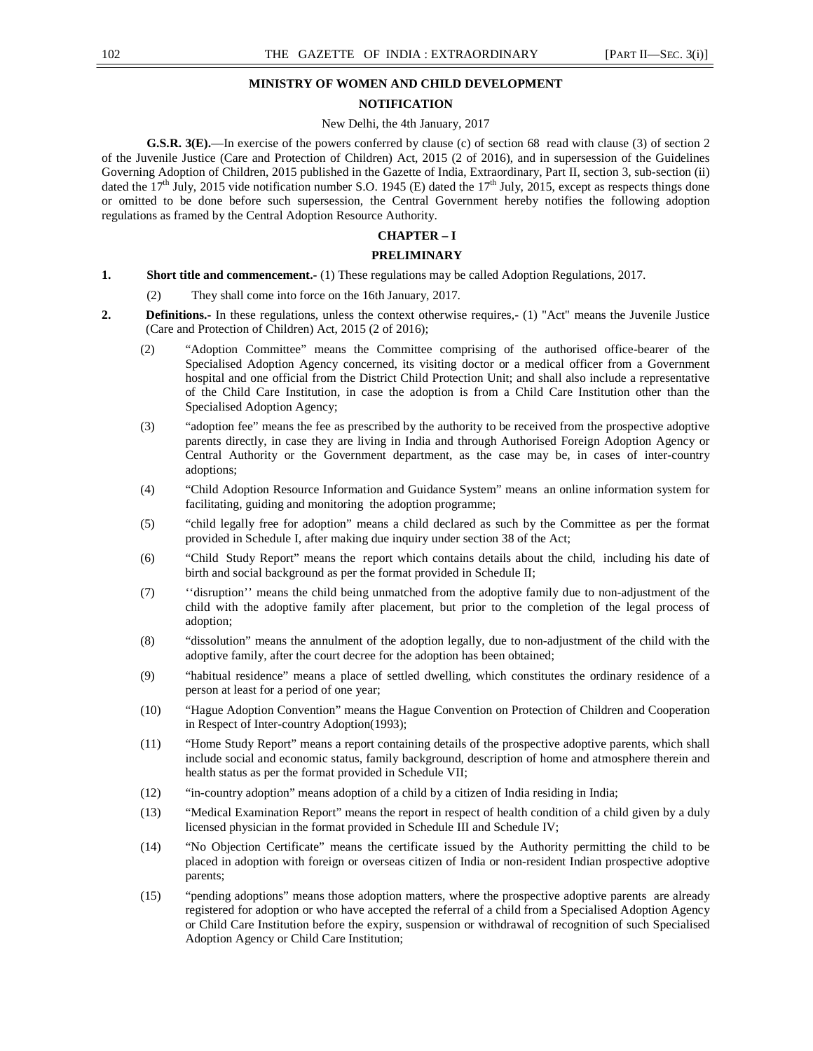#### **MINISTRY OF WOMEN AND CHILD DEVELOPMENT**

#### **NOTIFICATION**

#### New Delhi, the 4th January, 2017

**G.S.R. 3(E).**—In exercise of the powers conferred by clause (c) of section 68 read with clause (3) of section 2 of the Juvenile Justice (Care and Protection of Children) Act, 2015 (2 of 2016), and in supersession of the Guidelines Governing Adoption of Children, 2015 published in the Gazette of India, Extraordinary, Part II, section 3, sub-section (ii) dated the  $17<sup>th</sup>$  July, 2015 vide notification number S.O. 1945 (E) dated the  $17<sup>th</sup>$  July, 2015, except as respects things done or omitted to be done before such supersession, the Central Government hereby notifies the following adoption regulations as framed by the Central Adoption Resource Authority.

### **CHAPTER – I**

# **PRELIMINARY**

- **1.** Short title and commencement.- (1) These regulations may be called Adoption Regulations, 2017.
	- (2) They shall come into force on the 16th January, 2017.
- **2. Definitions.-** In these regulations, unless the context otherwise requires,- (1) "Act" means the Juvenile Justice (Care and Protection of Children) Act, 2015 (2 of 2016);
	- (2) "Adoption Committee" means the Committee comprising of the authorised office-bearer of the Specialised Adoption Agency concerned, its visiting doctor or a medical officer from a Government hospital and one official from the District Child Protection Unit; and shall also include a representative of the Child Care Institution, in case the adoption is from a Child Care Institution other than the Specialised Adoption Agency;
	- (3) "adoption fee" means the fee as prescribed by the authority to be received from the prospective adoptive parents directly, in case they are living in India and through Authorised Foreign Adoption Agency or Central Authority or the Government department, as the case may be, in cases of inter-country adoptions;
	- (4) "Child Adoption Resource Information and Guidance System" means an online information system for facilitating, guiding and monitoring the adoption programme;
	- (5) "child legally free for adoption" means a child declared as such by the Committee as per the format provided in Schedule I, after making due inquiry under section 38 of the Act;
	- (6) "Child Study Report" means the report which contains details about the child, including his date of birth and social background as per the format provided in Schedule II;
	- (7) ''disruption'' means the child being unmatched from the adoptive family due to non-adjustment of the child with the adoptive family after placement, but prior to the completion of the legal process of adoption;
	- (8) "dissolution" means the annulment of the adoption legally, due to non-adjustment of the child with the adoptive family, after the court decree for the adoption has been obtained;
	- (9) "habitual residence" means a place of settled dwelling, which constitutes the ordinary residence of a person at least for a period of one year;
	- (10) "Hague Adoption Convention" means the Hague Convention on Protection of Children and Cooperation in Respect of Inter-country Adoption(1993);
	- (11) "Home Study Report" means a report containing details of the prospective adoptive parents, which shall include social and economic status, family background, description of home and atmosphere therein and health status as per the format provided in Schedule VII;
	- (12) "in-country adoption" means adoption of a child by a citizen of India residing in India;
	- (13) "Medical Examination Report" means the report in respect of health condition of a child given by a duly licensed physician in the format provided in Schedule III and Schedule IV;
	- (14) "No Objection Certificate" means the certificate issued by the Authority permitting the child to be placed in adoption with foreign or overseas citizen of India or non-resident Indian prospective adoptive parents;
	- (15) "pending adoptions" means those adoption matters, where the prospective adoptive parents are already registered for adoption or who have accepted the referral of a child from a Specialised Adoption Agency or Child Care Institution before the expiry, suspension or withdrawal of recognition of such Specialised Adoption Agency or Child Care Institution;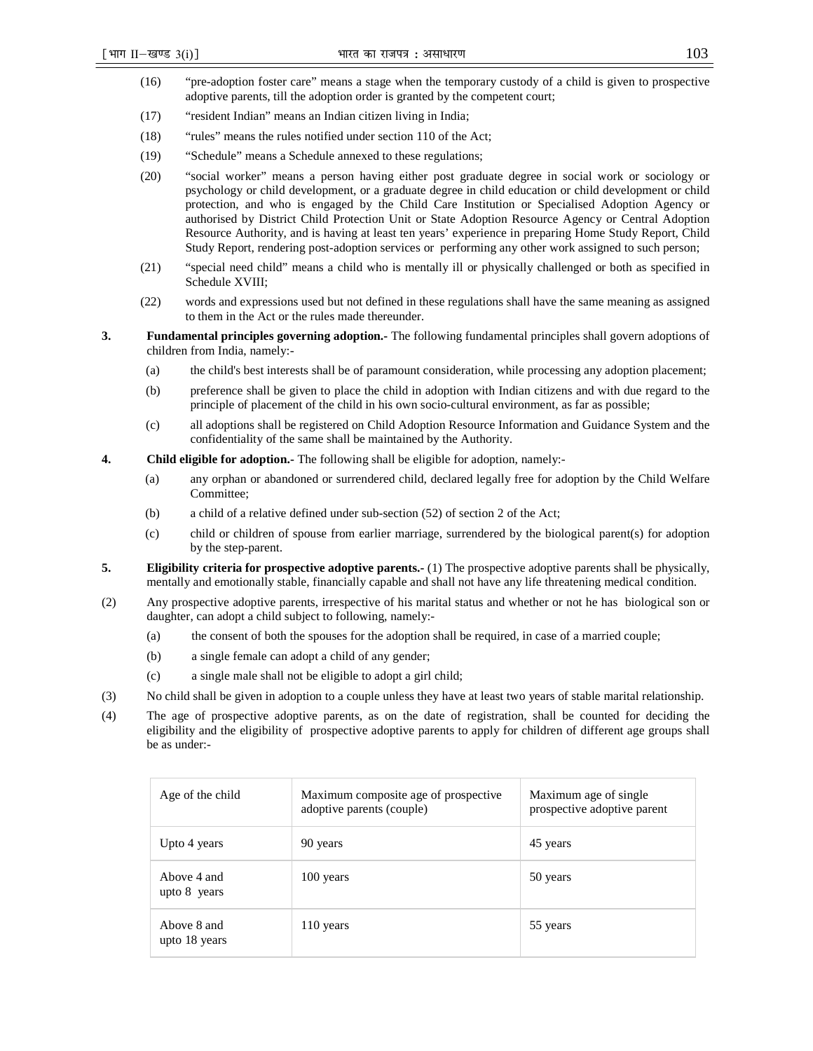- (16) "pre-adoption foster care" means a stage when the temporary custody of a child is given to prospective adoptive parents, till the adoption order is granted by the competent court;
- (17) "resident Indian" means an Indian citizen living in India;
- (18) "rules" means the rules notified under section 110 of the Act;
- (19) "Schedule" means a Schedule annexed to these regulations;
- (20) "social worker" means a person having either post graduate degree in social work or sociology or psychology or child development, or a graduate degree in child education or child development or child protection, and who is engaged by the Child Care Institution or Specialised Adoption Agency or authorised by District Child Protection Unit or State Adoption Resource Agency or Central Adoption Resource Authority, and is having at least ten years' experience in preparing Home Study Report, Child Study Report, rendering post-adoption services or performing any other work assigned to such person;
- (21) "special need child" means a child who is mentally ill or physically challenged or both as specified in Schedule XVIII;
- (22) words and expressions used but not defined in these regulations shall have the same meaning as assigned to them in the Act or the rules made thereunder.
- **3. Fundamental principles governing adoption.-** The following fundamental principles shall govern adoptions of children from India, namely:-
	- (a) the child's best interests shall be of paramount consideration, while processing any adoption placement;
	- (b) preference shall be given to place the child in adoption with Indian citizens and with due regard to the principle of placement of the child in his own socio-cultural environment, as far as possible;
	- (c) all adoptions shall be registered on Child Adoption Resource Information and Guidance System and the confidentiality of the same shall be maintained by the Authority.
- **4. Child eligible for adoption.-** The following shall be eligible for adoption, namely:-
	- (a) any orphan or abandoned or surrendered child, declared legally free for adoption by the Child Welfare Committee;
	- (b) a child of a relative defined under sub-section (52) of section 2 of the Act;
	- (c) child or children of spouse from earlier marriage, surrendered by the biological parent(s) for adoption by the step-parent.
- **5. Eligibility criteria for prospective adoptive parents.-** (1) The prospective adoptive parents shall be physically, mentally and emotionally stable, financially capable and shall not have any life threatening medical condition.
- (2) Any prospective adoptive parents, irrespective of his marital status and whether or not he has biological son or daughter, can adopt a child subject to following, namely:-
	- (a) the consent of both the spouses for the adoption shall be required, in case of a married couple;
	- (b) a single female can adopt a child of any gender;
	- (c) a single male shall not be eligible to adopt a girl child;
- (3) No child shall be given in adoption to a couple unless they have at least two years of stable marital relationship.
- (4) The age of prospective adoptive parents, as on the date of registration, shall be counted for deciding the eligibility and the eligibility of prospective adoptive parents to apply for children of different age groups shall be as under:-

| Age of the child             | Maximum composite age of prospective.<br>adoptive parents (couple) | Maximum age of single<br>prospective adoptive parent |
|------------------------------|--------------------------------------------------------------------|------------------------------------------------------|
| Upto 4 years                 | 90 years                                                           | 45 years                                             |
| Above 4 and<br>upto 8 years  | 100 years                                                          | 50 years                                             |
| Above 8 and<br>upto 18 years | 110 years                                                          | 55 years                                             |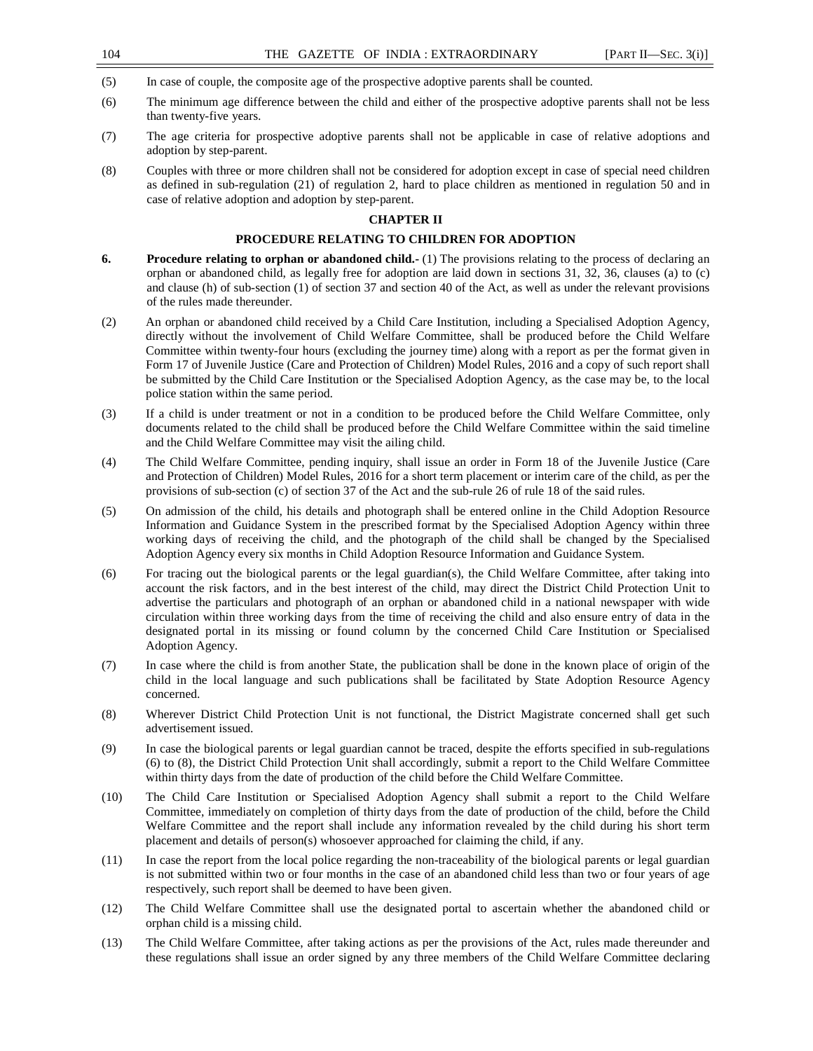- (5) In case of couple, the composite age of the prospective adoptive parents shall be counted.
- (6) The minimum age difference between the child and either of the prospective adoptive parents shall not be less than twenty-five years.
- (7) The age criteria for prospective adoptive parents shall not be applicable in case of relative adoptions and adoption by step-parent.
- (8) Couples with three or more children shall not be considered for adoption except in case of special need children as defined in sub-regulation (21) of regulation 2, hard to place children as mentioned in regulation 50 and in case of relative adoption and adoption by step-parent.

### **CHAPTER II**

### **PROCEDURE RELATING TO CHILDREN FOR ADOPTION**

- **6.** Procedure relating to orphan or abandoned child.- (1) The provisions relating to the process of declaring an orphan or abandoned child, as legally free for adoption are laid down in sections 31, 32, 36, clauses (a) to (c) and clause (h) of sub-section (1) of section 37 and section 40 of the Act, as well as under the relevant provisions of the rules made thereunder.
- (2) An orphan or abandoned child received by a Child Care Institution, including a Specialised Adoption Agency, directly without the involvement of Child Welfare Committee, shall be produced before the Child Welfare Committee within twenty-four hours (excluding the journey time) along with a report as per the format given in Form 17 of Juvenile Justice (Care and Protection of Children) Model Rules, 2016 and a copy of such report shall be submitted by the Child Care Institution or the Specialised Adoption Agency, as the case may be, to the local police station within the same period.
- (3) If a child is under treatment or not in a condition to be produced before the Child Welfare Committee, only documents related to the child shall be produced before the Child Welfare Committee within the said timeline and the Child Welfare Committee may visit the ailing child.
- (4) The Child Welfare Committee, pending inquiry, shall issue an order in Form 18 of the Juvenile Justice (Care and Protection of Children) Model Rules, 2016 for a short term placement or interim care of the child, as per the provisions of sub-section (c) of section 37 of the Act and the sub-rule 26 of rule 18 of the said rules.
- (5) On admission of the child, his details and photograph shall be entered online in the Child Adoption Resource Information and Guidance System in the prescribed format by the Specialised Adoption Agency within three working days of receiving the child, and the photograph of the child shall be changed by the Specialised Adoption Agency every six months in Child Adoption Resource Information and Guidance System.
- (6) For tracing out the biological parents or the legal guardian(s), the Child Welfare Committee, after taking into account the risk factors, and in the best interest of the child, may direct the District Child Protection Unit to advertise the particulars and photograph of an orphan or abandoned child in a national newspaper with wide circulation within three working days from the time of receiving the child and also ensure entry of data in the designated portal in its missing or found column by the concerned Child Care Institution or Specialised Adoption Agency.
- (7) In case where the child is from another State, the publication shall be done in the known place of origin of the child in the local language and such publications shall be facilitated by State Adoption Resource Agency concerned.
- (8) Wherever District Child Protection Unit is not functional, the District Magistrate concerned shall get such advertisement issued.
- (9) In case the biological parents or legal guardian cannot be traced, despite the efforts specified in sub-regulations (6) to (8), the District Child Protection Unit shall accordingly, submit a report to the Child Welfare Committee within thirty days from the date of production of the child before the Child Welfare Committee.
- (10) The Child Care Institution or Specialised Adoption Agency shall submit a report to the Child Welfare Committee, immediately on completion of thirty days from the date of production of the child, before the Child Welfare Committee and the report shall include any information revealed by the child during his short term placement and details of person(s) whosoever approached for claiming the child, if any.
- (11) In case the report from the local police regarding the non-traceability of the biological parents or legal guardian is not submitted within two or four months in the case of an abandoned child less than two or four years of age respectively, such report shall be deemed to have been given.
- (12) The Child Welfare Committee shall use the designated portal to ascertain whether the abandoned child or orphan child is a missing child.
- (13) The Child Welfare Committee, after taking actions as per the provisions of the Act, rules made thereunder and these regulations shall issue an order signed by any three members of the Child Welfare Committee declaring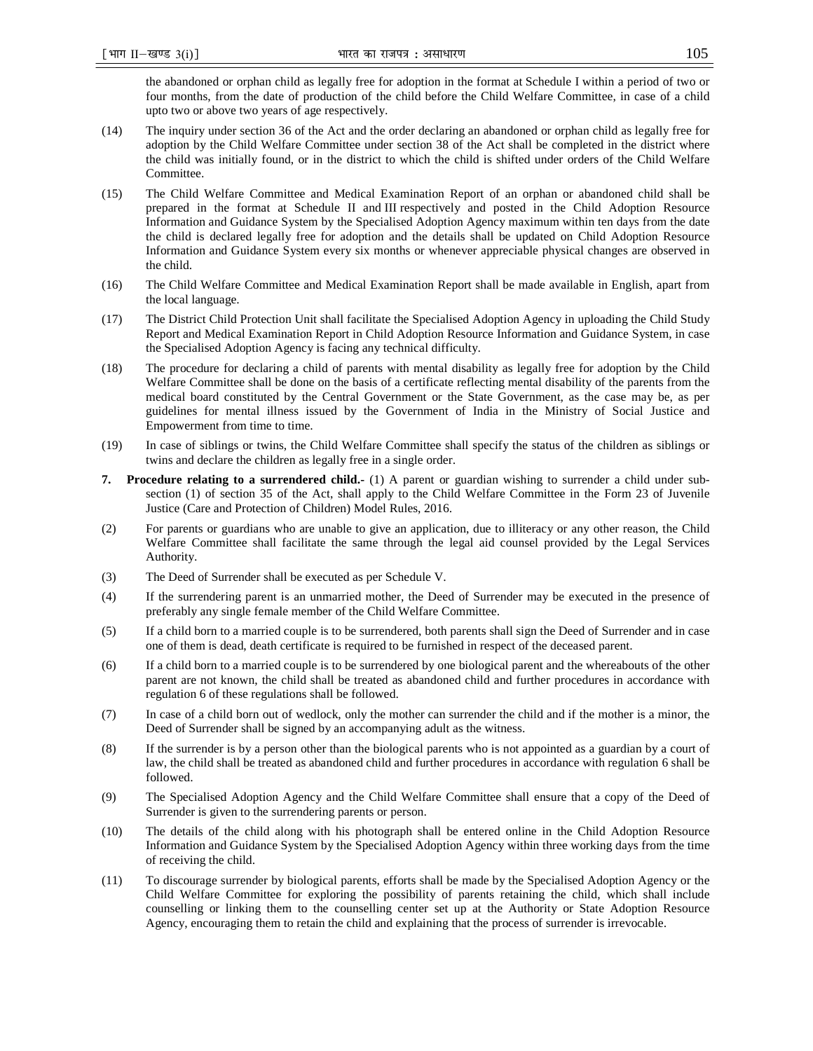the abandoned or orphan child as legally free for adoption in the format at Schedule I within a period of two or four months, from the date of production of the child before the Child Welfare Committee, in case of a child upto two or above two years of age respectively.

- (14) The inquiry under section 36 of the Act and the order declaring an abandoned or orphan child as legally free for adoption by the Child Welfare Committee under section 38 of the Act shall be completed in the district where the child was initially found, or in the district to which the child is shifted under orders of the Child Welfare Committee.
- (15) The Child Welfare Committee and Medical Examination Report of an orphan or abandoned child shall be prepared in the format at Schedule II and III respectively and posted in the Child Adoption Resource Information and Guidance System by the Specialised Adoption Agency maximum within ten days from the date the child is declared legally free for adoption and the details shall be updated on Child Adoption Resource Information and Guidance System every six months or whenever appreciable physical changes are observed in the child.
- (16) The Child Welfare Committee and Medical Examination Report shall be made available in English, apart from the local language.
- (17) The District Child Protection Unit shall facilitate the Specialised Adoption Agency in uploading the Child Study Report and Medical Examination Report in Child Adoption Resource Information and Guidance System, in case the Specialised Adoption Agency is facing any technical difficulty.
- (18) The procedure for declaring a child of parents with mental disability as legally free for adoption by the Child Welfare Committee shall be done on the basis of a certificate reflecting mental disability of the parents from the medical board constituted by the Central Government or the State Government, as the case may be, as per guidelines for mental illness issued by the Government of India in the Ministry of Social Justice and Empowerment from time to time.
- (19) In case of siblings or twins, the Child Welfare Committee shall specify the status of the children as siblings or twins and declare the children as legally free in a single order.
- **7. Procedure relating to a surrendered child.-** (1) A parent or guardian wishing to surrender a child under subsection (1) of section 35 of the Act, shall apply to the Child Welfare Committee in the Form 23 of Juvenile Justice (Care and Protection of Children) Model Rules, 2016.
- (2) For parents or guardians who are unable to give an application, due to illiteracy or any other reason, the Child Welfare Committee shall facilitate the same through the legal aid counsel provided by the Legal Services Authority.
- (3) The Deed of Surrender shall be executed as per Schedule V.
- (4) If the surrendering parent is an unmarried mother, the Deed of Surrender may be executed in the presence of preferably any single female member of the Child Welfare Committee.
- (5) If a child born to a married couple is to be surrendered, both parents shall sign the Deed of Surrender and in case one of them is dead, death certificate is required to be furnished in respect of the deceased parent.
- (6) If a child born to a married couple is to be surrendered by one biological parent and the whereabouts of the other parent are not known, the child shall be treated as abandoned child and further procedures in accordance with regulation 6 of these regulations shall be followed.
- (7) In case of a child born out of wedlock, only the mother can surrender the child and if the mother is a minor, the Deed of Surrender shall be signed by an accompanying adult as the witness.
- (8) If the surrender is by a person other than the biological parents who is not appointed as a guardian by a court of law, the child shall be treated as abandoned child and further procedures in accordance with regulation 6 shall be followed.
- (9) The Specialised Adoption Agency and the Child Welfare Committee shall ensure that a copy of the Deed of Surrender is given to the surrendering parents or person.
- (10) The details of the child along with his photograph shall be entered online in the Child Adoption Resource Information and Guidance System by the Specialised Adoption Agency within three working days from the time of receiving the child.
- (11) To discourage surrender by biological parents, efforts shall be made by the Specialised Adoption Agency or the Child Welfare Committee for exploring the possibility of parents retaining the child, which shall include counselling or linking them to the counselling center set up at the Authority or State Adoption Resource Agency, encouraging them to retain the child and explaining that the process of surrender is irrevocable.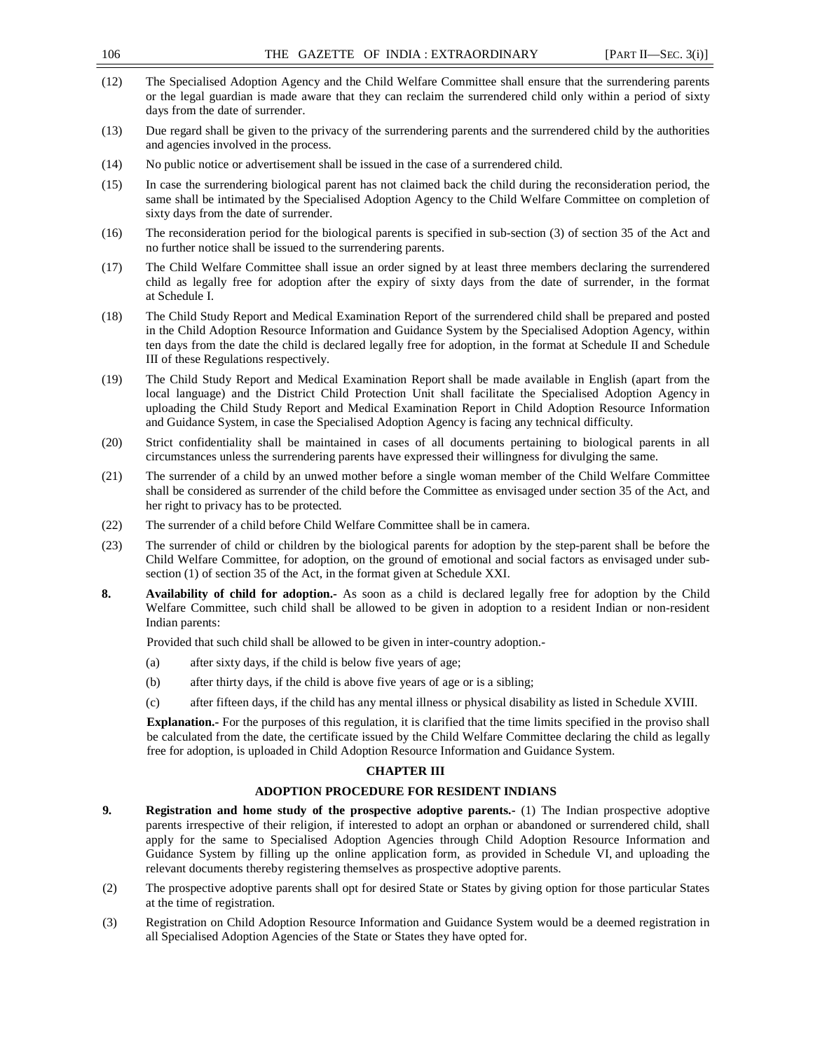| 106  | THE GAZETTE OF INDIA: EXTRAORDINARY                                                                                                                                                                                                                                                                                                                                                                                                                                                                                                 | [PART II-SEC. $3(i)$ ] |
|------|-------------------------------------------------------------------------------------------------------------------------------------------------------------------------------------------------------------------------------------------------------------------------------------------------------------------------------------------------------------------------------------------------------------------------------------------------------------------------------------------------------------------------------------|------------------------|
| (12) | The Specialised Adoption Agency and the Child Welfare Committee shall ensure that the surrendering parents<br>or the legal guardian is made aware that they can reclaim the surrendered child only within a period of sixty<br>days from the date of surrender.                                                                                                                                                                                                                                                                     |                        |
| (13) | Due regard shall be given to the privacy of the surrendering parents and the surrendered child by the authorities<br>and agencies involved in the process.                                                                                                                                                                                                                                                                                                                                                                          |                        |
| (14) | No public notice or advertisement shall be issued in the case of a surrendered child.                                                                                                                                                                                                                                                                                                                                                                                                                                               |                        |
| (15) | In case the surrendering biological parent has not claimed back the child during the reconsideration period, the<br>same shall be intimated by the Specialised Adoption Agency to the Child Welfare Committee on completion of<br>sixty days from the date of surrender.                                                                                                                                                                                                                                                            |                        |
| (16) | The reconsideration period for the biological parents is specified in sub-section (3) of section 35 of the Act and<br>no further notice shall be issued to the surrendering parents.                                                                                                                                                                                                                                                                                                                                                |                        |
| (17) | The Child Welfare Committee shall issue an order signed by at least three members declaring the surrendered<br>child as legally free for adoption after the expiry of sixty days from the date of surrender, in the format<br>at Schedule I.                                                                                                                                                                                                                                                                                        |                        |
| (18) | The Child Study Report and Medical Examination Report of the surrendered child shall be prepared and posted<br>in the Child Adoption Resource Information and Guidance System by the Specialised Adoption Agency, within<br>ten days from the date the child is declared legally free for adoption, in the format at Schedule II and Schedule<br>III of these Regulations respectively.                                                                                                                                             |                        |
| (19) | The Child Study Report and Medical Examination Report shall be made available in English (apart from the<br>local language) and the District Child Protection Unit shall facilitate the Specialised Adoption Agency in<br>uploading the Child Study Report and Medical Examination Report in Child Adoption Resource Information<br>and Guidance System, in case the Specialised Adoption Agency is facing any technical difficulty.                                                                                                |                        |
| (20) | Strict confidentiality shall be maintained in cases of all documents pertaining to biological parents in all<br>circumstances unless the surrendering parents have expressed their willingness for divulging the same.                                                                                                                                                                                                                                                                                                              |                        |
| (21) | The surrender of a child by an unwed mother before a single woman member of the Child Welfare Committee<br>shall be considered as surrender of the child before the Committee as envisaged under section 35 of the Act, and<br>her right to privacy has to be protected.                                                                                                                                                                                                                                                            |                        |
| (22) | The surrender of a child before Child Welfare Committee shall be in camera.                                                                                                                                                                                                                                                                                                                                                                                                                                                         |                        |
| (23) | The surrender of child or children by the biological parents for adoption by the step-parent shall be before the<br>Child Welfare Committee, for adoption, on the ground of emotional and social factors as envisaged under sub-<br>section (1) of section 35 of the Act, in the format given at Schedule XXI.                                                                                                                                                                                                                      |                        |
| 8.   | Availability of child for adoption. As soon as a child is declared legally free for adoption by the Child<br>Welfare Committee, such child shall be allowed to be given in adoption to a resident Indian or non-resident<br>Indian parents:                                                                                                                                                                                                                                                                                         |                        |
|      | Provided that such child shall be allowed to be given in inter-country adoption.                                                                                                                                                                                                                                                                                                                                                                                                                                                    |                        |
|      | after sixty days, if the child is below five years of age;<br>(a)                                                                                                                                                                                                                                                                                                                                                                                                                                                                   |                        |
|      | (b)<br>after thirty days, if the child is above five years of age or is a sibling;                                                                                                                                                                                                                                                                                                                                                                                                                                                  |                        |
|      | (c)<br>after fifteen days, if the child has any mental illness or physical disability as listed in Schedule XVIII.                                                                                                                                                                                                                                                                                                                                                                                                                  |                        |
|      | <b>Explanation.</b> For the purposes of this regulation, it is clarified that the time limits specified in the proviso shall<br>be calculated from the date, the certificate issued by the Child Welfare Committee declaring the child as legally<br>free for adoption, is uploaded in Child Adoption Resource Information and Guidance System.                                                                                                                                                                                     |                        |
|      | <b>CHAPTER III</b>                                                                                                                                                                                                                                                                                                                                                                                                                                                                                                                  |                        |
|      | ADOPTION PROCEDURE FOR RESIDENT INDIANS                                                                                                                                                                                                                                                                                                                                                                                                                                                                                             |                        |
| 9.   | Registration and home study of the prospective adoptive parents.- (1) The Indian prospective adoptive<br>parents irrespective of their religion, if interested to adopt an orphan or abandoned or surrendered child, shall<br>apply for the same to Specialised Adoption Agencies through Child Adoption Resource Information and<br>Guidance System by filling up the online application form, as provided in Schedule VI, and uploading the<br>relevant documents thereby registering themselves as prospective adoptive parents. |                        |
| (2)  | The prospective adoptive parents shall opt for desired State or States by giving option for those particular States<br>at the time of registration.                                                                                                                                                                                                                                                                                                                                                                                 |                        |
| (3)  | Registration on Child Adoption Resource Information and Guidance System would be a deemed registration in<br>all Specialised Adoption Agencies of the State or States they have opted for.                                                                                                                                                                                                                                                                                                                                          |                        |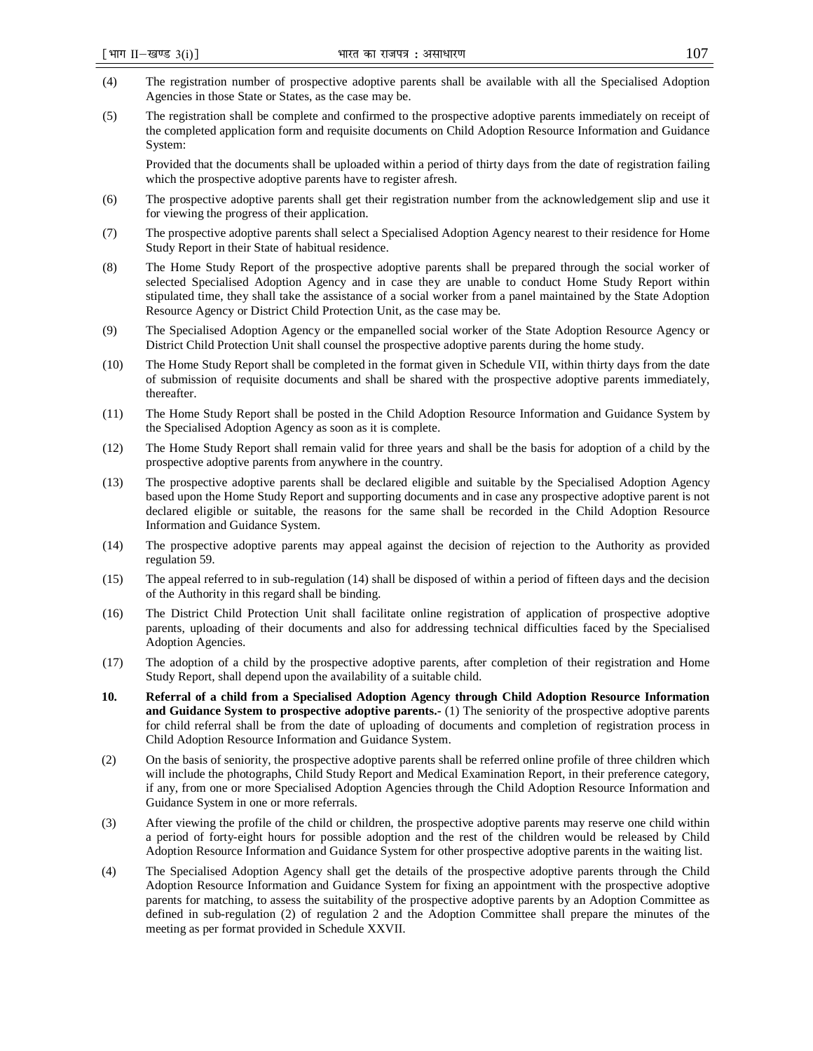- (4) The registration number of prospective adoptive parents shall be available with all the Specialised Adoption Agencies in those State or States, as the case may be.
- (5) The registration shall be complete and confirmed to the prospective adoptive parents immediately on receipt of the completed application form and requisite documents on Child Adoption Resource Information and Guidance System:

Provided that the documents shall be uploaded within a period of thirty days from the date of registration failing which the prospective adoptive parents have to register afresh.

- (6) The prospective adoptive parents shall get their registration number from the acknowledgement slip and use it for viewing the progress of their application.
- (7) The prospective adoptive parents shall select a Specialised Adoption Agency nearest to their residence for Home Study Report in their State of habitual residence.
- (8) The Home Study Report of the prospective adoptive parents shall be prepared through the social worker of selected Specialised Adoption Agency and in case they are unable to conduct Home Study Report within stipulated time, they shall take the assistance of a social worker from a panel maintained by the State Adoption Resource Agency or District Child Protection Unit, as the case may be.
- (9) The Specialised Adoption Agency or the empanelled social worker of the State Adoption Resource Agency or District Child Protection Unit shall counsel the prospective adoptive parents during the home study.
- (10) The Home Study Report shall be completed in the format given in Schedule VII, within thirty days from the date of submission of requisite documents and shall be shared with the prospective adoptive parents immediately, thereafter.
- (11) The Home Study Report shall be posted in the Child Adoption Resource Information and Guidance System by the Specialised Adoption Agency as soon as it is complete.
- (12) The Home Study Report shall remain valid for three years and shall be the basis for adoption of a child by the prospective adoptive parents from anywhere in the country.
- (13) The prospective adoptive parents shall be declared eligible and suitable by the Specialised Adoption Agency based upon the Home Study Report and supporting documents and in case any prospective adoptive parent is not declared eligible or suitable, the reasons for the same shall be recorded in the Child Adoption Resource Information and Guidance System.
- (14) The prospective adoptive parents may appeal against the decision of rejection to the Authority as provided regulation 59.
- (15) The appeal referred to in sub-regulation (14) shall be disposed of within a period of fifteen days and the decision of the Authority in this regard shall be binding.
- (16) The District Child Protection Unit shall facilitate online registration of application of prospective adoptive parents, uploading of their documents and also for addressing technical difficulties faced by the Specialised Adoption Agencies.
- (17) The adoption of a child by the prospective adoptive parents, after completion of their registration and Home Study Report, shall depend upon the availability of a suitable child.
- **10. Referral of a child from a Specialised Adoption Agency through Child Adoption Resource Information and Guidance System to prospective adoptive parents.-** (1) The seniority of the prospective adoptive parents for child referral shall be from the date of uploading of documents and completion of registration process in Child Adoption Resource Information and Guidance System.
- (2) On the basis of seniority, the prospective adoptive parents shall be referred online profile of three children which will include the photographs, Child Study Report and Medical Examination Report, in their preference category, if any, from one or more Specialised Adoption Agencies through the Child Adoption Resource Information and Guidance System in one or more referrals.
- (3) After viewing the profile of the child or children, the prospective adoptive parents may reserve one child within a period of forty-eight hours for possible adoption and the rest of the children would be released by Child Adoption Resource Information and Guidance System for other prospective adoptive parents in the waiting list.
- (4) The Specialised Adoption Agency shall get the details of the prospective adoptive parents through the Child Adoption Resource Information and Guidance System for fixing an appointment with the prospective adoptive parents for matching, to assess the suitability of the prospective adoptive parents by an Adoption Committee as defined in sub-regulation (2) of regulation 2 and the Adoption Committee shall prepare the minutes of the meeting as per format provided in Schedule XXVII.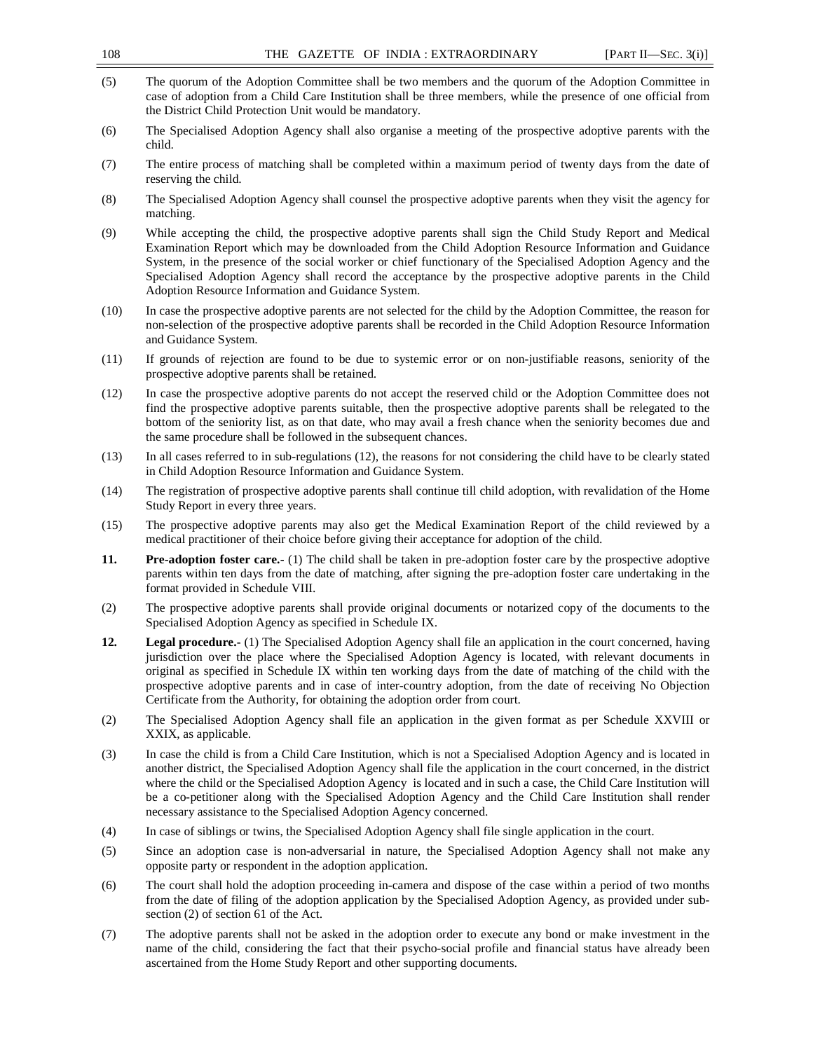| 108  | THE GAZETTE OF INDIA: EXTRAORDINARY<br>[PART II-SEC. $3(i)$ ]                                                                                                                                                                                                                                                                                                                                                                                                                                                                                    |
|------|--------------------------------------------------------------------------------------------------------------------------------------------------------------------------------------------------------------------------------------------------------------------------------------------------------------------------------------------------------------------------------------------------------------------------------------------------------------------------------------------------------------------------------------------------|
| (5)  | The quorum of the Adoption Committee shall be two members and the quorum of the Adoption Committee in<br>case of adoption from a Child Care Institution shall be three members, while the presence of one official from<br>the District Child Protection Unit would be mandatory.                                                                                                                                                                                                                                                                |
| (6)  | The Specialised Adoption Agency shall also organise a meeting of the prospective adoptive parents with the<br>child.                                                                                                                                                                                                                                                                                                                                                                                                                             |
| (7)  | The entire process of matching shall be completed within a maximum period of twenty days from the date of<br>reserving the child.                                                                                                                                                                                                                                                                                                                                                                                                                |
| (8)  | The Specialised Adoption Agency shall counsel the prospective adoptive parents when they visit the agency for<br>matching.                                                                                                                                                                                                                                                                                                                                                                                                                       |
| (9)  | While accepting the child, the prospective adoptive parents shall sign the Child Study Report and Medical<br>Examination Report which may be downloaded from the Child Adoption Resource Information and Guidance<br>System, in the presence of the social worker or chief functionary of the Specialised Adoption Agency and the<br>Specialised Adoption Agency shall record the acceptance by the prospective adoptive parents in the Child<br>Adoption Resource Information and Guidance System.                                              |
| (10) | In case the prospective adoptive parents are not selected for the child by the Adoption Committee, the reason for<br>non-selection of the prospective adoptive parents shall be recorded in the Child Adoption Resource Information<br>and Guidance System.                                                                                                                                                                                                                                                                                      |
| (11) | If grounds of rejection are found to be due to systemic error or on non-justifiable reasons, seniority of the<br>prospective adoptive parents shall be retained.                                                                                                                                                                                                                                                                                                                                                                                 |
| (12) | In case the prospective adoptive parents do not accept the reserved child or the Adoption Committee does not<br>find the prospective adoptive parents suitable, then the prospective adoptive parents shall be relegated to the<br>bottom of the seniority list, as on that date, who may avail a fresh chance when the seniority becomes due and<br>the same procedure shall be followed in the subsequent chances.                                                                                                                             |
| (13) | In all cases referred to in sub-regulations (12), the reasons for not considering the child have to be clearly stated<br>in Child Adoption Resource Information and Guidance System.                                                                                                                                                                                                                                                                                                                                                             |
| (14) | The registration of prospective adoptive parents shall continue till child adoption, with revalidation of the Home<br>Study Report in every three years.                                                                                                                                                                                                                                                                                                                                                                                         |
| (15) | The prospective adoptive parents may also get the Medical Examination Report of the child reviewed by a<br>medical practitioner of their choice before giving their acceptance for adoption of the child.                                                                                                                                                                                                                                                                                                                                        |
| 11.  | <b>Pre-adoption foster care.-</b> (1) The child shall be taken in pre-adoption foster care by the prospective adoptive<br>parents within ten days from the date of matching, after signing the pre-adoption foster care undertaking in the<br>format provided in Schedule VIII.                                                                                                                                                                                                                                                                  |
| (2)  | The prospective adoptive parents shall provide original documents or notarized copy of the documents to the<br>Specialised Adoption Agency as specified in Schedule IX.                                                                                                                                                                                                                                                                                                                                                                          |
| 12.  | Legal procedure.- (1) The Specialised Adoption Agency shall file an application in the court concerned, having<br>jurisdiction over the place where the Specialised Adoption Agency is located, with relevant documents in<br>original as specified in Schedule IX within ten working days from the date of matching of the child with the<br>prospective adoptive parents and in case of inter-country adoption, from the date of receiving No Objection<br>Certificate from the Authority, for obtaining the adoption order from court.        |
| (2)  | The Specialised Adoption Agency shall file an application in the given format as per Schedule XXVIII or<br>XXIX, as applicable.                                                                                                                                                                                                                                                                                                                                                                                                                  |
| (3)  | In case the child is from a Child Care Institution, which is not a Specialised Adoption Agency and is located in<br>another district, the Specialised Adoption Agency shall file the application in the court concerned, in the district<br>where the child or the Specialised Adoption Agency is located and in such a case, the Child Care Institution will<br>be a co-petitioner along with the Specialised Adoption Agency and the Child Care Institution shall render<br>necessary assistance to the Specialised Adoption Agency concerned. |
| (4)  | In case of siblings or twins, the Specialised Adoption Agency shall file single application in the court.                                                                                                                                                                                                                                                                                                                                                                                                                                        |
| (5)  | Since an adoption case is non-adversarial in nature, the Specialised Adoption Agency shall not make any<br>opposite party or respondent in the adoption application.                                                                                                                                                                                                                                                                                                                                                                             |
| (6)  | The court shall hold the adoption proceeding in-camera and dispose of the case within a period of two months<br>from the date of filing of the adoption application by the Specialised Adoption Agency, as provided under sub-<br>section $(2)$ of section 61 of the Act.                                                                                                                                                                                                                                                                        |
| (7)  | The adoptive parents shall not be asked in the adoption order to execute any bond or make investment in the<br>name of the child, considering the fact that their psycho-social profile and financial status have already been<br>ascertained from the Home Study Report and other supporting documents.                                                                                                                                                                                                                                         |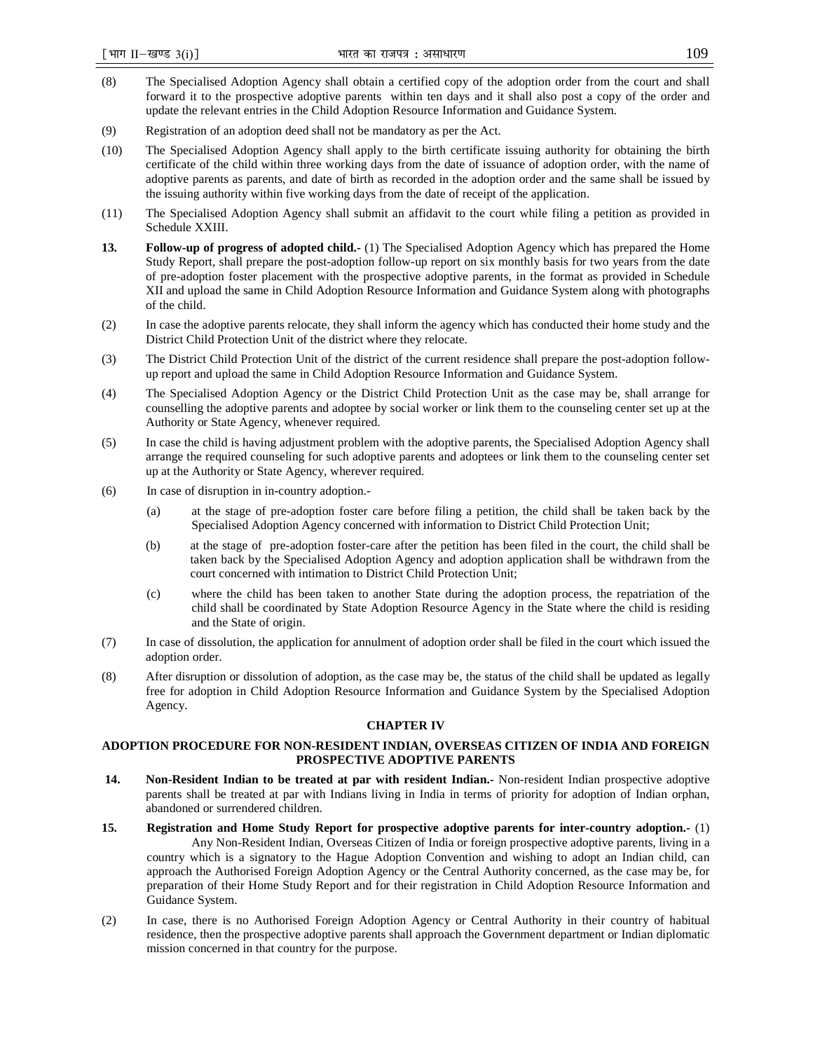- (8) The Specialised Adoption Agency shall obtain a certified copy of the adoption order from the court and shall forward it to the prospective adoptive parents within ten days and it shall also post a copy of the order and update the relevant entries in the Child Adoption Resource Information and Guidance System.
- (9) Registration of an adoption deed shall not be mandatory as per the Act.
- (10) The Specialised Adoption Agency shall apply to the birth certificate issuing authority for obtaining the birth certificate of the child within three working days from the date of issuance of adoption order, with the name of adoptive parents as parents, and date of birth as recorded in the adoption order and the same shall be issued by the issuing authority within five working days from the date of receipt of the application.
- (11) The Specialised Adoption Agency shall submit an affidavit to the court while filing a petition as provided in Schedule XXIII.
- **13. Follow-up of progress of adopted child.-** (1) The Specialised Adoption Agency which has prepared the Home Study Report, shall prepare the post-adoption follow-up report on six monthly basis for two years from the date of pre-adoption foster placement with the prospective adoptive parents, in the format as provided in Schedule XII and upload the same in Child Adoption Resource Information and Guidance System along with photographs of the child.
- (2) In case the adoptive parents relocate, they shall inform the agency which has conducted their home study and the District Child Protection Unit of the district where they relocate.
- (3) The District Child Protection Unit of the district of the current residence shall prepare the post-adoption followup report and upload the same in Child Adoption Resource Information and Guidance System.
- (4) The Specialised Adoption Agency or the District Child Protection Unit as the case may be, shall arrange for counselling the adoptive parents and adoptee by social worker or link them to the counseling center set up at the Authority or State Agency, whenever required.
- (5) In case the child is having adjustment problem with the adoptive parents, the Specialised Adoption Agency shall arrange the required counseling for such adoptive parents and adoptees or link them to the counseling center set up at the Authority or State Agency, wherever required.
- (6) In case of disruption in in-country adoption.-
	- (a) at the stage of pre-adoption foster care before filing a petition, the child shall be taken back by the Specialised Adoption Agency concerned with information to District Child Protection Unit;
	- (b) at the stage of pre-adoption foster-care after the petition has been filed in the court, the child shall be taken back by the Specialised Adoption Agency and adoption application shall be withdrawn from the court concerned with intimation to District Child Protection Unit;
	- (c) where the child has been taken to another State during the adoption process, the repatriation of the child shall be coordinated by State Adoption Resource Agency in the State where the child is residing and the State of origin.
- (7) In case of dissolution, the application for annulment of adoption order shall be filed in the court which issued the adoption order.
- (8) After disruption or dissolution of adoption, as the case may be, the status of the child shall be updated as legally free for adoption in Child Adoption Resource Information and Guidance System by the Specialised Adoption Agency.

# **CHAPTER IV**

# **ADOPTION PROCEDURE FOR NON-RESIDENT INDIAN, OVERSEAS CITIZEN OF INDIA AND FOREIGN PROSPECTIVE ADOPTIVE PARENTS**

- **14. Non-Resident Indian to be treated at par with resident Indian.-** Non-resident Indian prospective adoptive parents shall be treated at par with Indians living in India in terms of priority for adoption of Indian orphan, abandoned or surrendered children.
- **15. Registration and Home Study Report for prospective adoptive parents for inter-country adoption.-** (1) Any Non-Resident Indian, Overseas Citizen of India or foreign prospective adoptive parents, living in a country which is a signatory to the Hague Adoption Convention and wishing to adopt an Indian child, can approach the Authorised Foreign Adoption Agency or the Central Authority concerned, as the case may be, for preparation of their Home Study Report and for their registration in Child Adoption Resource Information and Guidance System.
- (2) In case, there is no Authorised Foreign Adoption Agency or Central Authority in their country of habitual residence, then the prospective adoptive parents shall approach the Government department or Indian diplomatic mission concerned in that country for the purpose.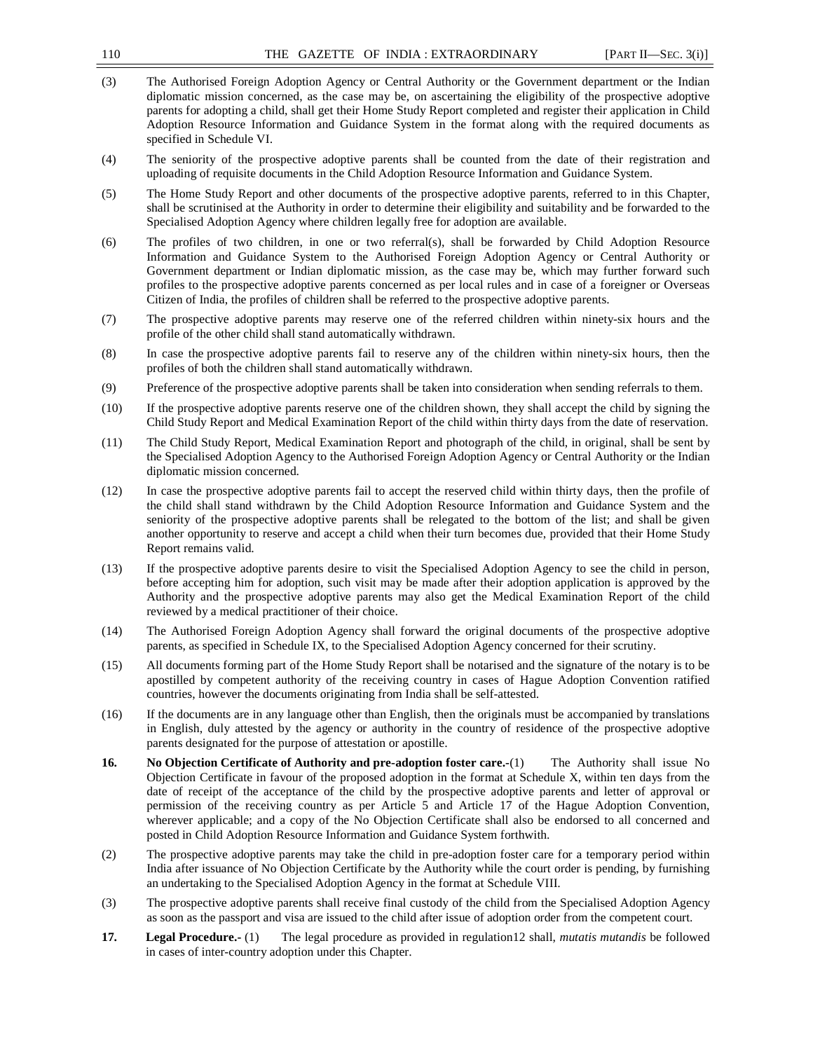| 110  | THE GAZETTE OF INDIA: EXTRAORDINARY<br>[PART II-SEC. $3(i)$ ]                                                                                                                                                                                                                                                                                                                                                                                                                                                                                                                                                                                     |
|------|---------------------------------------------------------------------------------------------------------------------------------------------------------------------------------------------------------------------------------------------------------------------------------------------------------------------------------------------------------------------------------------------------------------------------------------------------------------------------------------------------------------------------------------------------------------------------------------------------------------------------------------------------|
| (3)  | The Authorised Foreign Adoption Agency or Central Authority or the Government department or the Indian<br>diplomatic mission concerned, as the case may be, on ascertaining the eligibility of the prospective adoptive<br>parents for adopting a child, shall get their Home Study Report completed and register their application in Child<br>Adoption Resource Information and Guidance System in the format along with the required documents as<br>specified in Schedule VI.                                                                                                                                                                 |
| (4)  | The seniority of the prospective adoptive parents shall be counted from the date of their registration and<br>uploading of requisite documents in the Child Adoption Resource Information and Guidance System.                                                                                                                                                                                                                                                                                                                                                                                                                                    |
| (5)  | The Home Study Report and other documents of the prospective adoptive parents, referred to in this Chapter,<br>shall be scrutinised at the Authority in order to determine their eligibility and suitability and be forwarded to the<br>Specialised Adoption Agency where children legally free for adoption are available.                                                                                                                                                                                                                                                                                                                       |
| (6)  | The profiles of two children, in one or two referral(s), shall be forwarded by Child Adoption Resource<br>Information and Guidance System to the Authorised Foreign Adoption Agency or Central Authority or<br>Government department or Indian diplomatic mission, as the case may be, which may further forward such<br>profiles to the prospective adoptive parents concerned as per local rules and in case of a foreigner or Overseas<br>Citizen of India, the profiles of children shall be referred to the prospective adoptive parents.                                                                                                    |
| (7)  | The prospective adoptive parents may reserve one of the referred children within ninety-six hours and the<br>profile of the other child shall stand automatically withdrawn.                                                                                                                                                                                                                                                                                                                                                                                                                                                                      |
| (8)  | In case the prospective adoptive parents fail to reserve any of the children within ninety-six hours, then the<br>profiles of both the children shall stand automatically withdrawn.                                                                                                                                                                                                                                                                                                                                                                                                                                                              |
| (9)  | Preference of the prospective adoptive parents shall be taken into consideration when sending referrals to them.                                                                                                                                                                                                                                                                                                                                                                                                                                                                                                                                  |
| (10) | If the prospective adoptive parents reserve one of the children shown, they shall accept the child by signing the<br>Child Study Report and Medical Examination Report of the child within thirty days from the date of reservation.                                                                                                                                                                                                                                                                                                                                                                                                              |
| (11) | The Child Study Report, Medical Examination Report and photograph of the child, in original, shall be sent by<br>the Specialised Adoption Agency to the Authorised Foreign Adoption Agency or Central Authority or the Indian<br>diplomatic mission concerned.                                                                                                                                                                                                                                                                                                                                                                                    |
| (12) | In case the prospective adoptive parents fail to accept the reserved child within thirty days, then the profile of<br>the child shall stand withdrawn by the Child Adoption Resource Information and Guidance System and the<br>seniority of the prospective adoptive parents shall be relegated to the bottom of the list; and shall be given<br>another opportunity to reserve and accept a child when their turn becomes due, provided that their Home Study<br>Report remains valid.                                                                                                                                                          |
| (13) | If the prospective adoptive parents desire to visit the Specialised Adoption Agency to see the child in person,<br>before accepting him for adoption, such visit may be made after their adoption application is approved by the<br>Authority and the prospective adoptive parents may also get the Medical Examination Report of the child<br>reviewed by a medical practitioner of their choice.                                                                                                                                                                                                                                                |
| (14) | The Authorised Foreign Adoption Agency shall forward the original documents of the prospective adoptive<br>parents, as specified in Schedule IX, to the Specialised Adoption Agency concerned for their scrutiny.                                                                                                                                                                                                                                                                                                                                                                                                                                 |
| (15) | All documents forming part of the Home Study Report shall be notarised and the signature of the notary is to be<br>apostilled by competent authority of the receiving country in cases of Hague Adoption Convention ratified<br>countries, however the documents originating from India shall be self-attested.                                                                                                                                                                                                                                                                                                                                   |
| (16) | If the documents are in any language other than English, then the originals must be accompanied by translations<br>in English, duly attested by the agency or authority in the country of residence of the prospective adoptive<br>parents designated for the purpose of attestation or apostille.                                                                                                                                                                                                                                                                                                                                                |
| 16.  | No Objection Certificate of Authority and pre-adoption foster care.-(1)<br>The Authority shall issue No<br>Objection Certificate in favour of the proposed adoption in the format at Schedule X, within ten days from the<br>date of receipt of the acceptance of the child by the prospective adoptive parents and letter of approval or<br>permission of the receiving country as per Article 5 and Article 17 of the Hague Adoption Convention,<br>wherever applicable; and a copy of the No Objection Certificate shall also be endorsed to all concerned and<br>posted in Child Adoption Resource Information and Guidance System forthwith. |
| (2)  | The prospective adoptive parents may take the child in pre-adoption foster care for a temporary period within<br>India after issuance of No Objection Certificate by the Authority while the court order is pending, by furnishing<br>an undertaking to the Specialised Adoption Agency in the format at Schedule VIII.                                                                                                                                                                                                                                                                                                                           |
| (3)  | The prospective adoptive parents shall receive final custody of the child from the Specialised Adoption Agency<br>as soon as the passport and visa are issued to the child after issue of adoption order from the competent court.                                                                                                                                                                                                                                                                                                                                                                                                                |
| 17.  | <b>Legal Procedure.</b> (1)<br>The legal procedure as provided in regulation 12 shall, <i>mutatis mutandis</i> be followed<br>in cases of inter-country adoption under this Chapter.                                                                                                                                                                                                                                                                                                                                                                                                                                                              |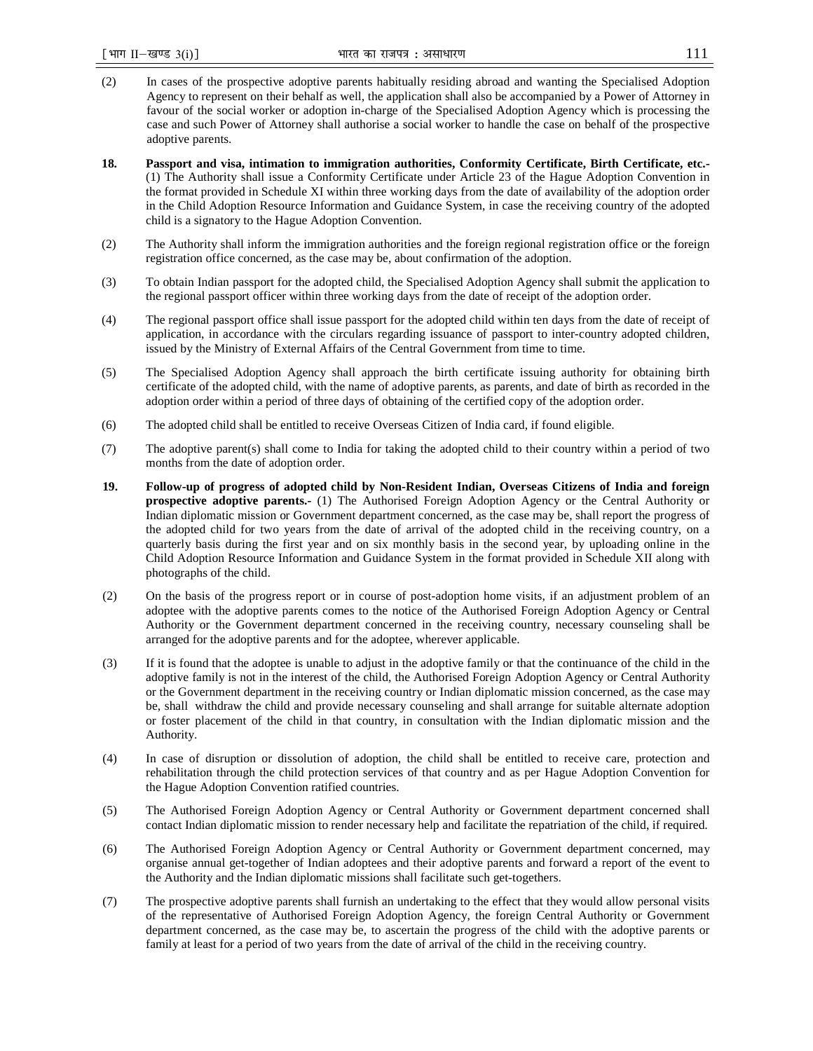- (2) In cases of the prospective adoptive parents habitually residing abroad and wanting the Specialised Adoption Agency to represent on their behalf as well, the application shall also be accompanied by a Power of Attorney in favour of the social worker or adoption in-charge of the Specialised Adoption Agency which is processing the case and such Power of Attorney shall authorise a social worker to handle the case on behalf of the prospective adoptive parents.
- **18. Passport and visa, intimation to immigration authorities, Conformity Certificate, Birth Certificate, etc.-**  (1) The Authority shall issue a Conformity Certificate under Article 23 of the Hague Adoption Convention in the format provided in Schedule XI within three working days from the date of availability of the adoption order in the Child Adoption Resource Information and Guidance System, in case the receiving country of the adopted child is a signatory to the Hague Adoption Convention.
- (2) The Authority shall inform the immigration authorities and the foreign regional registration office or the foreign registration office concerned, as the case may be, about confirmation of the adoption.
- (3) To obtain Indian passport for the adopted child, the Specialised Adoption Agency shall submit the application to the regional passport officer within three working days from the date of receipt of the adoption order.
- (4) The regional passport office shall issue passport for the adopted child within ten days from the date of receipt of application, in accordance with the circulars regarding issuance of passport to inter-country adopted children, issued by the Ministry of External Affairs of the Central Government from time to time.
- (5) The Specialised Adoption Agency shall approach the birth certificate issuing authority for obtaining birth certificate of the adopted child, with the name of adoptive parents, as parents, and date of birth as recorded in the adoption order within a period of three days of obtaining of the certified copy of the adoption order.
- (6) The adopted child shall be entitled to receive Overseas Citizen of India card, if found eligible.
- (7) The adoptive parent(s) shall come to India for taking the adopted child to their country within a period of two months from the date of adoption order.
- **19. Follow-up of progress of adopted child by Non-Resident Indian, Overseas Citizens of India and foreign prospective adoptive parents.-** (1) The Authorised Foreign Adoption Agency or the Central Authority or Indian diplomatic mission or Government department concerned, as the case may be, shall report the progress of the adopted child for two years from the date of arrival of the adopted child in the receiving country, on a quarterly basis during the first year and on six monthly basis in the second year, by uploading online in the Child Adoption Resource Information and Guidance System in the format provided in Schedule XII along with photographs of the child.
- (2) On the basis of the progress report or in course of post-adoption home visits, if an adjustment problem of an adoptee with the adoptive parents comes to the notice of the Authorised Foreign Adoption Agency or Central Authority or the Government department concerned in the receiving country, necessary counseling shall be arranged for the adoptive parents and for the adoptee, wherever applicable.
- (3) If it is found that the adoptee is unable to adjust in the adoptive family or that the continuance of the child in the adoptive family is not in the interest of the child, the Authorised Foreign Adoption Agency or Central Authority or the Government department in the receiving country or Indian diplomatic mission concerned, as the case may be, shall withdraw the child and provide necessary counseling and shall arrange for suitable alternate adoption or foster placement of the child in that country, in consultation with the Indian diplomatic mission and the Authority.
- (4) In case of disruption or dissolution of adoption, the child shall be entitled to receive care, protection and rehabilitation through the child protection services of that country and as per Hague Adoption Convention for the Hague Adoption Convention ratified countries.
- (5) The Authorised Foreign Adoption Agency or Central Authority or Government department concerned shall contact Indian diplomatic mission to render necessary help and facilitate the repatriation of the child, if required.
- (6) The Authorised Foreign Adoption Agency or Central Authority or Government department concerned, may organise annual get-together of Indian adoptees and their adoptive parents and forward a report of the event to the Authority and the Indian diplomatic missions shall facilitate such get-togethers.
- (7) The prospective adoptive parents shall furnish an undertaking to the effect that they would allow personal visits of the representative of Authorised Foreign Adoption Agency, the foreign Central Authority or Government department concerned, as the case may be, to ascertain the progress of the child with the adoptive parents or family at least for a period of two years from the date of arrival of the child in the receiving country.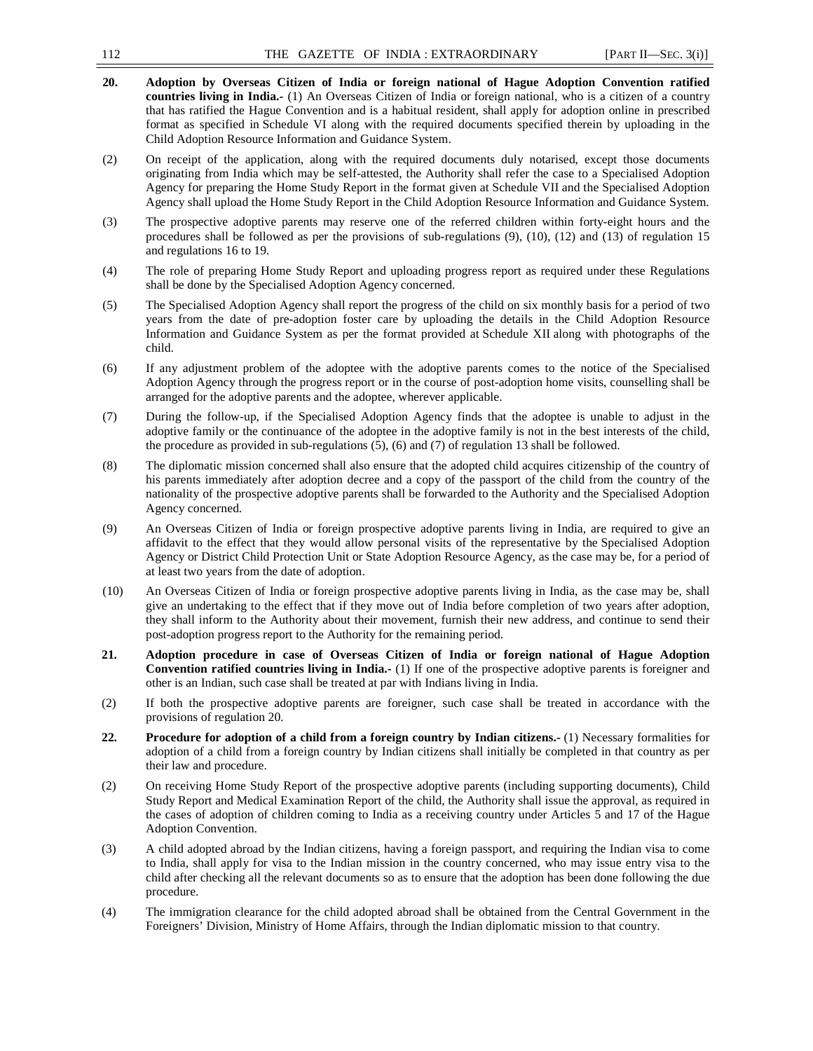| 112  | THE GAZETTE OF INDIA: EXTRAORDINARY                                                                                                                                                                                                                                                                                                                                                                                                                                                                              | [PART II-SEC. $3(i)$ ] |
|------|------------------------------------------------------------------------------------------------------------------------------------------------------------------------------------------------------------------------------------------------------------------------------------------------------------------------------------------------------------------------------------------------------------------------------------------------------------------------------------------------------------------|------------------------|
| 20.  | Adoption by Overseas Citizen of India or foreign national of Hague Adoption Convention ratified<br>countries living in India.- (1) An Overseas Citizen of India or foreign national, who is a citizen of a country<br>that has ratified the Hague Convention and is a habitual resident, shall apply for adoption online in prescribed<br>format as specified in Schedule VI along with the required documents specified therein by uploading in the<br>Child Adoption Resource Information and Guidance System. |                        |
| (2)  | On receipt of the application, along with the required documents duly notarised, except those documents<br>originating from India which may be self-attested, the Authority shall refer the case to a Specialised Adoption<br>Agency for preparing the Home Study Report in the format given at Schedule VII and the Specialised Adoption<br>Agency shall upload the Home Study Report in the Child Adoption Resource Information and Guidance System.                                                           |                        |
| (3)  | The prospective adoptive parents may reserve one of the referred children within forty-eight hours and the<br>procedures shall be followed as per the provisions of sub-regulations $(9)$ , $(10)$ , $(12)$ and $(13)$ of regulation 15<br>and regulations 16 to 19.                                                                                                                                                                                                                                             |                        |
| (4)  | The role of preparing Home Study Report and uploading progress report as required under these Regulations<br>shall be done by the Specialised Adoption Agency concerned.                                                                                                                                                                                                                                                                                                                                         |                        |
| (5)  | The Specialised Adoption Agency shall report the progress of the child on six monthly basis for a period of two<br>years from the date of pre-adoption foster care by uploading the details in the Child Adoption Resource<br>Information and Guidance System as per the format provided at Schedule XII along with photographs of the<br>child.                                                                                                                                                                 |                        |
| (6)  | If any adjustment problem of the adoptee with the adoptive parents comes to the notice of the Specialised<br>Adoption Agency through the progress report or in the course of post-adoption home visits, counselling shall be<br>arranged for the adoptive parents and the adoptee, wherever applicable.                                                                                                                                                                                                          |                        |
| (7)  | During the follow-up, if the Specialised Adoption Agency finds that the adoptee is unable to adjust in the<br>adoptive family or the continuance of the adoptee in the adoptive family is not in the best interests of the child,<br>the procedure as provided in sub-regulations $(5)$ , $(6)$ and $(7)$ of regulation 13 shall be followed.                                                                                                                                                                    |                        |
| (8)  | The diplomatic mission concerned shall also ensure that the adopted child acquires citizenship of the country of<br>his parents immediately after adoption decree and a copy of the passport of the child from the country of the<br>nationality of the prospective adoptive parents shall be forwarded to the Authority and the Specialised Adoption<br>Agency concerned.                                                                                                                                       |                        |
| (9)  | An Overseas Citizen of India or foreign prospective adoptive parents living in India, are required to give an<br>affidavit to the effect that they would allow personal visits of the representative by the Specialised Adoption<br>Agency or District Child Protection Unit or State Adoption Resource Agency, as the case may be, for a period of<br>at least two years from the date of adoption.                                                                                                             |                        |
| (10) | An Overseas Citizen of India or foreign prospective adoptive parents living in India, as the case may be, shall<br>give an undertaking to the effect that if they move out of India before completion of two years after adoption,<br>they shall inform to the Authority about their movement, furnish their new address, and continue to send their<br>post-adoption progress report to the Authority for the remaining period.                                                                                 |                        |
| 21.  | Adoption procedure in case of Overseas Citizen of India or foreign national of Hague Adoption<br><b>Convention ratified countries living in India.-</b> (1) If one of the prospective adoptive parents is foreigner and<br>other is an Indian, such case shall be treated at par with Indians living in India.                                                                                                                                                                                                   |                        |
| (2)  | If both the prospective adoptive parents are foreigner, such case shall be treated in accordance with the<br>provisions of regulation 20.                                                                                                                                                                                                                                                                                                                                                                        |                        |
| 22.  | Procedure for adoption of a child from a foreign country by Indian citizens.- (1) Necessary formalities for<br>adoption of a child from a foreign country by Indian citizens shall initially be completed in that country as per<br>their law and procedure.                                                                                                                                                                                                                                                     |                        |
| (2)  | On receiving Home Study Report of the prospective adoptive parents (including supporting documents), Child<br>Study Report and Medical Examination Report of the child, the Authority shall issue the approval, as required in<br>the cases of adoption of children coming to India as a receiving country under Articles 5 and 17 of the Hague<br>Adoption Convention.                                                                                                                                          |                        |
| (3)  | A child adopted abroad by the Indian citizens, having a foreign passport, and requiring the Indian visa to come<br>to India, shall apply for visa to the Indian mission in the country concerned, who may issue entry visa to the<br>child after checking all the relevant documents so as to ensure that the adoption has been done following the due<br>procedure.                                                                                                                                             |                        |
| (4)  | The immigration clearance for the child adopted abroad shall be obtained from the Central Government in the<br>Foreigners' Division, Ministry of Home Affairs, through the Indian diplomatic mission to that country.                                                                                                                                                                                                                                                                                            |                        |
|      |                                                                                                                                                                                                                                                                                                                                                                                                                                                                                                                  |                        |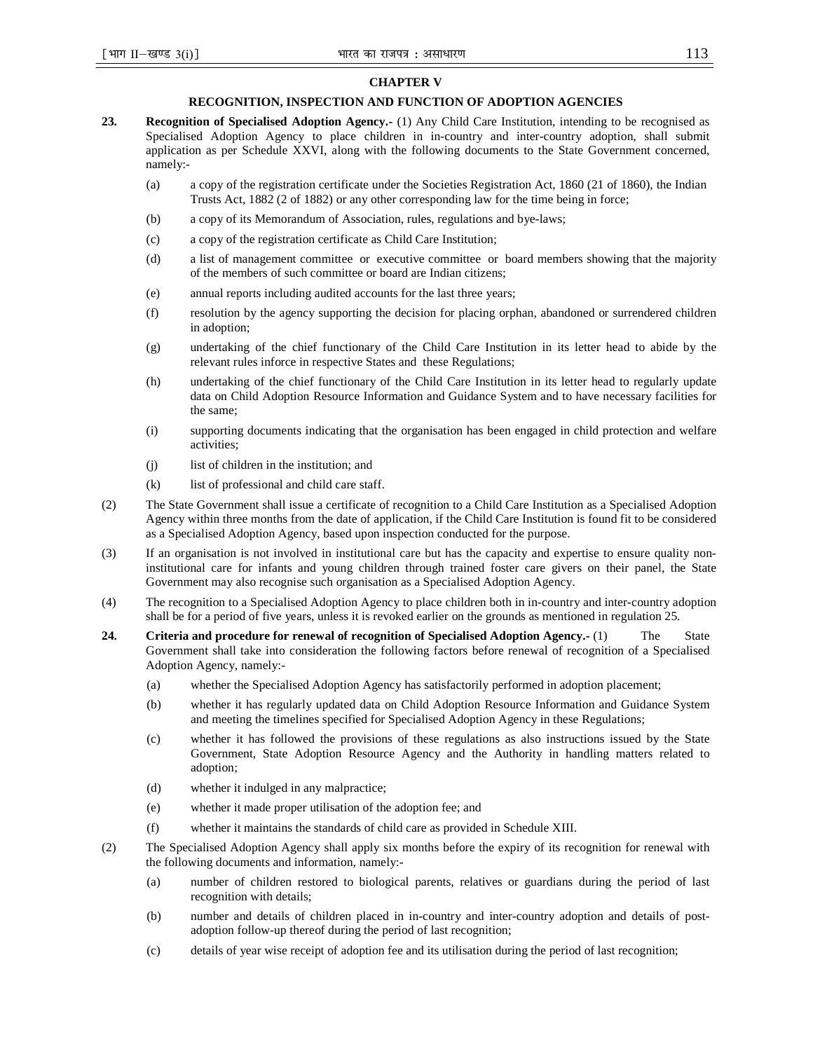### **CHAPTER V**

# **RECOGNITION, INSPECTION AND FUNCTION OF ADOPTION AGENCIES**

- **23. Recognition of Specialised Adoption Agency.-** (1) Any Child Care Institution, intending to be recognised as Specialised Adoption Agency to place children in in-country and inter-country adoption, shall submit application as per Schedule XXVI, along with the following documents to the State Government concerned, namely:-
	- (a) a copy of the registration certificate under the Societies Registration Act, 1860 (21 of 1860), the Indian Trusts Act, 1882 (2 of 1882) or any other corresponding law for the time being in force;
	- (b) a copy of its Memorandum of Association, rules, regulations and bye-laws;
	- (c) a copy of the registration certificate as Child Care Institution;
	- (d) a list of management committee or executive committee or board members showing that the majority of the members of such committee or board are Indian citizens;
	- (e) annual reports including audited accounts for the last three years;
	- (f) resolution by the agency supporting the decision for placing orphan, abandoned or surrendered children in adoption;
	- (g) undertaking of the chief functionary of the Child Care Institution in its letter head to abide by the relevant rules inforce in respective States and these Regulations;
	- (h) undertaking of the chief functionary of the Child Care Institution in its letter head to regularly update data on Child Adoption Resource Information and Guidance System and to have necessary facilities for the same;
	- (i) supporting documents indicating that the organisation has been engaged in child protection and welfare activities;
	- (j) list of children in the institution; and
	- (k) list of professional and child care staff.
- (2) The State Government shall issue a certificate of recognition to a Child Care Institution as a Specialised Adoption Agency within three months from the date of application, if the Child Care Institution is found fit to be considered as a Specialised Adoption Agency, based upon inspection conducted for the purpose.
- (3) If an organisation is not involved in institutional care but has the capacity and expertise to ensure quality noninstitutional care for infants and young children through trained foster care givers on their panel, the State Government may also recognise such organisation as a Specialised Adoption Agency.
- (4) The recognition to a Specialised Adoption Agency to place children both in in-country and inter-country adoption shall be for a period of five years, unless it is revoked earlier on the grounds as mentioned in regulation 25.
- **24.** Criteria and procedure for renewal of recognition of Specialised Adoption Agency.- (1) The State Government shall take into consideration the following factors before renewal of recognition of a Specialised Adoption Agency, namely:-
	- (a) whether the Specialised Adoption Agency has satisfactorily performed in adoption placement;
	- (b) whether it has regularly updated data on Child Adoption Resource Information and Guidance System and meeting the timelines specified for Specialised Adoption Agency in these Regulations;
	- (c) whether it has followed the provisions of these regulations as also instructions issued by the State Government, State Adoption Resource Agency and the Authority in handling matters related to adoption;
	- (d) whether it indulged in any malpractice;
	- (e) whether it made proper utilisation of the adoption fee; and
	- (f) whether it maintains the standards of child care as provided in Schedule XIII.
- (2) The Specialised Adoption Agency shall apply six months before the expiry of its recognition for renewal with the following documents and information, namely:-
	- (a) number of children restored to biological parents, relatives or guardians during the period of last recognition with details;
	- (b) number and details of children placed in in-country and inter-country adoption and details of postadoption follow-up thereof during the period of last recognition;
	- (c) details of year wise receipt of adoption fee and its utilisation during the period of last recognition;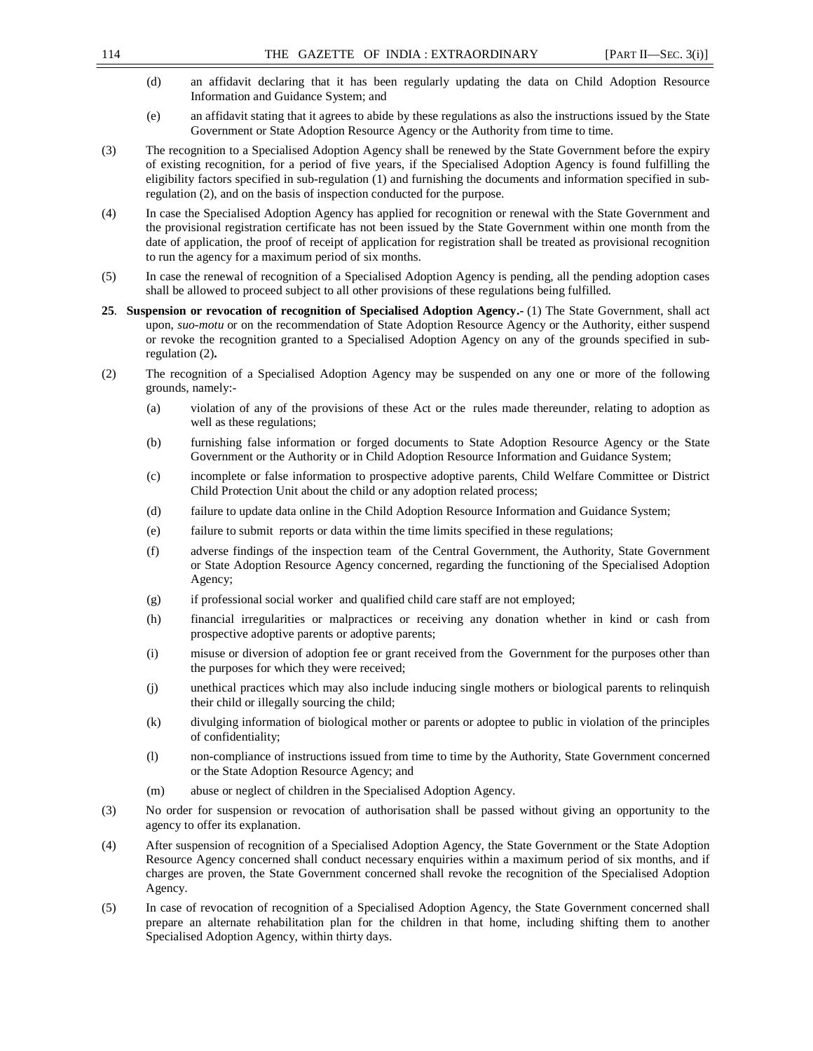- (d) an affidavit declaring that it has been regularly updating the data on Child Adoption Resource Information and Guidance System; and
- (e) an affidavit stating that it agrees to abide by these regulations as also the instructions issued by the State Government or State Adoption Resource Agency or the Authority from time to time.
- (3) The recognition to a Specialised Adoption Agency shall be renewed by the State Government before the expiry of existing recognition, for a period of five years, if the Specialised Adoption Agency is found fulfilling the eligibility factors specified in sub-regulation (1) and furnishing the documents and information specified in subregulation (2), and on the basis of inspection conducted for the purpose.
- (4) In case the Specialised Adoption Agency has applied for recognition or renewal with the State Government and the provisional registration certificate has not been issued by the State Government within one month from the date of application, the proof of receipt of application for registration shall be treated as provisional recognition to run the agency for a maximum period of six months.
- (5) In case the renewal of recognition of a Specialised Adoption Agency is pending, all the pending adoption cases shall be allowed to proceed subject to all other provisions of these regulations being fulfilled.
- **25**. **Suspension or revocation of recognition of Specialised Adoption Agency.-** (1) The State Government, shall act upon, *suo-motu* or on the recommendation of State Adoption Resource Agency or the Authority, either suspend or revoke the recognition granted to a Specialised Adoption Agency on any of the grounds specified in subregulation (2)**.**
- (2) The recognition of a Specialised Adoption Agency may be suspended on any one or more of the following grounds, namely:-
	- (a) violation of any of the provisions of these Act or the rules made thereunder, relating to adoption as well as these regulations;
	- (b) furnishing false information or forged documents to State Adoption Resource Agency or the State Government or the Authority or in Child Adoption Resource Information and Guidance System;
	- (c) incomplete or false information to prospective adoptive parents, Child Welfare Committee or District Child Protection Unit about the child or any adoption related process;
	- (d) failure to update data online in the Child Adoption Resource Information and Guidance System;
	- (e) failure to submit reports or data within the time limits specified in these regulations;
	- (f) adverse findings of the inspection team of the Central Government, the Authority, State Government or State Adoption Resource Agency concerned, regarding the functioning of the Specialised Adoption Agency;
	- (g) if professional social worker and qualified child care staff are not employed;
	- (h) financial irregularities or malpractices or receiving any donation whether in kind or cash from prospective adoptive parents or adoptive parents;
	- (i) misuse or diversion of adoption fee or grant received from the Government for the purposes other than the purposes for which they were received;
	- (j) unethical practices which may also include inducing single mothers or biological parents to relinquish their child or illegally sourcing the child;
	- (k) divulging information of biological mother or parents or adoptee to public in violation of the principles of confidentiality;
	- (l) non-compliance of instructions issued from time to time by the Authority, State Government concerned or the State Adoption Resource Agency; and
	- (m) abuse or neglect of children in the Specialised Adoption Agency.
- (3) No order for suspension or revocation of authorisation shall be passed without giving an opportunity to the agency to offer its explanation.
- (4) After suspension of recognition of a Specialised Adoption Agency, the State Government or the State Adoption Resource Agency concerned shall conduct necessary enquiries within a maximum period of six months, and if charges are proven, the State Government concerned shall revoke the recognition of the Specialised Adoption Agency.
- (5) In case of revocation of recognition of a Specialised Adoption Agency, the State Government concerned shall prepare an alternate rehabilitation plan for the children in that home, including shifting them to another Specialised Adoption Agency, within thirty days.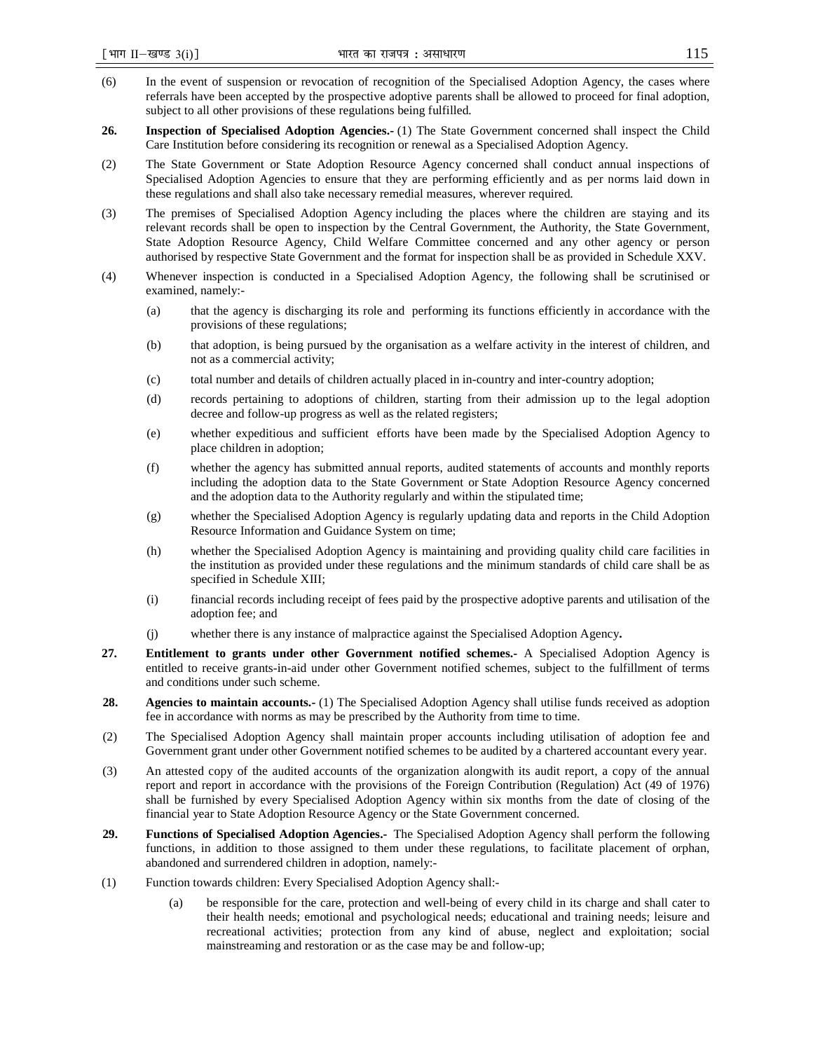- (6) In the event of suspension or revocation of recognition of the Specialised Adoption Agency, the cases where referrals have been accepted by the prospective adoptive parents shall be allowed to proceed for final adoption, subject to all other provisions of these regulations being fulfilled.
- **26. Inspection of Specialised Adoption Agencies.-** (1) The State Government concerned shall inspect the Child Care Institution before considering its recognition or renewal as a Specialised Adoption Agency.
- (2) The State Government or State Adoption Resource Agency concerned shall conduct annual inspections of Specialised Adoption Agencies to ensure that they are performing efficiently and as per norms laid down in these regulations and shall also take necessary remedial measures, wherever required.
- (3) The premises of Specialised Adoption Agency including the places where the children are staying and its relevant records shall be open to inspection by the Central Government, the Authority, the State Government, State Adoption Resource Agency, Child Welfare Committee concerned and any other agency or person authorised by respective State Government and the format for inspection shall be as provided in Schedule XXV.
- (4) Whenever inspection is conducted in a Specialised Adoption Agency, the following shall be scrutinised or examined, namely:-
	- (a) that the agency is discharging its role and performing its functions efficiently in accordance with the provisions of these regulations;
	- (b) that adoption, is being pursued by the organisation as a welfare activity in the interest of children, and not as a commercial activity;
	- (c) total number and details of children actually placed in in-country and inter-country adoption;
	- (d) records pertaining to adoptions of children, starting from their admission up to the legal adoption decree and follow-up progress as well as the related registers;
	- (e) whether expeditious and sufficient efforts have been made by the Specialised Adoption Agency to place children in adoption;
	- (f) whether the agency has submitted annual reports, audited statements of accounts and monthly reports including the adoption data to the State Government or State Adoption Resource Agency concerned and the adoption data to the Authority regularly and within the stipulated time;
	- (g) whether the Specialised Adoption Agency is regularly updating data and reports in the Child Adoption Resource Information and Guidance System on time;
	- (h) whether the Specialised Adoption Agency is maintaining and providing quality child care facilities in the institution as provided under these regulations and the minimum standards of child care shall be as specified in Schedule XIII;
	- (i) financial records including receipt of fees paid by the prospective adoptive parents and utilisation of the adoption fee; and
	- (j) whether there is any instance of malpractice against the Specialised Adoption Agency**.**
- **27. Entitlement to grants under other Government notified schemes.-** A Specialised Adoption Agency is entitled to receive grants-in-aid under other Government notified schemes, subject to the fulfillment of terms and conditions under such scheme.
- **28.** Agencies to maintain accounts.- (1) The Specialised Adoption Agency shall utilise funds received as adoption fee in accordance with norms as may be prescribed by the Authority from time to time.
- (2) The Specialised Adoption Agency shall maintain proper accounts including utilisation of adoption fee and Government grant under other Government notified schemes to be audited by a chartered accountant every year.
- (3) An attested copy of the audited accounts of the organization alongwith its audit report, a copy of the annual report and report in accordance with the provisions of the Foreign Contribution (Regulation) Act (49 of 1976) shall be furnished by every Specialised Adoption Agency within six months from the date of closing of the financial year to State Adoption Resource Agency or the State Government concerned.
- **29. Functions of Specialised Adoption Agencies.-** The Specialised Adoption Agency shall perform the following functions, in addition to those assigned to them under these regulations, to facilitate placement of orphan, abandoned and surrendered children in adoption, namely:-
- (1) Function towards children: Every Specialised Adoption Agency shall:-
	- (a) be responsible for the care, protection and well-being of every child in its charge and shall cater to their health needs; emotional and psychological needs; educational and training needs; leisure and recreational activities; protection from any kind of abuse, neglect and exploitation; social mainstreaming and restoration or as the case may be and follow-up;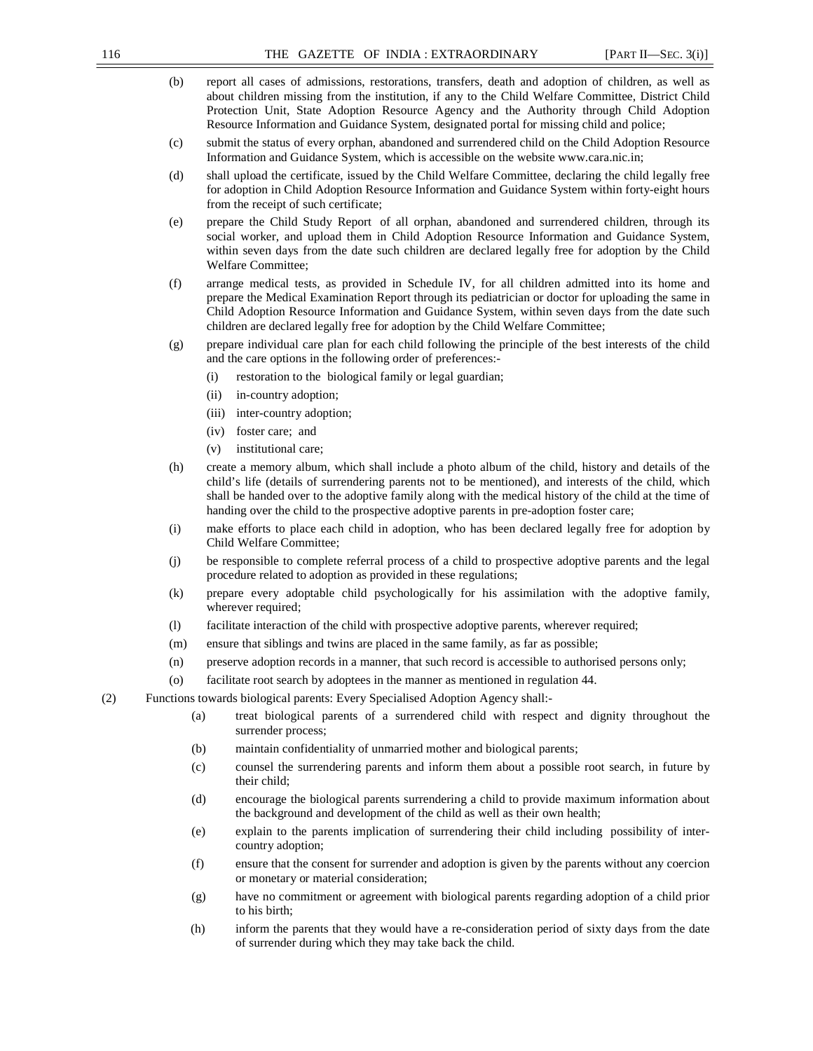- (b) report all cases of admissions, restorations, transfers, death and adoption of children, as well as about children missing from the institution, if any to the Child Welfare Committee, District Child Protection Unit, State Adoption Resource Agency and the Authority through Child Adoption Resource Information and Guidance System, designated portal for missing child and police;
- (c) submit the status of every orphan, abandoned and surrendered child on the Child Adoption Resource Information and Guidance System, which is accessible on the website www.cara.nic.in;
- (d) shall upload the certificate, issued by the Child Welfare Committee, declaring the child legally free for adoption in Child Adoption Resource Information and Guidance System within forty-eight hours from the receipt of such certificate;
- (e) prepare the Child Study Report of all orphan, abandoned and surrendered children, through its social worker, and upload them in Child Adoption Resource Information and Guidance System, within seven days from the date such children are declared legally free for adoption by the Child Welfare Committee;
- (f) arrange medical tests, as provided in Schedule IV, for all children admitted into its home and prepare the Medical Examination Report through its pediatrician or doctor for uploading the same in Child Adoption Resource Information and Guidance System, within seven days from the date such children are declared legally free for adoption by the Child Welfare Committee;
- (g) prepare individual care plan for each child following the principle of the best interests of the child and the care options in the following order of preferences:-
	- (i) restoration to the biological family or legal guardian;
	- (ii) in-country adoption;
	- (iii) inter-country adoption;
	- (iv) foster care; and
	- (v) institutional care;
- (h) create a memory album, which shall include a photo album of the child, history and details of the child's life (details of surrendering parents not to be mentioned), and interests of the child, which shall be handed over to the adoptive family along with the medical history of the child at the time of handing over the child to the prospective adoptive parents in pre-adoption foster care;
- (i) make efforts to place each child in adoption, who has been declared legally free for adoption by Child Welfare Committee;
- (j) be responsible to complete referral process of a child to prospective adoptive parents and the legal procedure related to adoption as provided in these regulations;
- (k) prepare every adoptable child psychologically for his assimilation with the adoptive family, wherever required;
- (l) facilitate interaction of the child with prospective adoptive parents, wherever required;
- (m) ensure that siblings and twins are placed in the same family, as far as possible;
- (n) preserve adoption records in a manner, that such record is accessible to authorised persons only;
- (o) facilitate root search by adoptees in the manner as mentioned in regulation 44.
- (2) Functions towards biological parents: Every Specialised Adoption Agency shall:-
	- (a) treat biological parents of a surrendered child with respect and dignity throughout the surrender process;
	- (b) maintain confidentiality of unmarried mother and biological parents;
	- (c) counsel the surrendering parents and inform them about a possible root search, in future by their child;
	- (d) encourage the biological parents surrendering a child to provide maximum information about the background and development of the child as well as their own health;
	- (e) explain to the parents implication of surrendering their child including possibility of intercountry adoption;
	- (f) ensure that the consent for surrender and adoption is given by the parents without any coercion or monetary or material consideration;
	- (g) have no commitment or agreement with biological parents regarding adoption of a child prior to his birth;
	- (h) inform the parents that they would have a re-consideration period of sixty days from the date of surrender during which they may take back the child.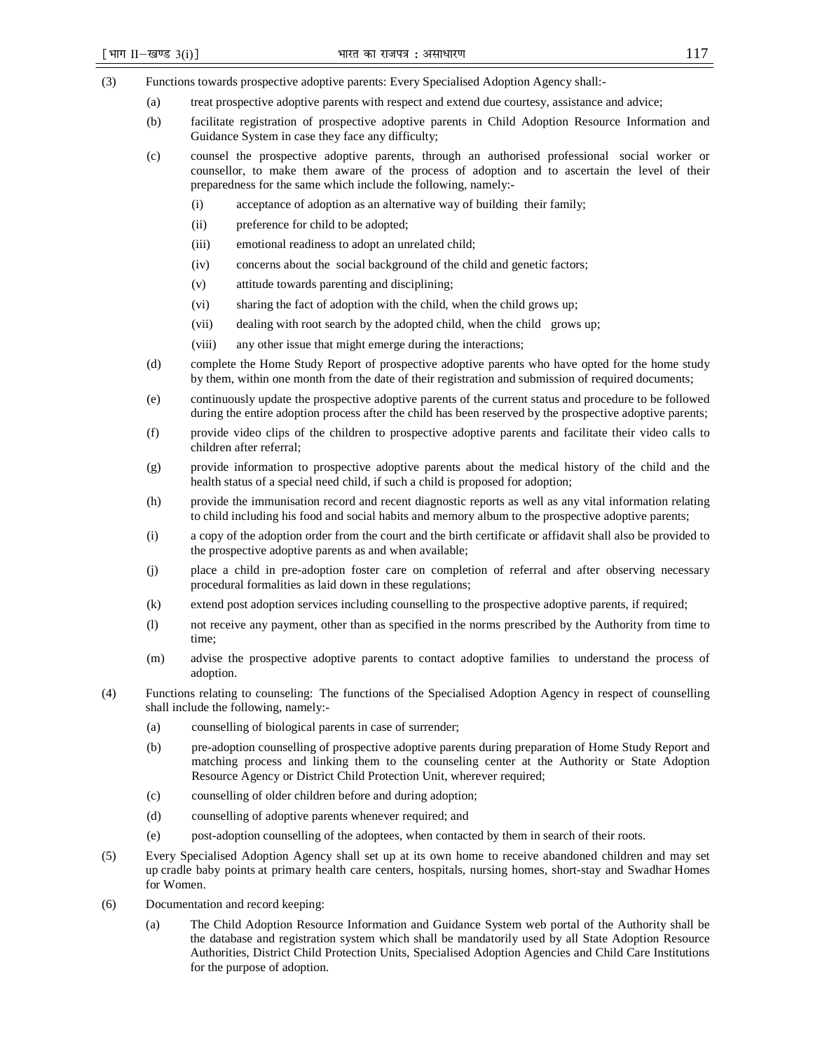- (3) Functions towards prospective adoptive parents: Every Specialised Adoption Agency shall:-
	- (a) treat prospective adoptive parents with respect and extend due courtesy, assistance and advice;
	- (b) facilitate registration of prospective adoptive parents in Child Adoption Resource Information and Guidance System in case they face any difficulty;
	- (c) counsel the prospective adoptive parents, through an authorised professional social worker or counsellor, to make them aware of the process of adoption and to ascertain the level of their preparedness for the same which include the following, namely:-
		- (i) acceptance of adoption as an alternative way of building their family;
		- (ii) preference for child to be adopted;
		- (iii) emotional readiness to adopt an unrelated child;
		- (iv) concerns about the social background of the child and genetic factors;
		- (v) attitude towards parenting and disciplining;
		- (vi) sharing the fact of adoption with the child, when the child grows up;
		- (vii) dealing with root search by the adopted child, when the child grows up;
		- (viii) any other issue that might emerge during the interactions;
	- (d) complete the Home Study Report of prospective adoptive parents who have opted for the home study by them, within one month from the date of their registration and submission of required documents;
	- (e) continuously update the prospective adoptive parents of the current status and procedure to be followed during the entire adoption process after the child has been reserved by the prospective adoptive parents;
	- (f) provide video clips of the children to prospective adoptive parents and facilitate their video calls to children after referral;
	- (g) provide information to prospective adoptive parents about the medical history of the child and the health status of a special need child, if such a child is proposed for adoption;
	- (h) provide the immunisation record and recent diagnostic reports as well as any vital information relating to child including his food and social habits and memory album to the prospective adoptive parents;
	- (i) a copy of the adoption order from the court and the birth certificate or affidavit shall also be provided to the prospective adoptive parents as and when available;
	- (j) place a child in pre-adoption foster care on completion of referral and after observing necessary procedural formalities as laid down in these regulations;
	- (k) extend post adoption services including counselling to the prospective adoptive parents, if required;
	- (l) not receive any payment, other than as specified in the norms prescribed by the Authority from time to time;
	- (m) advise the prospective adoptive parents to contact adoptive families to understand the process of adoption.
- (4) Functions relating to counseling: The functions of the Specialised Adoption Agency in respect of counselling shall include the following, namely:-
	- (a) counselling of biological parents in case of surrender;
	- (b) pre-adoption counselling of prospective adoptive parents during preparation of Home Study Report and matching process and linking them to the counseling center at the Authority or State Adoption Resource Agency or District Child Protection Unit, wherever required;
	- (c) counselling of older children before and during adoption;
	- (d) counselling of adoptive parents whenever required; and
	- (e) post-adoption counselling of the adoptees, when contacted by them in search of their roots.
- (5) Every Specialised Adoption Agency shall set up at its own home to receive abandoned children and may set up cradle baby points at primary health care centers, hospitals, nursing homes, short-stay and Swadhar Homes for Women.
- (6) Documentation and record keeping:
	- (a) The Child Adoption Resource Information and Guidance System web portal of the Authority shall be the database and registration system which shall be mandatorily used by all State Adoption Resource Authorities, District Child Protection Units, Specialised Adoption Agencies and Child Care Institutions for the purpose of adoption.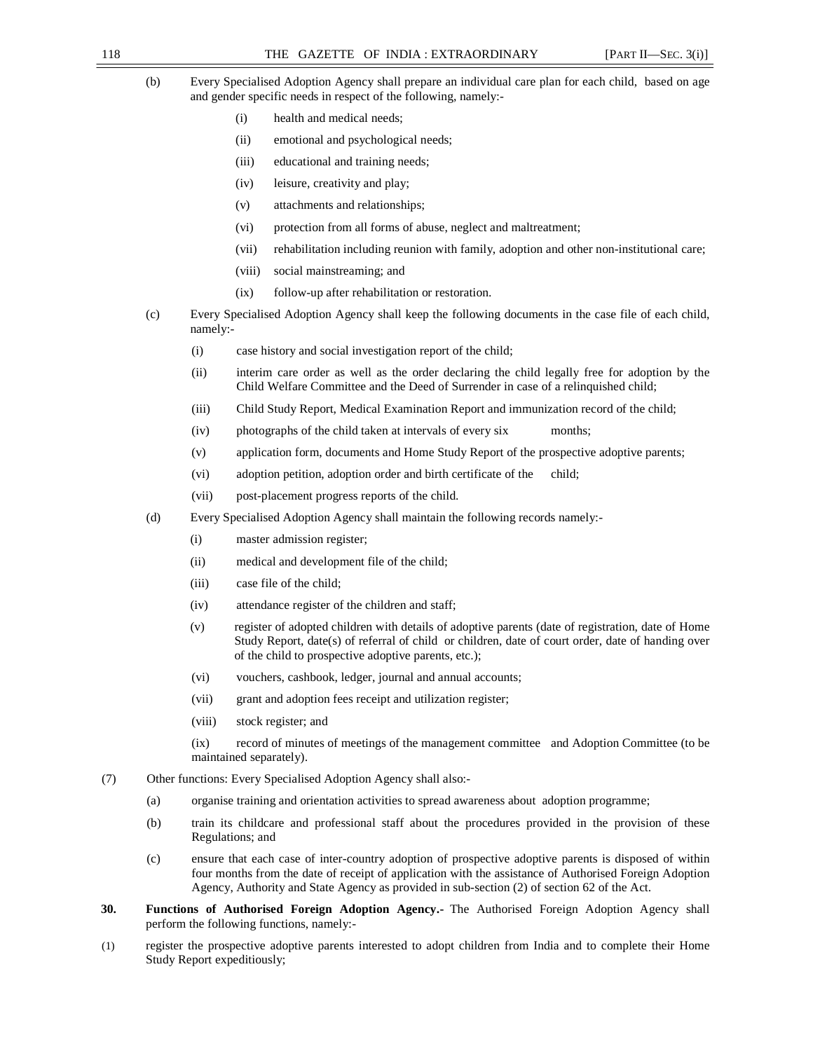- (b) Every Specialised Adoption Agency shall prepare an individual care plan for each child, based on age and gender specific needs in respect of the following, namely:-
	- (i) health and medical needs;
	- (ii) emotional and psychological needs;
	- (iii) educational and training needs;
	- (iv) leisure, creativity and play;
	- (v) attachments and relationships;
	- (vi) protection from all forms of abuse, neglect and maltreatment;
	- (vii) rehabilitation including reunion with family, adoption and other non-institutional care;
	- (viii) social mainstreaming; and
	- (ix) follow-up after rehabilitation or restoration.
- (c) Every Specialised Adoption Agency shall keep the following documents in the case file of each child, namely:-
	- (i) case history and social investigation report of the child;
	- (ii) interim care order as well as the order declaring the child legally free for adoption by the Child Welfare Committee and the Deed of Surrender in case of a relinquished child;
	- (iii) Child Study Report, Medical Examination Report and immunization record of the child;
	- (iv) photographs of the child taken at intervals of every six months;
	- (v) application form, documents and Home Study Report of the prospective adoptive parents;
	- (vi) adoption petition, adoption order and birth certificate of the child;
	- (vii) post-placement progress reports of the child.
- (d) Every Specialised Adoption Agency shall maintain the following records namely:-
	- (i) master admission register;
	- (ii) medical and development file of the child;
	- (iii) case file of the child;
	- (iv) attendance register of the children and staff;
	- (v) register of adopted children with details of adoptive parents (date of registration, date of Home Study Report, date(s) of referral of child or children, date of court order, date of handing over of the child to prospective adoptive parents, etc.);
	- (vi) vouchers, cashbook, ledger, journal and annual accounts;
	- (vii) grant and adoption fees receipt and utilization register;
	- (viii) stock register; and

(ix) record of minutes of meetings of the management committee and Adoption Committee (to be maintained separately).

- (7) Other functions: Every Specialised Adoption Agency shall also:-
	- (a) organise training and orientation activities to spread awareness about adoption programme;
	- (b) train its childcare and professional staff about the procedures provided in the provision of these Regulations; and
	- (c) ensure that each case of inter-country adoption of prospective adoptive parents is disposed of within four months from the date of receipt of application with the assistance of Authorised Foreign Adoption Agency, Authority and State Agency as provided in sub-section (2) of section 62 of the Act.
- **30. Functions of Authorised Foreign Adoption Agency.-** The Authorised Foreign Adoption Agency shall perform the following functions, namely:-
- (1) register the prospective adoptive parents interested to adopt children from India and to complete their Home Study Report expeditiously;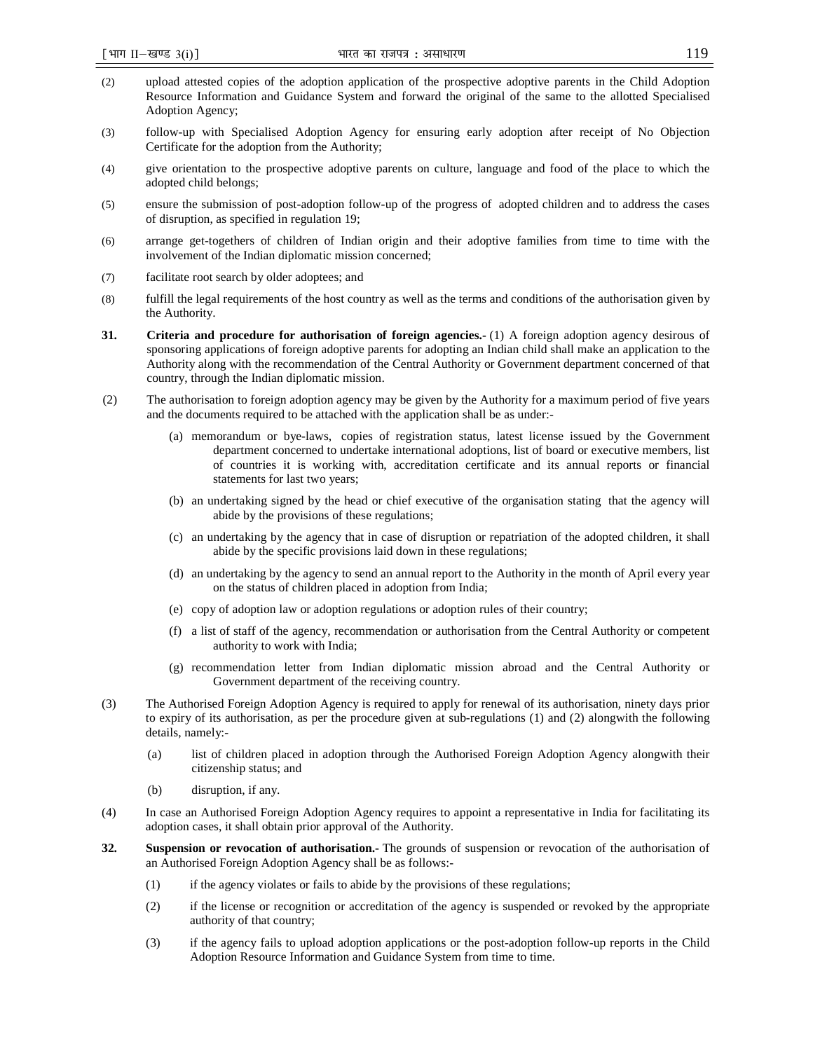- (2) upload attested copies of the adoption application of the prospective adoptive parents in the Child Adoption Resource Information and Guidance System and forward the original of the same to the allotted Specialised Adoption Agency;
- (3) follow-up with Specialised Adoption Agency for ensuring early adoption after receipt of No Objection Certificate for the adoption from the Authority;
- (4) give orientation to the prospective adoptive parents on culture, language and food of the place to which the adopted child belongs;
- (5) ensure the submission of post-adoption follow-up of the progress of adopted children and to address the cases of disruption, as specified in regulation 19;
- (6) arrange get-togethers of children of Indian origin and their adoptive families from time to time with the involvement of the Indian diplomatic mission concerned;
- (7) facilitate root search by older adoptees; and
- (8) fulfill the legal requirements of the host country as well as the terms and conditions of the authorisation given by the Authority.
- **31.** Criteria and procedure for authorisation of foreign agencies.- (1) A foreign adoption agency desirous of sponsoring applications of foreign adoptive parents for adopting an Indian child shall make an application to the Authority along with the recommendation of the Central Authority or Government department concerned of that country, through the Indian diplomatic mission.
- (2) The authorisation to foreign adoption agency may be given by the Authority for a maximum period of five years and the documents required to be attached with the application shall be as under:-
	- (a) memorandum or bye-laws, copies of registration status, latest license issued by the Government department concerned to undertake international adoptions, list of board or executive members, list of countries it is working with, accreditation certificate and its annual reports or financial statements for last two years;
	- (b) an undertaking signed by the head or chief executive of the organisation stating that the agency will abide by the provisions of these regulations;
	- (c) an undertaking by the agency that in case of disruption or repatriation of the adopted children, it shall abide by the specific provisions laid down in these regulations;
	- (d) an undertaking by the agency to send an annual report to the Authority in the month of April every year on the status of children placed in adoption from India;
	- (e) copy of adoption law or adoption regulations or adoption rules of their country;
	- (f) a list of staff of the agency, recommendation or authorisation from the Central Authority or competent authority to work with India;
	- (g) recommendation letter from Indian diplomatic mission abroad and the Central Authority or Government department of the receiving country.
- (3) The Authorised Foreign Adoption Agency is required to apply for renewal of its authorisation, ninety days prior to expiry of its authorisation, as per the procedure given at sub-regulations (1) and (2) alongwith the following details, namely:-
	- (a) list of children placed in adoption through the Authorised Foreign Adoption Agency alongwith their citizenship status; and
	- (b) disruption, if any.
- (4) In case an Authorised Foreign Adoption Agency requires to appoint a representative in India for facilitating its adoption cases, it shall obtain prior approval of the Authority.
- **32. Suspension or revocation of authorisation.-** The grounds of suspension or revocation of the authorisation of an Authorised Foreign Adoption Agency shall be as follows:-
	- (1) if the agency violates or fails to abide by the provisions of these regulations;
	- (2) if the license or recognition or accreditation of the agency is suspended or revoked by the appropriate authority of that country;
	- (3) if the agency fails to upload adoption applications or the post-adoption follow-up reports in the Child Adoption Resource Information and Guidance System from time to time.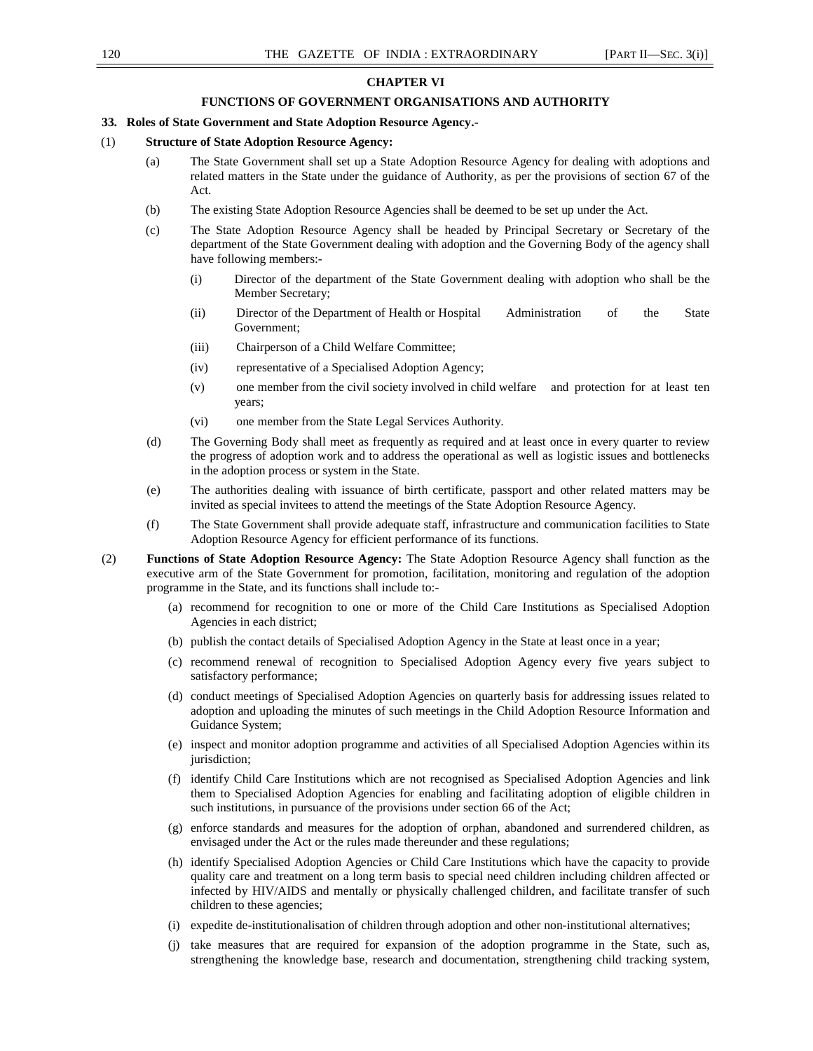#### **CHAPTER VI**

#### **FUNCTIONS OF GOVERNMENT ORGANISATIONS AND AUTHORITY**

### **33. Roles of State Government and State Adoption Resource Agency.-**

#### (1) **Structure of State Adoption Resource Agency:**

- (a) The State Government shall set up a State Adoption Resource Agency for dealing with adoptions and related matters in the State under the guidance of Authority, as per the provisions of section 67 of the Act.
- (b) The existing State Adoption Resource Agencies shall be deemed to be set up under the Act.
- (c) The State Adoption Resource Agency shall be headed by Principal Secretary or Secretary of the department of the State Government dealing with adoption and the Governing Body of the agency shall have following members:-
	- (i) Director of the department of the State Government dealing with adoption who shall be the Member Secretary;
	- (ii) Director of the Department of Health or Hospital Administration of the State Government;
	- (iii) Chairperson of a Child Welfare Committee;
	- (iv) representative of a Specialised Adoption Agency;
	- (v) one member from the civil society involved in child welfare and protection for at least ten years;
	- (vi) one member from the State Legal Services Authority.
- (d) The Governing Body shall meet as frequently as required and at least once in every quarter to review the progress of adoption work and to address the operational as well as logistic issues and bottlenecks in the adoption process or system in the State.
- (e) The authorities dealing with issuance of birth certificate, passport and other related matters may be invited as special invitees to attend the meetings of the State Adoption Resource Agency.
- (f) The State Government shall provide adequate staff, infrastructure and communication facilities to State Adoption Resource Agency for efficient performance of its functions.
- (2) **Functions of State Adoption Resource Agency:** The State Adoption Resource Agency shall function as the executive arm of the State Government for promotion, facilitation, monitoring and regulation of the adoption programme in the State, and its functions shall include to:-
	- (a) recommend for recognition to one or more of the Child Care Institutions as Specialised Adoption Agencies in each district;
	- (b) publish the contact details of Specialised Adoption Agency in the State at least once in a year;
	- (c) recommend renewal of recognition to Specialised Adoption Agency every five years subject to satisfactory performance;
	- (d) conduct meetings of Specialised Adoption Agencies on quarterly basis for addressing issues related to adoption and uploading the minutes of such meetings in the Child Adoption Resource Information and Guidance System;
	- (e) inspect and monitor adoption programme and activities of all Specialised Adoption Agencies within its jurisdiction;
	- (f) identify Child Care Institutions which are not recognised as Specialised Adoption Agencies and link them to Specialised Adoption Agencies for enabling and facilitating adoption of eligible children in such institutions, in pursuance of the provisions under section 66 of the Act;
	- (g) enforce standards and measures for the adoption of orphan, abandoned and surrendered children, as envisaged under the Act or the rules made thereunder and these regulations;
	- (h) identify Specialised Adoption Agencies or Child Care Institutions which have the capacity to provide quality care and treatment on a long term basis to special need children including children affected or infected by HIV/AIDS and mentally or physically challenged children, and facilitate transfer of such children to these agencies;
	- (i) expedite de-institutionalisation of children through adoption and other non-institutional alternatives;
	- (j) take measures that are required for expansion of the adoption programme in the State, such as, strengthening the knowledge base, research and documentation, strengthening child tracking system,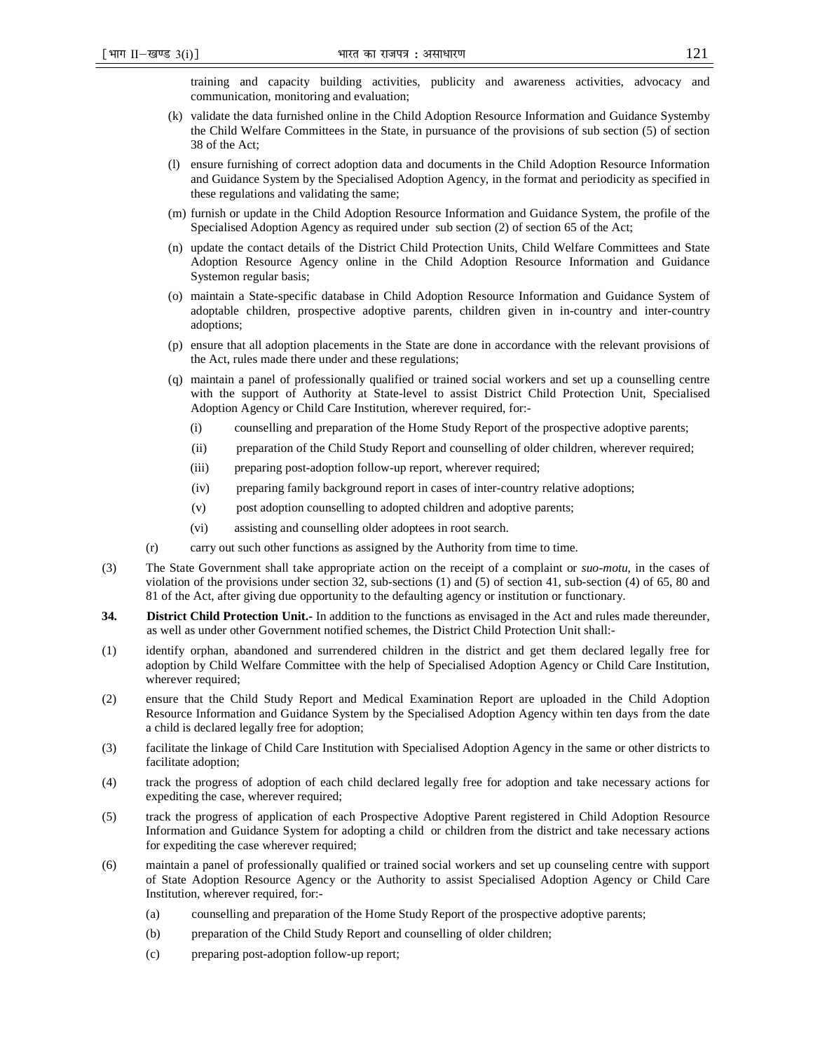training and capacity building activities, publicity and awareness activities, advocacy and communication, monitoring and evaluation;

- (k) validate the data furnished online in the Child Adoption Resource Information and Guidance Systemby the Child Welfare Committees in the State, in pursuance of the provisions of sub section (5) of section 38 of the Act;
- (l) ensure furnishing of correct adoption data and documents in the Child Adoption Resource Information and Guidance System by the Specialised Adoption Agency, in the format and periodicity as specified in these regulations and validating the same;
- (m) furnish or update in the Child Adoption Resource Information and Guidance System, the profile of the Specialised Adoption Agency as required under sub section (2) of section 65 of the Act;
- (n) update the contact details of the District Child Protection Units, Child Welfare Committees and State Adoption Resource Agency online in the Child Adoption Resource Information and Guidance Systemon regular basis;
- (o) maintain a State-specific database in Child Adoption Resource Information and Guidance System of adoptable children, prospective adoptive parents, children given in in-country and inter-country adoptions;
- (p) ensure that all adoption placements in the State are done in accordance with the relevant provisions of the Act, rules made there under and these regulations;
- (q) maintain a panel of professionally qualified or trained social workers and set up a counselling centre with the support of Authority at State-level to assist District Child Protection Unit, Specialised Adoption Agency or Child Care Institution, wherever required, for:-
	- (i) counselling and preparation of the Home Study Report of the prospective adoptive parents;
	- (ii) preparation of the Child Study Report and counselling of older children, wherever required;
	- (iii) preparing post-adoption follow-up report, wherever required;
	- (iv) preparing family background report in cases of inter-country relative adoptions;
	- (v) post adoption counselling to adopted children and adoptive parents;
	- (vi) assisting and counselling older adoptees in root search.
- (r) carry out such other functions as assigned by the Authority from time to time.
- (3) The State Government shall take appropriate action on the receipt of a complaint or *suo-motu*, in the cases of violation of the provisions under section 32, sub-sections (1) and (5) of section 41, sub-section (4) of 65, 80 and 81 of the Act, after giving due opportunity to the defaulting agency or institution or functionary.
- **34. District Child Protection Unit.-** In addition to the functions as envisaged in the Act and rules made thereunder, as well as under other Government notified schemes, the District Child Protection Unit shall:-
- (1) identify orphan, abandoned and surrendered children in the district and get them declared legally free for adoption by Child Welfare Committee with the help of Specialised Adoption Agency or Child Care Institution, wherever required;
- (2) ensure that the Child Study Report and Medical Examination Report are uploaded in the Child Adoption Resource Information and Guidance System by the Specialised Adoption Agency within ten days from the date a child is declared legally free for adoption;
- (3) facilitate the linkage of Child Care Institution with Specialised Adoption Agency in the same or other districts to facilitate adoption;
- (4) track the progress of adoption of each child declared legally free for adoption and take necessary actions for expediting the case, wherever required;
- (5) track the progress of application of each Prospective Adoptive Parent registered in Child Adoption Resource Information and Guidance System for adopting a child or children from the district and take necessary actions for expediting the case wherever required;
- (6) maintain a panel of professionally qualified or trained social workers and set up counseling centre with support of State Adoption Resource Agency or the Authority to assist Specialised Adoption Agency or Child Care Institution, wherever required, for:-
	- (a) counselling and preparation of the Home Study Report of the prospective adoptive parents;
	- (b) preparation of the Child Study Report and counselling of older children;
	- (c) preparing post-adoption follow-up report;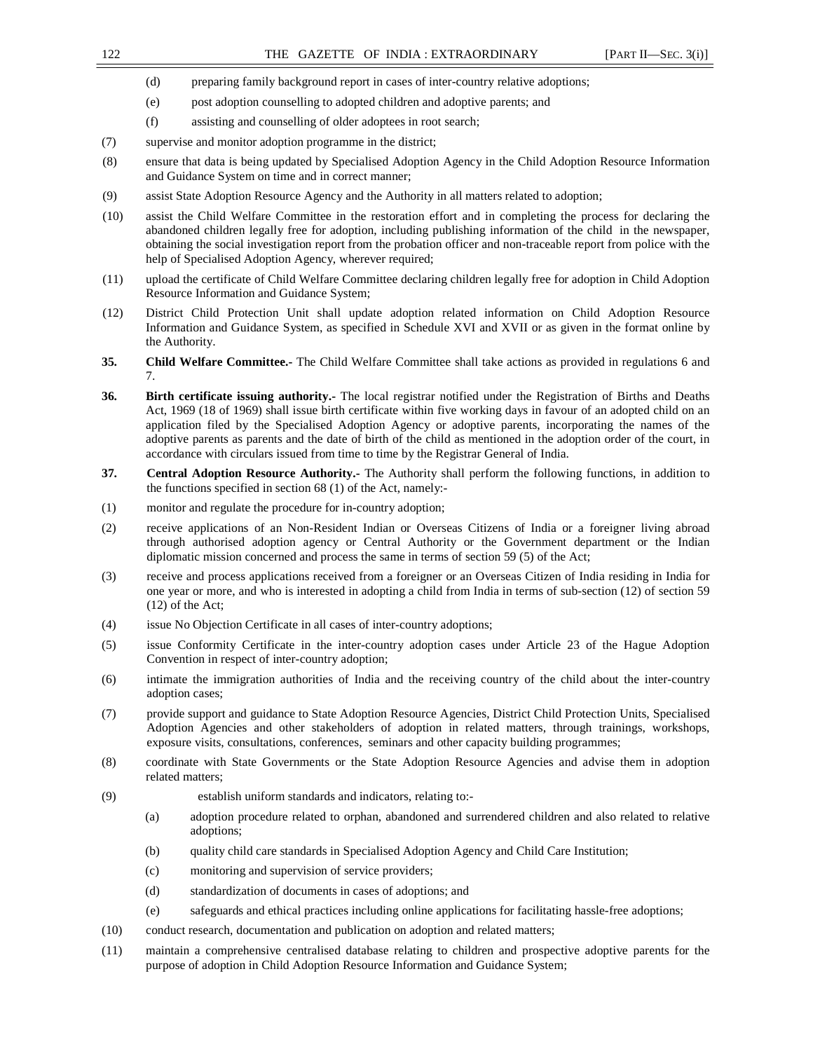- (d) preparing family background report in cases of inter-country relative adoptions;
- (e) post adoption counselling to adopted children and adoptive parents; and
- (f) assisting and counselling of older adoptees in root search;
- (7) supervise and monitor adoption programme in the district;
- (8) ensure that data is being updated by Specialised Adoption Agency in the Child Adoption Resource Information and Guidance System on time and in correct manner;
- (9) assist State Adoption Resource Agency and the Authority in all matters related to adoption;
- (10) assist the Child Welfare Committee in the restoration effort and in completing the process for declaring the abandoned children legally free for adoption, including publishing information of the child in the newspaper, obtaining the social investigation report from the probation officer and non-traceable report from police with the help of Specialised Adoption Agency, wherever required;
- (11) upload the certificate of Child Welfare Committee declaring children legally free for adoption in Child Adoption Resource Information and Guidance System;
- (12) District Child Protection Unit shall update adoption related information on Child Adoption Resource Information and Guidance System, as specified in Schedule XVI and XVII or as given in the format online by the Authority.
- **35. Child Welfare Committee.-** The Child Welfare Committee shall take actions as provided in regulations 6 and 7.
- **36. Birth certificate issuing authority.-** The local registrar notified under the Registration of Births and Deaths Act, 1969 (18 of 1969) shall issue birth certificate within five working days in favour of an adopted child on an application filed by the Specialised Adoption Agency or adoptive parents, incorporating the names of the adoptive parents as parents and the date of birth of the child as mentioned in the adoption order of the court, in accordance with circulars issued from time to time by the Registrar General of India.
- **37. Central Adoption Resource Authority.-** The Authority shall perform the following functions, in addition to the functions specified in section 68 (1) of the Act, namely:-
- (1) monitor and regulate the procedure for in-country adoption;
- (2) receive applications of an Non-Resident Indian or Overseas Citizens of India or a foreigner living abroad through authorised adoption agency or Central Authority or the Government department or the Indian diplomatic mission concerned and process the same in terms of section 59 (5) of the Act;
- (3) receive and process applications received from a foreigner or an Overseas Citizen of India residing in India for one year or more, and who is interested in adopting a child from India in terms of sub-section (12) of section 59 (12) of the Act;
- (4) issue No Objection Certificate in all cases of inter-country adoptions;
- (5) issue Conformity Certificate in the inter-country adoption cases under Article 23 of the Hague Adoption Convention in respect of inter-country adoption;
- (6) intimate the immigration authorities of India and the receiving country of the child about the inter-country adoption cases;
- (7) provide support and guidance to State Adoption Resource Agencies, District Child Protection Units, Specialised Adoption Agencies and other stakeholders of adoption in related matters, through trainings, workshops, exposure visits, consultations, conferences, seminars and other capacity building programmes;
- (8) coordinate with State Governments or the State Adoption Resource Agencies and advise them in adoption related matters;
- (9) establish uniform standards and indicators, relating to:-
	- (a) adoption procedure related to orphan, abandoned and surrendered children and also related to relative adoptions;
	- (b) quality child care standards in Specialised Adoption Agency and Child Care Institution;
	- (c) monitoring and supervision of service providers;
	- (d) standardization of documents in cases of adoptions; and
	- (e) safeguards and ethical practices including online applications for facilitating hassle-free adoptions;
- (10) conduct research, documentation and publication on adoption and related matters;
- (11) maintain a comprehensive centralised database relating to children and prospective adoptive parents for the purpose of adoption in Child Adoption Resource Information and Guidance System;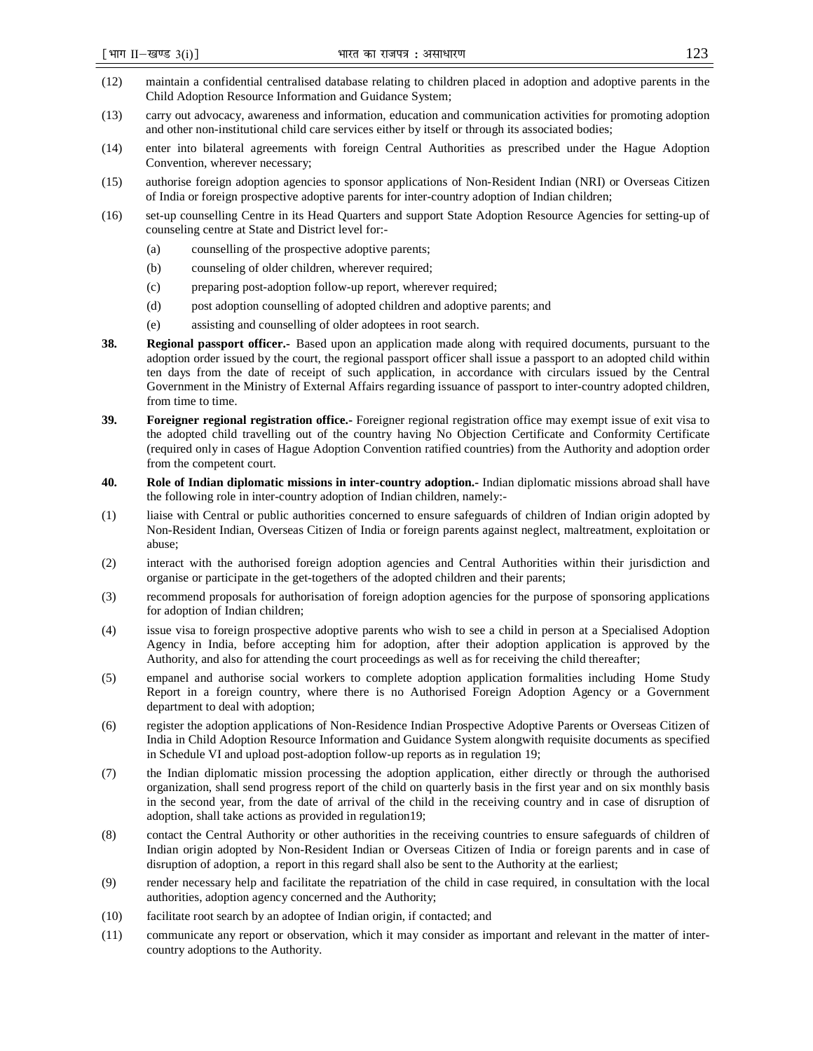- (12) maintain a confidential centralised database relating to children placed in adoption and adoptive parents in the Child Adoption Resource Information and Guidance System;
- (13) carry out advocacy, awareness and information, education and communication activities for promoting adoption and other non-institutional child care services either by itself or through its associated bodies;
- (14) enter into bilateral agreements with foreign Central Authorities as prescribed under the Hague Adoption Convention, wherever necessary;
- (15) authorise foreign adoption agencies to sponsor applications of Non-Resident Indian (NRI) or Overseas Citizen of India or foreign prospective adoptive parents for inter-country adoption of Indian children;
- (16) set-up counselling Centre in its Head Quarters and support State Adoption Resource Agencies for setting-up of counseling centre at State and District level for:-
	- (a) counselling of the prospective adoptive parents;
	- (b) counseling of older children, wherever required;
	- (c) preparing post-adoption follow-up report, wherever required;
	- (d) post adoption counselling of adopted children and adoptive parents; and
	- (e) assisting and counselling of older adoptees in root search.
- **38. Regional passport officer.-** Based upon an application made along with required documents, pursuant to the adoption order issued by the court, the regional passport officer shall issue a passport to an adopted child within ten days from the date of receipt of such application, in accordance with circulars issued by the Central Government in the Ministry of External Affairs regarding issuance of passport to inter-country adopted children, from time to time.
- **39. Foreigner regional registration office.-** Foreigner regional registration office may exempt issue of exit visa to the adopted child travelling out of the country having No Objection Certificate and Conformity Certificate (required only in cases of Hague Adoption Convention ratified countries) from the Authority and adoption order from the competent court.
- **40. Role of Indian diplomatic missions in inter-country adoption.-** Indian diplomatic missions abroad shall have the following role in inter-country adoption of Indian children, namely:-
- (1) liaise with Central or public authorities concerned to ensure safeguards of children of Indian origin adopted by Non-Resident Indian, Overseas Citizen of India or foreign parents against neglect, maltreatment, exploitation or abuse;
- (2) interact with the authorised foreign adoption agencies and Central Authorities within their jurisdiction and organise or participate in the get-togethers of the adopted children and their parents;
- (3) recommend proposals for authorisation of foreign adoption agencies for the purpose of sponsoring applications for adoption of Indian children;
- (4) issue visa to foreign prospective adoptive parents who wish to see a child in person at a Specialised Adoption Agency in India, before accepting him for adoption, after their adoption application is approved by the Authority, and also for attending the court proceedings as well as for receiving the child thereafter;
- (5) empanel and authorise social workers to complete adoption application formalities including Home Study Report in a foreign country, where there is no Authorised Foreign Adoption Agency or a Government department to deal with adoption;
- (6) register the adoption applications of Non-Residence Indian Prospective Adoptive Parents or Overseas Citizen of India in Child Adoption Resource Information and Guidance System alongwith requisite documents as specified in Schedule VI and upload post-adoption follow-up reports as in regulation 19;
- (7) the Indian diplomatic mission processing the adoption application, either directly or through the authorised organization, shall send progress report of the child on quarterly basis in the first year and on six monthly basis in the second year, from the date of arrival of the child in the receiving country and in case of disruption of adoption, shall take actions as provided in regulation19;
- (8) contact the Central Authority or other authorities in the receiving countries to ensure safeguards of children of Indian origin adopted by Non-Resident Indian or Overseas Citizen of India or foreign parents and in case of disruption of adoption, a report in this regard shall also be sent to the Authority at the earliest;
- (9) render necessary help and facilitate the repatriation of the child in case required, in consultation with the local authorities, adoption agency concerned and the Authority;
- (10) facilitate root search by an adoptee of Indian origin, if contacted; and
- (11) communicate any report or observation, which it may consider as important and relevant in the matter of intercountry adoptions to the Authority.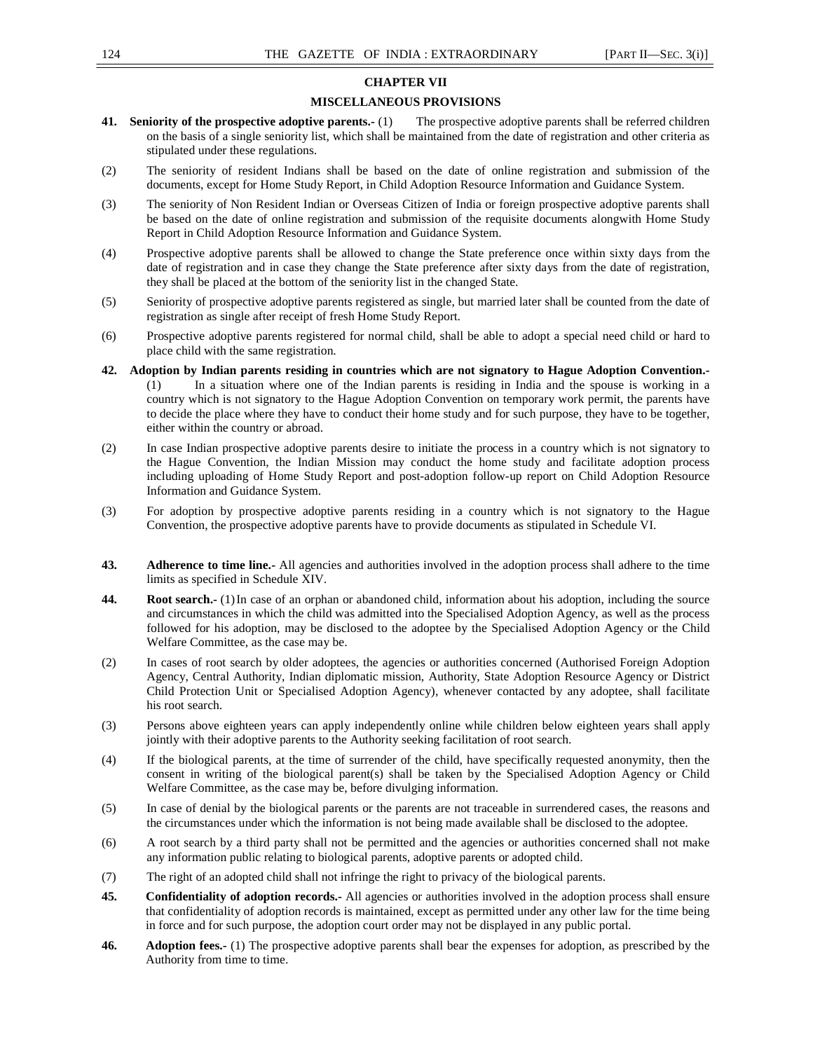# **CHAPTER VII**

# **MISCELLANEOUS PROVISIONS**

- **41. Seniority of the prospective adoptive parents.-** (1) The prospective adoptive parents shall be referred children on the basis of a single seniority list, which shall be maintained from the date of registration and other criteria as stipulated under these regulations.
- (2) The seniority of resident Indians shall be based on the date of online registration and submission of the documents, except for Home Study Report, in Child Adoption Resource Information and Guidance System.
- (3) The seniority of Non Resident Indian or Overseas Citizen of India or foreign prospective adoptive parents shall be based on the date of online registration and submission of the requisite documents alongwith Home Study Report in Child Adoption Resource Information and Guidance System.
- (4) Prospective adoptive parents shall be allowed to change the State preference once within sixty days from the date of registration and in case they change the State preference after sixty days from the date of registration, they shall be placed at the bottom of the seniority list in the changed State.
- (5) Seniority of prospective adoptive parents registered as single, but married later shall be counted from the date of registration as single after receipt of fresh Home Study Report.
- (6) Prospective adoptive parents registered for normal child, shall be able to adopt a special need child or hard to place child with the same registration.
- **42. Adoption by Indian parents residing in countries which are not signatory to Hague Adoption Convention.-**  (1) In a situation where one of the Indian parents is residing in India and the spouse is working in a country which is not signatory to the Hague Adoption Convention on temporary work permit, the parents have to decide the place where they have to conduct their home study and for such purpose, they have to be together, either within the country or abroad.
- (2) In case Indian prospective adoptive parents desire to initiate the process in a country which is not signatory to the Hague Convention, the Indian Mission may conduct the home study and facilitate adoption process including uploading of Home Study Report and post-adoption follow-up report on Child Adoption Resource Information and Guidance System.
- (3) For adoption by prospective adoptive parents residing in a country which is not signatory to the Hague Convention, the prospective adoptive parents have to provide documents as stipulated in Schedule VI.
- **43. Adherence to time line.-** All agencies and authorities involved in the adoption process shall adhere to the time limits as specified in Schedule XIV.
- **44.** Root search.- (1) In case of an orphan or abandoned child, information about his adoption, including the source and circumstances in which the child was admitted into the Specialised Adoption Agency, as well as the process followed for his adoption, may be disclosed to the adoptee by the Specialised Adoption Agency or the Child Welfare Committee, as the case may be.
- (2) In cases of root search by older adoptees, the agencies or authorities concerned (Authorised Foreign Adoption Agency, Central Authority, Indian diplomatic mission, Authority, State Adoption Resource Agency or District Child Protection Unit or Specialised Adoption Agency), whenever contacted by any adoptee, shall facilitate his root search.
- (3) Persons above eighteen years can apply independently online while children below eighteen years shall apply jointly with their adoptive parents to the Authority seeking facilitation of root search.
- (4) If the biological parents, at the time of surrender of the child, have specifically requested anonymity, then the consent in writing of the biological parent(s) shall be taken by the Specialised Adoption Agency or Child Welfare Committee, as the case may be, before divulging information.
- (5) In case of denial by the biological parents or the parents are not traceable in surrendered cases, the reasons and the circumstances under which the information is not being made available shall be disclosed to the adoptee.
- (6) A root search by a third party shall not be permitted and the agencies or authorities concerned shall not make any information public relating to biological parents, adoptive parents or adopted child.
- (7) The right of an adopted child shall not infringe the right to privacy of the biological parents.
- **45. Confidentiality of adoption records.-** All agencies or authorities involved in the adoption process shall ensure that confidentiality of adoption records is maintained, except as permitted under any other law for the time being in force and for such purpose, the adoption court order may not be displayed in any public portal.
- **46. Adoption fees.-** (1) The prospective adoptive parents shall bear the expenses for adoption, as prescribed by the Authority from time to time.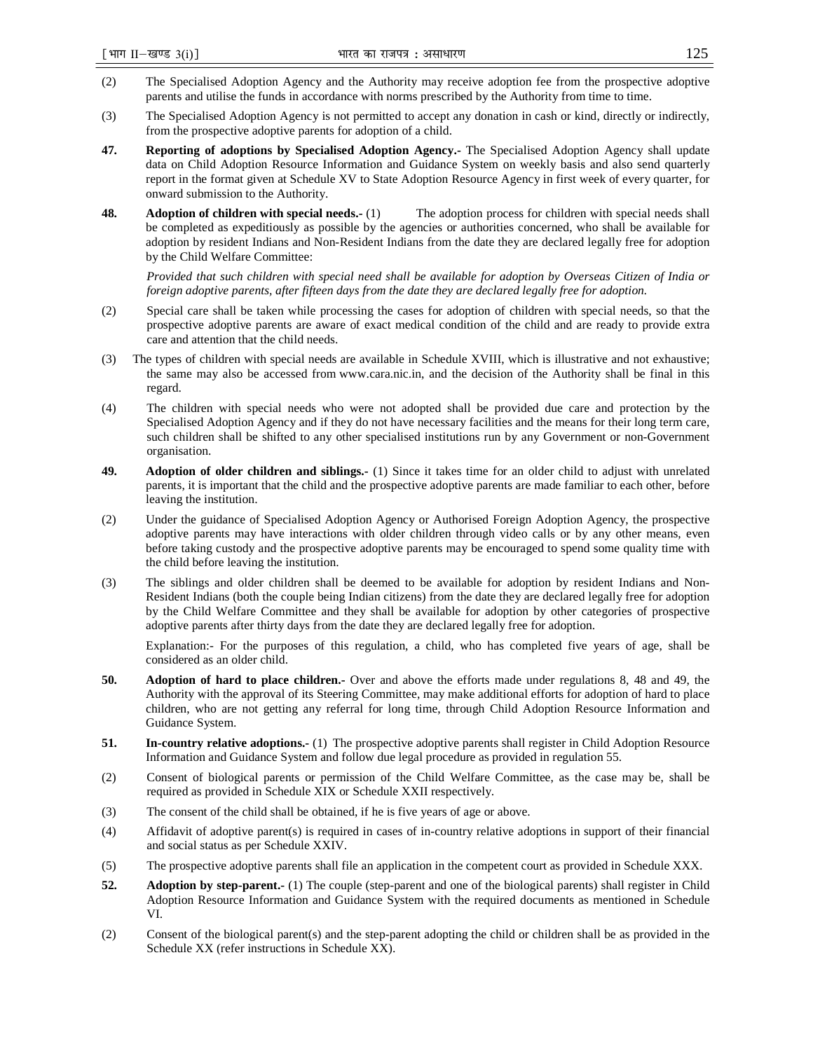- (2) The Specialised Adoption Agency and the Authority may receive adoption fee from the prospective adoptive parents and utilise the funds in accordance with norms prescribed by the Authority from time to time.
- (3) The Specialised Adoption Agency is not permitted to accept any donation in cash or kind, directly or indirectly, from the prospective adoptive parents for adoption of a child.
- **47. Reporting of adoptions by Specialised Adoption Agency.-** The Specialised Adoption Agency shall update data on Child Adoption Resource Information and Guidance System on weekly basis and also send quarterly report in the format given at Schedule XV to State Adoption Resource Agency in first week of every quarter, for onward submission to the Authority.
- **48.** Adoption of children with special needs.- (1) The adoption process for children with special needs shall be completed as expeditiously as possible by the agencies or authorities concerned, who shall be available for adoption by resident Indians and Non-Resident Indians from the date they are declared legally free for adoption by the Child Welfare Committee:

*Provided that such children with special need shall be available for adoption by Overseas Citizen of India or foreign adoptive parents, after fifteen days from the date they are declared legally free for adoption.* 

- (2) Special care shall be taken while processing the cases for adoption of children with special needs, so that the prospective adoptive parents are aware of exact medical condition of the child and are ready to provide extra care and attention that the child needs.
- (3) The types of children with special needs are available in Schedule XVIII, which is illustrative and not exhaustive; the same may also be accessed from www.cara.nic.in, and the decision of the Authority shall be final in this regard.
- (4) The children with special needs who were not adopted shall be provided due care and protection by the Specialised Adoption Agency and if they do not have necessary facilities and the means for their long term care, such children shall be shifted to any other specialised institutions run by any Government or non-Government organisation.
- **49. Adoption of older children and siblings.-** (1) Since it takes time for an older child to adjust with unrelated parents, it is important that the child and the prospective adoptive parents are made familiar to each other, before leaving the institution.
- (2) Under the guidance of Specialised Adoption Agency or Authorised Foreign Adoption Agency, the prospective adoptive parents may have interactions with older children through video calls or by any other means, even before taking custody and the prospective adoptive parents may be encouraged to spend some quality time with the child before leaving the institution.
- (3) The siblings and older children shall be deemed to be available for adoption by resident Indians and Non-Resident Indians (both the couple being Indian citizens) from the date they are declared legally free for adoption by the Child Welfare Committee and they shall be available for adoption by other categories of prospective adoptive parents after thirty days from the date they are declared legally free for adoption.

Explanation:- For the purposes of this regulation, a child, who has completed five years of age, shall be considered as an older child.

- **50. Adoption of hard to place children.-** Over and above the efforts made under regulations 8, 48 and 49, the Authority with the approval of its Steering Committee, may make additional efforts for adoption of hard to place children, who are not getting any referral for long time, through Child Adoption Resource Information and Guidance System.
- **51. In-country relative adoptions.-** (1) The prospective adoptive parents shall register in Child Adoption Resource Information and Guidance System and follow due legal procedure as provided in regulation 55.
- (2) Consent of biological parents or permission of the Child Welfare Committee, as the case may be, shall be required as provided in Schedule XIX or Schedule XXII respectively.
- (3) The consent of the child shall be obtained, if he is five years of age or above.
- (4) Affidavit of adoptive parent(s) is required in cases of in-country relative adoptions in support of their financial and social status as per Schedule XXIV.
- (5) The prospective adoptive parents shall file an application in the competent court as provided in Schedule XXX.
- **52. Adoption by step-parent.-** (1) The couple (step-parent and one of the biological parents) shall register in Child Adoption Resource Information and Guidance System with the required documents as mentioned in Schedule VI.
- (2) Consent of the biological parent(s) and the step-parent adopting the child or children shall be as provided in the Schedule XX (refer instructions in Schedule XX).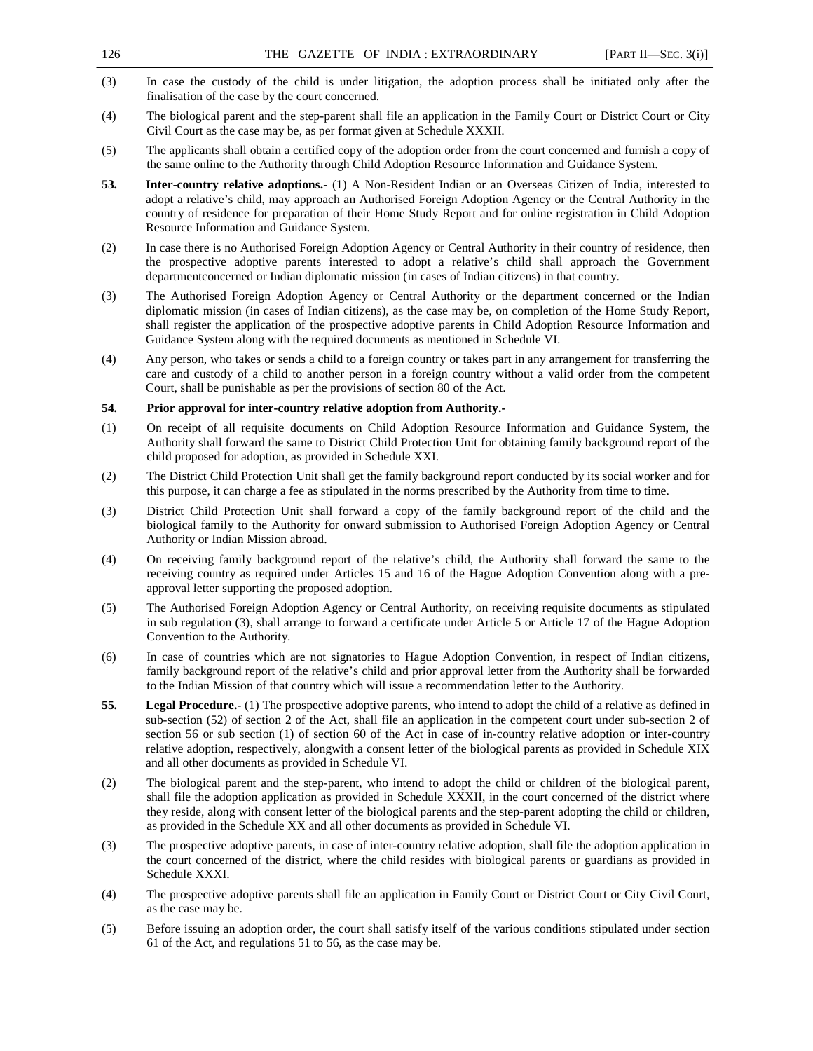| 126 |                                                                                    | THE GAZETTE OF INDIA: EXTRAORDINARY                                                                                                                                                                                                                                                                                                                                                                                                                                                  | [PART II-SEC. $3(i)$ ] |
|-----|------------------------------------------------------------------------------------|--------------------------------------------------------------------------------------------------------------------------------------------------------------------------------------------------------------------------------------------------------------------------------------------------------------------------------------------------------------------------------------------------------------------------------------------------------------------------------------|------------------------|
| (3) | finalisation of the case by the court concerned.                                   | In case the custody of the child is under litigation, the adoption process shall be initiated only after the                                                                                                                                                                                                                                                                                                                                                                         |                        |
| (4) | Civil Court as the case may be, as per format given at Schedule XXXII.             | The biological parent and the step-parent shall file an application in the Family Court or District Court or City                                                                                                                                                                                                                                                                                                                                                                    |                        |
| (5) |                                                                                    | The applicants shall obtain a certified copy of the adoption order from the court concerned and furnish a copy of<br>the same online to the Authority through Child Adoption Resource Information and Guidance System.                                                                                                                                                                                                                                                               |                        |
| 53. | Resource Information and Guidance System.                                          | Inter-country relative adoptions.- (1) A Non-Resident Indian or an Overseas Citizen of India, interested to<br>adopt a relative's child, may approach an Authorised Foreign Adoption Agency or the Central Authority in the<br>country of residence for preparation of their Home Study Report and for online registration in Child Adoption                                                                                                                                         |                        |
| (2) |                                                                                    | In case there is no Authorised Foreign Adoption Agency or Central Authority in their country of residence, then<br>the prospective adoptive parents interested to adopt a relative's child shall approach the Government<br>department concerned or Indian diplomatic mission (in cases of Indian citizens) in that country.                                                                                                                                                         |                        |
| (3) | Guidance System along with the required documents as mentioned in Schedule VI.     | The Authorised Foreign Adoption Agency or Central Authority or the department concerned or the Indian<br>diplomatic mission (in cases of Indian citizens), as the case may be, on completion of the Home Study Report,<br>shall register the application of the prospective adoptive parents in Child Adoption Resource Information and                                                                                                                                              |                        |
| (4) | Court, shall be punishable as per the provisions of section 80 of the Act.         | Any person, who takes or sends a child to a foreign country or takes part in any arrangement for transferring the<br>care and custody of a child to another person in a foreign country without a valid order from the competent                                                                                                                                                                                                                                                     |                        |
| 54. | Prior approval for inter-country relative adoption from Authority.-                |                                                                                                                                                                                                                                                                                                                                                                                                                                                                                      |                        |
| (1) | child proposed for adoption, as provided in Schedule XXI.                          | On receipt of all requisite documents on Child Adoption Resource Information and Guidance System, the<br>Authority shall forward the same to District Child Protection Unit for obtaining family background report of the                                                                                                                                                                                                                                                            |                        |
| (2) |                                                                                    | The District Child Protection Unit shall get the family background report conducted by its social worker and for<br>this purpose, it can charge a fee as stipulated in the norms prescribed by the Authority from time to time.                                                                                                                                                                                                                                                      |                        |
| (3) | Authority or Indian Mission abroad.                                                | District Child Protection Unit shall forward a copy of the family background report of the child and the<br>biological family to the Authority for onward submission to Authorised Foreign Adoption Agency or Central                                                                                                                                                                                                                                                                |                        |
| (4) | approval letter supporting the proposed adoption.                                  | On receiving family background report of the relative's child, the Authority shall forward the same to the<br>receiving country as required under Articles 15 and 16 of the Hague Adoption Convention along with a pre-                                                                                                                                                                                                                                                              |                        |
| (5) | Convention to the Authority.                                                       | The Authorised Foreign Adoption Agency or Central Authority, on receiving requisite documents as stipulated<br>in sub regulation (3), shall arrange to forward a certificate under Article 5 or Article 17 of the Hague Adoption                                                                                                                                                                                                                                                     |                        |
| (6) |                                                                                    | In case of countries which are not signatories to Hague Adoption Convention, in respect of Indian citizens,<br>family background report of the relative's child and prior approval letter from the Authority shall be forwarded<br>to the Indian Mission of that country which will issue a recommendation letter to the Authority.                                                                                                                                                  |                        |
| 55. | and all other documents as provided in Schedule VI.                                | <b>Legal Procedure.</b> (1) The prospective adoptive parents, who intend to adopt the child of a relative as defined in<br>sub-section (52) of section 2 of the Act, shall file an application in the competent court under sub-section 2 of<br>section 56 or sub section (1) of section 60 of the Act in case of in-country relative adoption or inter-country<br>relative adoption, respectively, alongwith a consent letter of the biological parents as provided in Schedule XIX |                        |
| (2) | as provided in the Schedule XX and all other documents as provided in Schedule VI. | The biological parent and the step-parent, who intend to adopt the child or children of the biological parent,<br>shall file the adoption application as provided in Schedule XXXII, in the court concerned of the district where<br>they reside, along with consent letter of the biological parents and the step-parent adopting the child or children,                                                                                                                            |                        |
| (3) | Schedule XXXI.                                                                     | The prospective adoptive parents, in case of inter-country relative adoption, shall file the adoption application in<br>the court concerned of the district, where the child resides with biological parents or guardians as provided in                                                                                                                                                                                                                                             |                        |
| (4) | as the case may be.                                                                | The prospective adoptive parents shall file an application in Family Court or District Court or City Civil Court,                                                                                                                                                                                                                                                                                                                                                                    |                        |
| (5) | 61 of the Act, and regulations 51 to 56, as the case may be.                       | Before issuing an adoption order, the court shall satisfy itself of the various conditions stipulated under section                                                                                                                                                                                                                                                                                                                                                                  |                        |
|     |                                                                                    |                                                                                                                                                                                                                                                                                                                                                                                                                                                                                      |                        |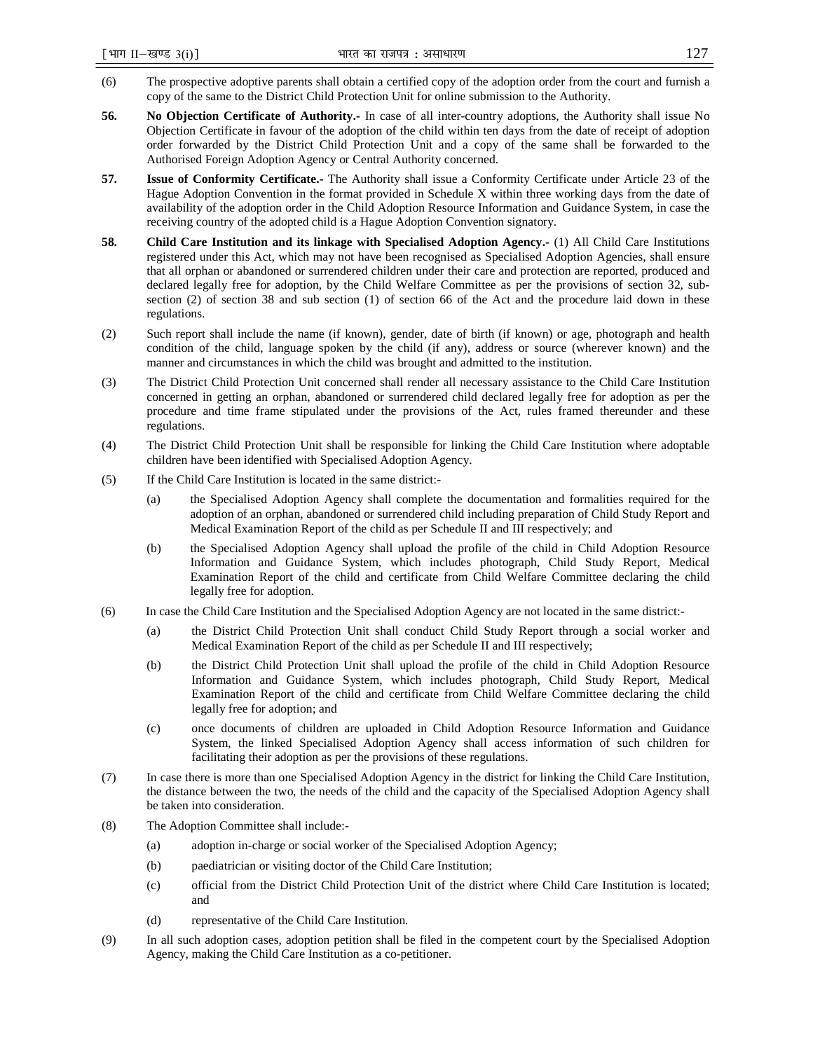- (6) The prospective adoptive parents shall obtain a certified copy of the adoption order from the court and furnish a copy of the same to the District Child Protection Unit for online submission to the Authority.
- **56. No Objection Certificate of Authority.-** In case of all inter-country adoptions, the Authority shall issue No Objection Certificate in favour of the adoption of the child within ten days from the date of receipt of adoption order forwarded by the District Child Protection Unit and a copy of the same shall be forwarded to the Authorised Foreign Adoption Agency or Central Authority concerned.
- **57. Issue of Conformity Certificate.-** The Authority shall issue a Conformity Certificate under Article 23 of the Hague Adoption Convention in the format provided in Schedule X within three working days from the date of availability of the adoption order in the Child Adoption Resource Information and Guidance System, in case the receiving country of the adopted child is a Hague Adoption Convention signatory.
- **58.** Child Care Institution and its linkage with Specialised Adoption Agency.- (1) All Child Care Institutions registered under this Act, which may not have been recognised as Specialised Adoption Agencies, shall ensure that all orphan or abandoned or surrendered children under their care and protection are reported, produced and declared legally free for adoption, by the Child Welfare Committee as per the provisions of section 32, subsection (2) of section 38 and sub section (1) of section 66 of the Act and the procedure laid down in these regulations.
- (2) Such report shall include the name (if known), gender, date of birth (if known) or age, photograph and health condition of the child, language spoken by the child (if any), address or source (wherever known) and the manner and circumstances in which the child was brought and admitted to the institution.
- (3) The District Child Protection Unit concerned shall render all necessary assistance to the Child Care Institution concerned in getting an orphan, abandoned or surrendered child declared legally free for adoption as per the procedure and time frame stipulated under the provisions of the Act, rules framed thereunder and these regulations.
- (4) The District Child Protection Unit shall be responsible for linking the Child Care Institution where adoptable children have been identified with Specialised Adoption Agency.
- (5) If the Child Care Institution is located in the same district:-
	- (a) the Specialised Adoption Agency shall complete the documentation and formalities required for the adoption of an orphan, abandoned or surrendered child including preparation of Child Study Report and Medical Examination Report of the child as per Schedule II and III respectively; and
	- (b) the Specialised Adoption Agency shall upload the profile of the child in Child Adoption Resource Information and Guidance System, which includes photograph, Child Study Report, Medical Examination Report of the child and certificate from Child Welfare Committee declaring the child legally free for adoption.
- (6) In case the Child Care Institution and the Specialised Adoption Agency are not located in the same district:-
	- (a) the District Child Protection Unit shall conduct Child Study Report through a social worker and Medical Examination Report of the child as per Schedule II and III respectively;
	- (b) the District Child Protection Unit shall upload the profile of the child in Child Adoption Resource Information and Guidance System, which includes photograph, Child Study Report, Medical Examination Report of the child and certificate from Child Welfare Committee declaring the child legally free for adoption; and
	- (c) once documents of children are uploaded in Child Adoption Resource Information and Guidance System, the linked Specialised Adoption Agency shall access information of such children for facilitating their adoption as per the provisions of these regulations.
- (7) In case there is more than one Specialised Adoption Agency in the district for linking the Child Care Institution, the distance between the two, the needs of the child and the capacity of the Specialised Adoption Agency shall be taken into consideration.
- (8) The Adoption Committee shall include:-
	- (a) adoption in-charge or social worker of the Specialised Adoption Agency;
	- (b) paediatrician or visiting doctor of the Child Care Institution;
	- (c) official from the District Child Protection Unit of the district where Child Care Institution is located; and
	- (d) representative of the Child Care Institution.
- (9) In all such adoption cases, adoption petition shall be filed in the competent court by the Specialised Adoption Agency, making the Child Care Institution as a co-petitioner.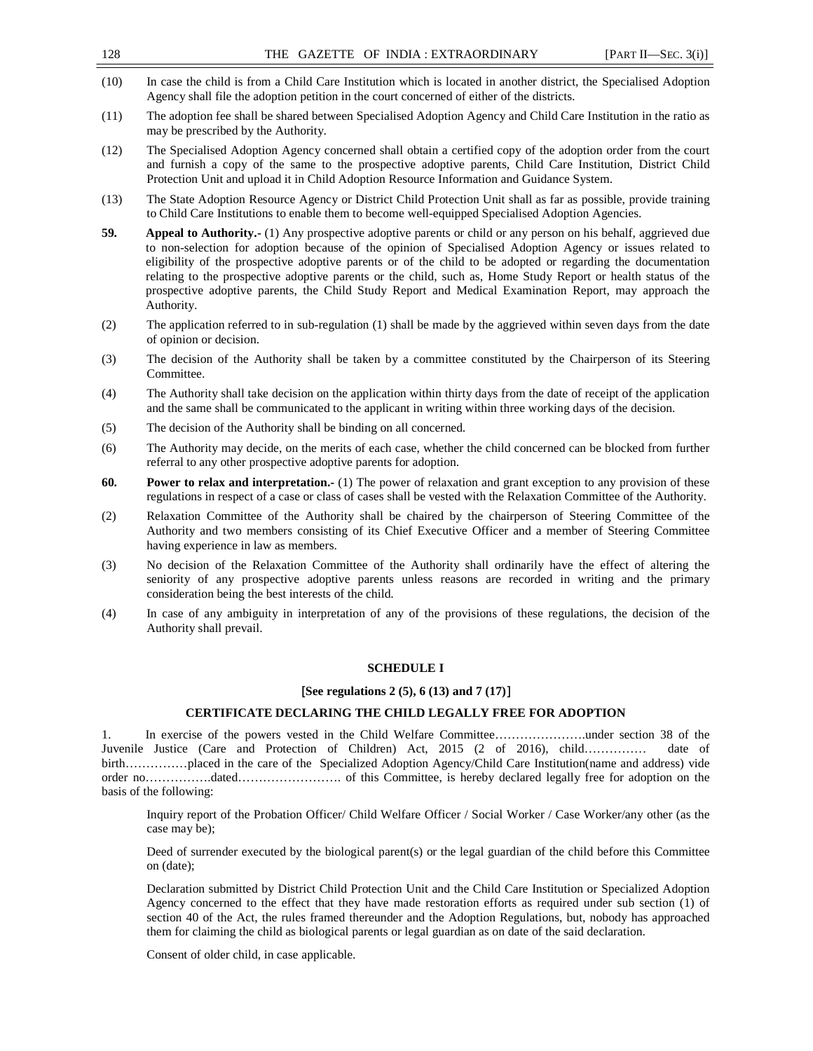| 128  | THE GAZETTE OF INDIA: EXTRAORDINARY<br>[PART II-SEC. $3(i)$ ]                                                                                                                                                                                                                                                                                                                                                                                                                                                                                                                      |
|------|------------------------------------------------------------------------------------------------------------------------------------------------------------------------------------------------------------------------------------------------------------------------------------------------------------------------------------------------------------------------------------------------------------------------------------------------------------------------------------------------------------------------------------------------------------------------------------|
| (10) | In case the child is from a Child Care Institution which is located in another district, the Specialised Adoption<br>Agency shall file the adoption petition in the court concerned of either of the districts.                                                                                                                                                                                                                                                                                                                                                                    |
| (11) | The adoption fee shall be shared between Specialised Adoption Agency and Child Care Institution in the ratio as<br>may be prescribed by the Authority.                                                                                                                                                                                                                                                                                                                                                                                                                             |
| (12) | The Specialised Adoption Agency concerned shall obtain a certified copy of the adoption order from the court<br>and furnish a copy of the same to the prospective adoptive parents, Child Care Institution, District Child<br>Protection Unit and upload it in Child Adoption Resource Information and Guidance System.                                                                                                                                                                                                                                                            |
| (13) | The State Adoption Resource Agency or District Child Protection Unit shall as far as possible, provide training<br>to Child Care Institutions to enable them to become well-equipped Specialised Adoption Agencies.                                                                                                                                                                                                                                                                                                                                                                |
| 59.  | Appeal to Authority.- (1) Any prospective adoptive parents or child or any person on his behalf, aggrieved due<br>to non-selection for adoption because of the opinion of Specialised Adoption Agency or issues related to<br>eligibility of the prospective adoptive parents or of the child to be adopted or regarding the documentation<br>relating to the prospective adoptive parents or the child, such as, Home Study Report or health status of the<br>prospective adoptive parents, the Child Study Report and Medical Examination Report, may approach the<br>Authority. |
| (2)  | The application referred to in sub-regulation (1) shall be made by the aggrieved within seven days from the date<br>of opinion or decision.                                                                                                                                                                                                                                                                                                                                                                                                                                        |
| (3)  | The decision of the Authority shall be taken by a committee constituted by the Chairperson of its Steering<br>Committee.                                                                                                                                                                                                                                                                                                                                                                                                                                                           |
| (4)  | The Authority shall take decision on the application within thirty days from the date of receipt of the application<br>and the same shall be communicated to the applicant in writing within three working days of the decision.                                                                                                                                                                                                                                                                                                                                                   |
| (5)  | The decision of the Authority shall be binding on all concerned.                                                                                                                                                                                                                                                                                                                                                                                                                                                                                                                   |
| (6)  | The Authority may decide, on the merits of each case, whether the child concerned can be blocked from further<br>referral to any other prospective adoptive parents for adoption.                                                                                                                                                                                                                                                                                                                                                                                                  |
| 60.  | <b>Power to relax and interpretation.</b> (1) The power of relaxation and grant exception to any provision of these<br>regulations in respect of a case or class of cases shall be vested with the Relaxation Committee of the Authority.                                                                                                                                                                                                                                                                                                                                          |
| (2)  | Relaxation Committee of the Authority shall be chaired by the chairperson of Steering Committee of the<br>Authority and two members consisting of its Chief Executive Officer and a member of Steering Committee<br>having experience in law as members.                                                                                                                                                                                                                                                                                                                           |
| (3)  | No decision of the Relaxation Committee of the Authority shall ordinarily have the effect of altering the<br>seniority of any prospective adoptive parents unless reasons are recorded in writing and the primary<br>consideration being the best interests of the child.                                                                                                                                                                                                                                                                                                          |
| (4)  | In case of any ambiguity in interpretation of any of the provisions of these regulations, the decision of the<br>Authority shall prevail.                                                                                                                                                                                                                                                                                                                                                                                                                                          |
|      | <b>SCHEDULE I</b>                                                                                                                                                                                                                                                                                                                                                                                                                                                                                                                                                                  |
|      | [See regulations 2 $(5)$ , 6 $(13)$ and 7 $(17)$ ]                                                                                                                                                                                                                                                                                                                                                                                                                                                                                                                                 |
|      | <b>CERTIFICATE DECLARING THE CHILD LEGALLY FREE FOR ADOPTION</b>                                                                                                                                                                                                                                                                                                                                                                                                                                                                                                                   |
| 1.   | Juvenile Justice (Care and Protection of Children) Act, 2015 (2 of 2016), child<br>date of<br>birthplaced in the care of the Specialized Adoption Agency/Child Care Institution(name and address) vide<br>basis of the following:                                                                                                                                                                                                                                                                                                                                                  |
|      | Inquiry report of the Probation Officer/ Child Welfare Officer / Social Worker / Case Worker/any other (as the<br>case may be);                                                                                                                                                                                                                                                                                                                                                                                                                                                    |
|      | Deed of surrender executed by the biological parent(s) or the legal guardian of the child before this Committee<br>on (date);                                                                                                                                                                                                                                                                                                                                                                                                                                                      |
|      |                                                                                                                                                                                                                                                                                                                                                                                                                                                                                                                                                                                    |

Declaration submitted by District Child Protection Unit and the Child Care Institution or Specialized Adoption Agency concerned to the effect that they have made restoration efforts as required under sub section (1) of section 40 of the Act, the rules framed thereunder and the Adoption Regulations, but, nobody has approached them for claiming the child as biological parents or legal guardian as on date of the said declaration.

Consent of older child, in case applicable.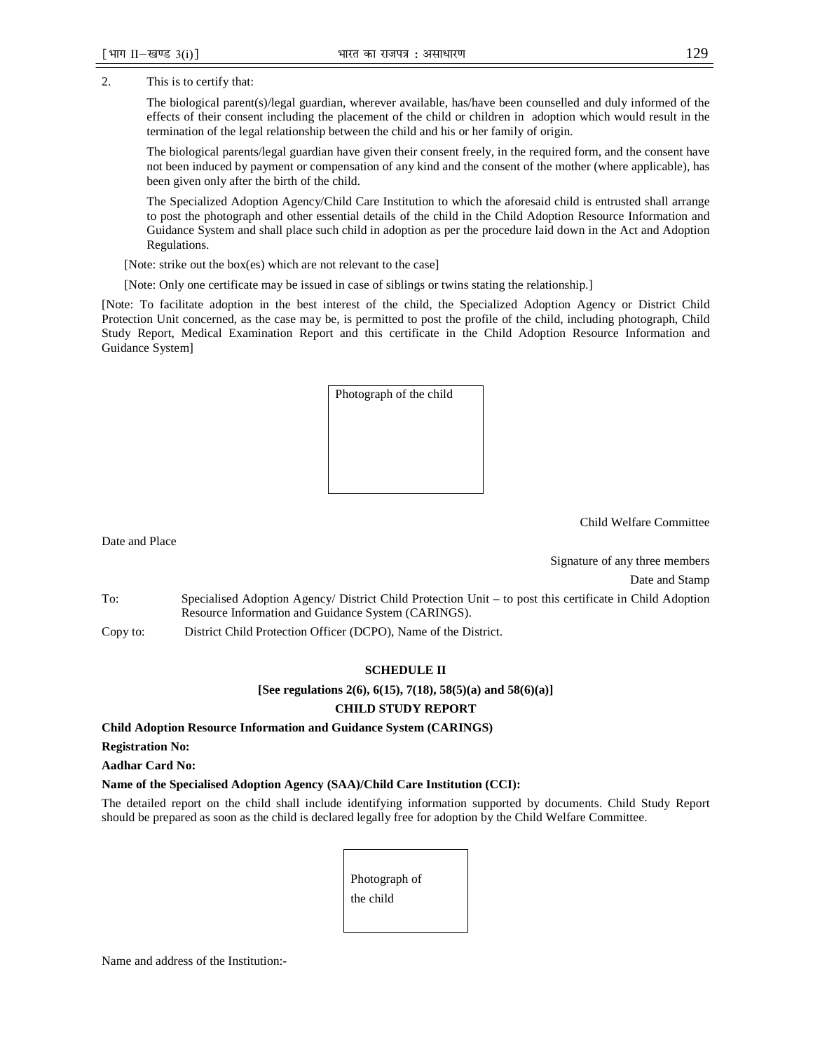# 2. This is to certify that:

The biological parent(s)/legal guardian, wherever available, has/have been counselled and duly informed of the effects of their consent including the placement of the child or children in adoption which would result in the termination of the legal relationship between the child and his or her family of origin.

The biological parents/legal guardian have given their consent freely, in the required form, and the consent have not been induced by payment or compensation of any kind and the consent of the mother (where applicable), has been given only after the birth of the child.

The Specialized Adoption Agency/Child Care Institution to which the aforesaid child is entrusted shall arrange to post the photograph and other essential details of the child in the Child Adoption Resource Information and Guidance System and shall place such child in adoption as per the procedure laid down in the Act and Adoption Regulations.

[Note: strike out the box(es) which are not relevant to the case]

[Note: Only one certificate may be issued in case of siblings or twins stating the relationship.]

[Note: To facilitate adoption in the best interest of the child, the Specialized Adoption Agency or District Child Protection Unit concerned, as the case may be, is permitted to post the profile of the child, including photograph, Child Study Report, Medical Examination Report and this certificate in the Child Adoption Resource Information and Guidance System]

Photograph of the child

Child Welfare Committee

Date and Place

Signature of any three members

Date and Stamp

To: Specialised Adoption Agency/ District Child Protection Unit – to post this certificate in Child Adoption Resource Information and Guidance System (CARINGS).

Copy to: District Child Protection Officer (DCPO), Name of the District.

### **SCHEDULE II**

# **[See regulations 2(6), 6(15), 7(18), 58(5)(a) and 58(6)(a)] CHILD STUDY REPORT**

**Child Adoption Resource Information and Guidance System (CARINGS)** 

**Registration No:** 

**Aadhar Card No:** 

#### **Name of the Specialised Adoption Agency (SAA)/Child Care Institution (CCI):**

The detailed report on the child shall include identifying information supported by documents. Child Study Report should be prepared as soon as the child is declared legally free for adoption by the Child Welfare Committee.

> Photograph of the child

Name and address of the Institution:-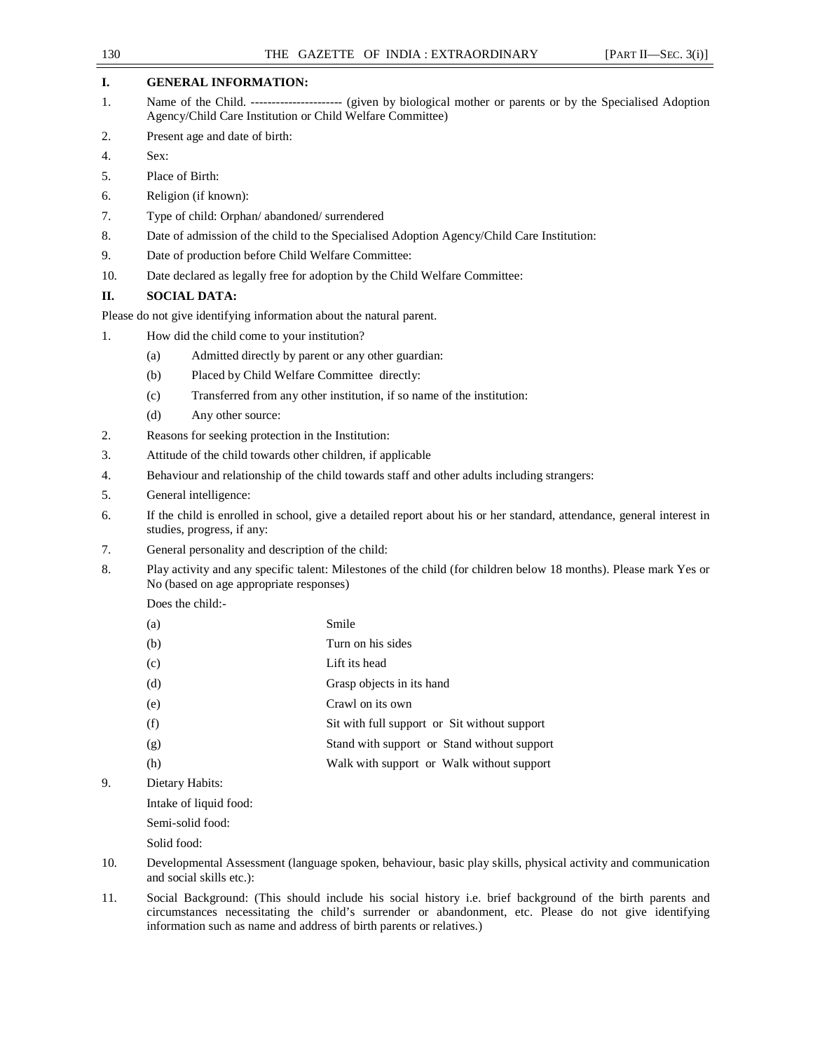# **I. GENERAL INFORMATION:**

- 1. Name of the Child. ---------------------- (given by biological mother or parents or by the Specialised Adoption Agency/Child Care Institution or Child Welfare Committee)
- 2. Present age and date of birth:
- 4. Sex:
- 5. Place of Birth:
- 6. Religion (if known):
- 7. Type of child: Orphan/ abandoned/ surrendered
- 8. Date of admission of the child to the Specialised Adoption Agency/Child Care Institution:
- 9. Date of production before Child Welfare Committee:
- 10. Date declared as legally free for adoption by the Child Welfare Committee:

# **II. SOCIAL DATA:**

Please do not give identifying information about the natural parent.

- 1. How did the child come to your institution?
	- (a) Admitted directly by parent or any other guardian:
	- (b) Placed by Child Welfare Committee directly:
	- (c) Transferred from any other institution, if so name of the institution:
	- (d) Any other source:
- 2. Reasons for seeking protection in the Institution:
- 3. Attitude of the child towards other children, if applicable
- 4. Behaviour and relationship of the child towards staff and other adults including strangers:
- 5. General intelligence:
- 6. If the child is enrolled in school, give a detailed report about his or her standard, attendance, general interest in studies, progress, if any:
- 7. General personality and description of the child:
- 8. Play activity and any specific talent: Milestones of the child (for children below 18 months). Please mark Yes or No (based on age appropriate responses)

Does the child:-

| (a) | Smile             |
|-----|-------------------|
| (b) | Turn on his sides |

- (c) Lift its head
- (d) Grasp objects in its hand
- (e) Crawl on its own
- (f) Sit with full support or Sit without support
- (g) Stand with support or Stand without support
- (h) Walk with support or Walk without support
- 9. Dietary Habits:

Intake of liquid food:

Semi-solid food:

Solid food:

- 10. Developmental Assessment (language spoken, behaviour, basic play skills, physical activity and communication and social skills etc.):
- 11. Social Background: (This should include his social history i.e. brief background of the birth parents and circumstances necessitating the child's surrender or abandonment, etc. Please do not give identifying information such as name and address of birth parents or relatives.)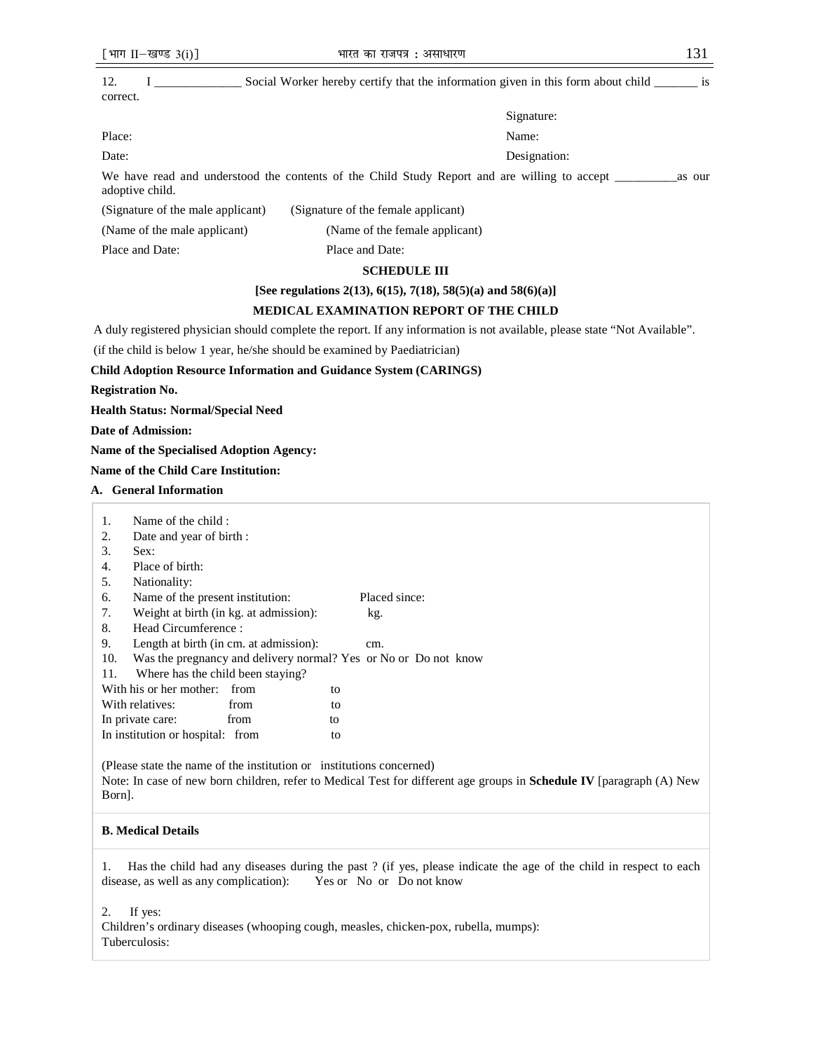| 12.      | Social Worker hereby certify that the information given in this form about child |  |
|----------|----------------------------------------------------------------------------------|--|
| correct. |                                                                                  |  |

Signature:

Place: Name: Name: Name: Name: Name: Name: Name: Name: Name: Name: Name: Name: Name: Name: Name: Name: Name: Name: Name: Name: Name: Name: Name: Name: Name: Name: Name: Name: Name: Name: Name: Name: Name: Name: Name: Name:

### Date: Designation: Designation:

We have read and understood the contents of the Child Study Report and are willing to accept \_\_\_\_\_\_\_\_\_\_as our adoptive child.

(Signature of the male applicant) (Signature of the female applicant)

(Name of the male applicant) (Name of the female applicant)

Place and Date: Place and Date:

# **SCHEDULE III**

**[See regulations 2(13), 6(15), 7(18), 58(5)(a) and 58(6)(a)]**

### **MEDICAL EXAMINATION REPORT OF THE CHILD**

A duly registered physician should complete the report. If any information is not available, please state "Not Available".

(if the child is below 1 year, he/she should be examined by Paediatrician)

#### **Child Adoption Resource Information and Guidance System (CARINGS)**

# **Registration No.**

**Health Status: Normal/Special Need** 

**Date of Admission:** 

#### **Name of the Specialised Adoption Agency:**

#### **Name of the Child Care Institution:**

# **A. General Information**

| 1.  | Name of the child:                                              |               |
|-----|-----------------------------------------------------------------|---------------|
| 2.  | Date and year of birth :                                        |               |
| 3.  | Sex:                                                            |               |
| 4.  | Place of birth:                                                 |               |
| 5.  | Nationality:                                                    |               |
| 6.  | Name of the present institution:                                | Placed since: |
| 7.  | Weight at birth (in kg. at admission):                          | kg.           |
| 8.  | Head Circumference:                                             |               |
| 9.  | Length at birth (in cm. at admission):                          | cm.           |
| 10. | Was the pregnancy and delivery normal? Yes or No or Do not know |               |
| 11. | Where has the child been staying?                               |               |
|     | With his or her mother:<br>from                                 | to            |
|     | With relatives:<br>from                                         | to            |
|     | In private care:<br>from                                        | to            |
|     | In institution or hospital: from                                | to            |

(Please state the name of the institution or institutions concerned) Note: In case of new born children, refer to Medical Test for different age groups in **Schedule IV** [paragraph (A) New Born].

# **B. Medical Details**

1. Has the child had any diseases during the past ? (if yes, please indicate the age of the child in respect to each disease, as well as any complication): Yes or No or Do not know

### 2. If yes:

Children's ordinary diseases (whooping cough, measles, chicken-pox, rubella, mumps): Tuberculosis: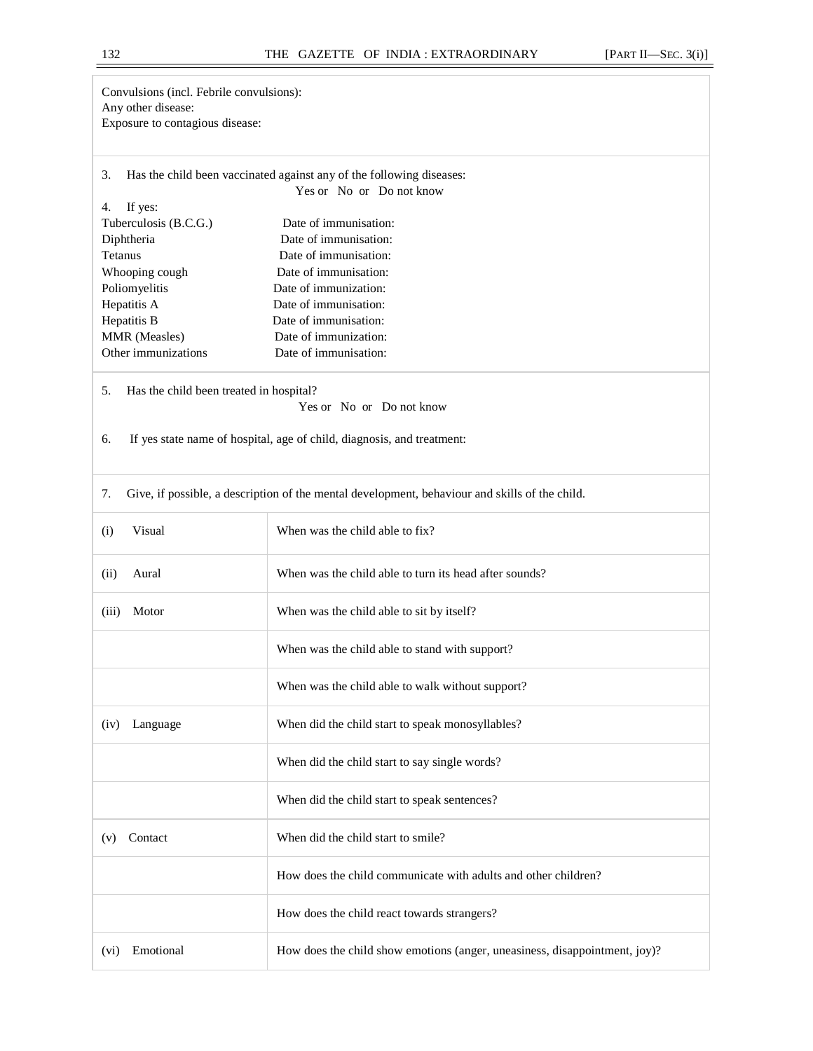Convulsions (incl. Febrile convulsions): Any other disease: Exposure to contagious disease:

# 3. Has the child been vaccinated against any of the following diseases: Yes or No or Do not know

| 4. If yes:            |                       |
|-----------------------|-----------------------|
| Tuberculosis (B.C.G.) | Date of immunisation: |
| Diphtheria            | Date of immunisation: |
| Tetanus               | Date of immunisation: |
| Whooping cough        | Date of immunisation: |
| Poliomyelitis         | Date of immunization: |
| Hepatitis A           | Date of immunisation: |
| Hepatitis B           | Date of immunisation: |
| <b>MMR</b> (Measles)  | Date of immunization: |
| Other immunizations   | Date of immunisation: |

5. Has the child been treated in hospital? Yes or No or Do not know

6. If yes state name of hospital, age of child, diagnosis, and treatment:

7. Give, if possible, a description of the mental development, behaviour and skills of the child.

| Visual<br>(i)     | When was the child able to fix?                                            |
|-------------------|----------------------------------------------------------------------------|
| Aural<br>(ii)     | When was the child able to turn its head after sounds?                     |
| Motor<br>(iii)    | When was the child able to sit by itself?                                  |
|                   | When was the child able to stand with support?                             |
|                   | When was the child able to walk without support?                           |
| (iv)<br>Language  | When did the child start to speak monosyllables?                           |
|                   | When did the child start to say single words?                              |
|                   | When did the child start to speak sentences?                               |
| Contact<br>(v)    | When did the child start to smile?                                         |
|                   | How does the child communicate with adults and other children?             |
|                   | How does the child react towards strangers?                                |
| Emotional<br>(vi) | How does the child show emotions (anger, uneasiness, disappointment, joy)? |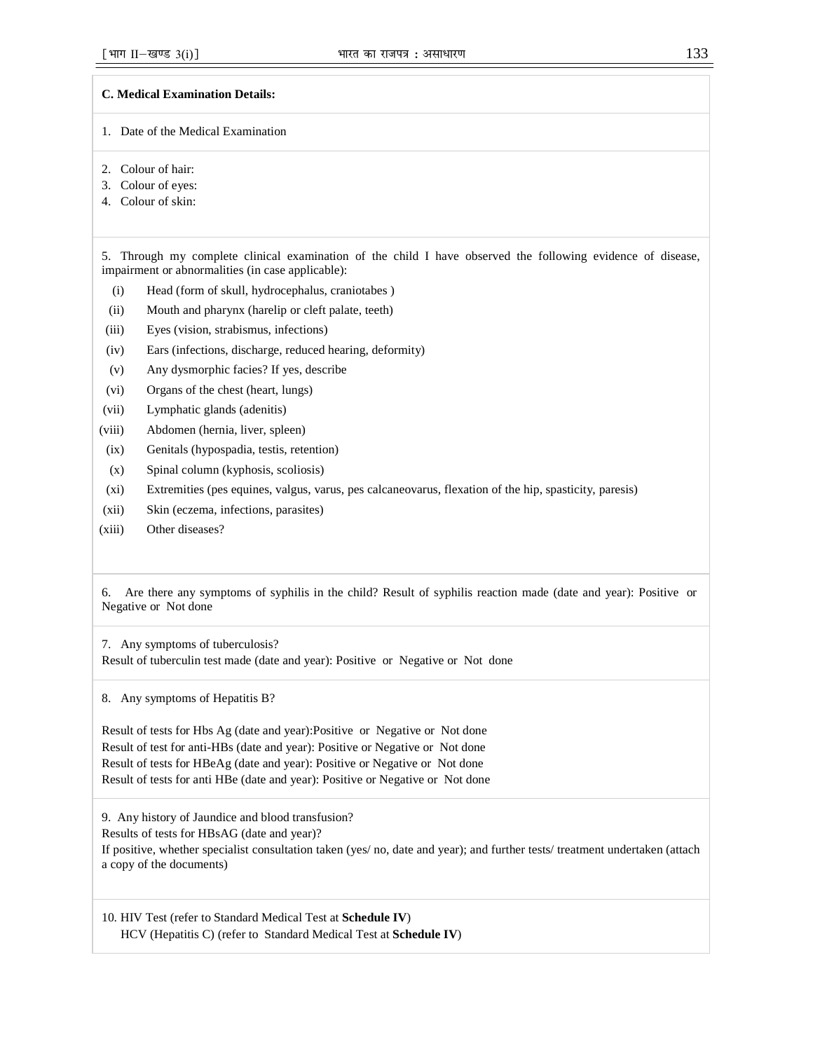# **C. Medical Examination Details:**

- 1. Date of the Medical Examination
- 2. Colour of hair:
- 3. Colour of eyes:
- 4. Colour of skin:

5. Through my complete clinical examination of the child I have observed the following evidence of disease, impairment or abnormalities (in case applicable):

- (i) Head (form of skull, hydrocephalus, craniotabes )
- (ii) Mouth and pharynx (harelip or cleft palate, teeth)
- (iii) Eyes (vision, strabismus, infections)
- (iv) Ears (infections, discharge, reduced hearing, deformity)
- (v) Any dysmorphic facies? If yes, describe
- (vi) Organs of the chest (heart, lungs)
- (vii) Lymphatic glands (adenitis)
- (viii) Abdomen (hernia, liver, spleen)
- (ix) Genitals (hypospadia, testis, retention)
- (x) Spinal column (kyphosis, scoliosis)
- (xi) Extremities (pes equines, valgus, varus, pes calcaneovarus, flexation of the hip, spasticity, paresis)
- (xii) Skin (eczema, infections, parasites)
- (xiii) Other diseases?

6. Are there any symptoms of syphilis in the child? Result of syphilis reaction made (date and year): Positive or Negative or Not done

7. Any symptoms of tuberculosis? Result of tuberculin test made (date and year): Positive or Negative or Not done

8. Any symptoms of Hepatitis B?

Result of tests for Hbs Ag (date and year):Positive or Negative or Not done Result of test for anti-HBs (date and year): Positive or Negative or Not done Result of tests for HBeAg (date and year): Positive or Negative or Not done Result of tests for anti HBe (date and year): Positive or Negative or Not done

9. Any history of Jaundice and blood transfusion?

Results of tests for HBsAG (date and year)?

If positive, whether specialist consultation taken (yes/ no, date and year); and further tests/ treatment undertaken (attach a copy of the documents)

10. HIV Test (refer to Standard Medical Test at **Schedule IV**) HCV (Hepatitis C) (refer to Standard Medical Test at **Schedule IV**)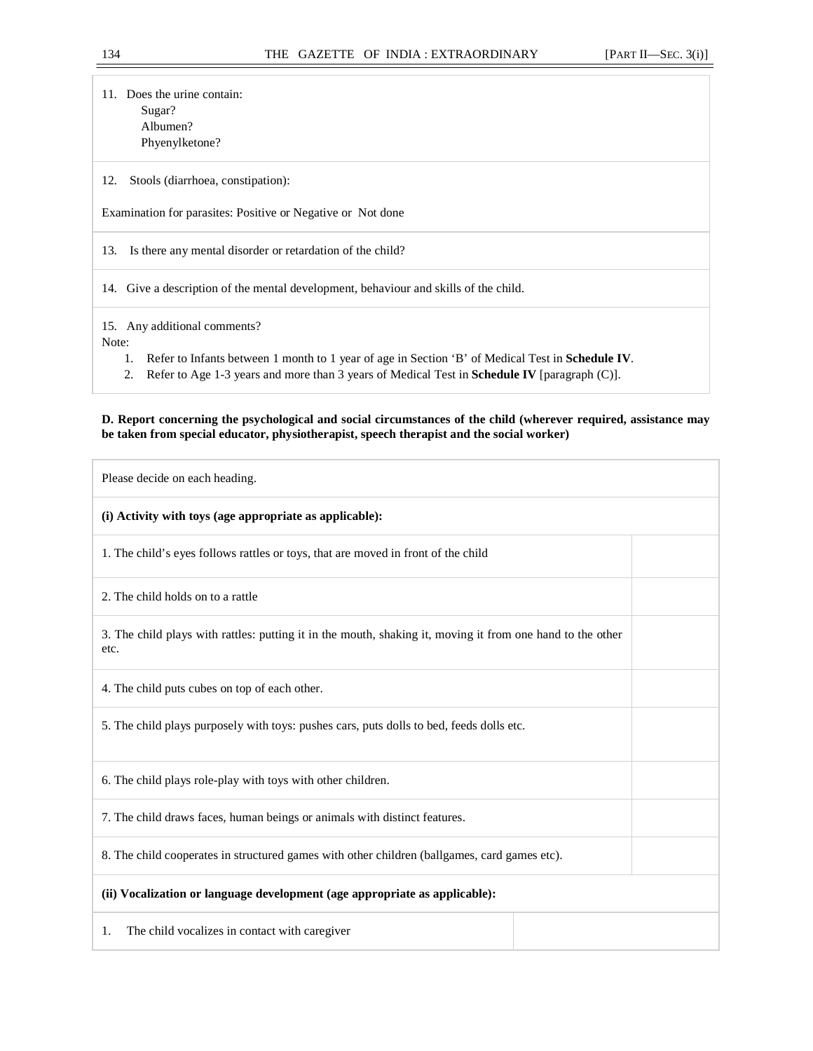# 11. Does the urine contain: Sugar? Albumen? Phyenylketone?

12. Stools (diarrhoea, constipation):

Examination for parasites: Positive or Negative or Not done

13. Is there any mental disorder or retardation of the child?

14. Give a description of the mental development, behaviour and skills of the child.

15. Any additional comments?

Note:

- 1. Refer to Infants between 1 month to 1 year of age in Section 'B' of Medical Test in **Schedule IV**.
- 2. Refer to Age 1-3 years and more than 3 years of Medical Test in **Schedule IV** [paragraph (C)].

### **D. Report concerning the psychological and social circumstances of the child (wherever required, assistance may be taken from special educator, physiotherapist, speech therapist and the social worker)**

| Please decide on each heading.                                                                                     |  |  |
|--------------------------------------------------------------------------------------------------------------------|--|--|
| (i) Activity with toys (age appropriate as applicable):                                                            |  |  |
| 1. The child's eyes follows rattles or toys, that are moved in front of the child                                  |  |  |
| 2. The child holds on to a rattle                                                                                  |  |  |
| 3. The child plays with rattles: putting it in the mouth, shaking it, moving it from one hand to the other<br>etc. |  |  |
| 4. The child puts cubes on top of each other.                                                                      |  |  |
| 5. The child plays purposely with toys: pushes cars, puts dolls to bed, feeds dolls etc.                           |  |  |
| 6. The child plays role-play with toys with other children.                                                        |  |  |
| 7. The child draws faces, human beings or animals with distinct features.                                          |  |  |
| 8. The child cooperates in structured games with other children (ballgames, card games etc).                       |  |  |
| (ii) Vocalization or language development (age appropriate as applicable):                                         |  |  |
| The child vocalizes in contact with caregiver<br>1.                                                                |  |  |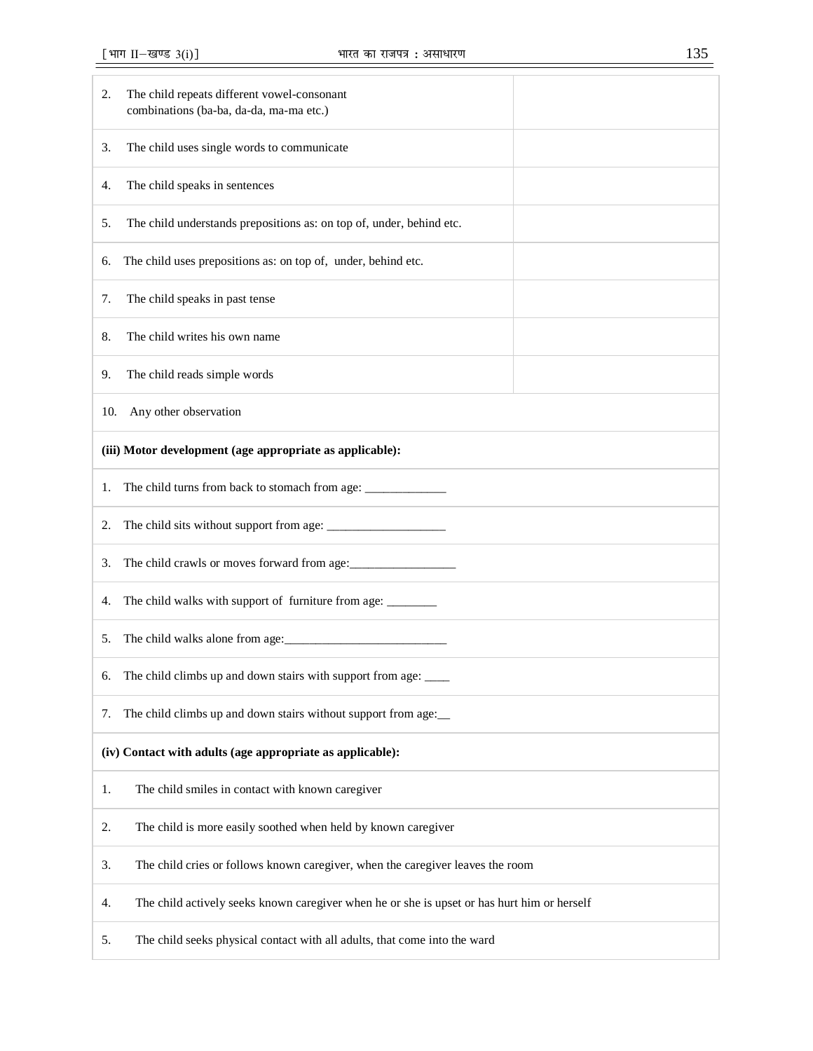| The child repeats different vowel-consonant<br>2.<br>combinations (ba-ba, da-da, ma-ma etc.)      |  |
|---------------------------------------------------------------------------------------------------|--|
| The child uses single words to communicate<br>3.                                                  |  |
| The child speaks in sentences<br>4.                                                               |  |
| The child understands prepositions as: on top of, under, behind etc.<br>5.                        |  |
| The child uses prepositions as: on top of, under, behind etc.<br>6.                               |  |
| The child speaks in past tense<br>7.                                                              |  |
| The child writes his own name<br>8.                                                               |  |
| The child reads simple words<br>9.                                                                |  |
| Any other observation<br>10.                                                                      |  |
| (iii) Motor development (age appropriate as applicable):                                          |  |
| 1.                                                                                                |  |
| 2.                                                                                                |  |
| The child crawls or moves forward from age:<br>3.                                                 |  |
| The child walks with support of furniture from age: _______<br>4.                                 |  |
| 5.                                                                                                |  |
| The child climbs up and down stairs with support from age: ____<br>6.                             |  |
| The child climbs up and down stairs without support from age:<br>7.                               |  |
| (iv) Contact with adults (age appropriate as applicable):                                         |  |
| The child smiles in contact with known caregiver<br>1.                                            |  |
| The child is more easily soothed when held by known caregiver<br>2.                               |  |
| The child cries or follows known caregiver, when the caregiver leaves the room<br>3.              |  |
| The child actively seeks known caregiver when he or she is upset or has hurt him or herself<br>4. |  |
| The child seeks physical contact with all adults, that come into the ward<br>5.                   |  |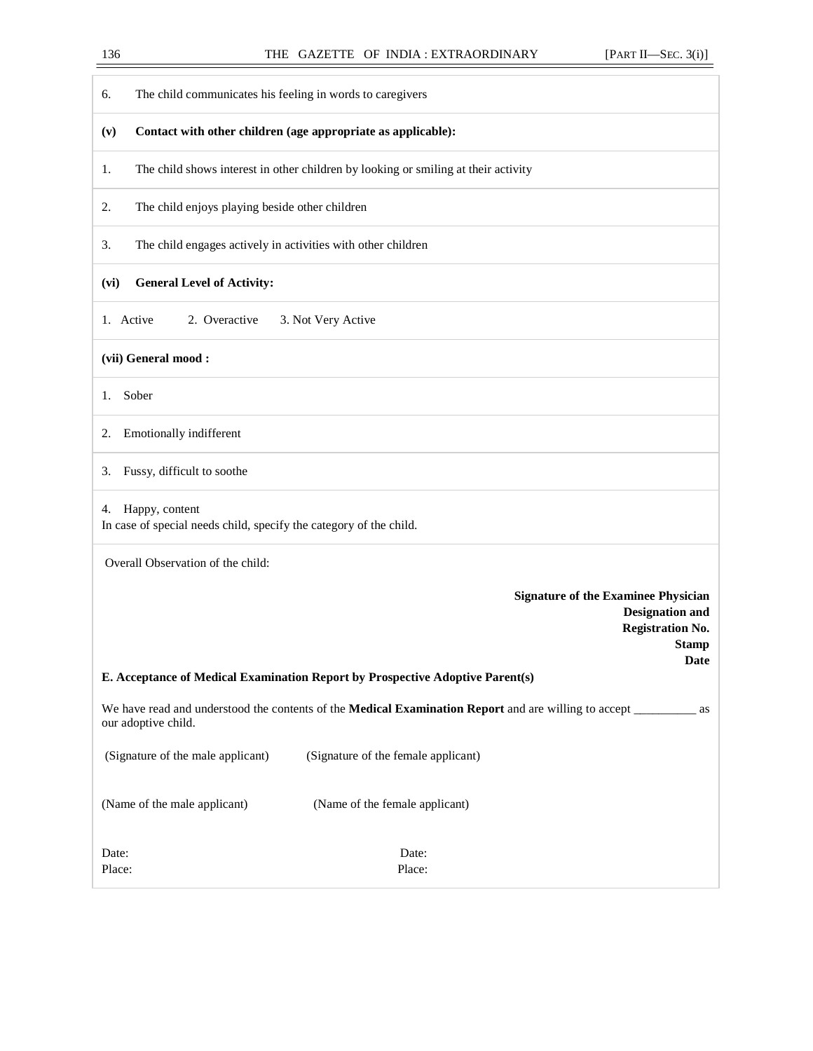| The child communicates his feeling in words to caregivers<br>6.                                                                                    |
|----------------------------------------------------------------------------------------------------------------------------------------------------|
| Contact with other children (age appropriate as applicable):<br>(v)                                                                                |
| The child shows interest in other children by looking or smiling at their activity<br>1.                                                           |
| The child enjoys playing beside other children<br>2.                                                                                               |
| 3.<br>The child engages actively in activities with other children                                                                                 |
| <b>General Level of Activity:</b><br>(vi)                                                                                                          |
| 2. Overactive<br>1. Active<br>3. Not Very Active                                                                                                   |
| (vii) General mood:                                                                                                                                |
| Sober<br>1.                                                                                                                                        |
| Emotionally indifferent<br>2.                                                                                                                      |
| Fussy, difficult to soothe<br>3.                                                                                                                   |
| Happy, content<br>4.<br>In case of special needs child, specify the category of the child.                                                         |
| Overall Observation of the child:                                                                                                                  |
| <b>Signature of the Examinee Physician</b><br><b>Designation and</b><br><b>Registration No.</b><br><b>Stamp</b><br>Date                            |
| E. Acceptance of Medical Examination Report by Prospective Adoptive Parent(s)                                                                      |
| We have read and understood the contents of the <b>Medical Examination Report</b> and are willing to accept _________<br>as<br>our adoptive child. |
| (Signature of the male applicant)<br>(Signature of the female applicant)                                                                           |
| (Name of the male applicant)<br>(Name of the female applicant)                                                                                     |
| Date:<br>Date:<br>Place:<br>Place:                                                                                                                 |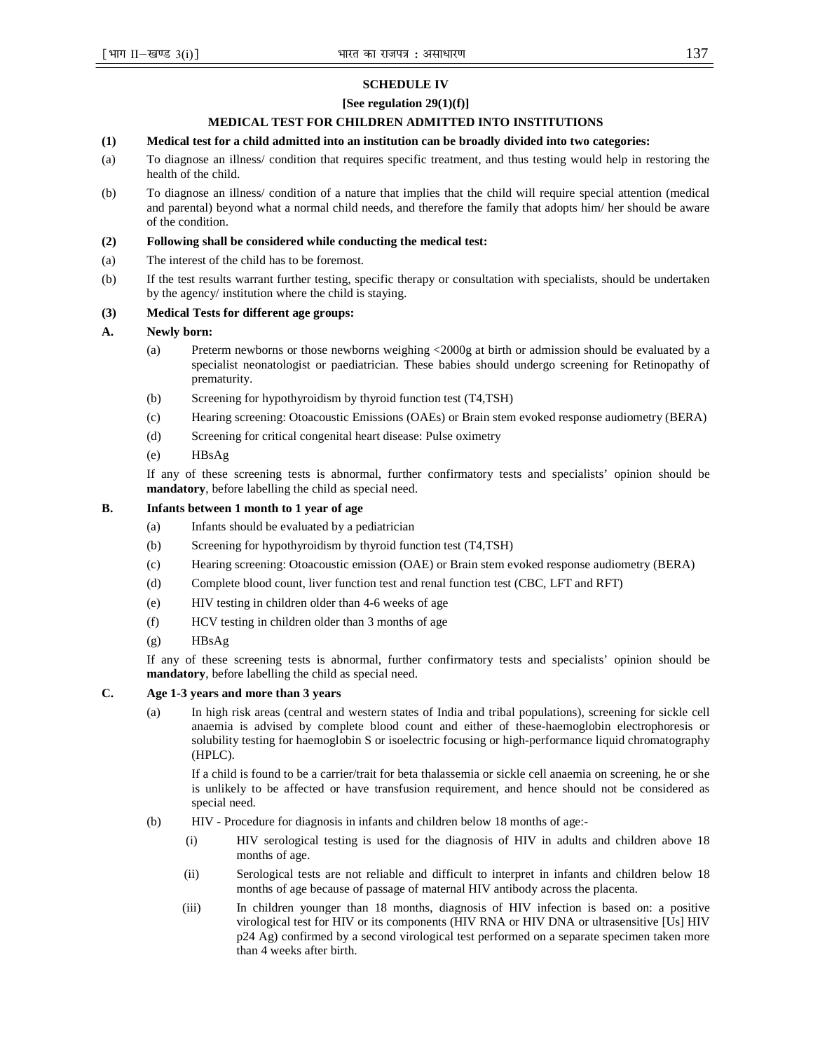# **SCHEDULE IV**

# **[See regulation 29(1)(f)]**

# **MEDICAL TEST FOR CHILDREN ADMITTED INTO INSTITUTIONS**

# **(1) Medical test for a child admitted into an institution can be broadly divided into two categories:**

- (a) To diagnose an illness/ condition that requires specific treatment, and thus testing would help in restoring the health of the child.
- (b) To diagnose an illness/ condition of a nature that implies that the child will require special attention (medical and parental) beyond what a normal child needs, and therefore the family that adopts him/ her should be aware of the condition.

# **(2) Following shall be considered while conducting the medical test:**

- (a) The interest of the child has to be foremost.
- (b) If the test results warrant further testing, specific therapy or consultation with specialists, should be undertaken by the agency/ institution where the child is staying.

# **(3) Medical Tests for different age groups:**

# **A. Newly born:**

- (a) Preterm newborns or those newborns weighing <2000g at birth or admission should be evaluated by a specialist neonatologist or paediatrician. These babies should undergo screening for Retinopathy of prematurity.
- (b) Screening for hypothyroidism by thyroid function test (T4,TSH)
- (c) Hearing screening: Otoacoustic Emissions (OAEs) or Brain stem evoked response audiometry (BERA)
- (d) Screening for critical congenital heart disease: Pulse oximetry
- (e) HBsAg

If any of these screening tests is abnormal, further confirmatory tests and specialists' opinion should be **mandatory**, before labelling the child as special need.

# **B. Infants between 1 month to 1 year of age**

- (a) Infants should be evaluated by a pediatrician
- (b) Screening for hypothyroidism by thyroid function test (T4,TSH)
- (c) Hearing screening: Otoacoustic emission (OAE) or Brain stem evoked response audiometry (BERA)
- (d) Complete blood count, liver function test and renal function test (CBC, LFT and RFT)
- (e) HIV testing in children older than 4-6 weeks of age
- (f) HCV testing in children older than 3 months of age
- (g) HBsAg

If any of these screening tests is abnormal, further confirmatory tests and specialists' opinion should be **mandatory**, before labelling the child as special need.

#### **C. Age 1-3 years and more than 3 years**

(a) In high risk areas (central and western states of India and tribal populations), screening for sickle cell anaemia is advised by complete blood count and either of these-haemoglobin electrophoresis or solubility testing for haemoglobin S or isoelectric focusing or high-performance liquid chromatography (HPLC).

If a child is found to be a carrier/trait for beta thalassemia or sickle cell anaemia on screening, he or she is unlikely to be affected or have transfusion requirement, and hence should not be considered as special need.

- (b) HIV Procedure for diagnosis in infants and children below 18 months of age:-
	- (i) HIV serological testing is used for the diagnosis of HIV in adults and children above 18 months of age.
	- (ii) Serological tests are not reliable and difficult to interpret in infants and children below 18 months of age because of passage of maternal HIV antibody across the placenta.
	- (iii) In children younger than 18 months, diagnosis of HIV infection is based on: a positive virological test for HIV or its components (HIV RNA or HIV DNA or ultrasensitive [Us] HIV p24 Ag) confirmed by a second virological test performed on a separate specimen taken more than 4 weeks after birth.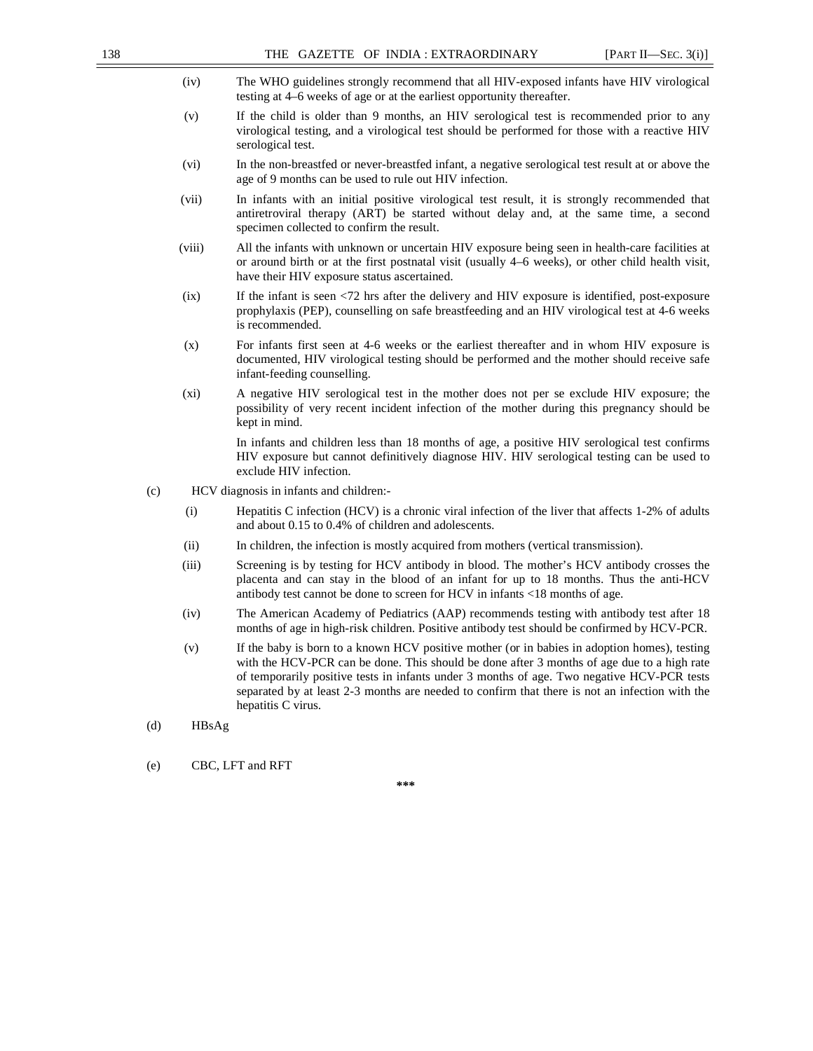- (iv) The WHO guidelines strongly recommend that all HIV-exposed infants have HIV virological testing at 4–6 weeks of age or at the earliest opportunity thereafter.
- (v) If the child is older than 9 months, an HIV serological test is recommended prior to any virological testing, and a virological test should be performed for those with a reactive HIV serological test.
- (vi) In the non-breastfed or never-breastfed infant, a negative serological test result at or above the age of 9 months can be used to rule out HIV infection.
- (vii) In infants with an initial positive virological test result, it is strongly recommended that antiretroviral therapy (ART) be started without delay and, at the same time, a second specimen collected to confirm the result.
- (viii) All the infants with unknown or uncertain HIV exposure being seen in health-care facilities at or around birth or at the first postnatal visit (usually 4–6 weeks), or other child health visit, have their HIV exposure status ascertained.
- (ix) If the infant is seen <72 hrs after the delivery and HIV exposure is identified, post-exposure prophylaxis (PEP), counselling on safe breastfeeding and an HIV virological test at 4-6 weeks is recommended.
- (x) For infants first seen at 4-6 weeks or the earliest thereafter and in whom HIV exposure is documented, HIV virological testing should be performed and the mother should receive safe infant-feeding counselling.
- (xi) A negative HIV serological test in the mother does not per se exclude HIV exposure; the possibility of very recent incident infection of the mother during this pregnancy should be kept in mind.

In infants and children less than 18 months of age, a positive HIV serological test confirms HIV exposure but cannot definitively diagnose HIV. HIV serological testing can be used to exclude HIV infection.

- (c) HCV diagnosis in infants and children:-
	- (i) Hepatitis C infection (HCV) is a chronic viral infection of the liver that affects 1-2% of adults and about 0.15 to 0.4% of children and adolescents.
	- (ii) In children, the infection is mostly acquired from mothers (vertical transmission).
	- (iii) Screening is by testing for HCV antibody in blood. The mother's HCV antibody crosses the placenta and can stay in the blood of an infant for up to 18 months. Thus the anti-HCV antibody test cannot be done to screen for HCV in infants <18 months of age.
	- (iv) The American Academy of Pediatrics (AAP) recommends testing with antibody test after 18 months of age in high-risk children. Positive antibody test should be confirmed by HCV-PCR.
	- (v) If the baby is born to a known HCV positive mother (or in babies in adoption homes), testing with the HCV-PCR can be done. This should be done after 3 months of age due to a high rate of temporarily positive tests in infants under 3 months of age. Two negative HCV-PCR tests separated by at least 2-3 months are needed to confirm that there is not an infection with the hepatitis C virus.
- (d) HBsAg
- (e) CBC, LFT and RFT

**\*\*\***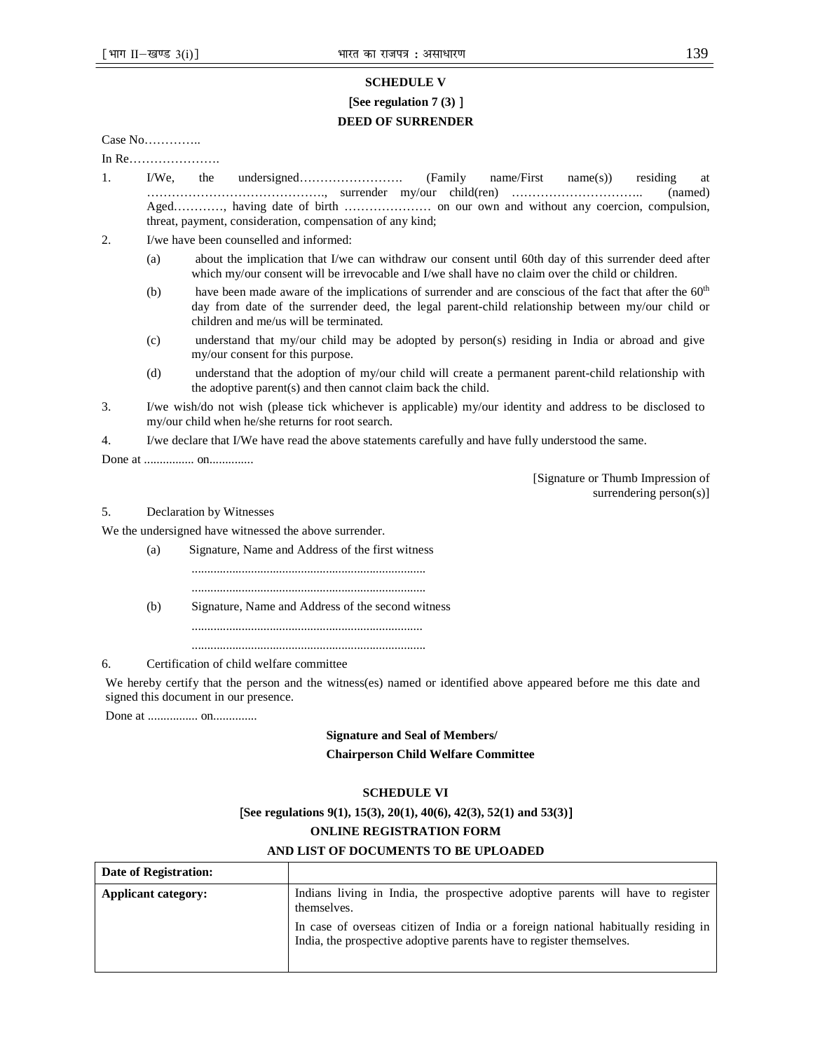## **SCHEDULE V**

# [**See regulation 7 (3)** ] **DEED OF SURRENDER**

Case No…………..

In Re………………….

- 1. I/We, the undersigned……………………. (Family name/First name(s)) residing at ……………………………………., surrender my/our child(ren) ………………………….. (named) Aged…………, having date of birth ………………… on our own and without any coercion, compulsion, threat, payment, consideration, compensation of any kind;
- 2. I/we have been counselled and informed:
	- (a) about the implication that I/we can withdraw our consent until 60th day of this surrender deed after which my/our consent will be irrevocable and I/we shall have no claim over the child or children.
	- (b) have been made aware of the implications of surrender and are conscious of the fact that after the  $60<sup>th</sup>$ day from date of the surrender deed, the legal parent-child relationship between my/our child or children and me/us will be terminated.
	- (c) understand that my/our child may be adopted by person(s) residing in India or abroad and give my/our consent for this purpose.
	- (d) understand that the adoption of my/our child will create a permanent parent-child relationship with the adoptive parent(s) and then cannot claim back the child.
- 3. I/we wish/do not wish (please tick whichever is applicable) my/our identity and address to be disclosed to my/our child when he/she returns for root search.
- 4. I/we declare that I/We have read the above statements carefully and have fully understood the same.

Done at ................ on..............

[Signature or Thumb Impression of surrendering person(s)]

#### 5. Declaration by Witnesses

We the undersigned have witnessed the above surrender.

(a) Signature, Name and Address of the first witness

...........................................................................

(b) Signature, Name and Address of the second witness ..........................................................................

...........................................................................

#### 6. Certification of child welfare committee

We hereby certify that the person and the witness(es) named or identified above appeared before me this date and signed this document in our presence.

Done at ................ on..............

## **Signature and Seal of Members/**

#### **Chairperson Child Welfare Committee**

## **SCHEDULE VI**

# [**See regulations 9(1), 15(3), 20(1), 40(6), 42(3), 52(1) and 53(3)**] **ONLINE REGISTRATION FORM**

## **AND LIST OF DOCUMENTS TO BE UPLOADED**

| Date of Registration: |                                                                                                                                                           |
|-----------------------|-----------------------------------------------------------------------------------------------------------------------------------------------------------|
| Applicant category:   | Indians living in India, the prospective adoptive parents will have to register<br>themselves.                                                            |
|                       | In case of overseas citizen of India or a foreign national habitually residing in<br>India, the prospective adoptive parents have to register themselves. |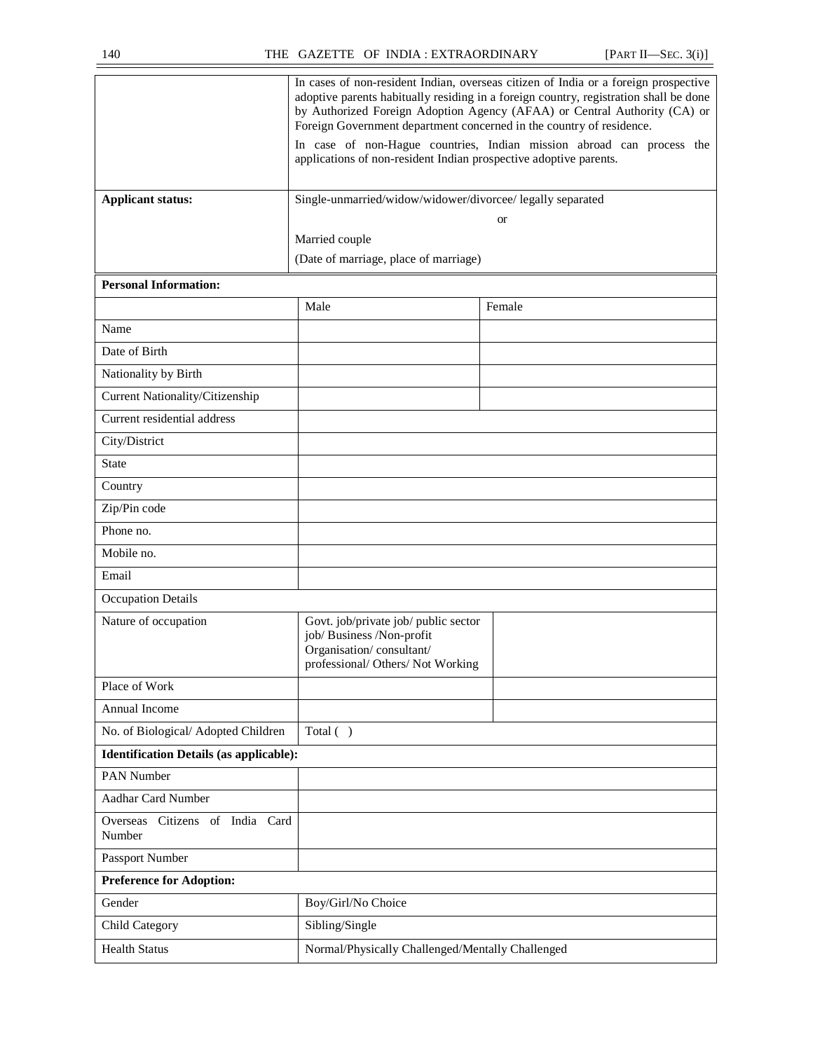|                                                | In cases of non-resident Indian, overseas citizen of India or a foreign prospective<br>adoptive parents habitually residing in a foreign country, registration shall be done<br>by Authorized Foreign Adoption Agency (AFAA) or Central Authority (CA) or<br>Foreign Government department concerned in the country of residence. |           |  |  |
|------------------------------------------------|-----------------------------------------------------------------------------------------------------------------------------------------------------------------------------------------------------------------------------------------------------------------------------------------------------------------------------------|-----------|--|--|
|                                                | In case of non-Hague countries, Indian mission abroad can process the<br>applications of non-resident Indian prospective adoptive parents.                                                                                                                                                                                        |           |  |  |
| <b>Applicant status:</b>                       | Single-unmarried/widow/widower/divorcee/ legally separated                                                                                                                                                                                                                                                                        |           |  |  |
|                                                |                                                                                                                                                                                                                                                                                                                                   | <b>or</b> |  |  |
|                                                | Married couple                                                                                                                                                                                                                                                                                                                    |           |  |  |
|                                                | (Date of marriage, place of marriage)                                                                                                                                                                                                                                                                                             |           |  |  |
| <b>Personal Information:</b>                   |                                                                                                                                                                                                                                                                                                                                   |           |  |  |
|                                                | Male                                                                                                                                                                                                                                                                                                                              | Female    |  |  |
| Name                                           |                                                                                                                                                                                                                                                                                                                                   |           |  |  |
| Date of Birth                                  |                                                                                                                                                                                                                                                                                                                                   |           |  |  |
| Nationality by Birth                           |                                                                                                                                                                                                                                                                                                                                   |           |  |  |
| Current Nationality/Citizenship                |                                                                                                                                                                                                                                                                                                                                   |           |  |  |
| Current residential address                    |                                                                                                                                                                                                                                                                                                                                   |           |  |  |
| City/District                                  |                                                                                                                                                                                                                                                                                                                                   |           |  |  |
| <b>State</b>                                   |                                                                                                                                                                                                                                                                                                                                   |           |  |  |
| Country                                        |                                                                                                                                                                                                                                                                                                                                   |           |  |  |
| Zip/Pin code                                   |                                                                                                                                                                                                                                                                                                                                   |           |  |  |
| Phone no.                                      |                                                                                                                                                                                                                                                                                                                                   |           |  |  |
| Mobile no.                                     |                                                                                                                                                                                                                                                                                                                                   |           |  |  |
| Email                                          |                                                                                                                                                                                                                                                                                                                                   |           |  |  |
| <b>Occupation Details</b>                      |                                                                                                                                                                                                                                                                                                                                   |           |  |  |
| Nature of occupation                           | Govt. job/private job/ public sector<br>job/ Business /Non-profit<br>Organisation/consultant/<br>professional/ Others/ Not Working                                                                                                                                                                                                |           |  |  |
| Place of Work                                  |                                                                                                                                                                                                                                                                                                                                   |           |  |  |
| Annual Income                                  |                                                                                                                                                                                                                                                                                                                                   |           |  |  |
| No. of Biological/ Adopted Children            | Total ()                                                                                                                                                                                                                                                                                                                          |           |  |  |
| <b>Identification Details (as applicable):</b> |                                                                                                                                                                                                                                                                                                                                   |           |  |  |
| PAN Number                                     |                                                                                                                                                                                                                                                                                                                                   |           |  |  |
| Aadhar Card Number                             |                                                                                                                                                                                                                                                                                                                                   |           |  |  |
| Overseas Citizens of India Card<br>Number      |                                                                                                                                                                                                                                                                                                                                   |           |  |  |
| Passport Number                                |                                                                                                                                                                                                                                                                                                                                   |           |  |  |
| <b>Preference for Adoption:</b>                |                                                                                                                                                                                                                                                                                                                                   |           |  |  |
| Gender                                         | Boy/Girl/No Choice                                                                                                                                                                                                                                                                                                                |           |  |  |
| Child Category                                 | Sibling/Single                                                                                                                                                                                                                                                                                                                    |           |  |  |
| <b>Health Status</b>                           | Normal/Physically Challenged/Mentally Challenged                                                                                                                                                                                                                                                                                  |           |  |  |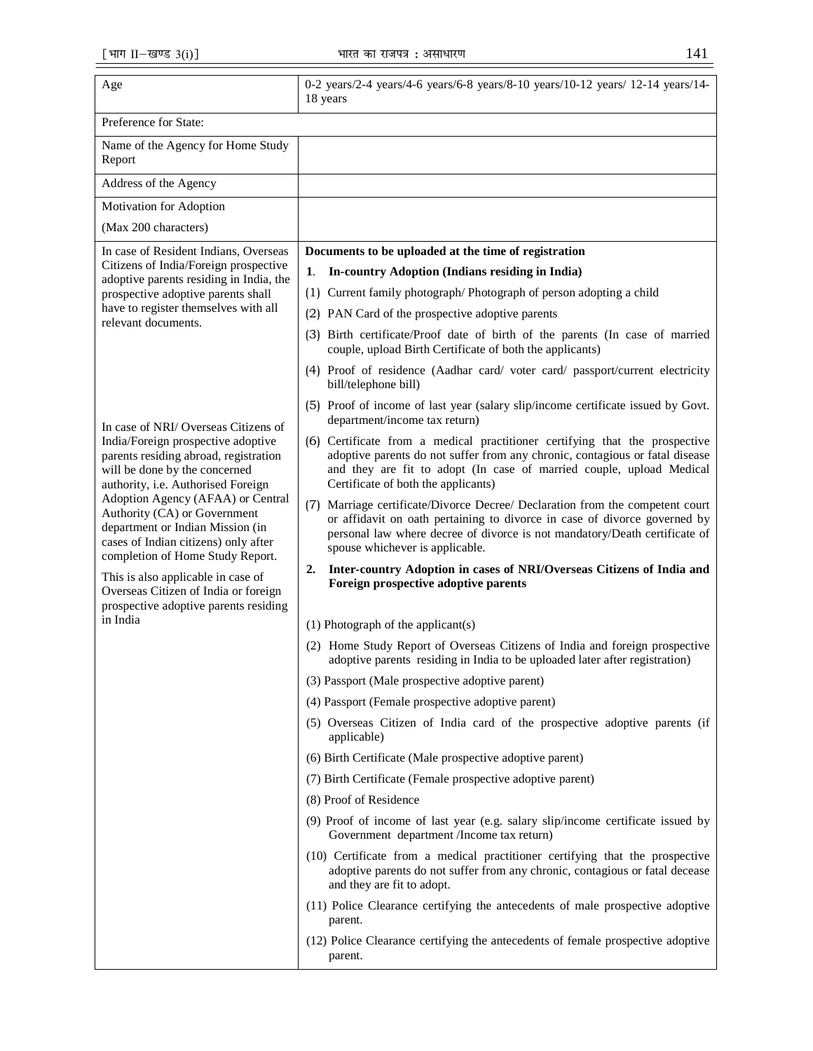| Age                                                                                                                                                                               | 0-2 years/2-4 years/4-6 years/6-8 years/8-10 years/10-12 years/ 12-14 years/14-<br>18 years                                                                                                                                                                                    |
|-----------------------------------------------------------------------------------------------------------------------------------------------------------------------------------|--------------------------------------------------------------------------------------------------------------------------------------------------------------------------------------------------------------------------------------------------------------------------------|
| Preference for State:                                                                                                                                                             |                                                                                                                                                                                                                                                                                |
| Name of the Agency for Home Study<br>Report                                                                                                                                       |                                                                                                                                                                                                                                                                                |
| Address of the Agency                                                                                                                                                             |                                                                                                                                                                                                                                                                                |
| Motivation for Adoption                                                                                                                                                           |                                                                                                                                                                                                                                                                                |
| (Max 200 characters)                                                                                                                                                              |                                                                                                                                                                                                                                                                                |
| In case of Resident Indians, Overseas                                                                                                                                             | Documents to be uploaded at the time of registration                                                                                                                                                                                                                           |
| Citizens of India/Foreign prospective<br>adoptive parents residing in India, the                                                                                                  | In-country Adoption (Indians residing in India)<br>1.                                                                                                                                                                                                                          |
| prospective adoptive parents shall                                                                                                                                                | (1) Current family photograph/Photograph of person adopting a child                                                                                                                                                                                                            |
| have to register themselves with all<br>relevant documents.                                                                                                                       | (2) PAN Card of the prospective adoptive parents                                                                                                                                                                                                                               |
|                                                                                                                                                                                   | (3) Birth certificate/Proof date of birth of the parents (In case of married<br>couple, upload Birth Certificate of both the applicants)                                                                                                                                       |
|                                                                                                                                                                                   | (4) Proof of residence (Aadhar card/ voter card/ passport/current electricity<br>bill/telephone bill)                                                                                                                                                                          |
| In case of NRI/ Overseas Citizens of                                                                                                                                              | (5) Proof of income of last year (salary slip/income certificate issued by Govt.<br>department/income tax return)                                                                                                                                                              |
| India/Foreign prospective adoptive<br>parents residing abroad, registration<br>will be done by the concerned<br>authority, i.e. Authorised Foreign                                | (6) Certificate from a medical practitioner certifying that the prospective<br>adoptive parents do not suffer from any chronic, contagious or fatal disease<br>and they are fit to adopt (In case of married couple, upload Medical<br>Certificate of both the applicants)     |
| Adoption Agency (AFAA) or Central<br>Authority (CA) or Government<br>department or Indian Mission (in<br>cases of Indian citizens) only after<br>completion of Home Study Report. | Marriage certificate/Divorce Decree/ Declaration from the competent court<br>(7)<br>or affidavit on oath pertaining to divorce in case of divorce governed by<br>personal law where decree of divorce is not mandatory/Death certificate of<br>spouse whichever is applicable. |
| This is also applicable in case of<br>Overseas Citizen of India or foreign                                                                                                        | Inter-country Adoption in cases of NRI/Overseas Citizens of India and<br>2.<br>Foreign prospective adoptive parents                                                                                                                                                            |
| prospective adoptive parents residing<br>in India                                                                                                                                 | (1) Photograph of the applicant(s)                                                                                                                                                                                                                                             |
|                                                                                                                                                                                   | (2) Home Study Report of Overseas Citizens of India and foreign prospective                                                                                                                                                                                                    |
|                                                                                                                                                                                   | adoptive parents residing in India to be uploaded later after registration)                                                                                                                                                                                                    |
|                                                                                                                                                                                   | (3) Passport (Male prospective adoptive parent)                                                                                                                                                                                                                                |
|                                                                                                                                                                                   | (4) Passport (Female prospective adoptive parent)                                                                                                                                                                                                                              |
|                                                                                                                                                                                   | (5) Overseas Citizen of India card of the prospective adoptive parents (if<br>applicable)                                                                                                                                                                                      |
|                                                                                                                                                                                   | (6) Birth Certificate (Male prospective adoptive parent)                                                                                                                                                                                                                       |
|                                                                                                                                                                                   | (7) Birth Certificate (Female prospective adoptive parent)                                                                                                                                                                                                                     |
|                                                                                                                                                                                   | (8) Proof of Residence                                                                                                                                                                                                                                                         |
|                                                                                                                                                                                   | (9) Proof of income of last year (e.g. salary slip/income certificate issued by<br>Government department /Income tax return)                                                                                                                                                   |
|                                                                                                                                                                                   | (10) Certificate from a medical practitioner certifying that the prospective<br>adoptive parents do not suffer from any chronic, contagious or fatal decease<br>and they are fit to adopt.                                                                                     |
|                                                                                                                                                                                   | (11) Police Clearance certifying the antecedents of male prospective adoptive<br>parent.                                                                                                                                                                                       |
|                                                                                                                                                                                   | (12) Police Clearance certifying the antecedents of female prospective adoptive<br>parent.                                                                                                                                                                                     |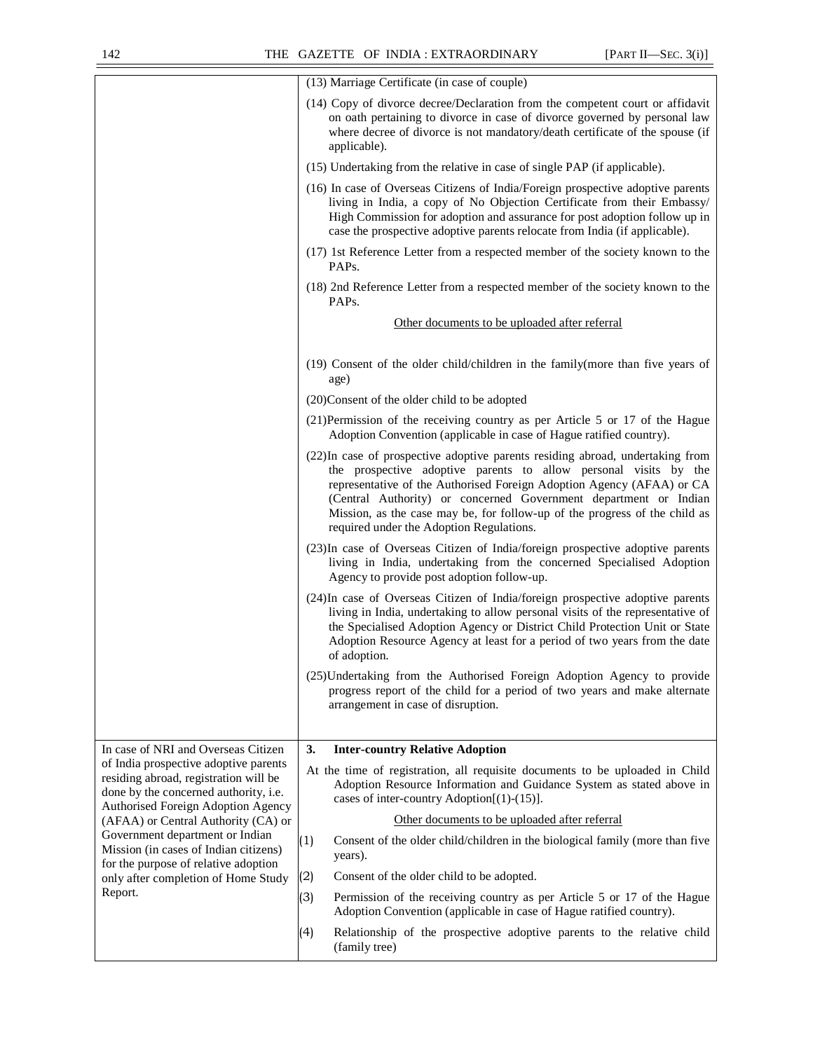|                                                                                                                                                               | (13) Marriage Certificate (in case of couple)                                                                                                                                                                                                                                                                                                                                                                             |  |  |  |  |
|---------------------------------------------------------------------------------------------------------------------------------------------------------------|---------------------------------------------------------------------------------------------------------------------------------------------------------------------------------------------------------------------------------------------------------------------------------------------------------------------------------------------------------------------------------------------------------------------------|--|--|--|--|
|                                                                                                                                                               | (14) Copy of divorce decree/Declaration from the competent court or affidavit<br>on oath pertaining to divorce in case of divorce governed by personal law<br>where decree of divorce is not mandatory/death certificate of the spouse (if<br>applicable).                                                                                                                                                                |  |  |  |  |
|                                                                                                                                                               | (15) Undertaking from the relative in case of single PAP (if applicable).                                                                                                                                                                                                                                                                                                                                                 |  |  |  |  |
|                                                                                                                                                               | (16) In case of Overseas Citizens of India/Foreign prospective adoptive parents<br>living in India, a copy of No Objection Certificate from their Embassy/<br>High Commission for adoption and assurance for post adoption follow up in<br>case the prospective adoptive parents relocate from India (if applicable).                                                                                                     |  |  |  |  |
|                                                                                                                                                               | (17) 1st Reference Letter from a respected member of the society known to the<br>PAP <sub>s</sub> .                                                                                                                                                                                                                                                                                                                       |  |  |  |  |
|                                                                                                                                                               | (18) 2nd Reference Letter from a respected member of the society known to the<br>PAP <sub>s</sub> .                                                                                                                                                                                                                                                                                                                       |  |  |  |  |
|                                                                                                                                                               | Other documents to be uploaded after referral                                                                                                                                                                                                                                                                                                                                                                             |  |  |  |  |
|                                                                                                                                                               | (19) Consent of the older child/children in the family (more than five years of<br>age)                                                                                                                                                                                                                                                                                                                                   |  |  |  |  |
|                                                                                                                                                               | (20)Consent of the older child to be adopted                                                                                                                                                                                                                                                                                                                                                                              |  |  |  |  |
|                                                                                                                                                               | $(21)$ Permission of the receiving country as per Article 5 or 17 of the Hague<br>Adoption Convention (applicable in case of Hague ratified country).                                                                                                                                                                                                                                                                     |  |  |  |  |
|                                                                                                                                                               | (22) In case of prospective adoptive parents residing abroad, undertaking from<br>the prospective adoptive parents to allow personal visits by the<br>representative of the Authorised Foreign Adoption Agency (AFAA) or CA<br>(Central Authority) or concerned Government department or Indian<br>Mission, as the case may be, for follow-up of the progress of the child as<br>required under the Adoption Regulations. |  |  |  |  |
|                                                                                                                                                               | (23) In case of Overseas Citizen of India/foreign prospective adoptive parents<br>living in India, undertaking from the concerned Specialised Adoption<br>Agency to provide post adoption follow-up.                                                                                                                                                                                                                      |  |  |  |  |
|                                                                                                                                                               | (24) In case of Overseas Citizen of India/foreign prospective adoptive parents<br>living in India, undertaking to allow personal visits of the representative of<br>the Specialised Adoption Agency or District Child Protection Unit or State<br>Adoption Resource Agency at least for a period of two years from the date<br>of adoption.                                                                               |  |  |  |  |
|                                                                                                                                                               | (25) Undertaking from the Authorised Foreign Adoption Agency to provide<br>progress report of the child for a period of two years and make alternate<br>arrangement in case of disruption.                                                                                                                                                                                                                                |  |  |  |  |
| In case of NRI and Overseas Citizen                                                                                                                           | 3.<br><b>Inter-country Relative Adoption</b>                                                                                                                                                                                                                                                                                                                                                                              |  |  |  |  |
| of India prospective adoptive parents<br>residing abroad, registration will be<br>done by the concerned authority, i.e.<br>Authorised Foreign Adoption Agency | At the time of registration, all requisite documents to be uploaded in Child<br>Adoption Resource Information and Guidance System as stated above in<br>cases of inter-country Adoption $[(1)-(15)].$                                                                                                                                                                                                                     |  |  |  |  |
| (AFAA) or Central Authority (CA) or                                                                                                                           | Other documents to be uploaded after referral                                                                                                                                                                                                                                                                                                                                                                             |  |  |  |  |
| Government department or Indian<br>Mission (in cases of Indian citizens)<br>for the purpose of relative adoption                                              | (1)<br>Consent of the older child/children in the biological family (more than five<br>years).                                                                                                                                                                                                                                                                                                                            |  |  |  |  |
| only after completion of Home Study                                                                                                                           | (2)<br>Consent of the older child to be adopted.                                                                                                                                                                                                                                                                                                                                                                          |  |  |  |  |
| Report.                                                                                                                                                       | (3)<br>Permission of the receiving country as per Article 5 or 17 of the Hague<br>Adoption Convention (applicable in case of Hague ratified country).                                                                                                                                                                                                                                                                     |  |  |  |  |
|                                                                                                                                                               | (4)<br>Relationship of the prospective adoptive parents to the relative child<br>(family tree)                                                                                                                                                                                                                                                                                                                            |  |  |  |  |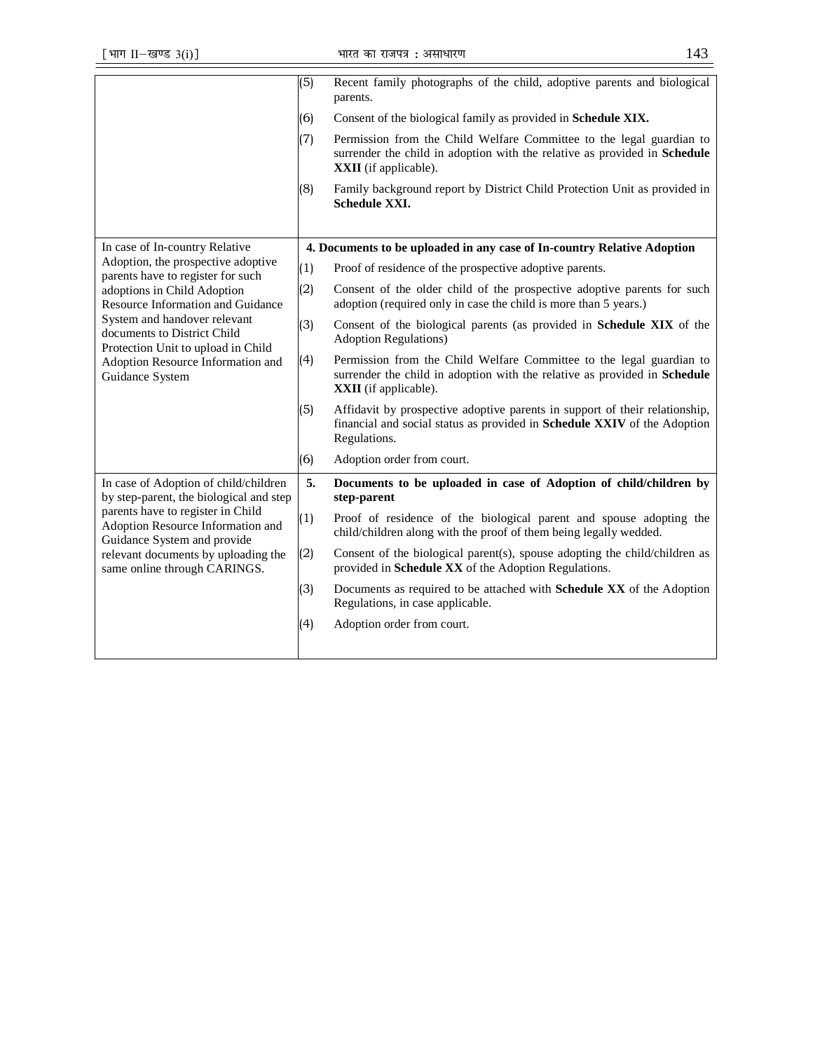|                                                                                                                                                                                                                                                                                                                 | (5) | Recent family photographs of the child, adoptive parents and biological<br>parents.                                                                                               |
|-----------------------------------------------------------------------------------------------------------------------------------------------------------------------------------------------------------------------------------------------------------------------------------------------------------------|-----|-----------------------------------------------------------------------------------------------------------------------------------------------------------------------------------|
|                                                                                                                                                                                                                                                                                                                 | (6) | Consent of the biological family as provided in Schedule XIX.                                                                                                                     |
|                                                                                                                                                                                                                                                                                                                 | (7) | Permission from the Child Welfare Committee to the legal guardian to<br>surrender the child in adoption with the relative as provided in Schedule<br><b>XXII</b> (if applicable). |
|                                                                                                                                                                                                                                                                                                                 | (8) | Family background report by District Child Protection Unit as provided in<br><b>Schedule XXI.</b>                                                                                 |
| In case of In-country Relative                                                                                                                                                                                                                                                                                  |     | 4. Documents to be uploaded in any case of In-country Relative Adoption                                                                                                           |
| Adoption, the prospective adoptive<br>parents have to register for such<br>adoptions in Child Adoption<br><b>Resource Information and Guidance</b><br>System and handover relevant<br>documents to District Child<br>Protection Unit to upload in Child<br>Adoption Resource Information and<br>Guidance System | (1) | Proof of residence of the prospective adoptive parents.                                                                                                                           |
|                                                                                                                                                                                                                                                                                                                 | (2) | Consent of the older child of the prospective adoptive parents for such<br>adoption (required only in case the child is more than 5 years.)                                       |
|                                                                                                                                                                                                                                                                                                                 | (3) | Consent of the biological parents (as provided in Schedule XIX of the<br><b>Adoption Regulations)</b>                                                                             |
|                                                                                                                                                                                                                                                                                                                 | (4) | Permission from the Child Welfare Committee to the legal guardian to<br>surrender the child in adoption with the relative as provided in Schedule<br><b>XXII</b> (if applicable). |
|                                                                                                                                                                                                                                                                                                                 | (5) | Affidavit by prospective adoptive parents in support of their relationship,<br>financial and social status as provided in Schedule XXIV of the Adoption<br>Regulations.           |
|                                                                                                                                                                                                                                                                                                                 | (6) | Adoption order from court.                                                                                                                                                        |
| In case of Adoption of child/children<br>by step-parent, the biological and step                                                                                                                                                                                                                                | 5.  | Documents to be uploaded in case of Adoption of child/children by<br>step-parent                                                                                                  |
| parents have to register in Child<br>Adoption Resource Information and<br>Guidance System and provide                                                                                                                                                                                                           | (1) | Proof of residence of the biological parent and spouse adopting the<br>child/children along with the proof of them being legally wedded.                                          |
| relevant documents by uploading the<br>same online through CARINGS.                                                                                                                                                                                                                                             | (2) | Consent of the biological parent(s), spouse adopting the child/children as<br>provided in Schedule XX of the Adoption Regulations.                                                |
|                                                                                                                                                                                                                                                                                                                 | (3) | Documents as required to be attached with Schedule XX of the Adoption<br>Regulations, in case applicable.                                                                         |
|                                                                                                                                                                                                                                                                                                                 | (4) | Adoption order from court.                                                                                                                                                        |
|                                                                                                                                                                                                                                                                                                                 |     |                                                                                                                                                                                   |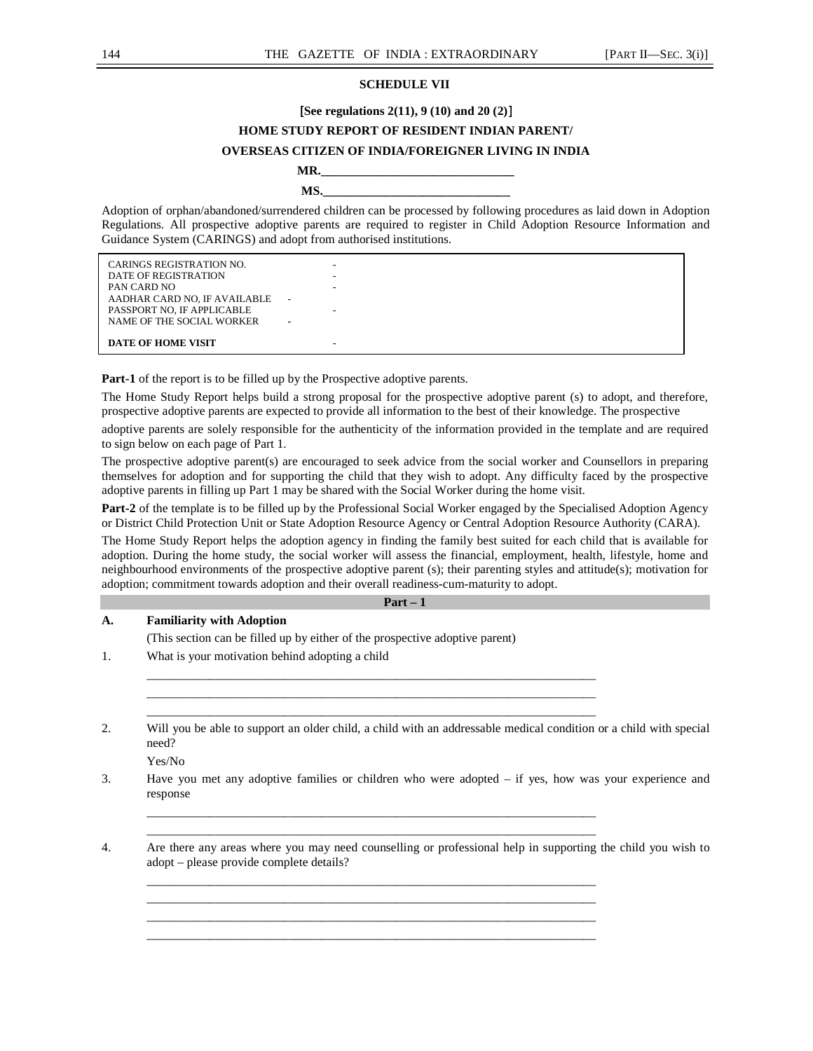#### **SCHEDULE VII**

#### [**See regulations 2(11), 9 (10) and 20 (2)**]

**HOME STUDY REPORT OF RESIDENT INDIAN PARENT/** 

#### **OVERSEAS CITIZEN OF INDIA/FOREIGNER LIVING IN INDIA**

#### **MR.**

**MS.** 

Adoption of orphan/abandoned/surrendered children can be processed by following procedures as laid down in Adoption Regulations. All prospective adoptive parents are required to register in Child Adoption Resource Information and Guidance System (CARINGS) and adopt from authorised institutions.

| CARINGS REGISTRATION NO.     |                          |  |
|------------------------------|--------------------------|--|
| DATE OF REGISTRATION         |                          |  |
| PAN CARD NO                  |                          |  |
| AADHAR CARD NO. IF AVAILABLE | $\overline{\phantom{a}}$ |  |
| PASSPORT NO. IF APPLICABLE   |                          |  |
| NAME OF THE SOCIAL WORKER    |                          |  |
| DATE OF HOME VISIT           | -                        |  |

Part-1 of the report is to be filled up by the Prospective adoptive parents.

The Home Study Report helps build a strong proposal for the prospective adoptive parent (s) to adopt, and therefore, prospective adoptive parents are expected to provide all information to the best of their knowledge. The prospective

adoptive parents are solely responsible for the authenticity of the information provided in the template and are required to sign below on each page of Part 1.

The prospective adoptive parent(s) are encouraged to seek advice from the social worker and Counsellors in preparing themselves for adoption and for supporting the child that they wish to adopt. Any difficulty faced by the prospective adoptive parents in filling up Part 1 may be shared with the Social Worker during the home visit.

**Part-2** of the template is to be filled up by the Professional Social Worker engaged by the Specialised Adoption Agency or District Child Protection Unit or State Adoption Resource Agency or Central Adoption Resource Authority (CARA).

The Home Study Report helps the adoption agency in finding the family best suited for each child that is available for adoption. During the home study, the social worker will assess the financial, employment, health, lifestyle, home and neighbourhood environments of the prospective adoptive parent (s); their parenting styles and attitude(s); motivation for adoption; commitment towards adoption and their overall readiness-cum-maturity to adopt.

#### **Part – 1**

#### **A. Familiarity with Adoption**

(This section can be filled up by either of the prospective adoptive parent)

\_\_\_\_\_\_\_\_\_\_\_\_\_\_\_\_\_\_\_\_\_\_\_\_\_\_\_\_\_\_\_\_\_\_\_\_\_\_\_\_\_\_\_\_\_\_\_\_\_\_\_\_\_\_\_\_\_\_\_\_\_\_\_\_\_\_\_\_\_\_\_\_ \_\_\_\_\_\_\_\_\_\_\_\_\_\_\_\_\_\_\_\_\_\_\_\_\_\_\_\_\_\_\_\_\_\_\_\_\_\_\_\_\_\_\_\_\_\_\_\_\_\_\_\_\_\_\_\_\_\_\_\_\_\_\_\_\_\_\_\_\_\_\_\_ \_\_\_\_\_\_\_\_\_\_\_\_\_\_\_\_\_\_\_\_\_\_\_\_\_\_\_\_\_\_\_\_\_\_\_\_\_\_\_\_\_\_\_\_\_\_\_\_\_\_\_\_\_\_\_\_\_\_\_\_\_\_\_\_\_\_\_\_\_\_\_\_

\_\_\_\_\_\_\_\_\_\_\_\_\_\_\_\_\_\_\_\_\_\_\_\_\_\_\_\_\_\_\_\_\_\_\_\_\_\_\_\_\_\_\_\_\_\_\_\_\_\_\_\_\_\_\_\_\_\_\_\_\_\_\_\_\_\_\_\_\_\_\_\_ \_\_\_\_\_\_\_\_\_\_\_\_\_\_\_\_\_\_\_\_\_\_\_\_\_\_\_\_\_\_\_\_\_\_\_\_\_\_\_\_\_\_\_\_\_\_\_\_\_\_\_\_\_\_\_\_\_\_\_\_\_\_\_\_\_\_\_\_\_\_\_\_

\_\_\_\_\_\_\_\_\_\_\_\_\_\_\_\_\_\_\_\_\_\_\_\_\_\_\_\_\_\_\_\_\_\_\_\_\_\_\_\_\_\_\_\_\_\_\_\_\_\_\_\_\_\_\_\_\_\_\_\_\_\_\_\_\_\_\_\_\_\_\_\_ \_\_\_\_\_\_\_\_\_\_\_\_\_\_\_\_\_\_\_\_\_\_\_\_\_\_\_\_\_\_\_\_\_\_\_\_\_\_\_\_\_\_\_\_\_\_\_\_\_\_\_\_\_\_\_\_\_\_\_\_\_\_\_\_\_\_\_\_\_\_\_\_ \_\_\_\_\_\_\_\_\_\_\_\_\_\_\_\_\_\_\_\_\_\_\_\_\_\_\_\_\_\_\_\_\_\_\_\_\_\_\_\_\_\_\_\_\_\_\_\_\_\_\_\_\_\_\_\_\_\_\_\_\_\_\_\_\_\_\_\_\_\_\_\_ \_\_\_\_\_\_\_\_\_\_\_\_\_\_\_\_\_\_\_\_\_\_\_\_\_\_\_\_\_\_\_\_\_\_\_\_\_\_\_\_\_\_\_\_\_\_\_\_\_\_\_\_\_\_\_\_\_\_\_\_\_\_\_\_\_\_\_\_\_\_\_\_

- 1. What is your motivation behind adopting a child
- 2. Will you be able to support an older child, a child with an addressable medical condition or a child with special need?

Yes/No

- 3. Have you met any adoptive families or children who were adopted if yes, how was your experience and response
- 4. Are there any areas where you may need counselling or professional help in supporting the child you wish to adopt – please provide complete details?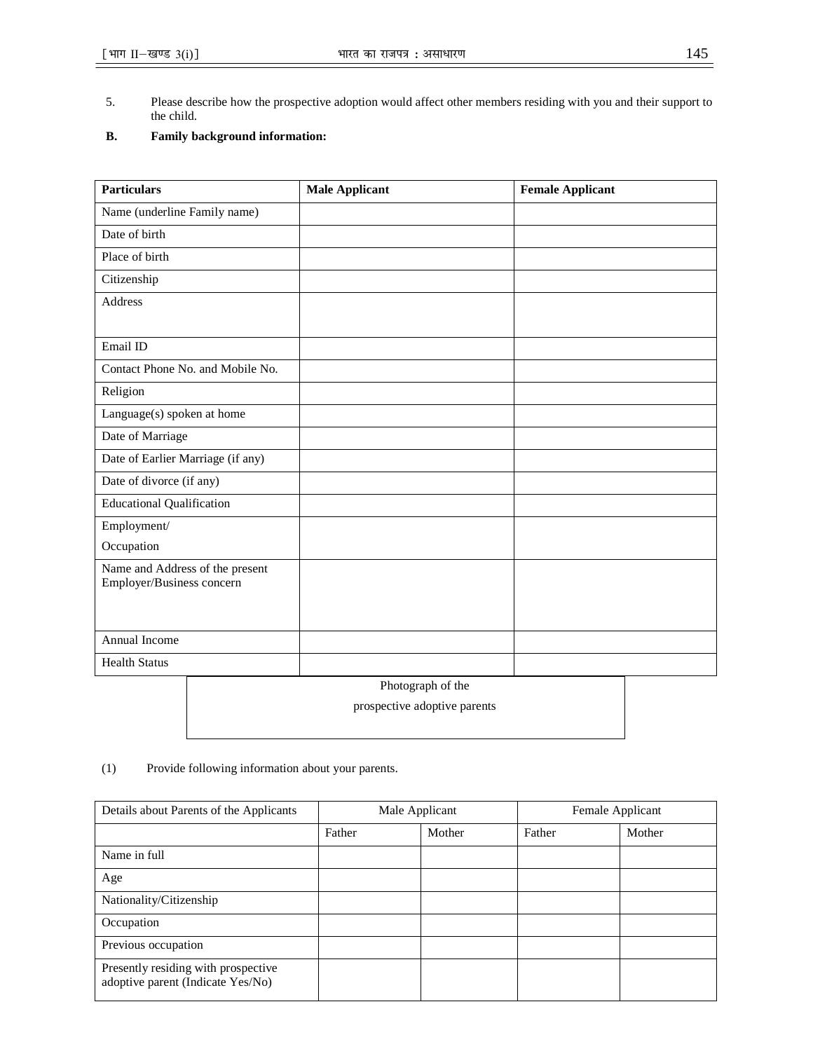5. Please describe how the prospective adoption would affect other members residing with you and their support to the child.

#### **B. Family background information:**

| <b>Particulars</b>                |                                  | <b>Male Applicant</b>        | <b>Female Applicant</b> |
|-----------------------------------|----------------------------------|------------------------------|-------------------------|
| Name (underline Family name)      |                                  |                              |                         |
| Date of birth                     |                                  |                              |                         |
| Place of birth                    |                                  |                              |                         |
| Citizenship                       |                                  |                              |                         |
| Address                           |                                  |                              |                         |
|                                   |                                  |                              |                         |
| Email ID                          |                                  |                              |                         |
|                                   | Contact Phone No. and Mobile No. |                              |                         |
| Religion                          |                                  |                              |                         |
| Language(s) spoken at home        |                                  |                              |                         |
| Date of Marriage                  |                                  |                              |                         |
| Date of Earlier Marriage (if any) |                                  |                              |                         |
| Date of divorce (if any)          |                                  |                              |                         |
| <b>Educational Qualification</b>  |                                  |                              |                         |
| Employment/                       |                                  |                              |                         |
| Occupation                        |                                  |                              |                         |
| Name and Address of the present   |                                  |                              |                         |
| Employer/Business concern         |                                  |                              |                         |
|                                   |                                  |                              |                         |
| Annual Income                     |                                  |                              |                         |
| <b>Health Status</b>              |                                  |                              |                         |
|                                   |                                  | Photograph of the            |                         |
|                                   |                                  | prospective adoptive parents |                         |
|                                   |                                  |                              |                         |

## (1) Provide following information about your parents.

| Details about Parents of the Applicants                                  | Male Applicant |        | Female Applicant |        |
|--------------------------------------------------------------------------|----------------|--------|------------------|--------|
|                                                                          | Father         | Mother | Father           | Mother |
| Name in full                                                             |                |        |                  |        |
| Age                                                                      |                |        |                  |        |
| Nationality/Citizenship                                                  |                |        |                  |        |
| Occupation                                                               |                |        |                  |        |
| Previous occupation                                                      |                |        |                  |        |
| Presently residing with prospective<br>adoptive parent (Indicate Yes/No) |                |        |                  |        |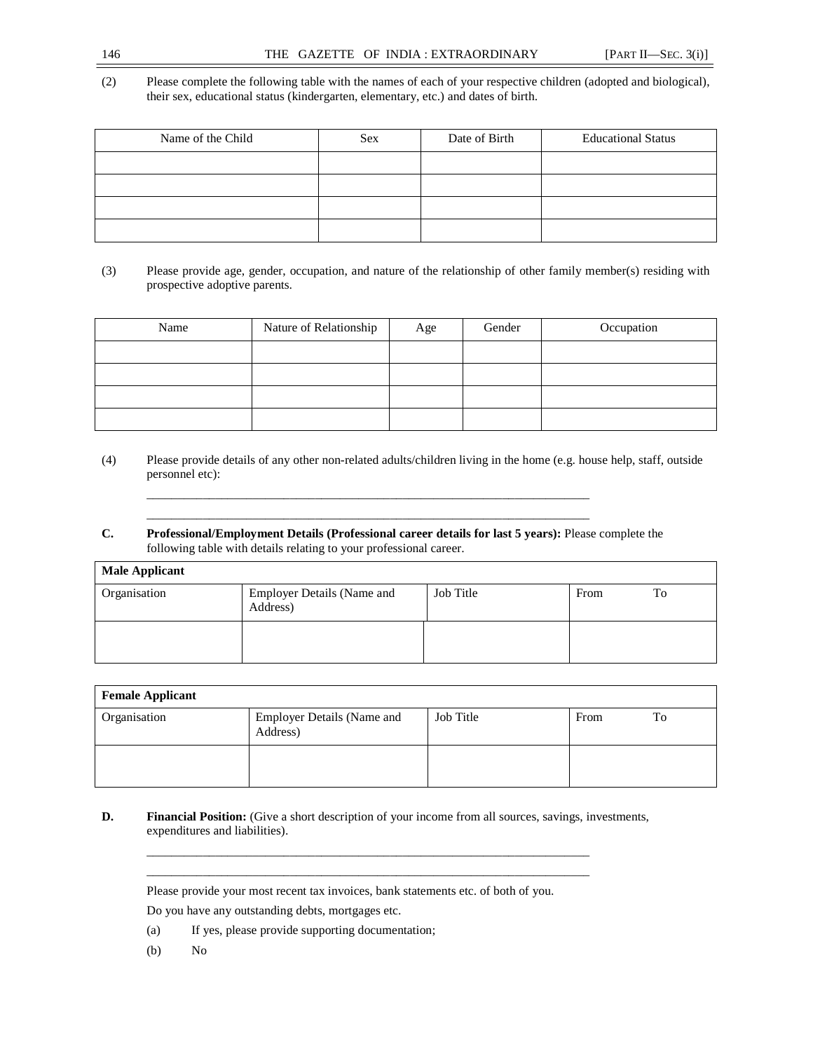## (2) Please complete the following table with the names of each of your respective children (adopted and biological), their sex, educational status (kindergarten, elementary, etc.) and dates of birth.

| Name of the Child | Sex | Date of Birth | <b>Educational Status</b> |
|-------------------|-----|---------------|---------------------------|
|                   |     |               |                           |
|                   |     |               |                           |
|                   |     |               |                           |
|                   |     |               |                           |

(3) Please provide age, gender, occupation, and nature of the relationship of other family member(s) residing with prospective adoptive parents.

| Name | Nature of Relationship | Age | Gender | Occupation |
|------|------------------------|-----|--------|------------|
|      |                        |     |        |            |
|      |                        |     |        |            |
|      |                        |     |        |            |
|      |                        |     |        |            |

- (4) Please provide details of any other non-related adults/children living in the home (e.g. house help, staff, outside personnel etc):
- **C. Professional/Employment Details (Professional career details for last 5 years):** Please complete the following table with details relating to your professional career.

\_\_\_\_\_\_\_\_\_\_\_\_\_\_\_\_\_\_\_\_\_\_\_\_\_\_\_\_\_\_\_\_\_\_\_\_\_\_\_\_\_\_\_\_\_\_\_\_\_\_\_\_\_\_\_\_\_\_\_\_\_\_\_\_\_\_\_\_\_\_\_ \_\_\_\_\_\_\_\_\_\_\_\_\_\_\_\_\_\_\_\_\_\_\_\_\_\_\_\_\_\_\_\_\_\_\_\_\_\_\_\_\_\_\_\_\_\_\_\_\_\_\_\_\_\_\_\_\_\_\_\_\_\_\_\_\_\_\_\_\_\_\_

| <b>Male Applicant</b> |                                               |           |      |    |
|-----------------------|-----------------------------------------------|-----------|------|----|
| Organisation          | <b>Employer Details (Name and</b><br>Address) | Job Title | From | To |
|                       |                                               |           |      |    |

| <b>Female Applicant</b> |                                               |           |            |
|-------------------------|-----------------------------------------------|-----------|------------|
| Organisation            | <b>Employer Details (Name and</b><br>Address) | Job Title | From<br>To |
|                         |                                               |           |            |

**D.** Financial Position: (Give a short description of your income from all sources, savings, investments, expenditures and liabilities).

\_\_\_\_\_\_\_\_\_\_\_\_\_\_\_\_\_\_\_\_\_\_\_\_\_\_\_\_\_\_\_\_\_\_\_\_\_\_\_\_\_\_\_\_\_\_\_\_\_\_\_\_\_\_\_\_\_\_\_\_\_\_\_\_\_\_\_\_\_\_\_ \_\_\_\_\_\_\_\_\_\_\_\_\_\_\_\_\_\_\_\_\_\_\_\_\_\_\_\_\_\_\_\_\_\_\_\_\_\_\_\_\_\_\_\_\_\_\_\_\_\_\_\_\_\_\_\_\_\_\_\_\_\_\_\_\_\_\_\_\_\_\_

Please provide your most recent tax invoices, bank statements etc. of both of you.

Do you have any outstanding debts, mortgages etc.

- (a) If yes, please provide supporting documentation;
- (b) No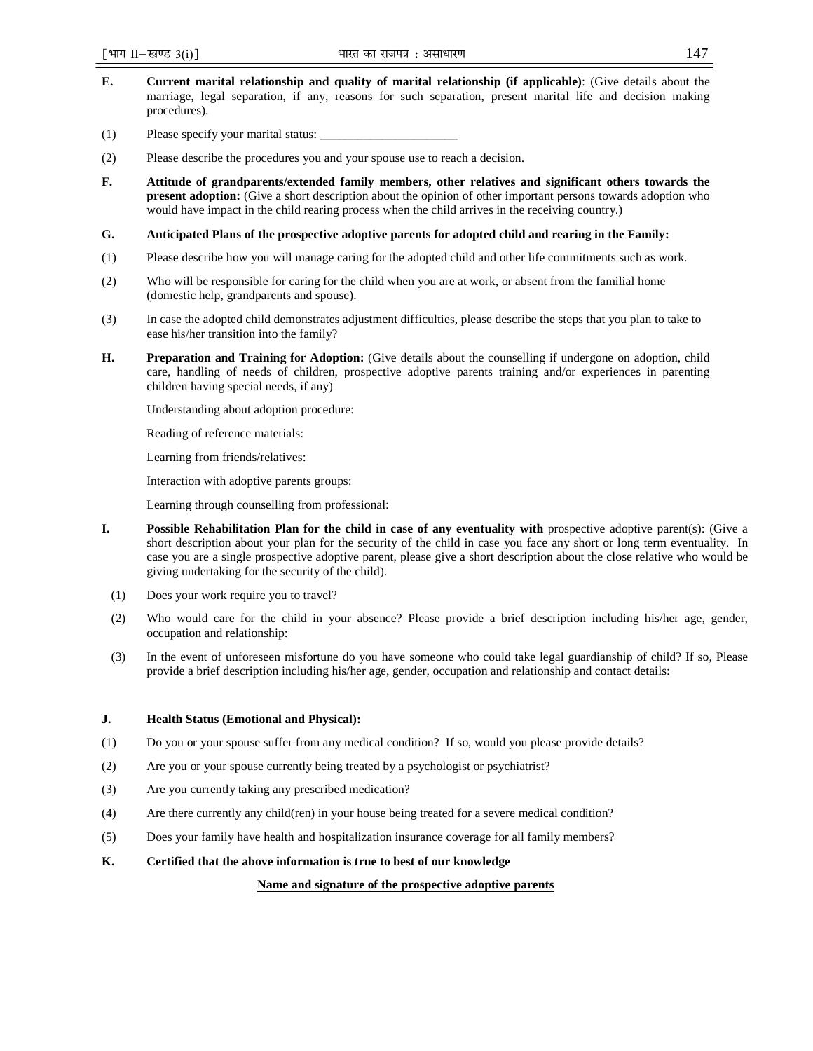- **E. Current marital relationship and quality of marital relationship (if applicable)**: (Give details about the marriage, legal separation, if any, reasons for such separation, present marital life and decision making procedures).
- (1) Please specify your marital status:  $\Box$
- (2) Please describe the procedures you and your spouse use to reach a decision.
- **F. Attitude of grandparents/extended family members, other relatives and significant others towards the present adoption:** (Give a short description about the opinion of other important persons towards adoption who would have impact in the child rearing process when the child arrives in the receiving country.)
- **G. Anticipated Plans of the prospective adoptive parents for adopted child and rearing in the Family:**
- (1) Please describe how you will manage caring for the adopted child and other life commitments such as work.
- (2) Who will be responsible for caring for the child when you are at work, or absent from the familial home (domestic help, grandparents and spouse).
- (3) In case the adopted child demonstrates adjustment difficulties, please describe the steps that you plan to take to ease his/her transition into the family?
- **H. Preparation and Training for Adoption:** (Give details about the counselling if undergone on adoption, child care, handling of needs of children, prospective adoptive parents training and/or experiences in parenting children having special needs, if any)

Understanding about adoption procedure:

Reading of reference materials:

Learning from friends/relatives:

Interaction with adoptive parents groups:

Learning through counselling from professional:

- **I.** Possible Rehabilitation Plan for the child in case of any eventuality with prospective adoptive parent(s): (Give a short description about your plan for the security of the child in case you face any short or long term eventuality. In case you are a single prospective adoptive parent, please give a short description about the close relative who would be giving undertaking for the security of the child).
	- (1) Does your work require you to travel?
	- (2) Who would care for the child in your absence? Please provide a brief description including his/her age, gender, occupation and relationship:
	- (3) In the event of unforeseen misfortune do you have someone who could take legal guardianship of child? If so, Please provide a brief description including his/her age, gender, occupation and relationship and contact details:

#### **J. Health Status (Emotional and Physical):**

- (1) Do you or your spouse suffer from any medical condition? If so, would you please provide details?
- (2) Are you or your spouse currently being treated by a psychologist or psychiatrist?
- (3) Are you currently taking any prescribed medication?
- (4) Are there currently any child(ren) in your house being treated for a severe medical condition?
- (5) Does your family have health and hospitalization insurance coverage for all family members?

## **K. Certified that the above information is true to best of our knowledge**

#### **Name and signature of the prospective adoptive parents**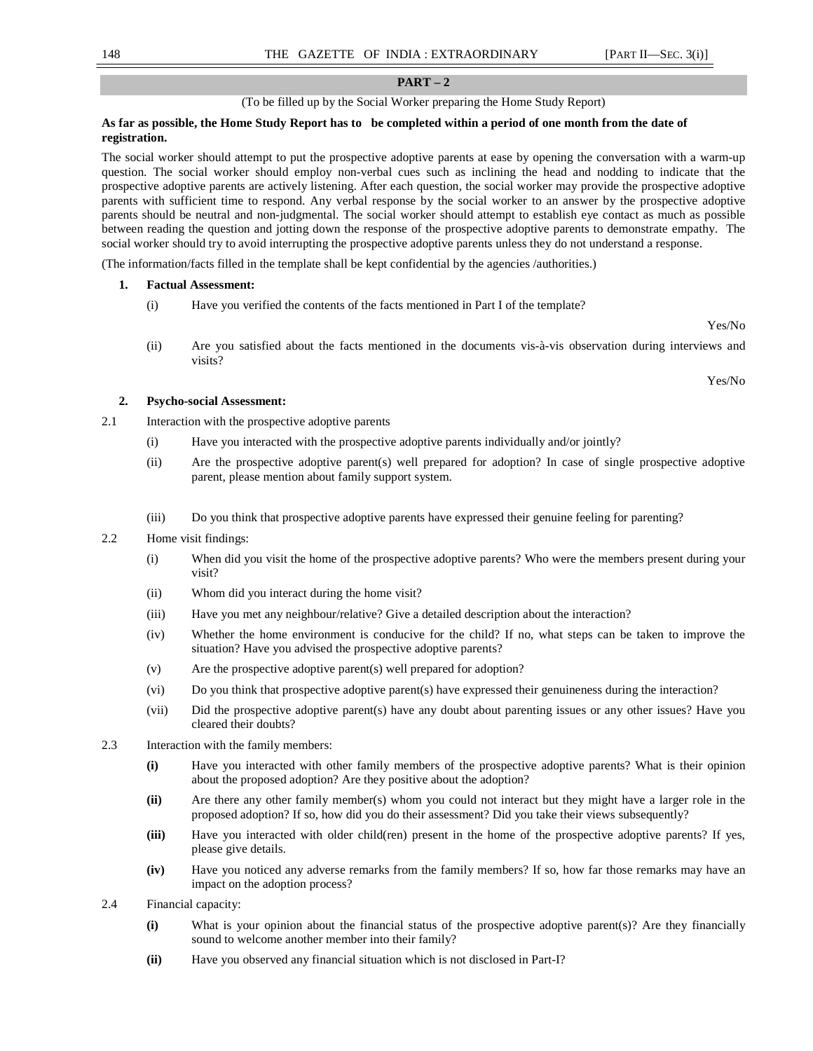#### **PART – 2**

(To be filled up by the Social Worker preparing the Home Study Report)

#### **As far as possible, the Home Study Report has to be completed within a period of one month from the date of registration.**

The social worker should attempt to put the prospective adoptive parents at ease by opening the conversation with a warm-up question. The social worker should employ non-verbal cues such as inclining the head and nodding to indicate that the prospective adoptive parents are actively listening. After each question, the social worker may provide the prospective adoptive parents with sufficient time to respond. Any verbal response by the social worker to an answer by the prospective adoptive parents should be neutral and non-judgmental. The social worker should attempt to establish eye contact as much as possible between reading the question and jotting down the response of the prospective adoptive parents to demonstrate empathy. The social worker should try to avoid interrupting the prospective adoptive parents unless they do not understand a response.

(The information/facts filled in the template shall be kept confidential by the agencies /authorities.)

## **1. Factual Assessment:**

(i) Have you verified the contents of the facts mentioned in Part I of the template?

Yes/No

(ii) Are you satisfied about the facts mentioned in the documents vis-à-vis observation during interviews and visits?

Yes/No

## **2. Psycho-social Assessment:**

- 2.1 Interaction with the prospective adoptive parents
	- (i) Have you interacted with the prospective adoptive parents individually and/or jointly?
	- (ii) Are the prospective adoptive parent(s) well prepared for adoption? In case of single prospective adoptive parent, please mention about family support system.
	- (iii) Do you think that prospective adoptive parents have expressed their genuine feeling for parenting?

#### 2.2 Home visit findings:

- (i) When did you visit the home of the prospective adoptive parents? Who were the members present during your visit?
- (ii) Whom did you interact during the home visit?
- (iii) Have you met any neighbour/relative? Give a detailed description about the interaction?
- (iv) Whether the home environment is conducive for the child? If no, what steps can be taken to improve the situation? Have you advised the prospective adoptive parents?
- (v) Are the prospective adoptive parent(s) well prepared for adoption?
- (vi) Do you think that prospective adoptive parent(s) have expressed their genuineness during the interaction?
- (vii) Did the prospective adoptive parent(s) have any doubt about parenting issues or any other issues? Have you cleared their doubts?
- 2.3 Interaction with the family members:
	- **(i)** Have you interacted with other family members of the prospective adoptive parents? What is their opinion about the proposed adoption? Are they positive about the adoption?
	- **(ii)** Are there any other family member(s) whom you could not interact but they might have a larger role in the proposed adoption? If so, how did you do their assessment? Did you take their views subsequently?
	- **(iii)** Have you interacted with older child(ren) present in the home of the prospective adoptive parents? If yes, please give details.
	- **(iv)** Have you noticed any adverse remarks from the family members? If so, how far those remarks may have an impact on the adoption process?
- 2.4 Financial capacity:
	- **(i)** What is your opinion about the financial status of the prospective adoptive parent(s)? Are they financially sound to welcome another member into their family?
	- **(ii)** Have you observed any financial situation which is not disclosed in Part-I?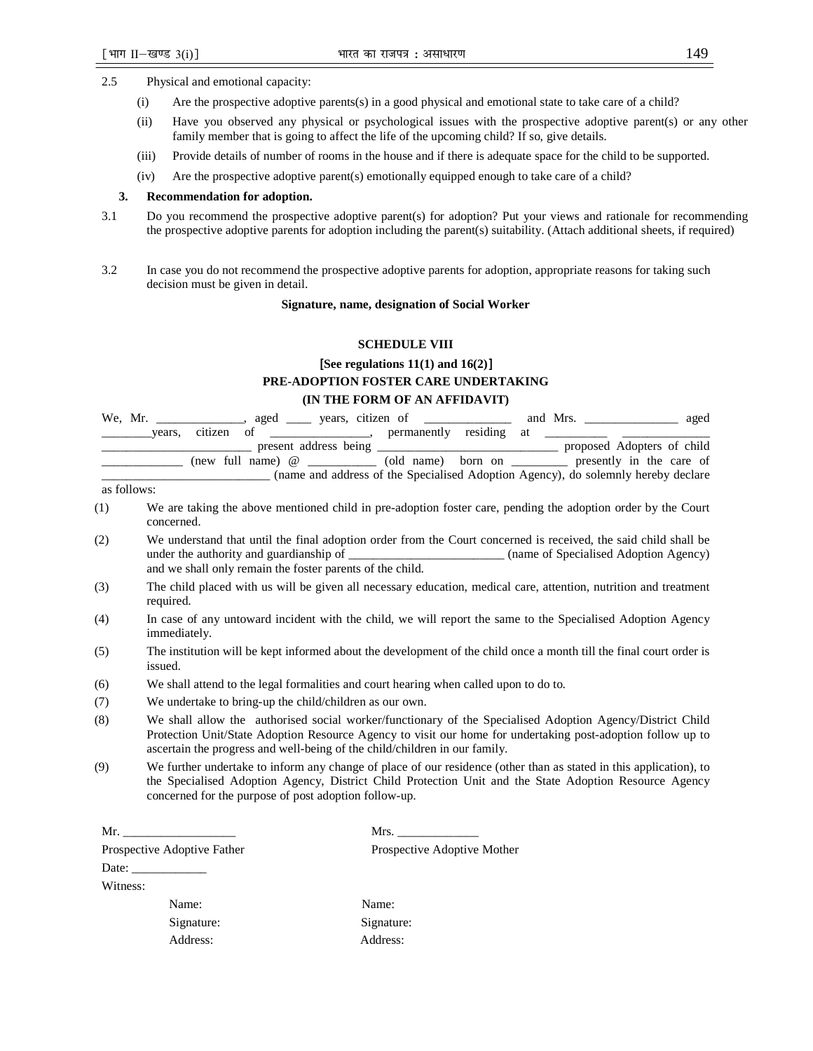- 2.5 Physical and emotional capacity:
	- (i) Are the prospective adoptive parents(s) in a good physical and emotional state to take care of a child?
	- (ii) Have you observed any physical or psychological issues with the prospective adoptive parent(s) or any other family member that is going to affect the life of the upcoming child? If so, give details.
	- (iii) Provide details of number of rooms in the house and if there is adequate space for the child to be supported.
	- (iv) Are the prospective adoptive parent(s) emotionally equipped enough to take care of a child?

#### **3. Recommendation for adoption.**

- 3.1 Do you recommend the prospective adoptive parent(s) for adoption? Put your views and rationale for recommending the prospective adoptive parents for adoption including the parent(s) suitability. (Attach additional sheets, if required)
- 3.2 In case you do not recommend the prospective adoptive parents for adoption, appropriate reasons for taking such decision must be given in detail.

#### **Signature, name, designation of Social Worker**

#### **SCHEDULE VIII**

[**See regulations 11(1) and 16(2)**]

## **PRE-ADOPTION FOSTER CARE UNDERTAKING**

#### **(IN THE FORM OF AN AFFIDAVIT)**

|             | We, Mr. _______________, aged _____ years, citizen of _______________ and Mrs. ________________ aged<br>citizen<br>years,                                                    |  |
|-------------|------------------------------------------------------------------------------------------------------------------------------------------------------------------------------|--|
|             | (new full name) @ _____________ (old name) born on ___________ presently in the care of<br>(name and address of the Specialised Adoption Agency), do solemnly hereby declare |  |
| as follows: |                                                                                                                                                                              |  |
| (1)         | We are taking the above mentioned child in pre-adoption foster care, pending the adoption order by the Court<br>concerned.                                                   |  |
| (2)         | We understand that until the final adoption order from the Court concerned is received, the said child shall be<br>and we shall only remain the foster parents of the child. |  |
| (3)         | The child placed with us will be given all necessary education, medical care, attention, nutrition and treatment<br>required.                                                |  |

- (4) In case of any untoward incident with the child, we will report the same to the Specialised Adoption Agency immediately.
- (5) The institution will be kept informed about the development of the child once a month till the final court order is issued.
- (6) We shall attend to the legal formalities and court hearing when called upon to do to.
- (7) We undertake to bring-up the child/children as our own.
- (8) We shall allow the authorised social worker/functionary of the Specialised Adoption Agency/District Child Protection Unit/State Adoption Resource Agency to visit our home for undertaking post-adoption follow up to ascertain the progress and well-being of the child/children in our family.
- (9) We further undertake to inform any change of place of our residence (other than as stated in this application), to the Specialised Adoption Agency, District Child Protection Unit and the State Adoption Resource Agency concerned for the purpose of post adoption follow-up.

|                             | Mrs.                        |  |  |  |  |
|-----------------------------|-----------------------------|--|--|--|--|
| Prospective Adoptive Father | Prospective Adoptive Mother |  |  |  |  |
| Date:                       |                             |  |  |  |  |
| Witness:                    |                             |  |  |  |  |
| Name:                       | Name:                       |  |  |  |  |
| Signature:                  | Signature:                  |  |  |  |  |
| Address:                    | Address:                    |  |  |  |  |
|                             |                             |  |  |  |  |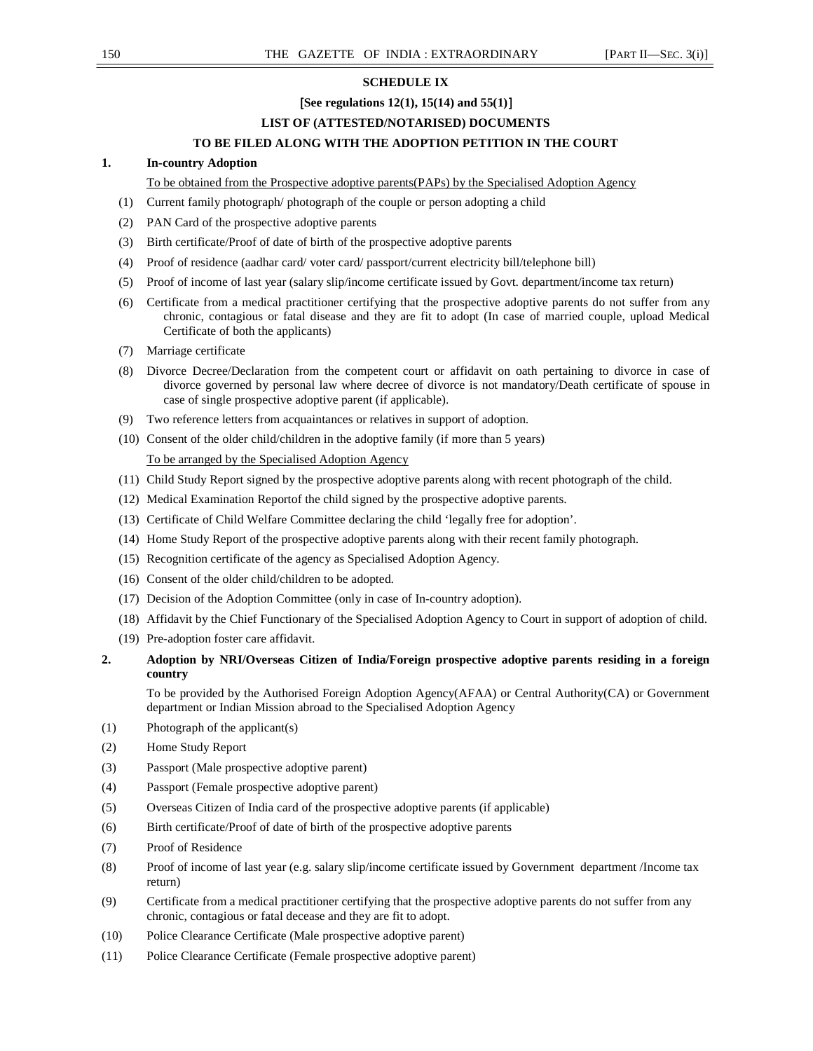## **SCHEDULE IX**

## [**See regulations 12(1), 15(14) and 55(1)**]

## **LIST OF (ATTESTED/NOTARISED) DOCUMENTS**

#### **TO BE FILED ALONG WITH THE ADOPTION PETITION IN THE COURT**

## **1. In-country Adoption**

To be obtained from the Prospective adoptive parents(PAPs) by the Specialised Adoption Agency

- (1) Current family photograph/ photograph of the couple or person adopting a child
- (2) PAN Card of the prospective adoptive parents
- (3) Birth certificate/Proof of date of birth of the prospective adoptive parents
- (4) Proof of residence (aadhar card/ voter card/ passport/current electricity bill/telephone bill)
- (5) Proof of income of last year (salary slip/income certificate issued by Govt. department/income tax return)
- (6) Certificate from a medical practitioner certifying that the prospective adoptive parents do not suffer from any chronic, contagious or fatal disease and they are fit to adopt (In case of married couple, upload Medical Certificate of both the applicants)
- (7) Marriage certificate
- (8) Divorce Decree/Declaration from the competent court or affidavit on oath pertaining to divorce in case of divorce governed by personal law where decree of divorce is not mandatory/Death certificate of spouse in case of single prospective adoptive parent (if applicable).
- (9) Two reference letters from acquaintances or relatives in support of adoption.
- (10) Consent of the older child/children in the adoptive family (if more than 5 years) To be arranged by the Specialised Adoption Agency
- (11) Child Study Report signed by the prospective adoptive parents along with recent photograph of the child.
- (12) Medical Examination Reportof the child signed by the prospective adoptive parents.
- (13) Certificate of Child Welfare Committee declaring the child 'legally free for adoption'.
- (14) Home Study Report of the prospective adoptive parents along with their recent family photograph.
- (15) Recognition certificate of the agency as Specialised Adoption Agency.
- (16) Consent of the older child/children to be adopted.
- (17) Decision of the Adoption Committee (only in case of In-country adoption).
- (18) Affidavit by the Chief Functionary of the Specialised Adoption Agency to Court in support of adoption of child.
- (19) Pre-adoption foster care affidavit.
- **2. Adoption by NRI/Overseas Citizen of India/Foreign prospective adoptive parents residing in a foreign country**

To be provided by the Authorised Foreign Adoption Agency(AFAA) or Central Authority(CA) or Government department or Indian Mission abroad to the Specialised Adoption Agency

- (1) Photograph of the applicant(s)
- (2) Home Study Report
- (3) Passport (Male prospective adoptive parent)
- (4) Passport (Female prospective adoptive parent)
- (5) Overseas Citizen of India card of the prospective adoptive parents (if applicable)
- (6) Birth certificate/Proof of date of birth of the prospective adoptive parents
- (7) Proof of Residence
- (8) Proof of income of last year (e.g. salary slip/income certificate issued by Government department /Income tax return)
- (9) Certificate from a medical practitioner certifying that the prospective adoptive parents do not suffer from any chronic, contagious or fatal decease and they are fit to adopt.
- (10) Police Clearance Certificate (Male prospective adoptive parent)
- (11) Police Clearance Certificate (Female prospective adoptive parent)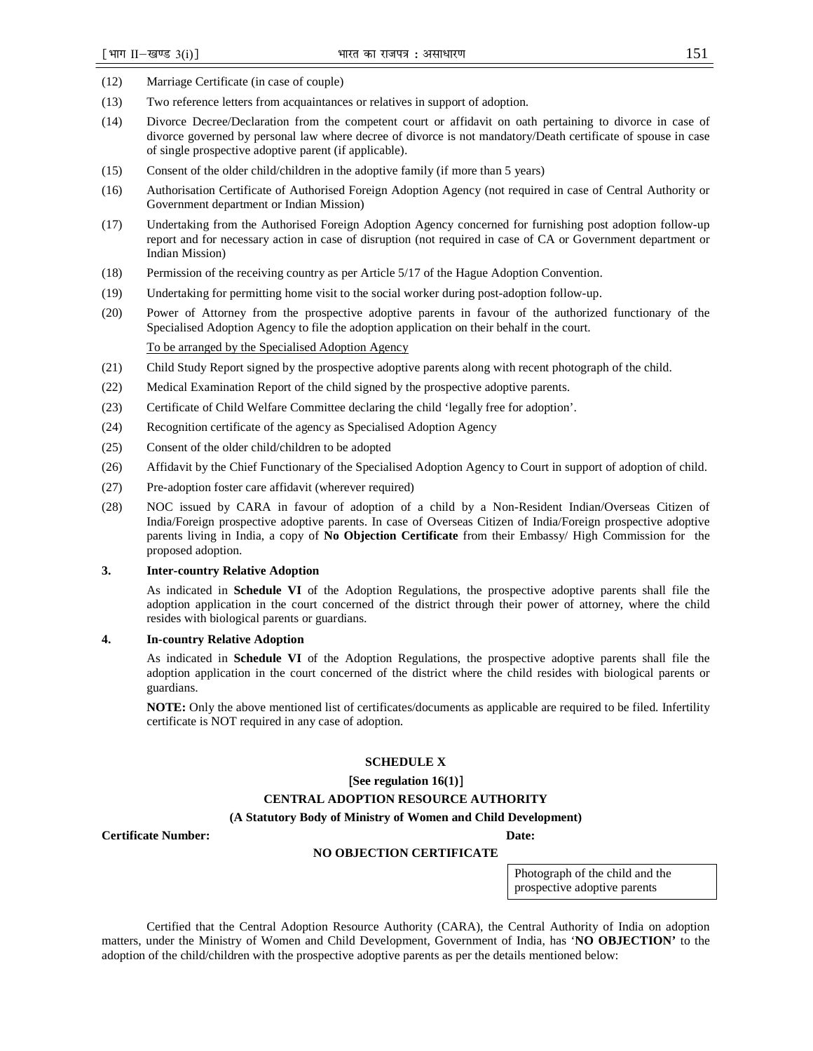- (12) Marriage Certificate (in case of couple)
- (13) Two reference letters from acquaintances or relatives in support of adoption.
- (14) Divorce Decree/Declaration from the competent court or affidavit on oath pertaining to divorce in case of divorce governed by personal law where decree of divorce is not mandatory/Death certificate of spouse in case of single prospective adoptive parent (if applicable).
- (15) Consent of the older child/children in the adoptive family (if more than 5 years)
- (16) Authorisation Certificate of Authorised Foreign Adoption Agency (not required in case of Central Authority or Government department or Indian Mission)
- (17) Undertaking from the Authorised Foreign Adoption Agency concerned for furnishing post adoption follow-up report and for necessary action in case of disruption (not required in case of CA or Government department or Indian Mission)
- (18) Permission of the receiving country as per Article 5/17 of the Hague Adoption Convention.
- (19) Undertaking for permitting home visit to the social worker during post-adoption follow-up.
- (20) Power of Attorney from the prospective adoptive parents in favour of the authorized functionary of the Specialised Adoption Agency to file the adoption application on their behalf in the court.

#### To be arranged by the Specialised Adoption Agency

- (21) Child Study Report signed by the prospective adoptive parents along with recent photograph of the child.
- (22) Medical Examination Report of the child signed by the prospective adoptive parents.
- (23) Certificate of Child Welfare Committee declaring the child 'legally free for adoption'.
- (24) Recognition certificate of the agency as Specialised Adoption Agency
- (25) Consent of the older child/children to be adopted
- (26) Affidavit by the Chief Functionary of the Specialised Adoption Agency to Court in support of adoption of child.
- (27) Pre-adoption foster care affidavit (wherever required)
- (28) NOC issued by CARA in favour of adoption of a child by a Non-Resident Indian/Overseas Citizen of India/Foreign prospective adoptive parents. In case of Overseas Citizen of India/Foreign prospective adoptive parents living in India, a copy of **No Objection Certificate** from their Embassy/ High Commission for the proposed adoption.

#### **3. Inter-country Relative Adoption**

As indicated in **Schedule VI** of the Adoption Regulations, the prospective adoptive parents shall file the adoption application in the court concerned of the district through their power of attorney, where the child resides with biological parents or guardians.

## **4. In-country Relative Adoption**

As indicated in **Schedule VI** of the Adoption Regulations, the prospective adoptive parents shall file the adoption application in the court concerned of the district where the child resides with biological parents or guardians.

**NOTE:** Only the above mentioned list of certificates/documents as applicable are required to be filed. Infertility certificate is NOT required in any case of adoption.

## **SCHEDULE X**

[**See regulation 16(1)**]

#### **CENTRAL ADOPTION RESOURCE AUTHORITY**

**(A Statutory Body of Ministry of Women and Child Development)** 

#### **Certificate Number: Date:**

## **NO OBJECTION CERTIFICATE**

Photograph of the child and the prospective adoptive parents

 Certified that the Central Adoption Resource Authority (CARA), the Central Authority of India on adoption matters, under the Ministry of Women and Child Development, Government of India, has '**NO OBJECTION'** to the adoption of the child/children with the prospective adoptive parents as per the details mentioned below: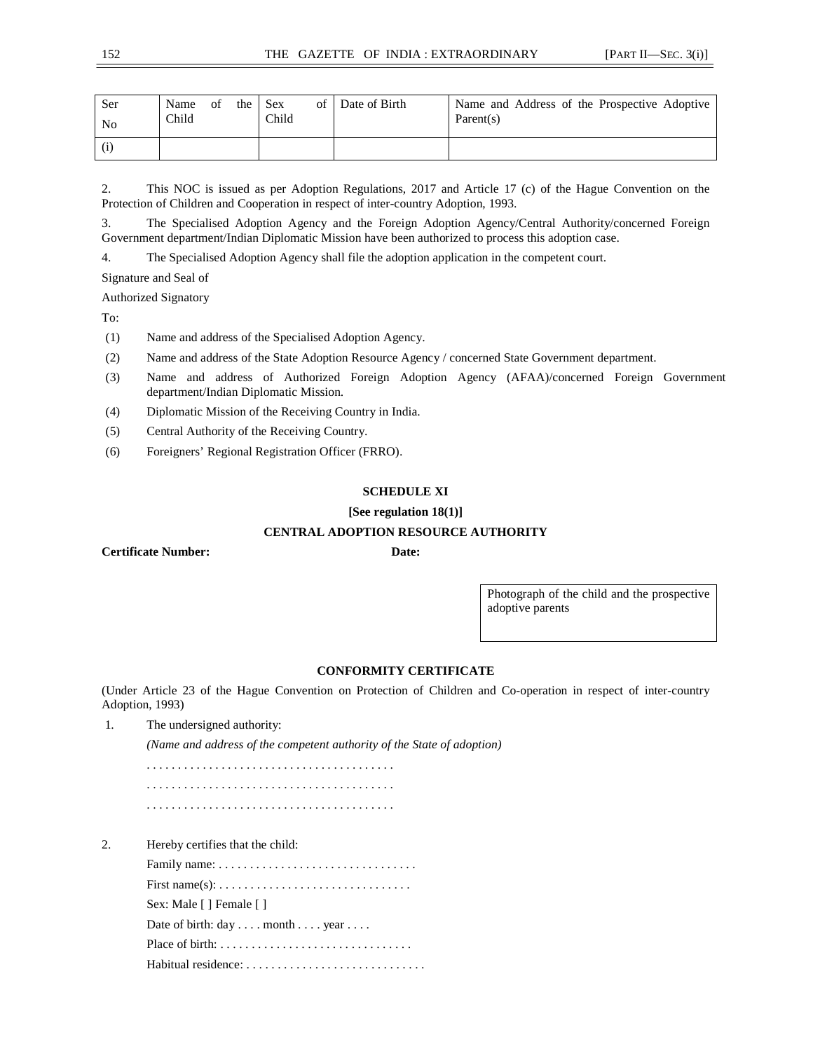| Ser<br>No | Name<br>- of<br>Child | the | of<br>Sex<br>Child | Date of Birth | Name and Address of the Prospective Adoptive<br>Parent(s) |
|-----------|-----------------------|-----|--------------------|---------------|-----------------------------------------------------------|
| (i)       |                       |     |                    |               |                                                           |

2. This NOC is issued as per Adoption Regulations, 2017 and Article 17 (c) of the Hague Convention on the Protection of Children and Cooperation in respect of inter-country Adoption, 1993.

3. The Specialised Adoption Agency and the Foreign Adoption Agency/Central Authority/concerned Foreign Government department/Indian Diplomatic Mission have been authorized to process this adoption case.

4. The Specialised Adoption Agency shall file the adoption application in the competent court.

Signature and Seal of

Authorized Signatory

To:

- (1) Name and address of the Specialised Adoption Agency.
- (2) Name and address of the State Adoption Resource Agency / concerned State Government department.
- (3) Name and address of Authorized Foreign Adoption Agency (AFAA)/concerned Foreign Government department/Indian Diplomatic Mission.
- (4) Diplomatic Mission of the Receiving Country in India.
- (5) Central Authority of the Receiving Country.
- (6) Foreigners' Regional Registration Officer (FRRO).

## **SCHEDULE XI**

## **[See regulation 18(1)]**

## **CENTRAL ADOPTION RESOURCE AUTHORITY**

**Certificate Number: Date:** 

Photograph of the child and the prospective adoptive parents

#### **CONFORMITY CERTIFICATE**

(Under Article 23 of the Hague Convention on Protection of Children and Co-operation in respect of inter-country Adoption, 1993)

1. The undersigned authority:

*(Name and address of the competent authority of the State of adoption)* 

. . . . . . . . . . . . . . . . . . . . . . . . . . . . . . . . . . . . . . . . . . . . . . . . . . . . . . . . . . . . . . . . . . . . . . . . . . . . . . . .

2. Hereby certifies that the child:

| First name(s): $\dots \dots \dots \dots \dots \dots \dots \dots \dots \dots \dots$                    |
|-------------------------------------------------------------------------------------------------------|
| Sex: Male [] Female []                                                                                |
| Date of birth: day month year                                                                         |
| Place of birth: $\ldots$ , $\ldots$ , $\ldots$ , $\ldots$ , $\ldots$ , $\ldots$ , $\ldots$ , $\ldots$ |
|                                                                                                       |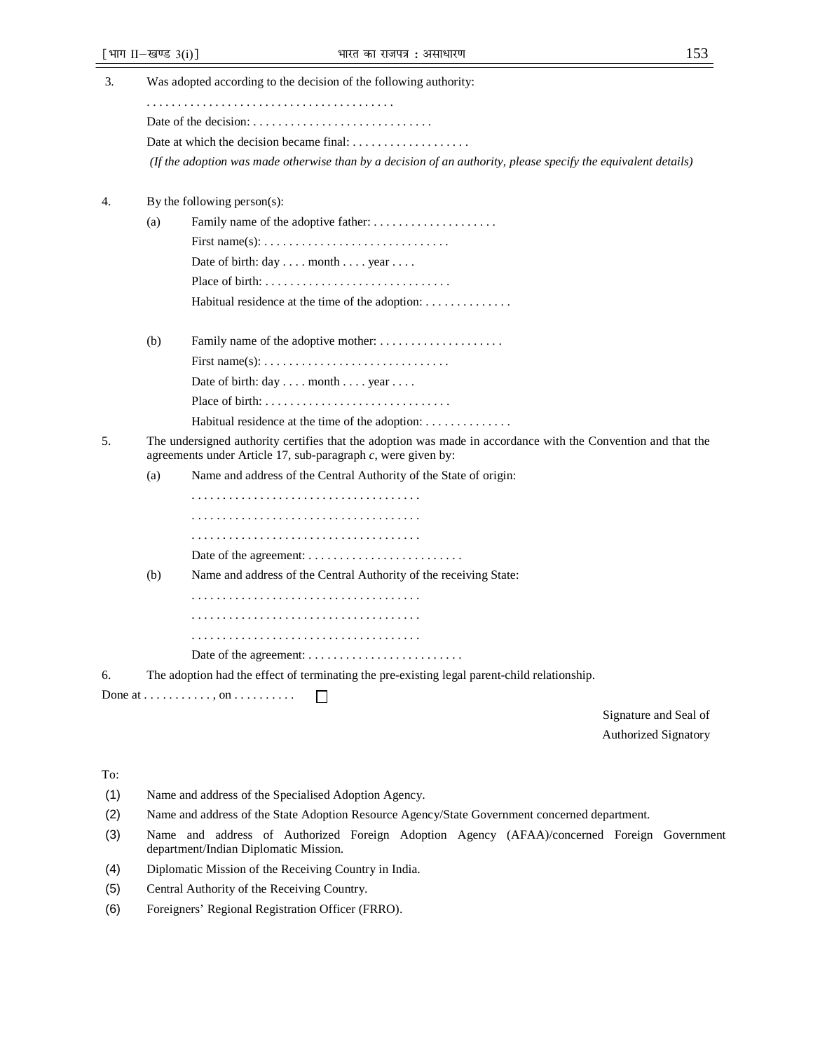| 3. | Was adopted according to the decision of the following authority: |                                                                                                                                                                                  |  |  |  |  |  |  |  |  |
|----|-------------------------------------------------------------------|----------------------------------------------------------------------------------------------------------------------------------------------------------------------------------|--|--|--|--|--|--|--|--|
|    |                                                                   |                                                                                                                                                                                  |  |  |  |  |  |  |  |  |
|    |                                                                   | Date of the decision: $\ldots$ , $\ldots$ , $\ldots$ , $\ldots$ , $\ldots$ , $\ldots$ , $\ldots$                                                                                 |  |  |  |  |  |  |  |  |
|    |                                                                   |                                                                                                                                                                                  |  |  |  |  |  |  |  |  |
|    |                                                                   | (If the adoption was made otherwise than by a decision of an authority, please specify the equivalent details)                                                                   |  |  |  |  |  |  |  |  |
| 4. | By the following person(s):                                       |                                                                                                                                                                                  |  |  |  |  |  |  |  |  |
|    | (a)                                                               | Family name of the adoptive father:                                                                                                                                              |  |  |  |  |  |  |  |  |
|    |                                                                   | First name(s): $\dots \dots \dots \dots \dots \dots \dots \dots \dots \dots$                                                                                                     |  |  |  |  |  |  |  |  |
|    |                                                                   | Date of birth: day month year                                                                                                                                                    |  |  |  |  |  |  |  |  |
|    |                                                                   |                                                                                                                                                                                  |  |  |  |  |  |  |  |  |
|    |                                                                   | Habitual residence at the time of the adoption:                                                                                                                                  |  |  |  |  |  |  |  |  |
|    | (b)                                                               |                                                                                                                                                                                  |  |  |  |  |  |  |  |  |
|    |                                                                   | First name(s): $\dots \dots \dots \dots \dots \dots \dots \dots \dots \dots$                                                                                                     |  |  |  |  |  |  |  |  |
|    |                                                                   | Date of birth: day month year                                                                                                                                                    |  |  |  |  |  |  |  |  |
|    |                                                                   |                                                                                                                                                                                  |  |  |  |  |  |  |  |  |
|    |                                                                   | Habitual residence at the time of the adoption:                                                                                                                                  |  |  |  |  |  |  |  |  |
| 5. |                                                                   | The undersigned authority certifies that the adoption was made in accordance with the Convention and that the<br>agreements under Article 17, sub-paragraph $c$ , were given by: |  |  |  |  |  |  |  |  |
|    | (a)                                                               | Name and address of the Central Authority of the State of origin:                                                                                                                |  |  |  |  |  |  |  |  |
|    |                                                                   |                                                                                                                                                                                  |  |  |  |  |  |  |  |  |
|    |                                                                   |                                                                                                                                                                                  |  |  |  |  |  |  |  |  |
|    |                                                                   |                                                                                                                                                                                  |  |  |  |  |  |  |  |  |
|    |                                                                   |                                                                                                                                                                                  |  |  |  |  |  |  |  |  |
|    | (b)                                                               | Name and address of the Central Authority of the receiving State:                                                                                                                |  |  |  |  |  |  |  |  |
|    |                                                                   |                                                                                                                                                                                  |  |  |  |  |  |  |  |  |
|    |                                                                   |                                                                                                                                                                                  |  |  |  |  |  |  |  |  |
|    |                                                                   |                                                                                                                                                                                  |  |  |  |  |  |  |  |  |
|    |                                                                   |                                                                                                                                                                                  |  |  |  |  |  |  |  |  |
| 6. |                                                                   | The adoption had the effect of terminating the pre-existing legal parent-child relationship.                                                                                     |  |  |  |  |  |  |  |  |
|    |                                                                   |                                                                                                                                                                                  |  |  |  |  |  |  |  |  |
|    |                                                                   |                                                                                                                                                                                  |  |  |  |  |  |  |  |  |

Signature and Seal of Authorized Signatory

To:

- (1) Name and address of the Specialised Adoption Agency.
- (2) Name and address of the State Adoption Resource Agency/State Government concerned department.
- (3) Name and address of Authorized Foreign Adoption Agency (AFAA)/concerned Foreign Government department/Indian Diplomatic Mission.
- (4) Diplomatic Mission of the Receiving Country in India.
- (5) Central Authority of the Receiving Country.
- (6) Foreigners' Regional Registration Officer (FRRO).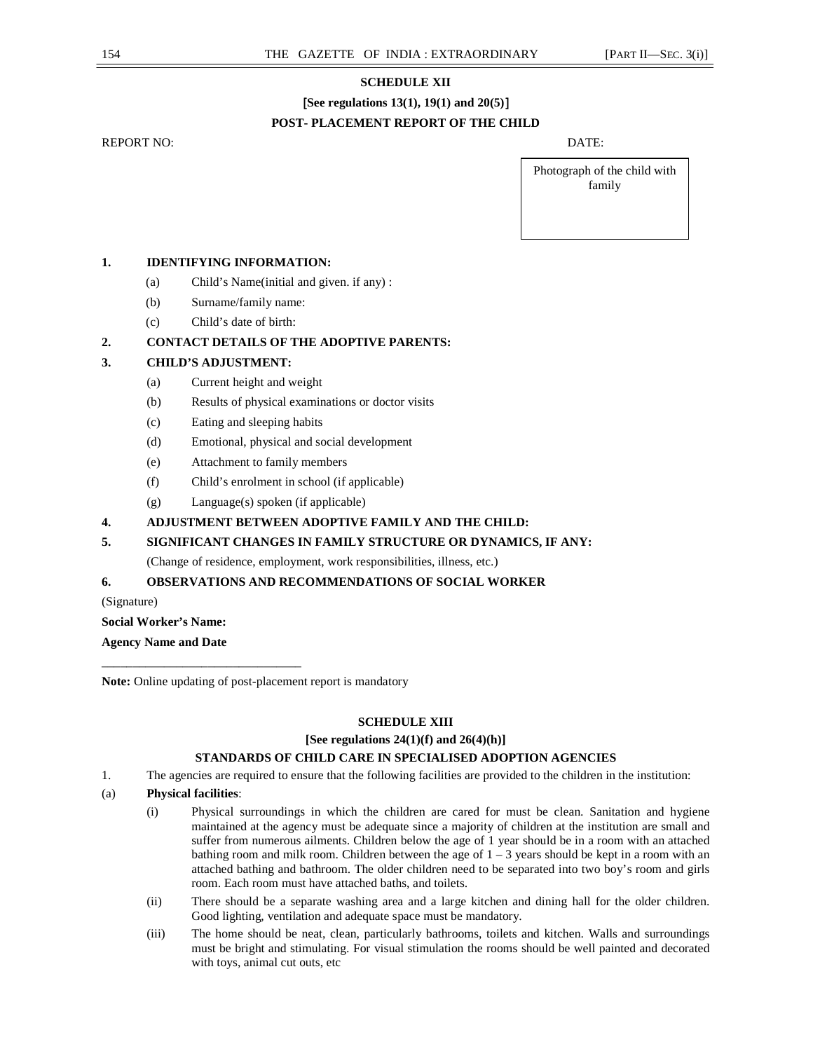## **SCHEDULE XII**

# [**See regulations 13(1), 19(1) and 20(5)**] **POST- PLACEMENT REPORT OF THE CHILD**

REPORT NO: SALL SERVICES IN THE SERVICE OF THE SERVICE OF THE SERVICE OF THE SERVICE OF THE SERVICE OF THE SERVICE OF THE SERVICE OF THE SERVICE OF THE SERVICE OF THE SERVICE OF THE SERVICE OF THE SERVICE OF THE SERVICE OF

Photograph of the child with family

## **1. IDENTIFYING INFORMATION:**

- (a) Child's Name(initial and given. if any) :
- (b) Surname/family name:
- (c) Child's date of birth:

## **2. CONTACT DETAILS OF THE ADOPTIVE PARENTS:**

## **3. CHILD'S ADJUSTMENT:**

- (a) Current height and weight
- (b) Results of physical examinations or doctor visits
- (c) Eating and sleeping habits
- (d) Emotional, physical and social development
- (e) Attachment to family members
- (f) Child's enrolment in school (if applicable)
- (g) Language(s) spoken (if applicable)

## **4. ADJUSTMENT BETWEEN ADOPTIVE FAMILY AND THE CHILD:**

## **5. SIGNIFICANT CHANGES IN FAMILY STRUCTURE OR DYNAMICS, IF ANY:**

(Change of residence, employment, work responsibilities, illness, etc.)

## **6. OBSERVATIONS AND RECOMMENDATIONS OF SOCIAL WORKER**

(Signature)

**Social Worker's Name:** 

**Agency Name and Date** 

\_\_\_\_\_\_\_\_\_\_\_\_\_\_\_\_\_\_\_\_\_\_\_\_\_\_\_\_\_\_\_\_

**Note:** Online updating of post-placement report is mandatory

#### **SCHEDULE XIII**

#### **[See regulations 24(1)(f) and 26(4)(h)]**

## **STANDARDS OF CHILD CARE IN SPECIALISED ADOPTION AGENCIES**

1. The agencies are required to ensure that the following facilities are provided to the children in the institution:

## (a) **Physical facilities**:

- (i) Physical surroundings in which the children are cared for must be clean. Sanitation and hygiene maintained at the agency must be adequate since a majority of children at the institution are small and suffer from numerous ailments. Children below the age of 1 year should be in a room with an attached bathing room and milk room. Children between the age of  $1 - 3$  years should be kept in a room with an attached bathing and bathroom. The older children need to be separated into two boy's room and girls room. Each room must have attached baths, and toilets.
- (ii) There should be a separate washing area and a large kitchen and dining hall for the older children. Good lighting, ventilation and adequate space must be mandatory.
- (iii) The home should be neat, clean, particularly bathrooms, toilets and kitchen. Walls and surroundings must be bright and stimulating. For visual stimulation the rooms should be well painted and decorated with toys, animal cut outs, etc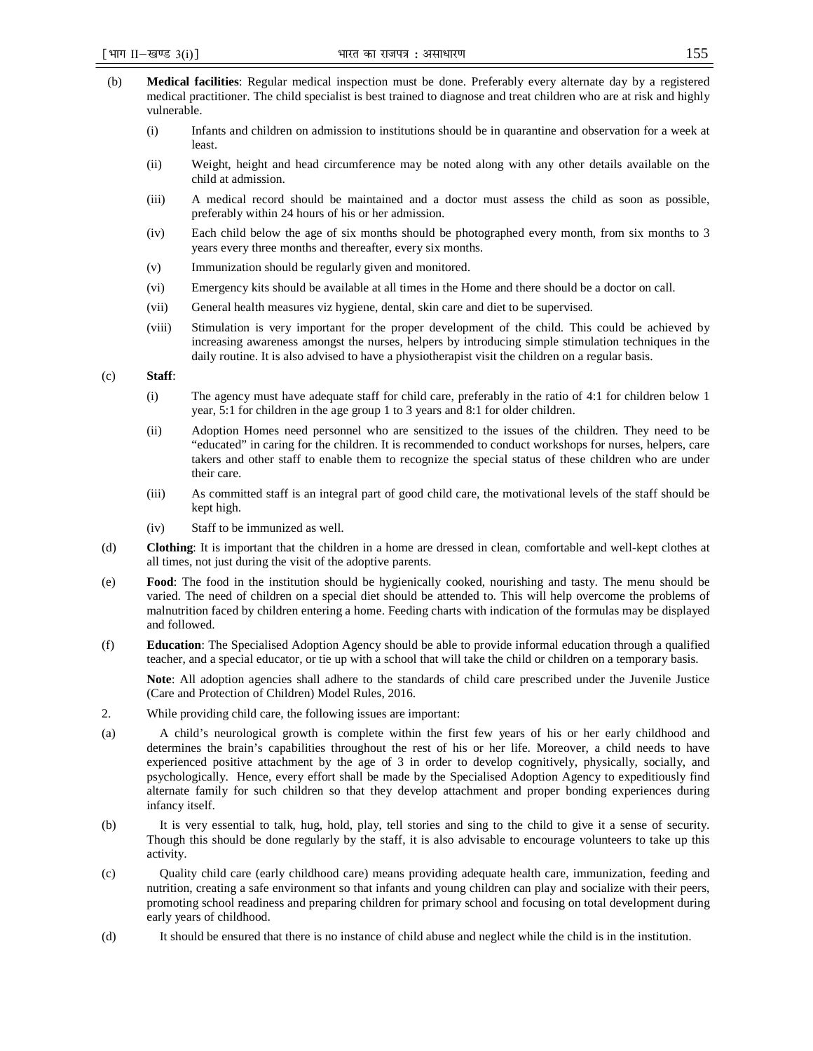- (b) **Medical facilities**: Regular medical inspection must be done. Preferably every alternate day by a registered medical practitioner. The child specialist is best trained to diagnose and treat children who are at risk and highly vulnerable.
	- (i) Infants and children on admission to institutions should be in quarantine and observation for a week at least.
	- (ii) Weight, height and head circumference may be noted along with any other details available on the child at admission.
	- (iii) A medical record should be maintained and a doctor must assess the child as soon as possible, preferably within 24 hours of his or her admission.
	- (iv) Each child below the age of six months should be photographed every month, from six months to 3 years every three months and thereafter, every six months.
	- (v) Immunization should be regularly given and monitored.
	- (vi) Emergency kits should be available at all times in the Home and there should be a doctor on call.
	- (vii) General health measures viz hygiene, dental, skin care and diet to be supervised.
	- (viii) Stimulation is very important for the proper development of the child. This could be achieved by increasing awareness amongst the nurses, helpers by introducing simple stimulation techniques in the daily routine. It is also advised to have a physiotherapist visit the children on a regular basis.

#### (c) **Staff**:

- (i) The agency must have adequate staff for child care, preferably in the ratio of 4:1 for children below 1 year, 5:1 for children in the age group 1 to 3 years and 8:1 for older children.
- (ii) Adoption Homes need personnel who are sensitized to the issues of the children. They need to be "educated" in caring for the children. It is recommended to conduct workshops for nurses, helpers, care takers and other staff to enable them to recognize the special status of these children who are under their care.
- (iii) As committed staff is an integral part of good child care, the motivational levels of the staff should be kept high.
- (iv) Staff to be immunized as well.
- (d) **Clothing**: It is important that the children in a home are dressed in clean, comfortable and well-kept clothes at all times, not just during the visit of the adoptive parents.
- (e) **Food**: The food in the institution should be hygienically cooked, nourishing and tasty. The menu should be varied. The need of children on a special diet should be attended to. This will help overcome the problems of malnutrition faced by children entering a home. Feeding charts with indication of the formulas may be displayed and followed.
- (f) **Education**: The Specialised Adoption Agency should be able to provide informal education through a qualified teacher, and a special educator, or tie up with a school that will take the child or children on a temporary basis.

**Note**: All adoption agencies shall adhere to the standards of child care prescribed under the Juvenile Justice (Care and Protection of Children) Model Rules, 2016.

- 2. While providing child care, the following issues are important:
- (a) A child's neurological growth is complete within the first few years of his or her early childhood and determines the brain's capabilities throughout the rest of his or her life. Moreover, a child needs to have experienced positive attachment by the age of 3 in order to develop cognitively, physically, socially, and psychologically. Hence, every effort shall be made by the Specialised Adoption Agency to expeditiously find alternate family for such children so that they develop attachment and proper bonding experiences during infancy itself.
- (b) It is very essential to talk, hug, hold, play, tell stories and sing to the child to give it a sense of security. Though this should be done regularly by the staff, it is also advisable to encourage volunteers to take up this activity.
- (c) Quality child care (early childhood care) means providing adequate health care, immunization, feeding and nutrition, creating a safe environment so that infants and young children can play and socialize with their peers, promoting school readiness and preparing children for primary school and focusing on total development during early years of childhood.
- (d) It should be ensured that there is no instance of child abuse and neglect while the child is in the institution.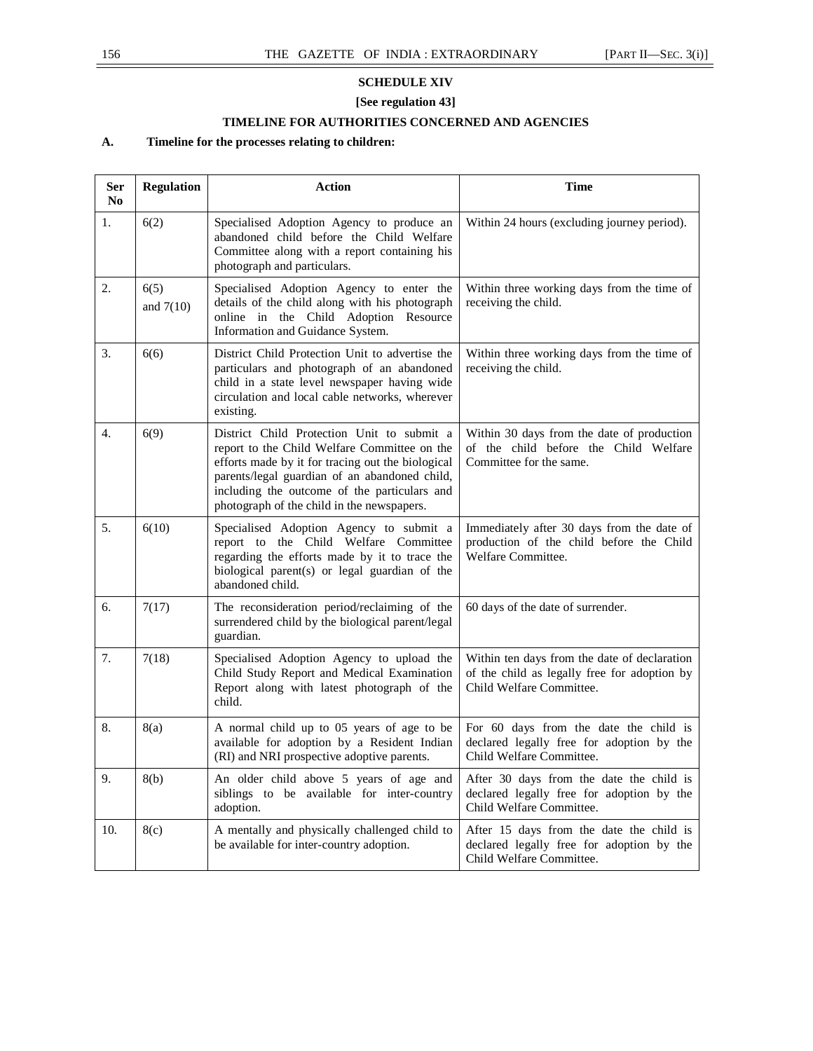## **SCHEDULE XIV**

**[See regulation 43]** 

# **TIMELINE FOR AUTHORITIES CONCERNED AND AGENCIES**

## **A. Timeline for the processes relating to children:**

| Ser<br>N <sub>0</sub> | <b>Regulation</b>   | <b>Action</b>                                                                                                                                                                                                                                                                                  | <b>Time</b>                                                                                                              |
|-----------------------|---------------------|------------------------------------------------------------------------------------------------------------------------------------------------------------------------------------------------------------------------------------------------------------------------------------------------|--------------------------------------------------------------------------------------------------------------------------|
| 1.                    | 6(2)                | Specialised Adoption Agency to produce an<br>abandoned child before the Child Welfare<br>Committee along with a report containing his<br>photograph and particulars.                                                                                                                           | Within 24 hours (excluding journey period).                                                                              |
| 2.                    | 6(5)<br>and $7(10)$ | Specialised Adoption Agency to enter the<br>details of the child along with his photograph<br>online in the Child Adoption Resource<br>Information and Guidance System.                                                                                                                        | Within three working days from the time of<br>receiving the child.                                                       |
| 3.                    | 6(6)                | District Child Protection Unit to advertise the<br>particulars and photograph of an abandoned<br>child in a state level newspaper having wide<br>circulation and local cable networks, wherever<br>existing.                                                                                   | Within three working days from the time of<br>receiving the child.                                                       |
| $\overline{4}$ .      | 6(9)                | District Child Protection Unit to submit a<br>report to the Child Welfare Committee on the<br>efforts made by it for tracing out the biological<br>parents/legal guardian of an abandoned child,<br>including the outcome of the particulars and<br>photograph of the child in the newspapers. | Within 30 days from the date of production<br>of the child before the Child Welfare<br>Committee for the same.           |
| 5 <sub>1</sub>        | 6(10)               | Specialised Adoption Agency to submit a<br>report to the Child Welfare Committee<br>regarding the efforts made by it to trace the<br>biological parent(s) or legal guardian of the<br>abandoned child.                                                                                         | Immediately after 30 days from the date of<br>production of the child before the Child<br>Welfare Committee.             |
| 6.                    | 7(17)               | The reconsideration period/reclaiming of the<br>surrendered child by the biological parent/legal<br>guardian.                                                                                                                                                                                  | 60 days of the date of surrender.                                                                                        |
| 7.                    | 7(18)               | Specialised Adoption Agency to upload the<br>Child Study Report and Medical Examination<br>Report along with latest photograph of the<br>child.                                                                                                                                                | Within ten days from the date of declaration<br>of the child as legally free for adoption by<br>Child Welfare Committee. |
| 8.                    | 8(a)                | A normal child up to 05 years of age to be<br>available for adoption by a Resident Indian<br>(RI) and NRI prospective adoptive parents.                                                                                                                                                        | For 60 days from the date the child is<br>declared legally free for adoption by the<br>Child Welfare Committee.          |
| 9.                    | 8(b)                | An older child above 5 years of age and<br>siblings to be available for inter-country<br>adoption.                                                                                                                                                                                             | After 30 days from the date the child is<br>declared legally free for adoption by the<br>Child Welfare Committee.        |
| 10.                   | 8(c)                | A mentally and physically challenged child to<br>be available for inter-country adoption.                                                                                                                                                                                                      | After 15 days from the date the child is<br>declared legally free for adoption by the<br>Child Welfare Committee.        |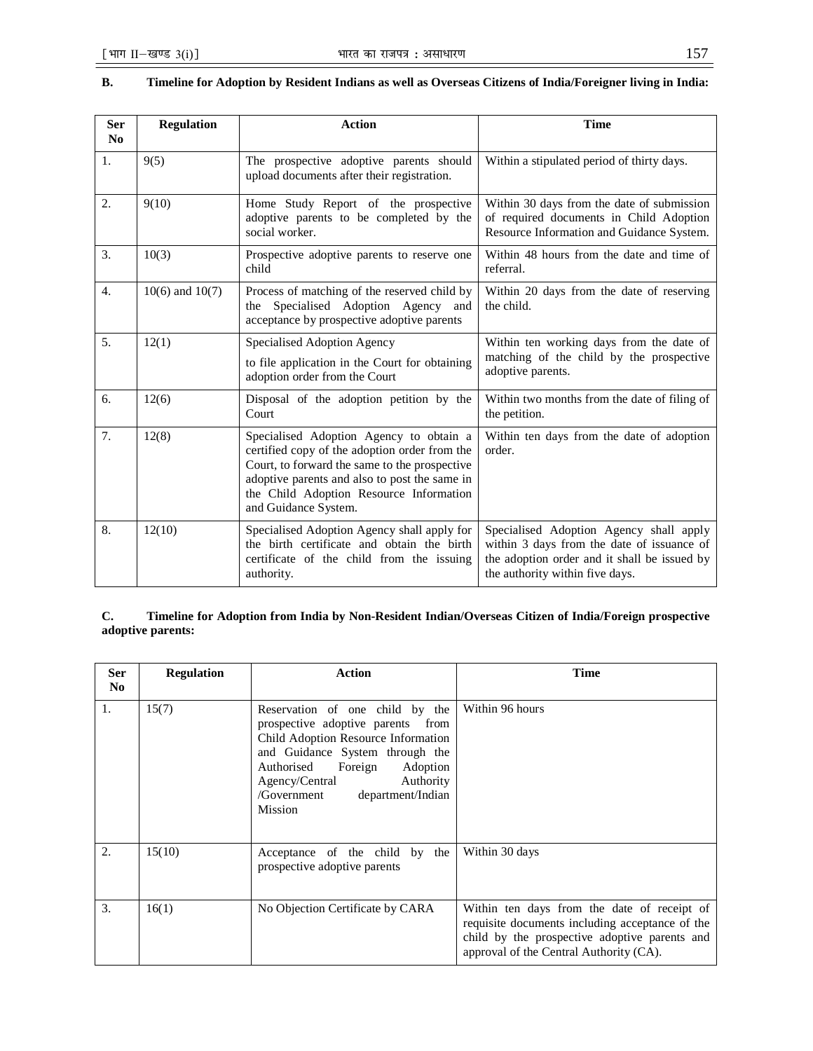| <b>Ser</b><br>N <sub>0</sub> | <b>Regulation</b>   | <b>Action</b>                                                                                                                                                                                                                                                 | <b>Time</b>                                                                                                                                                              |
|------------------------------|---------------------|---------------------------------------------------------------------------------------------------------------------------------------------------------------------------------------------------------------------------------------------------------------|--------------------------------------------------------------------------------------------------------------------------------------------------------------------------|
| $\mathbf{1}$ .               | 9(5)                | The prospective adoptive parents should<br>upload documents after their registration.                                                                                                                                                                         | Within a stipulated period of thirty days.                                                                                                                               |
| $\overline{2}$ .             | 9(10)               | Home Study Report of the prospective<br>adoptive parents to be completed by the<br>social worker.                                                                                                                                                             | Within 30 days from the date of submission<br>of required documents in Child Adoption<br>Resource Information and Guidance System.                                       |
| 3.                           | 10(3)               | Prospective adoptive parents to reserve one<br>child                                                                                                                                                                                                          | Within 48 hours from the date and time of<br>referral.                                                                                                                   |
| $\overline{4}$ .             | $10(6)$ and $10(7)$ | Process of matching of the reserved child by<br>the Specialised Adoption Agency and<br>acceptance by prospective adoptive parents                                                                                                                             | Within 20 days from the date of reserving<br>the child.                                                                                                                  |
| 5.                           | 12(1)               | Specialised Adoption Agency<br>to file application in the Court for obtaining<br>adoption order from the Court                                                                                                                                                | Within ten working days from the date of<br>matching of the child by the prospective<br>adoptive parents.                                                                |
| 6.                           | 12(6)               | Disposal of the adoption petition by the<br>Court                                                                                                                                                                                                             | Within two months from the date of filing of<br>the petition.                                                                                                            |
| 7.                           | 12(8)               | Specialised Adoption Agency to obtain a<br>certified copy of the adoption order from the<br>Court, to forward the same to the prospective<br>adoptive parents and also to post the same in<br>the Child Adoption Resource Information<br>and Guidance System. | Within ten days from the date of adoption<br>order.                                                                                                                      |
| 8.                           | 12(10)              | Specialised Adoption Agency shall apply for<br>the birth certificate and obtain the birth<br>certificate of the child from the issuing<br>authority.                                                                                                          | Specialised Adoption Agency shall apply<br>within 3 days from the date of issuance of<br>the adoption order and it shall be issued by<br>the authority within five days. |

## **B. Timeline for Adoption by Resident Indians as well as Overseas Citizens of India/Foreigner living in India:**

# **C. Timeline for Adoption from India by Non-Resident Indian/Overseas Citizen of India/Foreign prospective adoptive parents:**

| <b>Ser</b><br>N <sub>0</sub> | <b>Regulation</b> | <b>Action</b>                                                                                                                                                                                                                                                      | <b>Time</b>                                                                                                                                                                                |
|------------------------------|-------------------|--------------------------------------------------------------------------------------------------------------------------------------------------------------------------------------------------------------------------------------------------------------------|--------------------------------------------------------------------------------------------------------------------------------------------------------------------------------------------|
| 1.                           | 15(7)             | Reservation of one child by the<br>prospective adoptive parents from<br>Child Adoption Resource Information<br>and Guidance System through the<br>Authorised Foreign<br>Adoption<br>Agency/Central<br>Authority<br>/Government department/Indian<br><b>Mission</b> | Within 96 hours                                                                                                                                                                            |
| 2.                           | 15(10)            | Acceptance of the child by the<br>prospective adoptive parents                                                                                                                                                                                                     | Within 30 days                                                                                                                                                                             |
| 3.                           | 16(1)             | No Objection Certificate by CARA                                                                                                                                                                                                                                   | Within ten days from the date of receipt of<br>requisite documents including acceptance of the<br>child by the prospective adoptive parents and<br>approval of the Central Authority (CA). |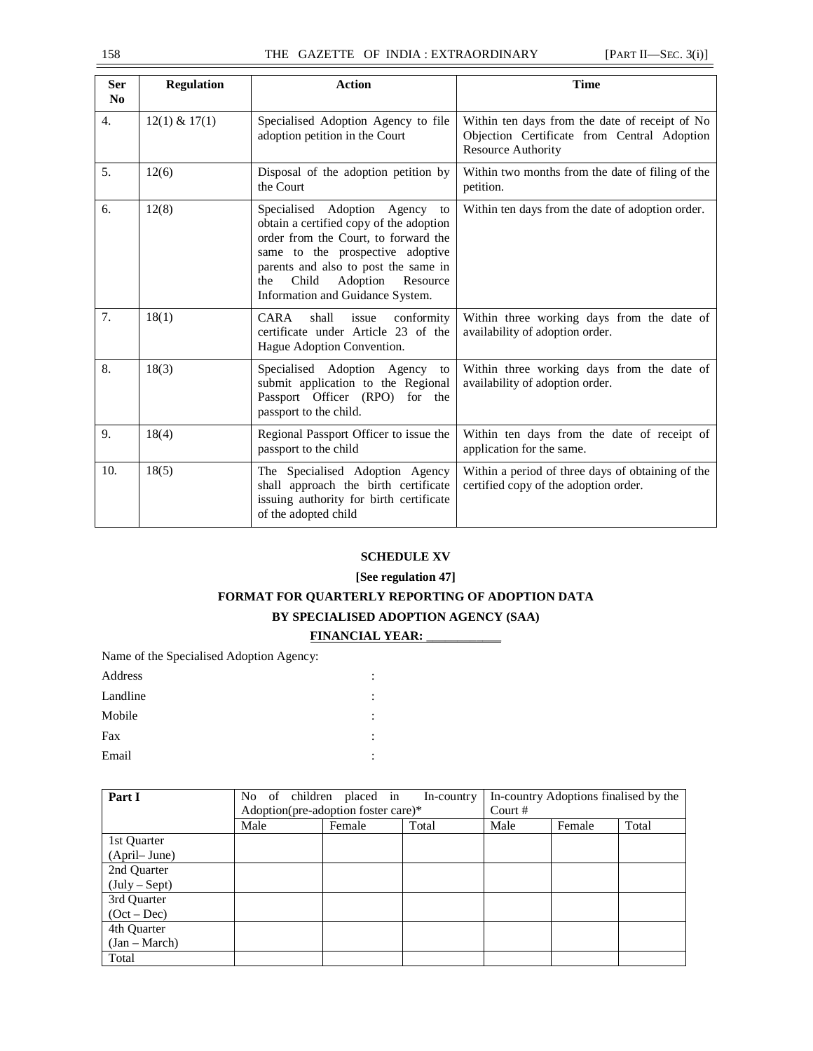| <b>Ser</b><br>N <sub>0</sub> | <b>Regulation</b> | <b>Action</b>                                                                                                                                                                                                                                                             | <b>Time</b>                                                                                                         |
|------------------------------|-------------------|---------------------------------------------------------------------------------------------------------------------------------------------------------------------------------------------------------------------------------------------------------------------------|---------------------------------------------------------------------------------------------------------------------|
| 4.                           | $12(1)$ & $17(1)$ | Specialised Adoption Agency to file<br>adoption petition in the Court                                                                                                                                                                                                     | Within ten days from the date of receipt of No<br>Objection Certificate from Central Adoption<br>Resource Authority |
| 5.                           | 12(6)             | Disposal of the adoption petition by<br>the Court                                                                                                                                                                                                                         | Within two months from the date of filing of the<br>petition.                                                       |
| 6.                           | 12(8)             | Specialised Adoption Agency to<br>obtain a certified copy of the adoption<br>order from the Court, to forward the<br>same to the prospective adoptive<br>parents and also to post the same in<br>Adoption<br>Resource<br>Child<br>the<br>Information and Guidance System. | Within ten days from the date of adoption order.                                                                    |
| 7.                           | 18(1)             | shall<br>issue<br>CARA<br>conformity<br>certificate under Article 23 of the<br>Hague Adoption Convention.                                                                                                                                                                 | Within three working days from the date of<br>availability of adoption order.                                       |
| 8.                           | 18(3)             | Specialised Adoption Agency to<br>submit application to the Regional<br>Passport Officer (RPO) for the<br>passport to the child.                                                                                                                                          | Within three working days from the date of<br>availability of adoption order.                                       |
| 9.                           | 18(4)             | Regional Passport Officer to issue the<br>passport to the child                                                                                                                                                                                                           | Within ten days from the date of receipt of<br>application for the same.                                            |
| 10.                          | 18(5)             | The Specialised Adoption Agency<br>shall approach the birth certificate<br>issuing authority for birth certificate<br>of the adopted child                                                                                                                                | Within a period of three days of obtaining of the<br>certified copy of the adoption order.                          |

## **SCHEDULE XV**

## **[See regulation 47]**

## **FORMAT FOR QUARTERLY REPORTING OF ADOPTION DATA**

## **BY SPECIALISED ADOPTION AGENCY (SAA)**

# **FINANCIAL YEAR:** \_\_\_\_\_\_\_\_\_\_\_\_

Name of the Specialised Adoption Agency:

Address : Landline : the state of the state of the state of the state of the state of the state of the state of the state of the state of the state of the state of the state of the state of the state of the state of the state of the Mobile :  $\Gamma$ ax  $\Gamma$  : Email :

| Part I          | No of children placed in<br>Adoption(pre-adoption foster care)* |        | In-country Adoptions finalised by the<br>Court $#$ |      |        |       |
|-----------------|-----------------------------------------------------------------|--------|----------------------------------------------------|------|--------|-------|
|                 | Male                                                            | Female | Total                                              | Male | Female | Total |
| 1st Quarter     |                                                                 |        |                                                    |      |        |       |
| (April–June)    |                                                                 |        |                                                    |      |        |       |
| 2nd Quarter     |                                                                 |        |                                                    |      |        |       |
| $(July - Sept)$ |                                                                 |        |                                                    |      |        |       |
| 3rd Quarter     |                                                                 |        |                                                    |      |        |       |
| $(Oct - Dec)$   |                                                                 |        |                                                    |      |        |       |
| 4th Quarter     |                                                                 |        |                                                    |      |        |       |
| $(Jan - March)$ |                                                                 |        |                                                    |      |        |       |
| Total           |                                                                 |        |                                                    |      |        |       |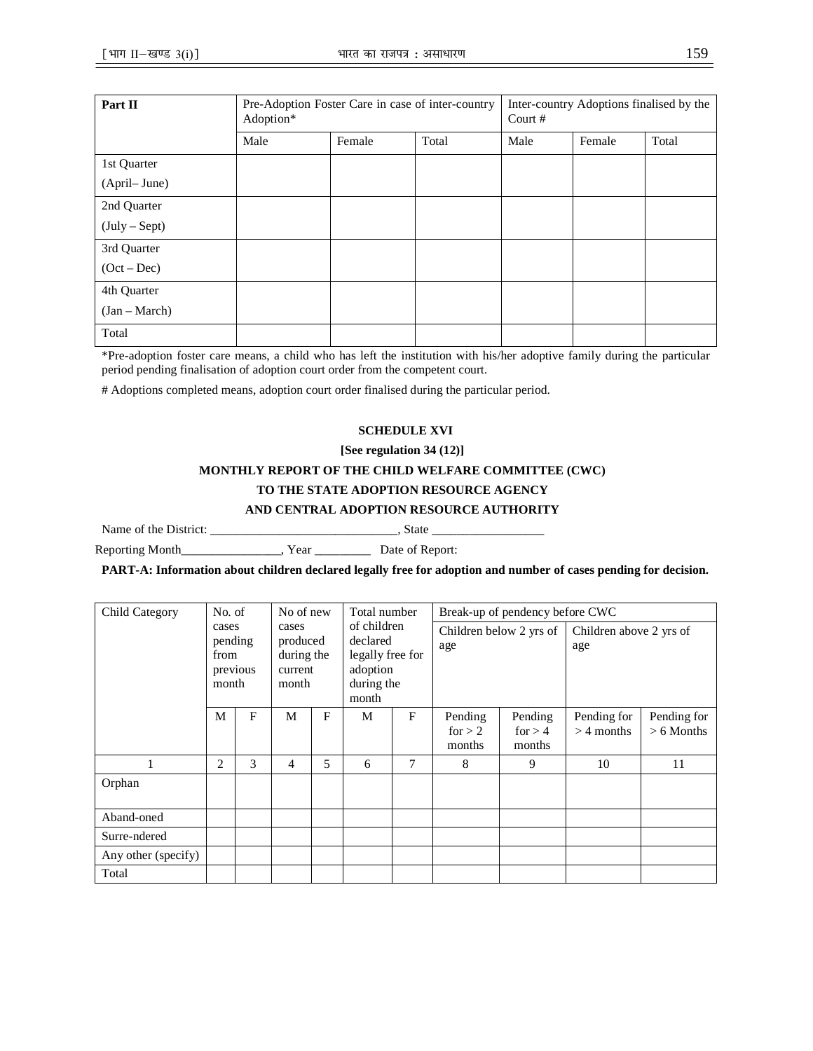| Part II         | Pre-Adoption Foster Care in case of inter-country<br>Adoption* |        |      | Inter-country Adoptions finalised by the<br>Court $#$ |       |  |  |
|-----------------|----------------------------------------------------------------|--------|------|-------------------------------------------------------|-------|--|--|
|                 | Male                                                           | Female | Male | Female                                                | Total |  |  |
| 1st Quarter     |                                                                |        |      |                                                       |       |  |  |
| (April– June)   |                                                                |        |      |                                                       |       |  |  |
| 2nd Quarter     |                                                                |        |      |                                                       |       |  |  |
| $(July - Sept)$ |                                                                |        |      |                                                       |       |  |  |
| 3rd Quarter     |                                                                |        |      |                                                       |       |  |  |
| $(Oct - Dec)$   |                                                                |        |      |                                                       |       |  |  |
| 4th Quarter     |                                                                |        |      |                                                       |       |  |  |
| $(Jan - March)$ |                                                                |        |      |                                                       |       |  |  |
| Total           |                                                                |        |      |                                                       |       |  |  |

\*Pre-adoption foster care means, a child who has left the institution with his/her adoptive family during the particular period pending finalisation of adoption court order from the competent court.

# Adoptions completed means, adoption court order finalised during the particular period.

## **SCHEDULE XVI**

## **[See regulation 34 (12)]**

## **MONTHLY REPORT OF THE CHILD WELFARE COMMITTEE (CWC)**

## **TO THE STATE ADOPTION RESOURCE AGENCY**

## **AND CENTRAL ADOPTION RESOURCE AUTHORITY**

Name of the District: \_\_\_\_\_\_\_\_\_\_\_\_\_\_\_\_\_\_\_\_\_\_\_\_\_\_\_\_\_\_, State \_\_\_\_\_\_\_\_\_\_\_\_\_\_\_\_\_\_

Reporting Month\_\_\_\_\_\_\_\_\_\_\_\_\_\_\_, Year \_\_\_\_\_\_\_\_\_\_\_\_\_\_\_ Date of Report:

**PART-A: Information about children declared legally free for adoption and number of cases pending for decision.** 

| Child Category      | No. of                                        |   |                                                     | No of new      |                                                                                | Total number<br>Break-up of pendency before CWC |                                |                                |                                |                             |
|---------------------|-----------------------------------------------|---|-----------------------------------------------------|----------------|--------------------------------------------------------------------------------|-------------------------------------------------|--------------------------------|--------------------------------|--------------------------------|-----------------------------|
|                     | cases<br>pending<br>from<br>previous<br>month |   | cases<br>produced<br>during the<br>current<br>month |                | of children<br>declared<br>legally free for<br>adoption<br>during the<br>month |                                                 | Children below 2 yrs of<br>age |                                | Children above 2 yrs of<br>age |                             |
|                     | M                                             | F | M                                                   | F              | M                                                                              | F                                               | Pending<br>for $> 2$<br>months | Pending<br>for $> 4$<br>months | Pending for<br>$>$ 4 months    | Pending for<br>$> 6$ Months |
| 1                   | 2                                             | 3 | 4                                                   | $\mathfrak{F}$ | 6                                                                              | 7                                               | 8                              | 9                              | 10                             | 11                          |
| Orphan              |                                               |   |                                                     |                |                                                                                |                                                 |                                |                                |                                |                             |
| Aband-oned          |                                               |   |                                                     |                |                                                                                |                                                 |                                |                                |                                |                             |
| Surre-ndered        |                                               |   |                                                     |                |                                                                                |                                                 |                                |                                |                                |                             |
| Any other (specify) |                                               |   |                                                     |                |                                                                                |                                                 |                                |                                |                                |                             |
| Total               |                                               |   |                                                     |                |                                                                                |                                                 |                                |                                |                                |                             |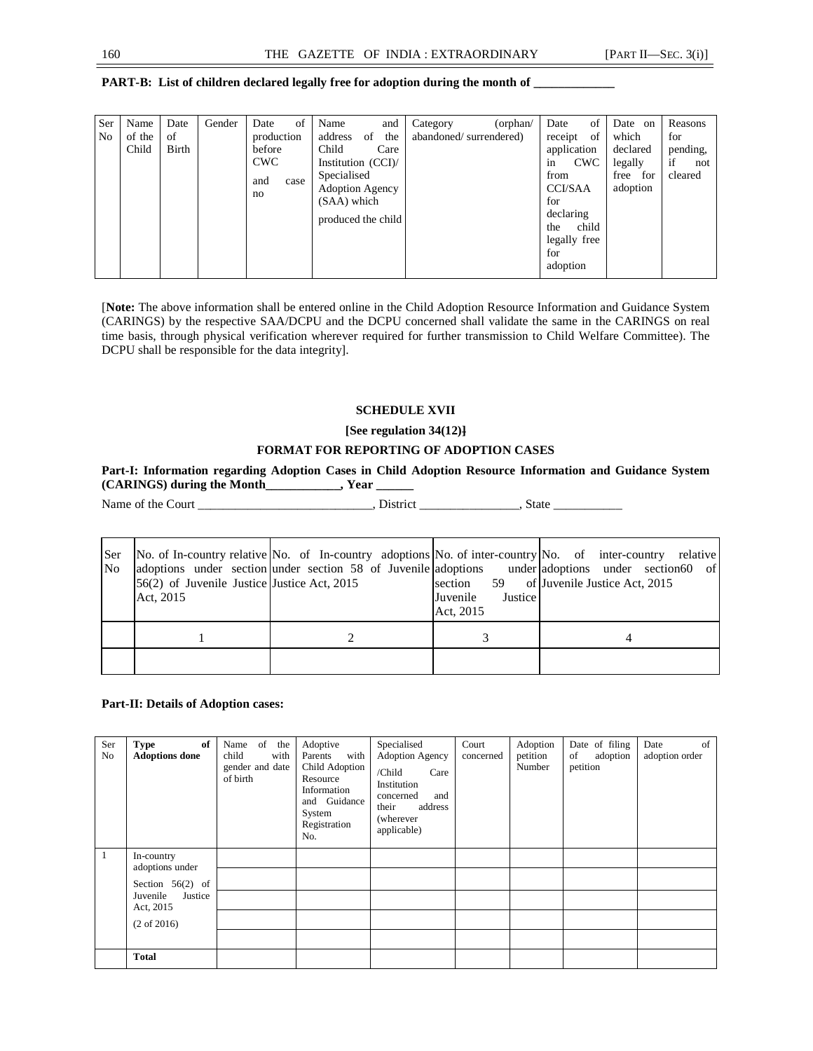|  |  |  |  | PART-B: List of children declared legally free for adoption during the month of _ |  |
|--|--|--|--|-----------------------------------------------------------------------------------|--|
|  |  |  |  |                                                                                   |  |

[**Note:** The above information shall be entered online in the Child Adoption Resource Information and Guidance System (CARINGS) by the respective SAA/DCPU and the DCPU concerned shall validate the same in the CARINGS on real time basis, through physical verification wherever required for further transmission to Child Welfare Committee). The DCPU shall be responsible for the data integrity].

## **SCHEDULE XVII**

#### **[See regulation 34(12)]**

## **FORMAT FOR REPORTING OF ADOPTION CASES**

**Part-I: Information regarding Adoption Cases in Child Adoption Resource Information and Guidance System (CARINGS) during the Month\_\_\_\_\_\_\_\_\_\_\_\_, Year \_\_\_\_\_\_**

Name of the Court \_\_\_\_\_\_\_\_\_\_\_\_\_\_\_\_\_\_\_\_\_\_\_\_\_\_\_\_, District \_\_\_\_\_\_\_\_\_\_\_\_\_\_\_\_, State \_\_\_\_\_\_\_\_\_\_\_

| <b>Ser</b><br>No. | $56(2)$ of Juvenile Justice Justice Act, 2015<br>Act. 2015 | Justice<br>Juvenile<br>Act. 2015 | No. of In-country relative No. of In-country adoptions No. of inter-country No. of inter-country relative<br>adoptions under section under section 58 of Juvenile adoptions under adoptions under section 60 of<br>section 59 of Juvenile Justice Act, 2015 |
|-------------------|------------------------------------------------------------|----------------------------------|-------------------------------------------------------------------------------------------------------------------------------------------------------------------------------------------------------------------------------------------------------------|
|                   |                                                            |                                  |                                                                                                                                                                                                                                                             |
|                   |                                                            |                                  |                                                                                                                                                                                                                                                             |

#### **Part-II: Details of Adoption cases:**

| Ser<br>No | of<br>Type<br><b>Adoptions done</b>                                                                               | Name of<br>the<br>child<br>with<br>gender and date<br>of birth | Adoptive<br>with<br>Parents<br>Child Adoption<br>Resource<br>Information<br>and Guidance<br>System<br>Registration<br>No. | Specialised<br><b>Adoption Agency</b><br>/Child<br>Care<br>Institution<br>concerned<br>and<br>their<br>address<br>(wherever<br>applicable) | Court<br>concerned | Adoption<br>petition<br>Number | Date of filing<br>of<br>adoption<br>petition | of<br>Date<br>adoption order |
|-----------|-------------------------------------------------------------------------------------------------------------------|----------------------------------------------------------------|---------------------------------------------------------------------------------------------------------------------------|--------------------------------------------------------------------------------------------------------------------------------------------|--------------------|--------------------------------|----------------------------------------------|------------------------------|
|           | In-country<br>adoptions under<br>Section $56(2)$ of<br>Juvenile<br>Justice<br>Act, 2015<br>$(2 \text{ of } 2016)$ |                                                                |                                                                                                                           |                                                                                                                                            |                    |                                |                                              |                              |
|           | <b>Total</b>                                                                                                      |                                                                |                                                                                                                           |                                                                                                                                            |                    |                                |                                              |                              |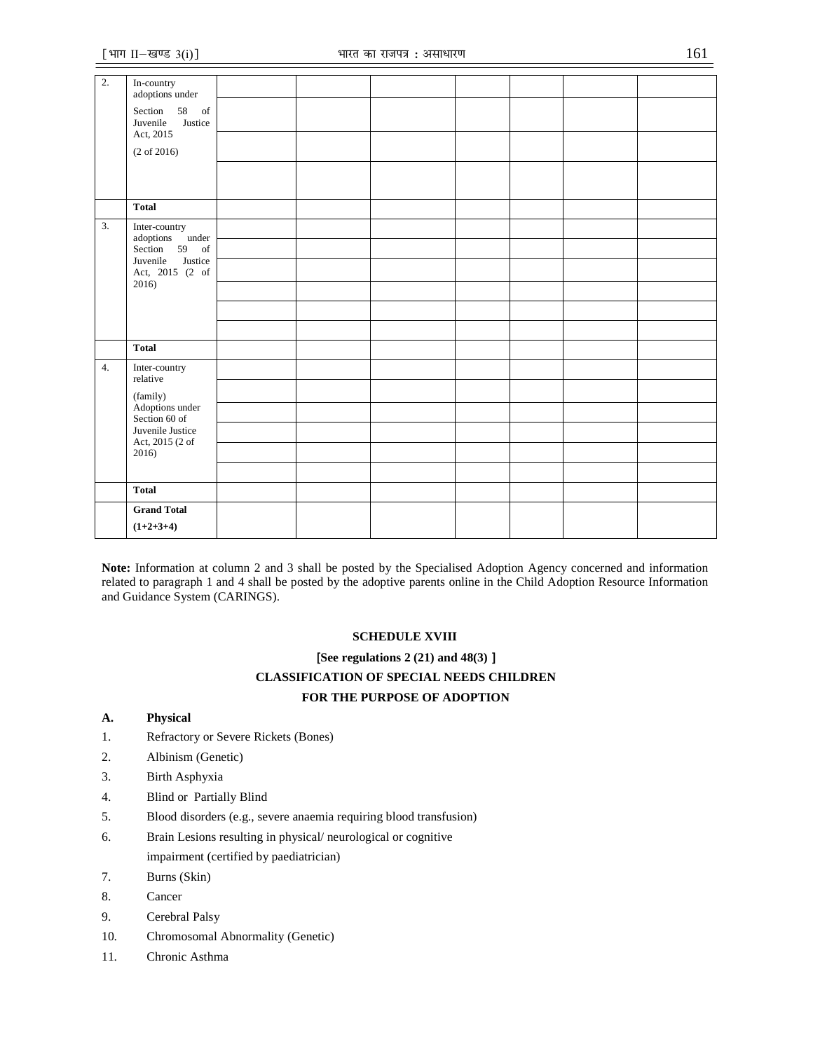| $\overline{2}$ . | In-country<br>adoptions under                            |  |  |  |  |
|------------------|----------------------------------------------------------|--|--|--|--|
|                  |                                                          |  |  |  |  |
|                  | Section 58 of<br>Juvenile<br>Justice                     |  |  |  |  |
|                  | Act, 2015                                                |  |  |  |  |
|                  | $(2 \text{ of } 2016)$                                   |  |  |  |  |
|                  |                                                          |  |  |  |  |
|                  |                                                          |  |  |  |  |
|                  | <b>Total</b>                                             |  |  |  |  |
| 3.               | Inter-country<br>adoptions under                         |  |  |  |  |
|                  | Section 59 of                                            |  |  |  |  |
|                  | Juvenile<br>Justice<br>Act, 2015 (2 of<br>2016)          |  |  |  |  |
|                  |                                                          |  |  |  |  |
|                  |                                                          |  |  |  |  |
|                  |                                                          |  |  |  |  |
|                  | <b>Total</b>                                             |  |  |  |  |
| 4.               | Inter-country                                            |  |  |  |  |
|                  | relative<br>(family)<br>Adoptions under<br>Section 60 of |  |  |  |  |
|                  |                                                          |  |  |  |  |
|                  | Juvenile Justice<br>Act, 2015 (2 of                      |  |  |  |  |
|                  | 2016)                                                    |  |  |  |  |
|                  |                                                          |  |  |  |  |
|                  | <b>Total</b>                                             |  |  |  |  |
|                  | <b>Grand Total</b>                                       |  |  |  |  |
|                  | $(1+2+3+4)$                                              |  |  |  |  |

**Note:** Information at column 2 and 3 shall be posted by the Specialised Adoption Agency concerned and information related to paragraph 1 and 4 shall be posted by the adoptive parents online in the Child Adoption Resource Information and Guidance System (CARINGS).

## **SCHEDULE XVIII**

# [**See regulations 2 (21) and 48(3)** ] **CLASSIFICATION OF SPECIAL NEEDS CHILDREN FOR THE PURPOSE OF ADOPTION**

#### **A. Physical**

- 1. Refractory or Severe Rickets (Bones)
- 2. Albinism (Genetic)
- 3. Birth Asphyxia
- 4. Blind or Partially Blind
- 5. Blood disorders (e.g., severe anaemia requiring blood transfusion)
- 6. Brain Lesions resulting in physical/ neurological or cognitive impairment (certified by paediatrician)
- 7. Burns (Skin)
- 8. Cancer
- 9. Cerebral Palsy
- 10. Chromosomal Abnormality (Genetic)
- 11. Chronic Asthma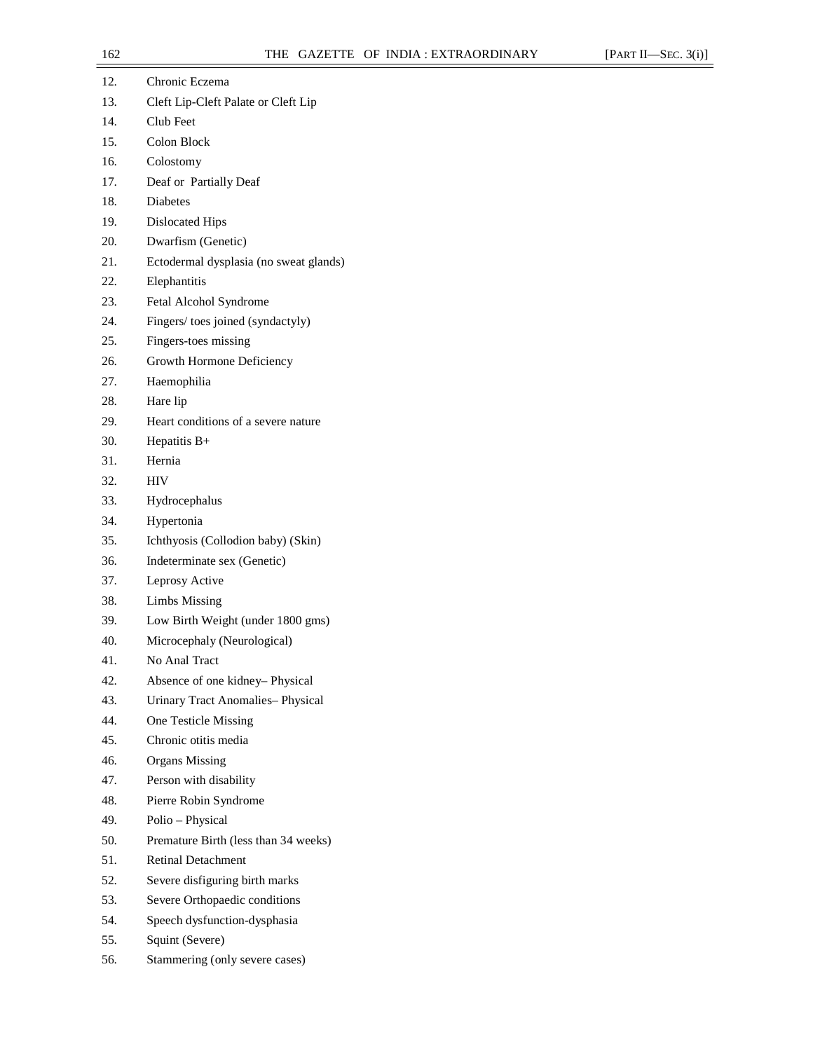- 12. Chronic Eczema
- 13. Cleft Lip-Cleft Palate or Cleft Lip
- 14. Club Feet
- 15. Colon Block
- 16. Colostomy
- 17. Deaf or Partially Deaf
- 18. Diabetes
- 19. Dislocated Hips
- 20. Dwarfism (Genetic)
- 21. Ectodermal dysplasia (no sweat glands)
- 22. Elephantitis
- 23. Fetal Alcohol Syndrome
- 24. Fingers/ toes joined (syndactyly)
- 25. Fingers-toes missing
- 26. Growth Hormone Deficiency
- 27. Haemophilia
- 28. Hare lip
- 29. Heart conditions of a severe nature
- 30. Hepatitis B+
- 31. Hernia
- 32. HIV
- 33. Hydrocephalus
- 34. Hypertonia
- 35. Ichthyosis (Collodion baby) (Skin)
- 36. Indeterminate sex (Genetic)
- 37. Leprosy Active
- 38. Limbs Missing
- 39. Low Birth Weight (under 1800 gms)
- 40. Microcephaly (Neurological)
- 41. No Anal Tract
- 42. Absence of one kidney– Physical
- 43. Urinary Tract Anomalies– Physical
- 44. One Testicle Missing
- 45. Chronic otitis media
- 46. Organs Missing
- 47. Person with disability
- 48. Pierre Robin Syndrome
- 49. Polio Physical
- 50. Premature Birth (less than 34 weeks)
- 51. Retinal Detachment
- 52. Severe disfiguring birth marks
- 53. Severe Orthopaedic conditions
- 54. Speech dysfunction-dysphasia
- 55. Squint (Severe)
- 56. Stammering (only severe cases)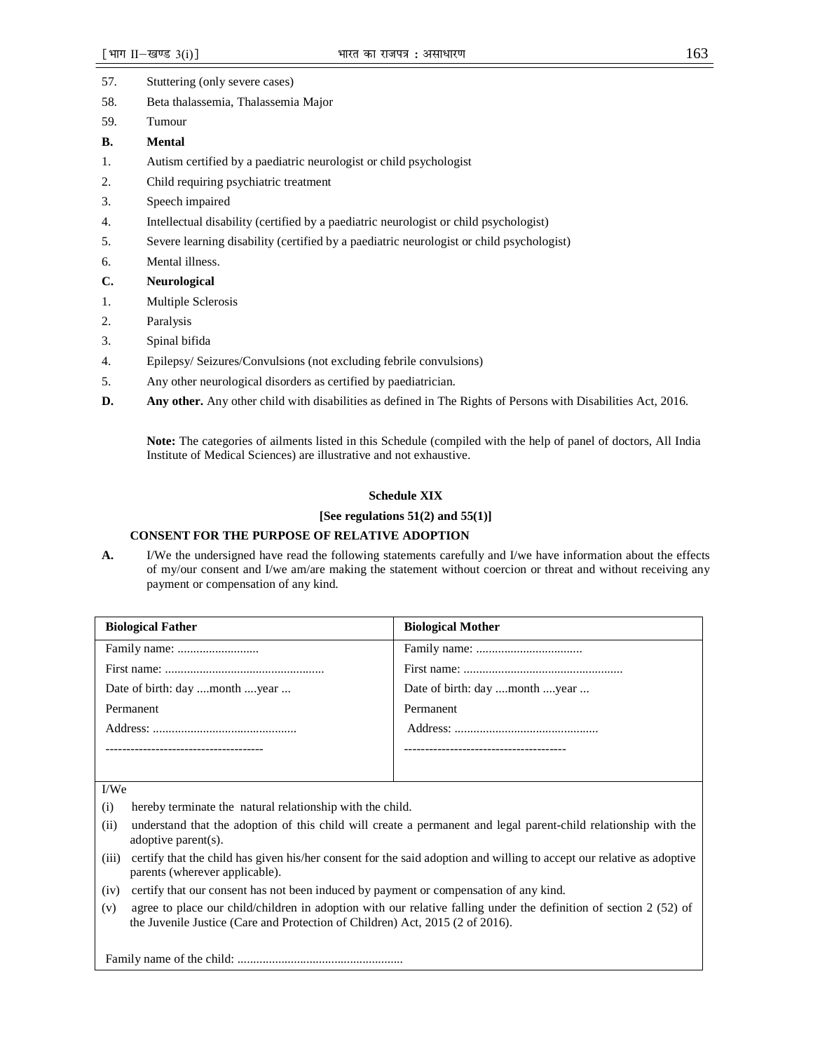- 57. Stuttering (only severe cases)
- 58. Beta thalassemia, Thalassemia Major
- 59. Tumour
- **B. Mental**
- 1. Autism certified by a paediatric neurologist or child psychologist
- 2. Child requiring psychiatric treatment
- 3. Speech impaired
- 4. Intellectual disability (certified by a paediatric neurologist or child psychologist)
- 5. Severe learning disability (certified by a paediatric neurologist or child psychologist)
- 6. Mental illness.
- **C. Neurological**
- 1. Multiple Sclerosis
- 2. Paralysis
- 3. Spinal bifida
- 4. Epilepsy/ Seizures/Convulsions (not excluding febrile convulsions)
- 5. Any other neurological disorders as certified by paediatrician.
- **D. Any other.** Any other child with disabilities as defined in The Rights of Persons with Disabilities Act, 2016.

**Note:** The categories of ailments listed in this Schedule (compiled with the help of panel of doctors, All India Institute of Medical Sciences) are illustrative and not exhaustive.

## **Schedule XIX**

## **[See regulations 51(2) and 55(1)]**

## **CONSENT FOR THE PURPOSE OF RELATIVE ADOPTION**

**A.** I/We the undersigned have read the following statements carefully and I/we have information about the effects of my/our consent and I/we am/are making the statement without coercion or threat and without receiving any payment or compensation of any kind.

| <b>Biological Father</b>      | <b>Biological Mother</b>      |
|-------------------------------|-------------------------------|
|                               |                               |
|                               |                               |
| Date of birth: day month year | Date of birth: day month year |
| Permanent                     | Permanent                     |
|                               |                               |
|                               |                               |
|                               |                               |

## I/We

- (i) hereby terminate the natural relationship with the child.
- (ii) understand that the adoption of this child will create a permanent and legal parent-child relationship with the adoptive parent(s).
- (iii) certify that the child has given his/her consent for the said adoption and willing to accept our relative as adoptive parents (wherever applicable).
- (iv) certify that our consent has not been induced by payment or compensation of any kind.
- (v) agree to place our child/children in adoption with our relative falling under the definition of section 2 (52) of the Juvenile Justice (Care and Protection of Children) Act, 2015 (2 of 2016).

Family name of the child: .....................................................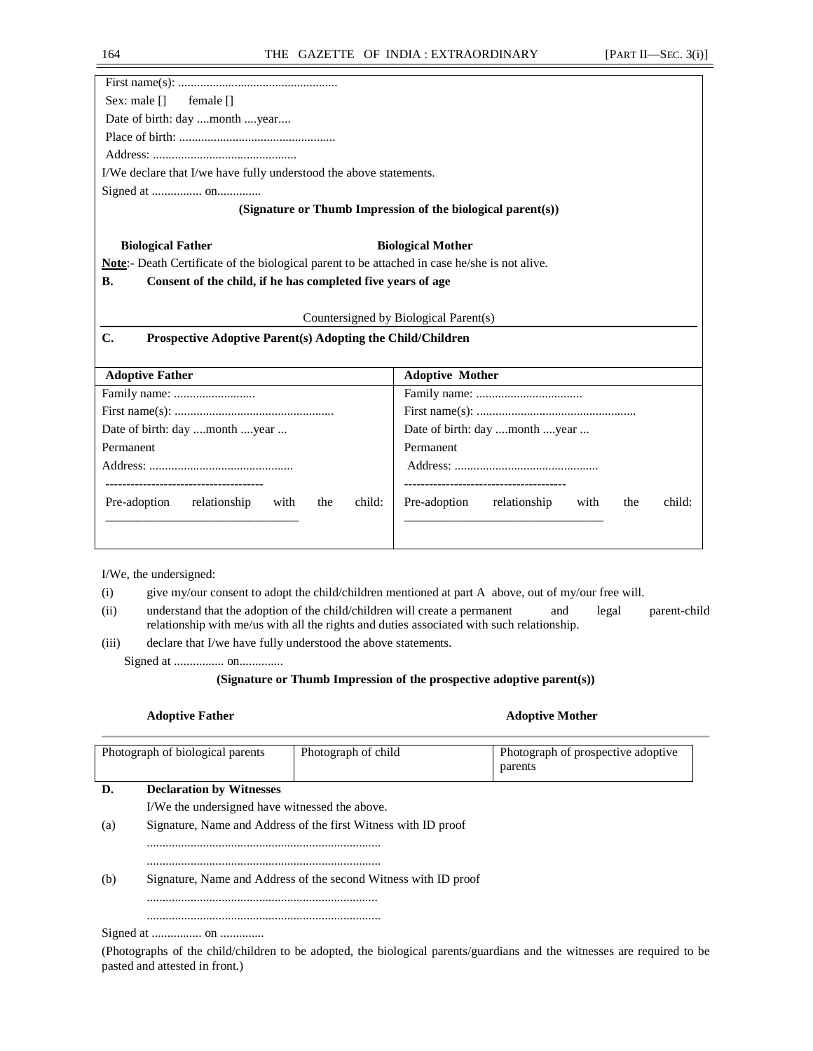| Sex: male $\lceil \rceil$<br>female []                                                         |                                                                                        |
|------------------------------------------------------------------------------------------------|----------------------------------------------------------------------------------------|
| Date of birth: day month year                                                                  |                                                                                        |
|                                                                                                |                                                                                        |
|                                                                                                |                                                                                        |
| I/We declare that I/we have fully understood the above statements.                             |                                                                                        |
|                                                                                                |                                                                                        |
|                                                                                                | (Signature or Thumb Impression of the biological parent(s))                            |
| <b>Biological Father</b>                                                                       | <b>Biological Mother</b>                                                               |
| Note:- Death Certificate of the biological parent to be attached in case he/she is not alive.  |                                                                                        |
| Consent of the child, if he has completed five years of age<br>В.                              |                                                                                        |
|                                                                                                |                                                                                        |
|                                                                                                | Countersigned by Biological Parent(s)                                                  |
| C.<br>Prospective Adoptive Parent(s) Adopting the Child/Children                               |                                                                                        |
|                                                                                                |                                                                                        |
| <b>Adoptive Father</b>                                                                         | <b>Adoptive Mother</b>                                                                 |
|                                                                                                |                                                                                        |
|                                                                                                |                                                                                        |
| Date of birth: day month year                                                                  | Date of birth: day month year                                                          |
| Permanent                                                                                      | Permanent                                                                              |
|                                                                                                |                                                                                        |
| -------------------------------------<br>Pre-adoption<br>relationship<br>child:<br>with<br>the | --------------------------------<br>Pre-adoption relationship<br>child:<br>the<br>with |
|                                                                                                |                                                                                        |

I/We, the undersigned:

- (i) give my/our consent to adopt the child/children mentioned at part A above, out of my/our free will.
- (ii) understand that the adoption of the child/children will create a permanent and legal parent-child relationship with me/us with all the rights and duties associated with such relationship.
- (iii) declare that I/we have fully understood the above statements.

Signed at ................ on..............

#### **(Signature or Thumb Impression of the prospective adoptive parent(s))**

## **Adoptive Father Adoptive Mother Adoptive Mother**

| Photograph of biological parents |                                                                 | Photograph of child                                            | Photograph of prospective adoptive<br>parents |  |  |  |  |
|----------------------------------|-----------------------------------------------------------------|----------------------------------------------------------------|-----------------------------------------------|--|--|--|--|
| D.                               | <b>Declaration by Witnesses</b>                                 |                                                                |                                               |  |  |  |  |
|                                  | I/We the undersigned have witnessed the above.                  |                                                                |                                               |  |  |  |  |
| (a)                              |                                                                 | Signature, Name and Address of the first Witness with ID proof |                                               |  |  |  |  |
|                                  |                                                                 |                                                                |                                               |  |  |  |  |
|                                  |                                                                 |                                                                |                                               |  |  |  |  |
| (b)                              | Signature, Name and Address of the second Witness with ID proof |                                                                |                                               |  |  |  |  |
|                                  |                                                                 |                                                                |                                               |  |  |  |  |
|                                  |                                                                 |                                                                |                                               |  |  |  |  |
|                                  |                                                                 |                                                                |                                               |  |  |  |  |

(Photographs of the child/children to be adopted, the biological parents/guardians and the witnesses are required to be pasted and attested in front.)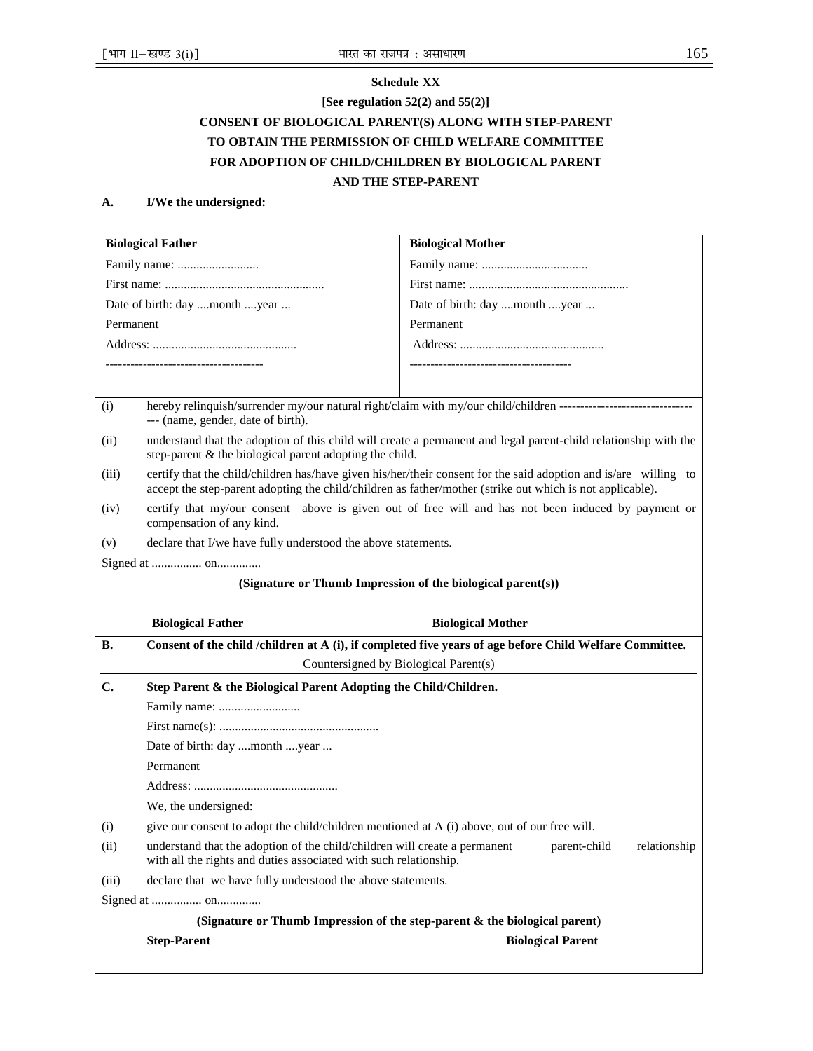## **Schedule XX**

# **[See regulation 52(2) and 55(2)] CONSENT OF BIOLOGICAL PARENT(S) ALONG WITH STEP-PARENT TO OBTAIN THE PERMISSION OF CHILD WELFARE COMMITTEE FOR ADOPTION OF CHILD/CHILDREN BY BIOLOGICAL PARENT AND THE STEP-PARENT**

## **A. I/We the undersigned:**

|           | <b>Biological Father</b>                                                                                                                                                                                                      | <b>Biological Mother</b>                                                                                          |  |  |  |
|-----------|-------------------------------------------------------------------------------------------------------------------------------------------------------------------------------------------------------------------------------|-------------------------------------------------------------------------------------------------------------------|--|--|--|
|           |                                                                                                                                                                                                                               |                                                                                                                   |  |  |  |
|           |                                                                                                                                                                                                                               |                                                                                                                   |  |  |  |
|           | Date of birth: day month year                                                                                                                                                                                                 | Date of birth: day month year                                                                                     |  |  |  |
| Permanent |                                                                                                                                                                                                                               | Permanent                                                                                                         |  |  |  |
|           |                                                                                                                                                                                                                               |                                                                                                                   |  |  |  |
|           | -----------------------------------                                                                                                                                                                                           | ----------------------------------                                                                                |  |  |  |
|           |                                                                                                                                                                                                                               |                                                                                                                   |  |  |  |
| (i)       | --- (name, gender, date of birth).                                                                                                                                                                                            | hereby relinquish/surrender my/our natural right/claim with my/our child/children ------------------------------- |  |  |  |
| (ii)      | understand that the adoption of this child will create a permanent and legal parent-child relationship with the<br>step-parent & the biological parent adopting the child.                                                    |                                                                                                                   |  |  |  |
| (iii)     | certify that the child/children has/have given his/her/their consent for the said adoption and is/are willing to<br>accept the step-parent adopting the child/children as father/mother (strike out which is not applicable). |                                                                                                                   |  |  |  |
| (iv)      | certify that my/our consent above is given out of free will and has not been induced by payment or<br>compensation of any kind.                                                                                               |                                                                                                                   |  |  |  |
| (v)       | declare that I/we have fully understood the above statements.                                                                                                                                                                 |                                                                                                                   |  |  |  |
|           |                                                                                                                                                                                                                               |                                                                                                                   |  |  |  |
|           | (Signature or Thumb Impression of the biological parent(s))                                                                                                                                                                   |                                                                                                                   |  |  |  |
|           |                                                                                                                                                                                                                               |                                                                                                                   |  |  |  |
|           | <b>Biological Father</b>                                                                                                                                                                                                      | <b>Biological Mother</b>                                                                                          |  |  |  |
| <b>B.</b> |                                                                                                                                                                                                                               | Consent of the child /children at A (i), if completed five years of age before Child Welfare Committee.           |  |  |  |
|           | Countersigned by Biological Parent(s)                                                                                                                                                                                         |                                                                                                                   |  |  |  |
| C.        | Step Parent & the Biological Parent Adopting the Child/Children.                                                                                                                                                              |                                                                                                                   |  |  |  |
|           |                                                                                                                                                                                                                               |                                                                                                                   |  |  |  |
|           |                                                                                                                                                                                                                               |                                                                                                                   |  |  |  |
|           | Date of birth: day month year                                                                                                                                                                                                 |                                                                                                                   |  |  |  |
|           | Permanent                                                                                                                                                                                                                     |                                                                                                                   |  |  |  |
|           |                                                                                                                                                                                                                               |                                                                                                                   |  |  |  |
|           |                                                                                                                                                                                                                               |                                                                                                                   |  |  |  |
|           | We, the undersigned:                                                                                                                                                                                                          |                                                                                                                   |  |  |  |
| (i)       | give our consent to adopt the child/children mentioned at A (i) above, out of our free will.                                                                                                                                  |                                                                                                                   |  |  |  |
| (ii)      | understand that the adoption of the child/children will create a permanent<br>with all the rights and duties associated with such relationship.                                                                               | parent-child<br>relationship                                                                                      |  |  |  |
| (iii)     | declare that we have fully understood the above statements.                                                                                                                                                                   |                                                                                                                   |  |  |  |
|           |                                                                                                                                                                                                                               |                                                                                                                   |  |  |  |
|           | (Signature or Thumb Impression of the step-parent & the biological parent)<br><b>Step-Parent</b>                                                                                                                              | <b>Biological Parent</b>                                                                                          |  |  |  |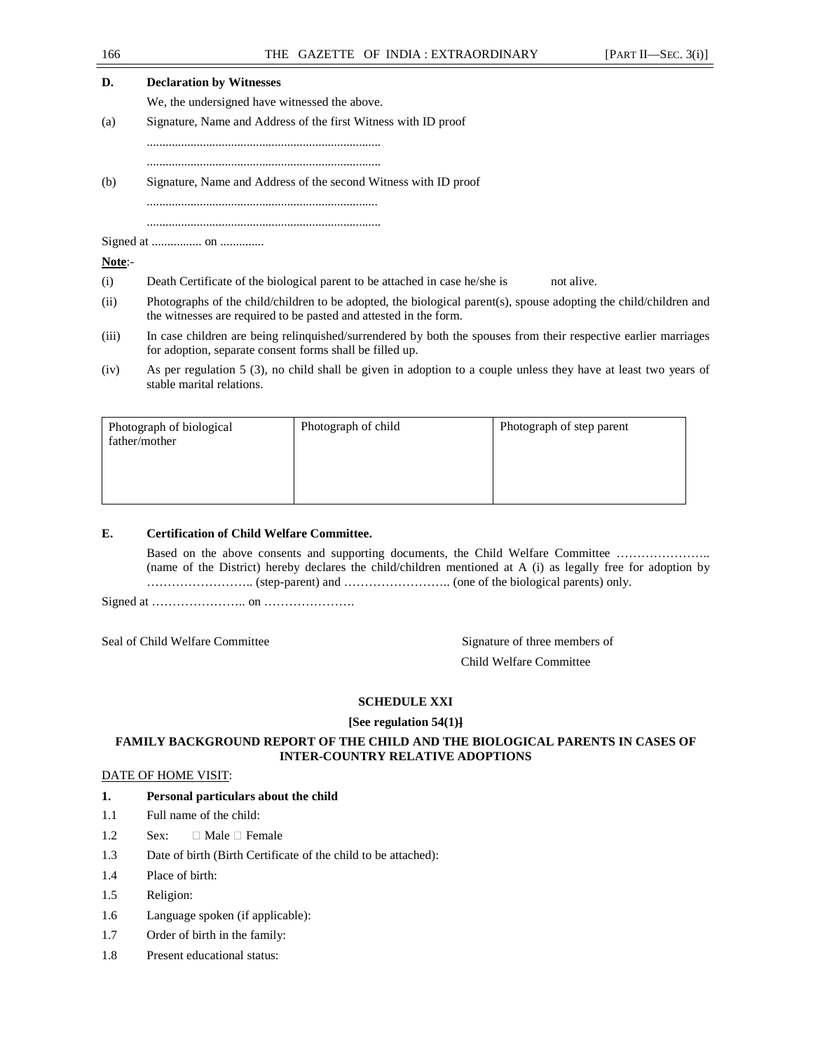| 166    | GAZETTE OF INDIA: EXTRAORDINARY<br>THE                                                                                                                                                 | [PART II—SEC. 3(i)] |
|--------|----------------------------------------------------------------------------------------------------------------------------------------------------------------------------------------|---------------------|
| D.     | <b>Declaration by Witnesses</b>                                                                                                                                                        |                     |
|        | We, the undersigned have witnessed the above.                                                                                                                                          |                     |
| (a)    | Signature, Name and Address of the first Witness with ID proof                                                                                                                         |                     |
|        |                                                                                                                                                                                        |                     |
|        |                                                                                                                                                                                        |                     |
| (b)    | Signature, Name and Address of the second Witness with ID proof                                                                                                                        |                     |
|        |                                                                                                                                                                                        |                     |
|        |                                                                                                                                                                                        |                     |
|        |                                                                                                                                                                                        |                     |
| Note:- |                                                                                                                                                                                        |                     |
| (i)    | Death Certificate of the biological parent to be attached in case he/she is<br>not alive.                                                                                              |                     |
| (ii)   | Photographs of the child/children to be adopted, the biological parent(s), spouse adopting the child/children and<br>the witnesses are required to be pasted and attested in the form. |                     |

- (iii) In case children are being relinquished/surrendered by both the spouses from their respective earlier marriages for adoption, separate consent forms shall be filled up.
- (iv) As per regulation 5 (3), no child shall be given in adoption to a couple unless they have at least two years of stable marital relations.

| Photograph of biological<br>father/mother | Photograph of child | Photograph of step parent |
|-------------------------------------------|---------------------|---------------------------|
|                                           |                     |                           |

## **E. Certification of Child Welfare Committee.**

Based on the above consents and supporting documents, the Child Welfare Committee ………………….. (name of the District) hereby declares the child/children mentioned at A (i) as legally free for adoption by …………………….. (step-parent) and …………………….. (one of the biological parents) only.

Signed at ………………….. on ………………….

Seal of Child Welfare Committee Signature of three members of

Child Welfare Committee

## **SCHEDULE XXI**

**[See regulation 54(1)]** 

## **FAMILY BACKGROUND REPORT OF THE CHILD AND THE BIOLOGICAL PARENTS IN CASES OF INTER-COUNTRY RELATIVE ADOPTIONS**

## DATE OF HOME VISIT:

## **1. Personal particulars about the child**

- 1.1 Full name of the child:
- 1.2 Sex: Male Female
- 1.3 Date of birth (Birth Certificate of the child to be attached):
- 1.4 Place of birth:
- 1.5 Religion:
- 1.6 Language spoken (if applicable):
- 1.7 Order of birth in the family:
- 1.8 Present educational status: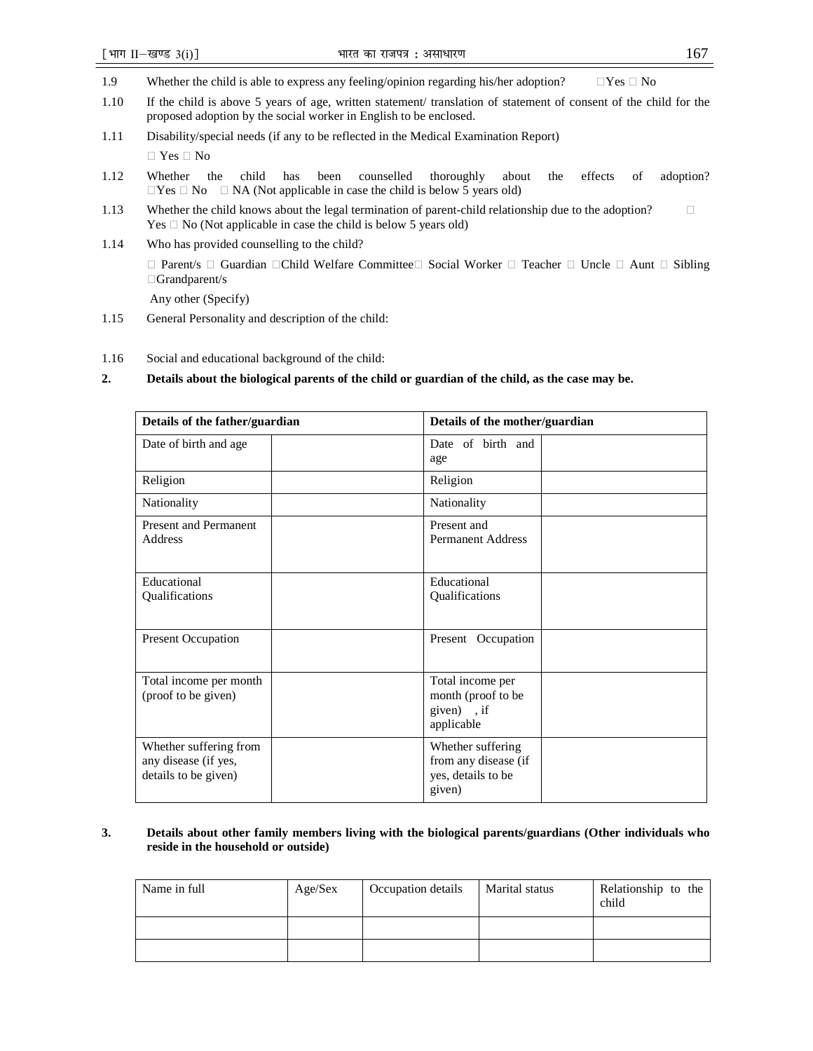- 1.9 Whether the child is able to express any feeling/opinion regarding his/her adoption? Yes No
- 1.10 If the child is above 5 years of age, written statement/ translation of statement of consent of the child for the proposed adoption by the social worker in English to be enclosed.
- 1.11 Disability/special needs (if any to be reflected in the Medical Examination Report)
	- Yes No
- 1.12 Whether the child has been counselled thoroughly about the effects of adoption? Whether the child has been counselled thoroughly about Yes No NA (Not applicable in case the child is below 5 years old)
- 1.13 Whether the child knows about the legal termination of parent-child relationship due to the adoption? Yes No (Not applicable in case the child is below 5 years old)
- 1.14 Who has provided counselling to the child?
	- Parent/s Guardian Child Welfare Committee Social Worker Teacher Uncle Aunt Sibling Grandparent/s

Any other (Specify)

- 1.15 General Personality and description of the child:
- 1.16 Social and educational background of the child:

## **2. Details about the biological parents of the child or guardian of the child, as the case may be.**

| Details of the father/guardian                                         |                                                                           | Details of the mother/guardian |  |  |
|------------------------------------------------------------------------|---------------------------------------------------------------------------|--------------------------------|--|--|
| Date of birth and age                                                  | Date of birth and<br>age                                                  |                                |  |  |
| Religion                                                               | Religion                                                                  |                                |  |  |
| Nationality                                                            | Nationality                                                               |                                |  |  |
| <b>Present and Permanent</b><br>Address                                | Present and<br><b>Permanent Address</b>                                   |                                |  |  |
| Educational<br>Qualifications                                          | Educational<br>Qualifications                                             |                                |  |  |
| <b>Present Occupation</b>                                              | Present Occupation                                                        |                                |  |  |
| Total income per month<br>(proof to be given)                          | Total income per<br>month (proof to be<br>given), if<br>applicable        |                                |  |  |
| Whether suffering from<br>any disease (if yes,<br>details to be given) | Whether suffering<br>from any disease (if<br>yes, details to be<br>given) |                                |  |  |

#### **3. Details about other family members living with the biological parents/guardians (Other individuals who reside in the household or outside)**

| Name in full | Age/Sex | Occupation details | Marital status | Relationship to the<br>child |
|--------------|---------|--------------------|----------------|------------------------------|
|              |         |                    |                |                              |
|              |         |                    |                |                              |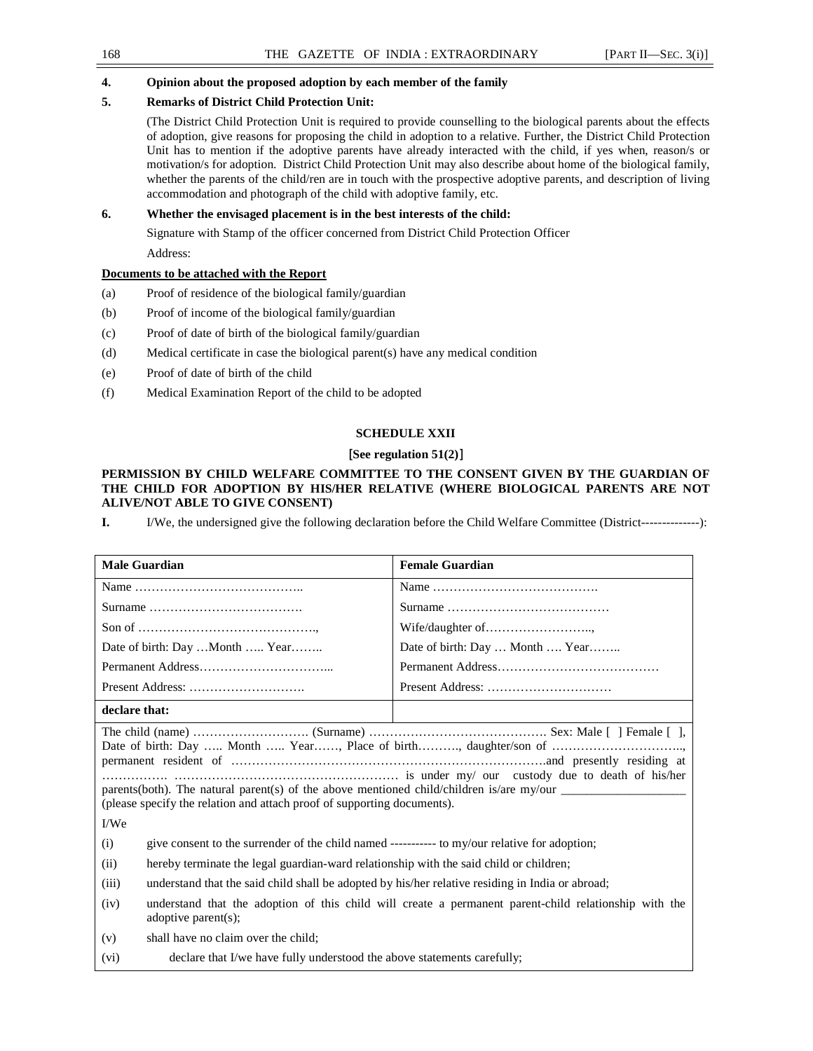| Opinion about the proposed adoption by each member of the family |  |
|------------------------------------------------------------------|--|
|                                                                  |  |

## **5. Remarks of District Child Protection Unit:**

(The District Child Protection Unit is required to provide counselling to the biological parents about the effects of adoption, give reasons for proposing the child in adoption to a relative. Further, the District Child Protection Unit has to mention if the adoptive parents have already interacted with the child, if yes when, reason/s or motivation/s for adoption. District Child Protection Unit may also describe about home of the biological family, whether the parents of the child/ren are in touch with the prospective adoptive parents, and description of living accommodation and photograph of the child with adoptive family, etc.

## **6. Whether the envisaged placement is in the best interests of the child:**

Signature with Stamp of the officer concerned from District Child Protection Officer

# Address:

## **Documents to be attached with the Report**

- (a) Proof of residence of the biological family/guardian
- (b) Proof of income of the biological family/guardian
- (c) Proof of date of birth of the biological family/guardian
- (d) Medical certificate in case the biological parent(s) have any medical condition
- (e) Proof of date of birth of the child
- (f) Medical Examination Report of the child to be adopted

## **SCHEDULE XXII**

## [**See regulation 51(2)**]

#### **PERMISSION BY CHILD WELFARE COMMITTEE TO THE CONSENT GIVEN BY THE GUARDIAN OF THE CHILD FOR ADOPTION BY HIS/HER RELATIVE (WHERE BIOLOGICAL PARENTS ARE NOT ALIVE/NOT ABLE TO GIVE CONSENT)**

**I.** I/We, the undersigned give the following declaration before the Child Welfare Committee (District---------------):

| <b>Male Guardian</b>                                                                                                                                                                                                                                                                                                                                                                                                                  | <b>Female Guardian</b>                                                                 |  |  |  |
|---------------------------------------------------------------------------------------------------------------------------------------------------------------------------------------------------------------------------------------------------------------------------------------------------------------------------------------------------------------------------------------------------------------------------------------|----------------------------------------------------------------------------------------|--|--|--|
|                                                                                                                                                                                                                                                                                                                                                                                                                                       |                                                                                        |  |  |  |
|                                                                                                                                                                                                                                                                                                                                                                                                                                       |                                                                                        |  |  |  |
|                                                                                                                                                                                                                                                                                                                                                                                                                                       | Wife/daughter of                                                                       |  |  |  |
| Date of birth: Day  Month  Year                                                                                                                                                                                                                                                                                                                                                                                                       | Date of birth: Day  Month  Year                                                        |  |  |  |
|                                                                                                                                                                                                                                                                                                                                                                                                                                       |                                                                                        |  |  |  |
|                                                                                                                                                                                                                                                                                                                                                                                                                                       |                                                                                        |  |  |  |
| declare that:                                                                                                                                                                                                                                                                                                                                                                                                                         |                                                                                        |  |  |  |
| parents(both). The natural parent(s) of the above mentioned child/children is/are my/our $\frac{1}{\sqrt{1-\frac{1}{\sqrt{1-\frac{1}{\sqrt{1-\frac{1}{\sqrt{1-\frac{1}{\sqrt{1-\frac{1}{\sqrt{1-\frac{1}{\sqrt{1-\frac{1}{\sqrt{1-\frac{1}{\sqrt{1-\frac{1}{\sqrt{1-\frac{1}{\sqrt{1-\frac{1}{\sqrt{1-\frac{1}{\sqrt{1-\frac{1}{\sqrt{1-\frac{1}{$<br>(please specify the relation and attach proof of supporting documents).<br>I/We |                                                                                        |  |  |  |
| give consent to the surrender of the child named ------------ to my/our relative for adoption;<br>(i)                                                                                                                                                                                                                                                                                                                                 |                                                                                        |  |  |  |
| (ii)                                                                                                                                                                                                                                                                                                                                                                                                                                  | hereby terminate the legal guardian-ward relationship with the said child or children; |  |  |  |
| understand that the said child shall be adopted by his/her relative residing in India or abroad;<br>(iii)                                                                                                                                                                                                                                                                                                                             |                                                                                        |  |  |  |
| understand that the adoption of this child will create a permanent parent-child relationship with the<br>(iv)<br>adoptive parent(s);                                                                                                                                                                                                                                                                                                  |                                                                                        |  |  |  |
| shall have no claim over the child;<br>(v)                                                                                                                                                                                                                                                                                                                                                                                            |                                                                                        |  |  |  |
| declare that I/we have fully understood the above statements carefully;<br>(vi)                                                                                                                                                                                                                                                                                                                                                       |                                                                                        |  |  |  |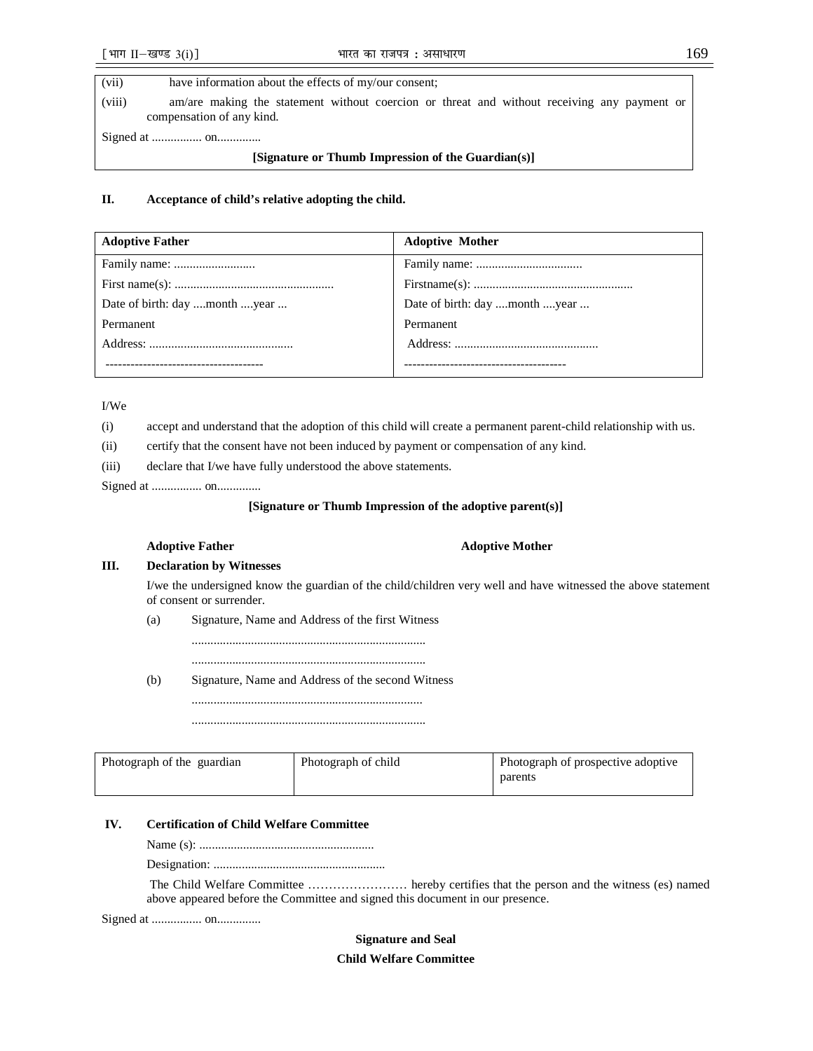(vii) have information about the effects of my/our consent;

(viii) am/are making the statement without coercion or threat and without receiving any payment or compensation of any kind.

Signed at ................ on..............

#### **[Signature or Thumb Impression of the Guardian(s)]**

## **II. Acceptance of child's relative adopting the child.**

| <b>Adoptive Father</b>        | <b>Adoptive Mother</b>        |
|-------------------------------|-------------------------------|
|                               |                               |
|                               |                               |
| Date of birth: day month year | Date of birth: day month year |
| Permanent                     | Permanent                     |
|                               |                               |
|                               |                               |

I/We

(i) accept and understand that the adoption of this child will create a permanent parent-child relationship with us.

(ii) certify that the consent have not been induced by payment or compensation of any kind.

(iii) declare that I/we have fully understood the above statements.

Signed at ................ on..............

#### **[Signature or Thumb Impression of the adoptive parent(s)]**

#### **Adoptive Father Adoptive Mother Adoptive Mother**

## **III. Declaration by Witnesses**

I/we the undersigned know the guardian of the child/children very well and have witnessed the above statement of consent or surrender.

(a) Signature, Name and Address of the first Witness

 ........................................................................... ...........................................................................

(b) Signature, Name and Address of the second Witness

...........................................................................

..........................................................................

| Photograph of the guardian | Photograph of child | Photograph of prospective adoptive |  |
|----------------------------|---------------------|------------------------------------|--|
|                            |                     | parents                            |  |

## **IV. Certification of Child Welfare Committee**

Name (s): ........................................................

Designation: .......................................................

 The Child Welfare Committee …………………… hereby certifies that the person and the witness (es) named above appeared before the Committee and signed this document in our presence.

Signed at ................ on..............

**Signature and Seal** 

**Child Welfare Committee**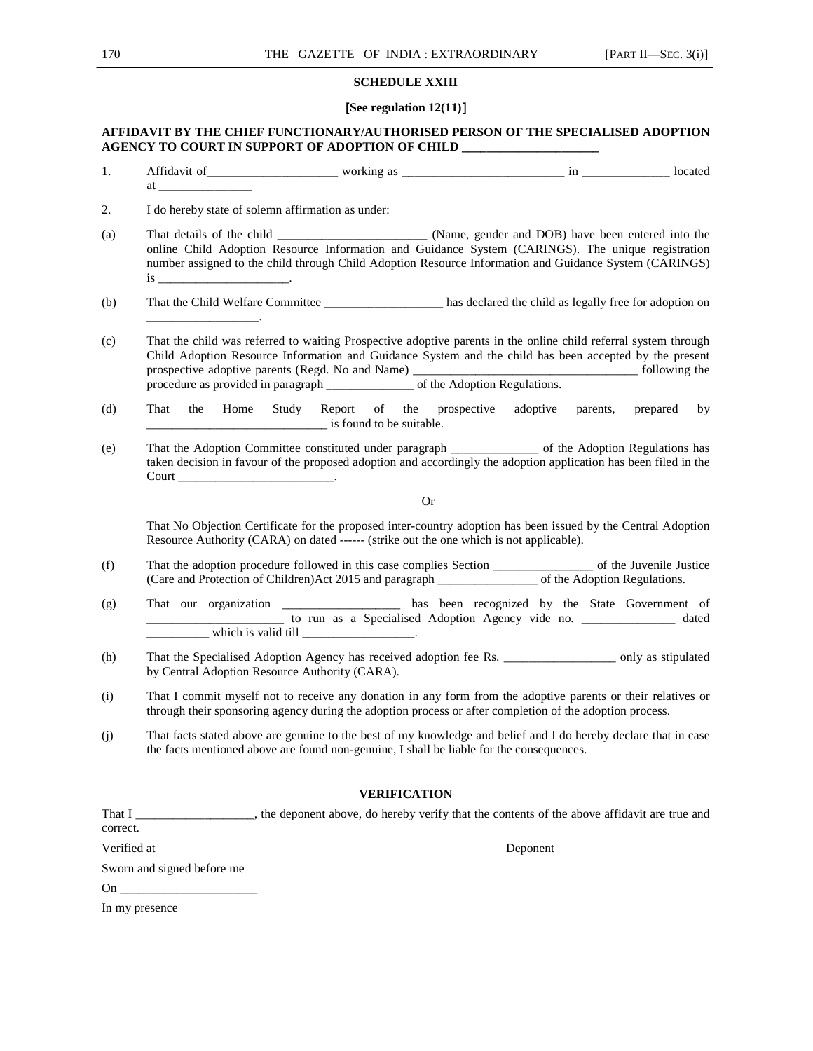#### **SCHEDULE XXIII**

#### [**See regulation 12(11)**]

## **AFFIDAVIT BY THE CHIEF FUNCTIONARY/AUTHORISED PERSON OF THE SPECIALISED ADOPTION AGENCY TO COURT IN SUPPORT OF ADOPTION OF CHILD \_\_\_\_\_\_\_\_\_\_\_\_\_\_\_\_\_\_\_\_\_\_**

- 1. Affidavit of\_\_\_\_\_\_\_\_\_\_\_\_\_\_\_\_\_\_\_\_\_ working as \_\_\_\_\_\_\_\_\_\_\_\_\_\_\_\_\_\_\_\_\_\_\_\_\_\_ in \_\_\_\_\_\_\_\_\_\_\_\_\_\_ located  $at$   $\qquad \qquad$
- 2. I do hereby state of solemn affirmation as under:
- (a) That details of the child \_\_\_\_\_\_\_\_\_\_\_\_\_\_\_\_\_\_\_\_\_\_\_\_ (Name, gender and DOB) have been entered into the online Child Adoption Resource Information and Guidance System (CARINGS). The unique registration number assigned to the child through Child Adoption Resource Information and Guidance System (CARINGS)  $is$   $\qquad$
- (b) That the Child Welfare Committee \_\_\_\_\_\_\_\_\_\_\_\_\_\_\_\_\_\_\_ has declared the child as legally free for adoption on \_\_\_\_\_\_\_\_\_\_\_\_\_\_\_\_\_\_.
- (c) That the child was referred to waiting Prospective adoptive parents in the online child referral system through Child Adoption Resource Information and Guidance System and the child has been accepted by the present prospective adoptive parents (Regd. No and Name) \_\_\_\_\_\_\_\_\_\_\_\_\_\_\_\_\_\_\_\_\_\_\_\_\_\_\_\_\_\_\_\_\_\_\_\_ following the procedure as provided in paragraph \_\_\_\_\_\_\_\_\_\_\_\_\_\_ of the Adoption Regulations.
- (d) That the Home Study Report of the prospective adoptive parents, prepared by  $\equiv$  is found to be suitable.
- (e) That the Adoption Committee constituted under paragraph \_\_\_\_\_\_\_\_\_\_\_\_\_\_ of the Adoption Regulations has taken decision in favour of the proposed adoption and accordingly the adoption application has been filed in the Court

Or

That No Objection Certificate for the proposed inter-country adoption has been issued by the Central Adoption Resource Authority (CARA) on dated ------ (strike out the one which is not applicable).

- (f) That the adoption procedure followed in this case complies Section \_\_\_\_\_\_\_\_\_\_\_\_\_\_\_\_ of the Juvenile Justice (Care and Protection of Children)Act 2015 and paragraph \_\_\_\_\_\_\_\_\_\_\_\_\_\_\_\_ of the Adoption Regulations.
- (g) That our organization \_\_\_\_\_\_\_\_\_\_\_\_\_\_\_\_\_\_\_ has been recognized by the State Government of \_\_\_\_\_\_\_\_\_\_\_\_\_\_\_\_\_\_\_\_\_\_ to run as a Specialised Adoption Agency vide no. \_\_\_\_\_\_\_\_\_\_\_\_\_\_\_ dated \_\_\_\_\_\_\_\_\_\_ which is valid till \_\_\_\_\_\_\_\_\_\_\_\_\_\_\_\_\_\_.
- (h) That the Specialised Adoption Agency has received adoption fee Rs. \_\_\_\_\_\_\_\_\_\_\_\_\_\_\_\_\_\_ only as stipulated by Central Adoption Resource Authority (CARA).
- (i) That I commit myself not to receive any donation in any form from the adoptive parents or their relatives or through their sponsoring agency during the adoption process or after completion of the adoption process.
- (j) That facts stated above are genuine to the best of my knowledge and belief and I do hereby declare that in case the facts mentioned above are found non-genuine, I shall be liable for the consequences.

## **VERIFICATION**

That I \_\_\_\_\_\_\_\_\_\_\_\_\_\_\_\_, the deponent above, do hereby verify that the contents of the above affidavit are true and correct. Verified at Deponent Sworn and signed before me  $On \qquad \qquad$ 

In my presence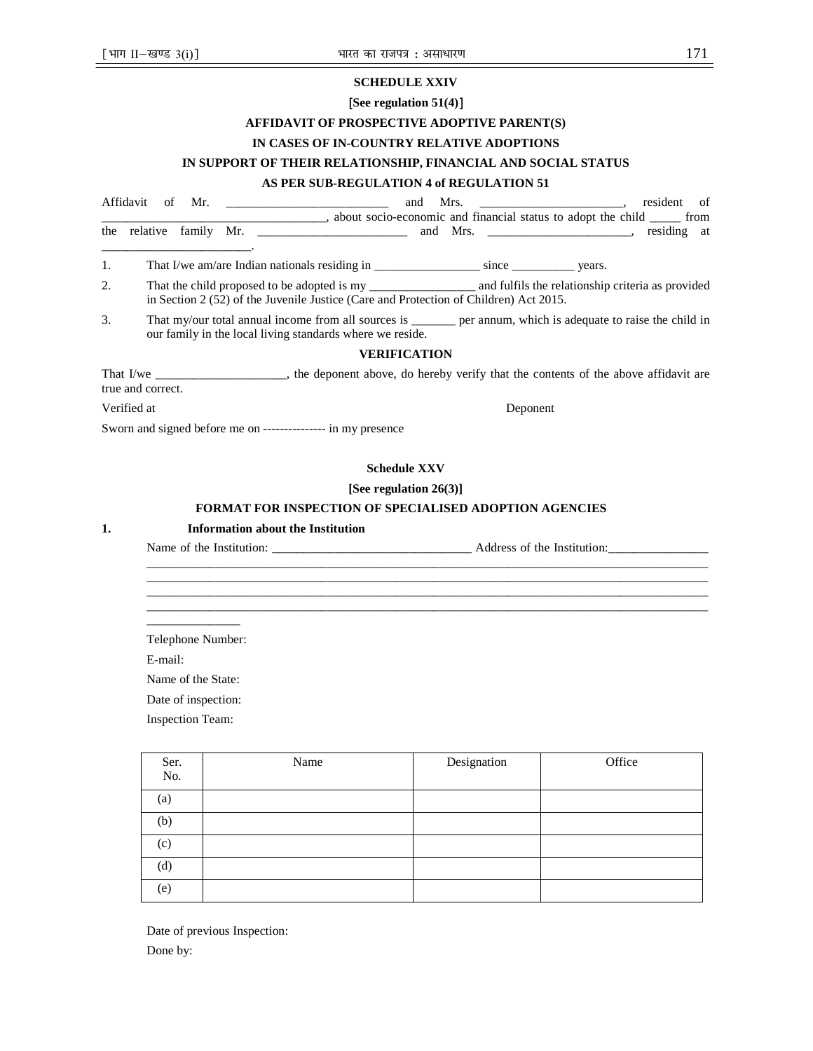#### **SCHEDULE XXIV**

## [**See regulation 51(4)**]

#### **AFFIDAVIT OF PROSPECTIVE ADOPTIVE PARENT(S)**

#### **IN CASES OF IN-COUNTRY RELATIVE ADOPTIONS**

## **IN SUPPORT OF THEIR RELATIONSHIP, FINANCIAL AND SOCIAL STATUS**

## **AS PER SUB-REGULATION 4 of REGULATION 51**

Affidavit of Mr. \_\_\_\_\_\_\_\_\_\_\_\_\_\_\_\_\_\_\_\_\_\_\_\_\_\_ and Mrs. \_\_\_\_\_\_\_\_\_\_\_\_\_\_\_\_\_\_\_\_\_\_\_, resident of \_\_\_\_\_\_\_\_\_\_\_\_\_\_\_\_\_\_\_\_\_\_\_\_\_\_\_\_\_\_\_\_\_\_\_\_, about socio-economic and financial status to adopt the child \_\_\_\_\_ from the relative family Mr. \_\_\_\_\_\_\_\_\_\_\_\_\_\_\_\_\_\_\_\_\_\_\_\_ and Mrs. \_\_\_\_\_\_\_\_\_\_\_\_\_\_\_\_\_\_\_\_\_\_\_, residing at \_\_\_\_\_\_\_\_\_\_\_\_\_\_\_\_\_\_\_\_\_\_\_\_. 1. That I/we am/are Indian nationals residing in \_\_\_\_\_\_\_\_\_\_\_\_\_\_\_\_\_ since \_\_\_\_\_\_\_\_\_\_ years. 2. That the child proposed to be adopted is my \_\_\_\_\_\_\_\_\_\_\_\_\_\_\_\_\_ and fulfils the relationship criteria as provided in Section 2 (52) of the Juvenile Justice (Care and Protection of Children) Act 2015. 3. That my/our total annual income from all sources is \_\_\_\_\_\_\_ per annum, which is adequate to raise the child in our family in the local living standards where we reside. **VERIFICATION**  That I/we \_\_\_\_\_\_\_\_\_\_\_\_\_\_\_\_, the deponent above, do hereby verify that the contents of the above affidavit are true and correct. Verified at Deponent Sworn and signed before me on --------------- in my presence **Schedule XXV [See regulation 26(3)]** 

## **FORMAT FOR INSPECTION OF SPECIALISED ADOPTION AGENCIES**

**1. Information about the Institution** 

Name of the Institution: \_\_\_\_\_\_\_\_\_\_\_\_\_\_\_\_\_\_\_\_\_\_\_\_\_\_\_\_\_\_\_\_ Address of the Institution:\_\_\_\_\_\_\_\_\_\_\_\_\_\_\_\_

\_\_\_\_\_\_\_\_\_\_\_\_\_\_\_\_\_\_\_\_\_\_\_\_\_\_\_\_\_\_\_\_\_\_\_\_\_\_\_\_\_\_\_\_\_\_\_\_\_\_\_\_\_\_\_\_\_\_\_\_\_\_\_\_\_\_\_\_\_\_\_\_\_\_\_\_\_\_\_\_\_\_\_\_\_\_\_\_\_\_ \_\_\_\_\_\_\_\_\_\_\_\_\_\_\_\_\_\_\_\_\_\_\_\_\_\_\_\_\_\_\_\_\_\_\_\_\_\_\_\_\_\_\_\_\_\_\_\_\_\_\_\_\_\_\_\_\_\_\_\_\_\_\_\_\_\_\_\_\_\_\_\_\_\_\_\_\_\_\_\_\_\_\_\_\_\_\_\_\_\_ \_\_\_\_\_\_\_\_\_\_\_\_\_\_\_\_\_\_\_\_\_\_\_\_\_\_\_\_\_\_\_\_\_\_\_\_\_\_\_\_\_\_\_\_\_\_\_\_\_\_\_\_\_\_\_\_\_\_\_\_\_\_\_\_\_\_\_\_\_\_\_\_\_\_\_\_\_\_\_\_\_\_\_\_\_\_\_\_\_\_ \_\_\_\_\_\_\_\_\_\_\_\_\_\_\_\_\_\_\_\_\_\_\_\_\_\_\_\_\_\_\_\_\_\_\_\_\_\_\_\_\_\_\_\_\_\_\_\_\_\_\_\_\_\_\_\_\_\_\_\_\_\_\_\_\_\_\_\_\_\_\_\_\_\_\_\_\_\_\_\_\_\_\_\_\_\_\_\_\_\_

\_\_\_\_\_\_\_\_\_\_\_\_\_\_\_ Telephone Number:

E-mail:

Name of the State:

Date of inspection:

Inspection Team:

| Ser.<br>No. | Name | Designation | Office |
|-------------|------|-------------|--------|
| (a)         |      |             |        |
| (b)         |      |             |        |
| (c)         |      |             |        |
| (d)         |      |             |        |
| (e)         |      |             |        |

Date of previous Inspection: Done by: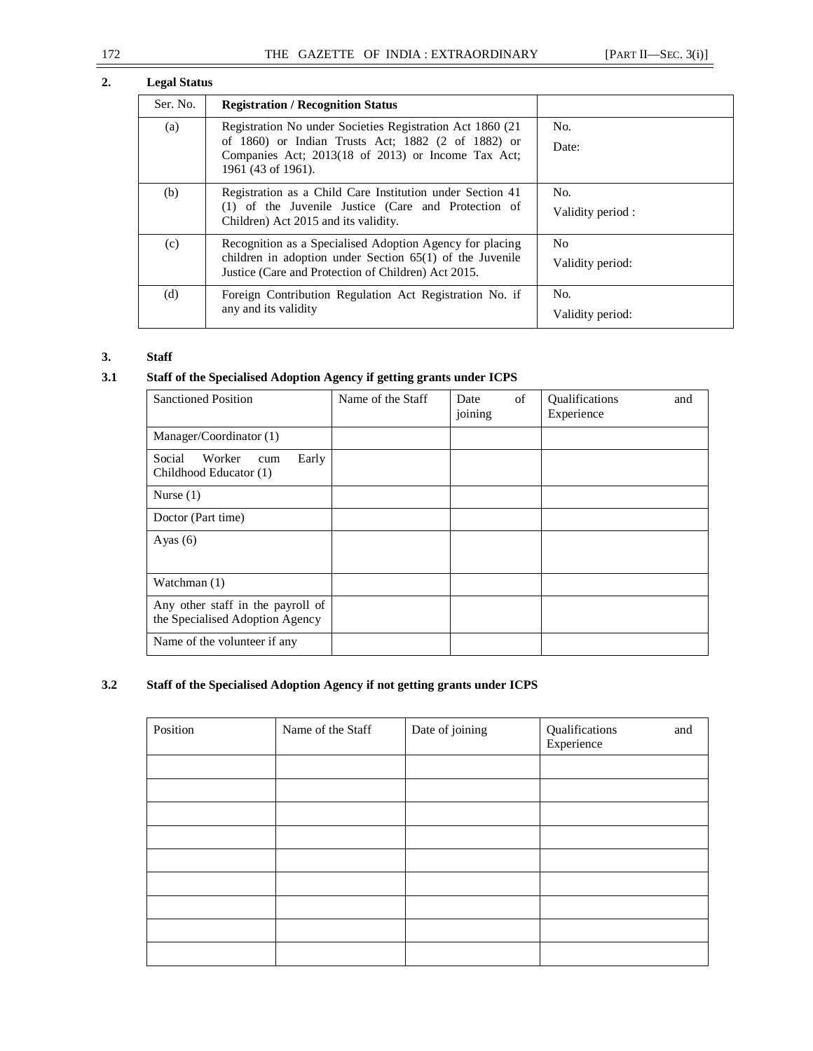# **2. Legal Status**

| Ser. No. | <b>Registration / Recognition Status</b>                                                                                                                                                                |                                    |
|----------|---------------------------------------------------------------------------------------------------------------------------------------------------------------------------------------------------------|------------------------------------|
| (a)      | Registration No under Societies Registration Act 1860 (21)<br>of 1860) or Indian Trusts Act; 1882 $(2 \text{ of } 1882)$ or<br>Companies Act; 2013(18 of 2013) or Income Tax Act;<br>1961 (43 of 1961). | No.<br>Date:                       |
| (b)      | Registration as a Child Care Institution under Section 41<br>(1) of the Juvenile Justice (Care and Protection of<br>Children) Act 2015 and its validity.                                                | No.<br>Validity period :           |
| (c)      | Recognition as a Specialised Adoption Agency for placing<br>children in adoption under Section $65(1)$ of the Juvenile<br>Justice (Care and Protection of Children) Act 2015.                           | N <sub>0</sub><br>Validity period: |
| (d)      | Foreign Contribution Regulation Act Registration No. if<br>any and its validity                                                                                                                         | No.<br>Validity period:            |

# **3. Staff**

## **3.1 Staff of the Specialised Adoption Agency if getting grants under ICPS**

| <b>Sanctioned Position</b>                                           | Name of the Staff | of<br>Date<br>joining | Qualifications<br>and<br>Experience |
|----------------------------------------------------------------------|-------------------|-----------------------|-------------------------------------|
| Manager/Coordinator (1)                                              |                   |                       |                                     |
| Worker<br>Early<br>Social<br>cum<br>Childhood Educator (1)           |                   |                       |                                     |
| Nurse $(1)$                                                          |                   |                       |                                     |
| Doctor (Part time)                                                   |                   |                       |                                     |
| Ayas $(6)$                                                           |                   |                       |                                     |
| Watchman (1)                                                         |                   |                       |                                     |
| Any other staff in the payroll of<br>the Specialised Adoption Agency |                   |                       |                                     |
| Name of the volunteer if any                                         |                   |                       |                                     |

## **3.2 Staff of the Specialised Adoption Agency if not getting grants under ICPS**

| Position | Name of the Staff | Date of joining | Qualifications<br>Experience<br>and |
|----------|-------------------|-----------------|-------------------------------------|
|          |                   |                 |                                     |
|          |                   |                 |                                     |
|          |                   |                 |                                     |
|          |                   |                 |                                     |
|          |                   |                 |                                     |
|          |                   |                 |                                     |
|          |                   |                 |                                     |
|          |                   |                 |                                     |
|          |                   |                 |                                     |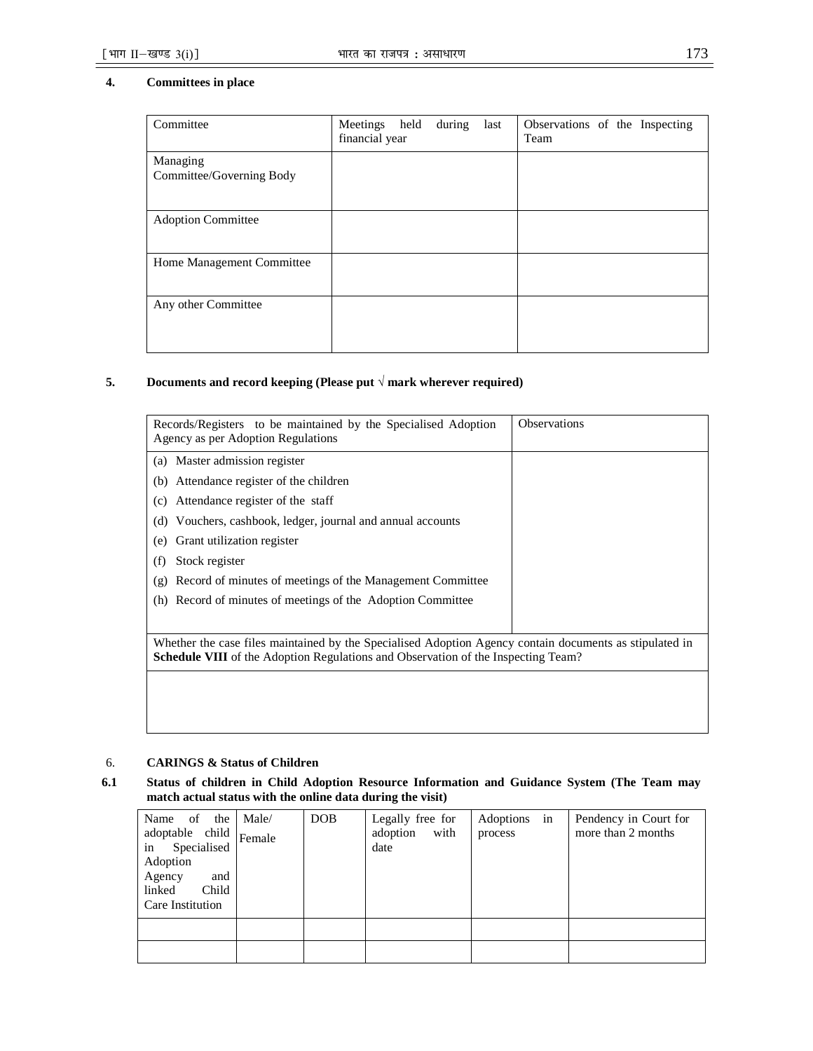## **4. Committees in place**

| Committee                            | during<br>Meetings held<br>last<br>financial year | Observations of the Inspecting<br>Team |
|--------------------------------------|---------------------------------------------------|----------------------------------------|
| Managing<br>Committee/Governing Body |                                                   |                                        |
| <b>Adoption Committee</b>            |                                                   |                                        |
| Home Management Committee            |                                                   |                                        |
| Any other Committee                  |                                                   |                                        |

## **5. Documents and record keeping (Please put √ mark wherever required)**

| Records/Registers to be maintained by the Specialised Adoption<br>Agency as per Adoption Regulations                                                                                                | <b>Observations</b> |
|-----------------------------------------------------------------------------------------------------------------------------------------------------------------------------------------------------|---------------------|
| (a) Master admission register                                                                                                                                                                       |                     |
| Attendance register of the children<br>(b)                                                                                                                                                          |                     |
| Attendance register of the staff<br>(c)                                                                                                                                                             |                     |
| Vouchers, cashbook, ledger, journal and annual accounts<br>(d)                                                                                                                                      |                     |
| Grant utilization register<br>(e)                                                                                                                                                                   |                     |
| Stock register<br>(f)                                                                                                                                                                               |                     |
| Record of minutes of meetings of the Management Committee<br>(g)                                                                                                                                    |                     |
| (h) Record of minutes of meetings of the Adoption Committee                                                                                                                                         |                     |
|                                                                                                                                                                                                     |                     |
| Whether the case files maintained by the Specialised Adoption Agency contain documents as stipulated in<br><b>Schedule VIII</b> of the Adoption Regulations and Observation of the Inspecting Team? |                     |
|                                                                                                                                                                                                     |                     |

## 6. **CARINGS & Status of Children**

## **6.1 Status of children in Child Adoption Resource Information and Guidance System (The Team may match actual status with the online data during the visit)**

| Name<br>of<br>the<br>adoptable child Female<br>in Specialised<br>Adoption<br>Agency<br>and<br>linked<br>Child<br>Care Institution | Male/ | DOB | Legally free for<br>with<br>adoption<br>date | in<br>Adoptions<br>process | Pendency in Court for<br>more than 2 months |
|-----------------------------------------------------------------------------------------------------------------------------------|-------|-----|----------------------------------------------|----------------------------|---------------------------------------------|
|                                                                                                                                   |       |     |                                              |                            |                                             |
|                                                                                                                                   |       |     |                                              |                            |                                             |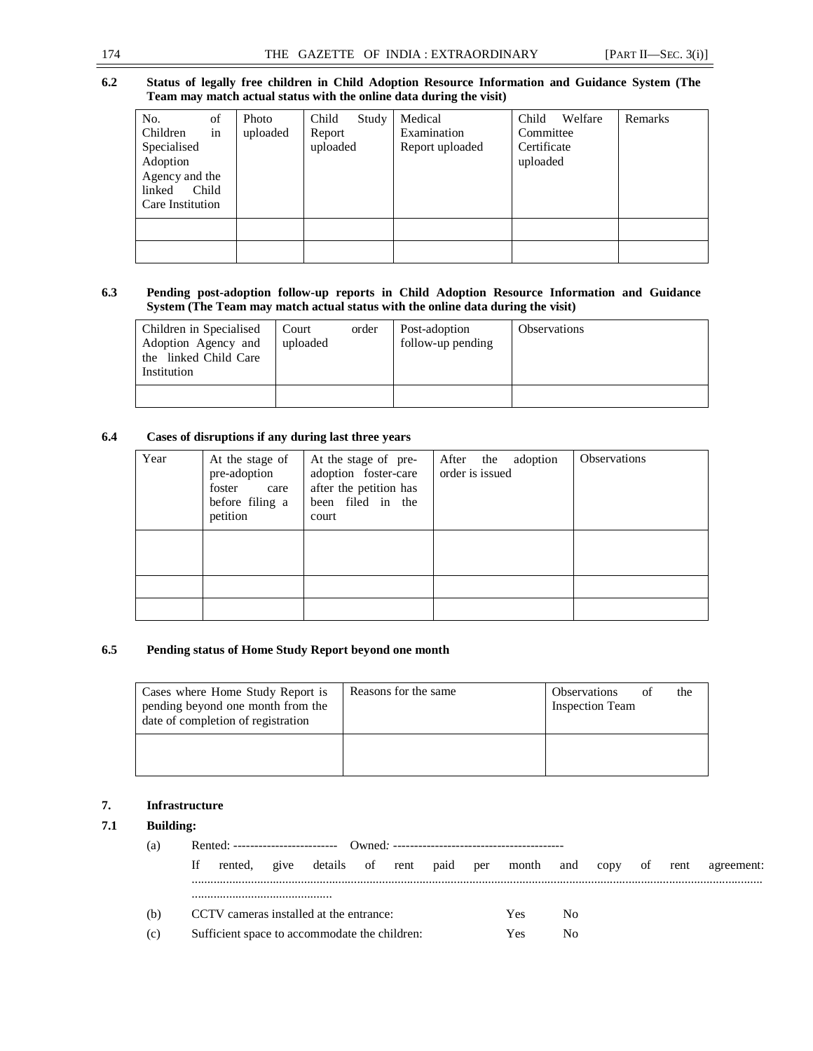#### **6.2 Status of legally free children in Child Adoption Resource Information and Guidance System (The Team may match actual status with the online data during the visit)**

| No.<br>Children<br>Specialised<br>Adoption<br>Agency and the<br>linked<br>Care Institution | of<br>in<br>Child | Photo<br>uploaded | Child<br>Study<br>Report<br>uploaded | Medical<br>Examination<br>Report uploaded | Welfare<br>Child<br>Committee<br>Certificate<br>uploaded | Remarks |
|--------------------------------------------------------------------------------------------|-------------------|-------------------|--------------------------------------|-------------------------------------------|----------------------------------------------------------|---------|
|                                                                                            |                   |                   |                                      |                                           |                                                          |         |
|                                                                                            |                   |                   |                                      |                                           |                                                          |         |

#### **6.3 Pending post-adoption follow-up reports in Child Adoption Resource Information and Guidance System (The Team may match actual status with the online data during the visit)**

| Children in Specialised<br>Adoption Agency and<br>the linked Child Care<br>Institution | Court<br>uploaded | order | Post-adoption<br>follow-up pending | <b>Observations</b> |
|----------------------------------------------------------------------------------------|-------------------|-------|------------------------------------|---------------------|
|                                                                                        |                   |       |                                    |                     |

#### **6.4 Cases of disruptions if any during last three years**

| Year | At the stage of<br>pre-adoption<br>foster<br>care<br>before filing a<br>petition | At the stage of pre-<br>adoption foster-care<br>after the petition has<br>been filed in the<br>court | After the adoption<br>order is issued | <b>Observations</b> |
|------|----------------------------------------------------------------------------------|------------------------------------------------------------------------------------------------------|---------------------------------------|---------------------|
|      |                                                                                  |                                                                                                      |                                       |                     |
|      |                                                                                  |                                                                                                      |                                       |                     |
|      |                                                                                  |                                                                                                      |                                       |                     |

#### **6.5 Pending status of Home Study Report beyond one month**

| Cases where Home Study Report is<br>pending beyond one month from the<br>date of completion of registration | Reasons for the same | <b>Observations</b><br>οť<br><b>Inspection Team</b> | the |
|-------------------------------------------------------------------------------------------------------------|----------------------|-----------------------------------------------------|-----|
|                                                                                                             |                      |                                                     |     |

#### **7. Infrastructure**

## **7.1 Building:**

(a) Rented: ------------------------- Owned*: -----------------------------------------*  If rented, give details of rent paid per month and copy of rent agreement: ....................................................................................................................................................................................... ............................................. (b) CCTV cameras installed at the entrance: Yes No (c) Sufficient space to accommodate the children: Yes No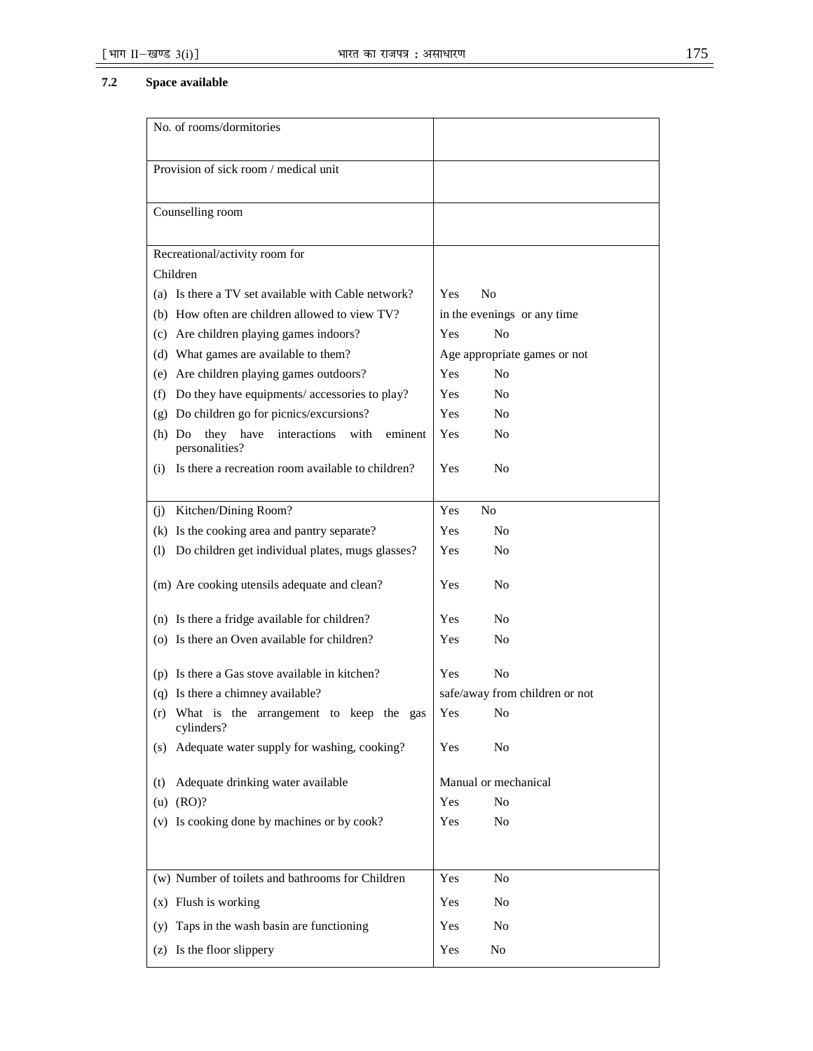### **7.2 Space available**

| No. of rooms/dormitories                                                |                                |
|-------------------------------------------------------------------------|--------------------------------|
| Provision of sick room / medical unit                                   |                                |
| Counselling room                                                        |                                |
| Recreational/activity room for                                          |                                |
| Children                                                                |                                |
| (a) Is there a TV set available with Cable network?                     | No<br>Yes                      |
| (b) How often are children allowed to view TV?                          | in the evenings or any time    |
| (c) Are children playing games indoors?                                 | No<br>Yes                      |
| (d) What games are available to them?                                   | Age appropriate games or not   |
| (e) Are children playing games outdoors?                                | Yes<br>N <sub>0</sub>          |
| (f) Do they have equipments/ accessories to play?                       | Yes<br>N <sub>0</sub>          |
| (g) Do children go for picnics/excursions?                              | Yes<br>N <sub>0</sub>          |
| they have interactions<br>$(h)$ Do<br>with<br>eminent<br>personalities? | Yes<br>N <sub>0</sub>          |
| Is there a recreation room available to children?<br>(i)                | Yes<br>No                      |
| Kitchen/Dining Room?<br>(i)                                             | Yes<br>N <sub>o</sub>          |
| (k) Is the cooking area and pantry separate?                            | Yes<br>No                      |
| Do children get individual plates, mugs glasses?<br>(1)                 | Yes<br>No                      |
| (m) Are cooking utensils adequate and clean?                            | N <sub>0</sub><br>Yes          |
| (n) Is there a fridge available for children?                           | Yes<br>N <sub>0</sub>          |
| (o) Is there an Oven available for children?                            | Yes<br>No                      |
| (p) Is there a Gas stove available in kitchen?                          | N <sub>o</sub><br>Yes          |
| (q) Is there a chimney available?                                       | safe/away from children or not |
| (r) What is the arrangement to keep the gas<br>cylinders?               | Yes<br>No                      |
| Adequate water supply for washing, cooking?<br>(s)                      | No<br>Yes                      |
| Adequate drinking water available<br>(t)                                | Manual or mechanical           |
| $(u)$ (RO)?                                                             | Yes<br>No                      |
| (v) Is cooking done by machines or by cook?                             | Yes<br>No                      |
|                                                                         |                                |
| (w) Number of toilets and bathrooms for Children                        | Yes<br>N <sub>o</sub>          |
| $(x)$ Flush is working                                                  | Yes<br>No                      |
| (y) Taps in the wash basin are functioning                              | Yes<br>No                      |
| (z) Is the floor slippery                                               | Yes<br>No                      |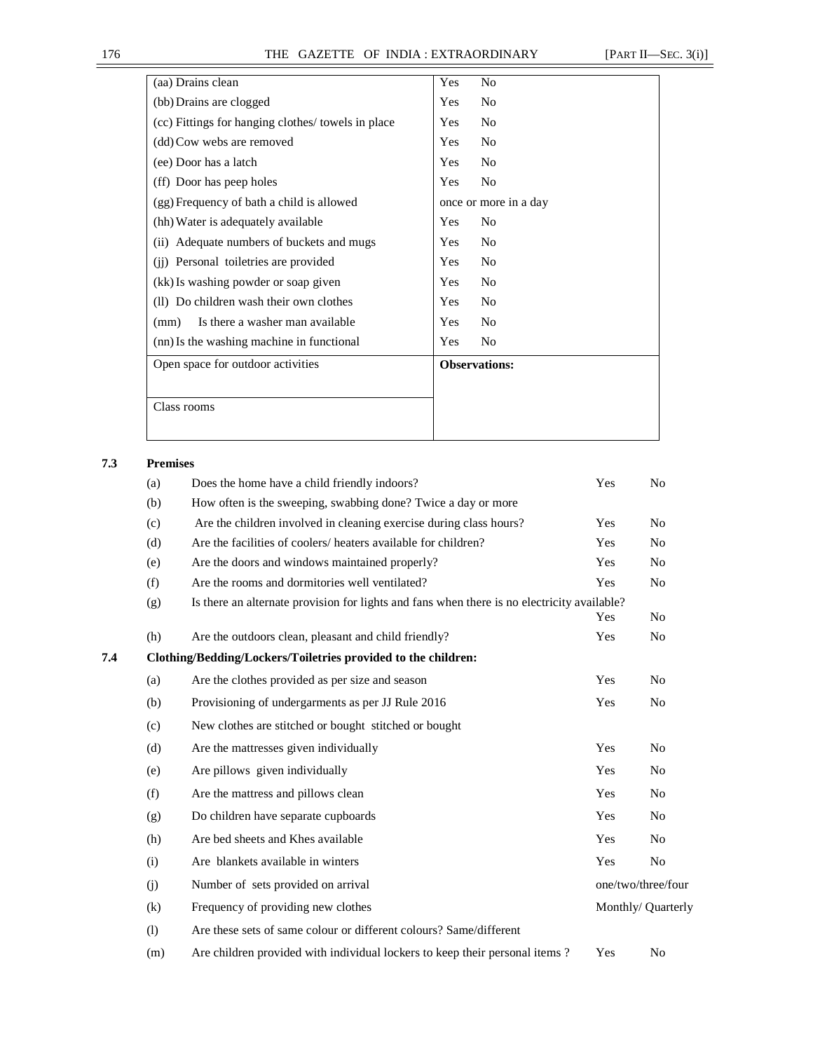| (aa) Drains clean                                 | Yes<br>N <sub>0</sub>        |
|---------------------------------------------------|------------------------------|
| (bb) Drains are clogged                           | <b>Yes</b><br>No             |
| (cc) Fittings for hanging clothes/towels in place | <b>Yes</b><br>No             |
| (dd) Cow webs are removed                         | <b>Yes</b><br>N <sub>0</sub> |
| (ee) Door has a latch                             | <b>Yes</b><br>N <sub>0</sub> |
| (ff) Door has peep holes                          | <b>Yes</b><br>N <sub>0</sub> |
| (gg) Frequency of bath a child is allowed         | once or more in a day        |
| (hh) Water is adequately available                | No<br>Yes                    |
| Adequate numbers of buckets and mugs<br>(ii)      | Yes<br>N <sub>0</sub>        |
| (ii) Personal toiletries are provided             | <b>Yes</b><br>N <sub>0</sub> |
| (kk) Is washing powder or soap given              | Yes<br>N <sub>0</sub>        |
| (II) Do children wash their own clothes           | Yes<br>N <sub>0</sub>        |
| Is there a washer man available<br>(mm)           | Yes<br>N <sub>0</sub>        |
| (nn) Is the washing machine in functional         | N <sub>0</sub><br>Yes        |
| Open space for outdoor activities                 | <b>Observations:</b>         |
|                                                   |                              |
| Class rooms                                       |                              |
|                                                   |                              |
|                                                   |                              |

# **7.3 Premises**

|     | (a) | Does the home have a child friendly indoors?                                                | Yes | N <sub>0</sub>     |
|-----|-----|---------------------------------------------------------------------------------------------|-----|--------------------|
|     | (b) | How often is the sweeping, swabbing done? Twice a day or more                               |     |                    |
|     | (c) | Are the children involved in cleaning exercise during class hours?                          | Yes | N <sub>0</sub>     |
|     | (d) | Are the facilities of coolers/ heaters available for children?                              | Yes | N <sub>0</sub>     |
|     | (e) | Are the doors and windows maintained properly?                                              | Yes | N <sub>0</sub>     |
|     | (f) | Are the rooms and dormitories well ventilated?                                              | Yes | N <sub>o</sub>     |
|     | (g) | Is there an alternate provision for lights and fans when there is no electricity available? | Yes | N <sub>0</sub>     |
|     | (h) | Are the outdoors clean, pleasant and child friendly?                                        | Yes | N <sub>o</sub>     |
| 7.4 |     | Clothing/Bedding/Lockers/Toiletries provided to the children:                               |     |                    |
|     | (a) | Are the clothes provided as per size and season                                             | Yes | N <sub>0</sub>     |
|     | (b) | Provisioning of undergarments as per JJ Rule 2016                                           | Yes | N <sub>0</sub>     |
|     | (c) | New clothes are stitched or bought stitched or bought                                       |     |                    |
|     | (d) | Are the mattresses given individually                                                       | Yes | N <sub>0</sub>     |
|     | (e) | Are pillows given individually                                                              | Yes | N <sub>o</sub>     |
|     | (f) | Are the mattress and pillows clean                                                          | Yes | N <sub>0</sub>     |
|     | (g) | Do children have separate cupboards                                                         | Yes | N <sub>0</sub>     |
|     | (h) | Are bed sheets and Khes available                                                           | Yes | N <sub>0</sub>     |
|     | (i) | Are blankets available in winters                                                           | Yes | N <sub>o</sub>     |
|     | (j) | Number of sets provided on arrival                                                          |     | one/two/three/four |
|     | (k) | Frequency of providing new clothes                                                          |     | Monthly/ Quarterly |
|     | (1) | Are these sets of same colour or different colours? Same/different                          |     |                    |
|     | (m) | Are children provided with individual lockers to keep their personal items?                 | Yes | N <sub>0</sub>     |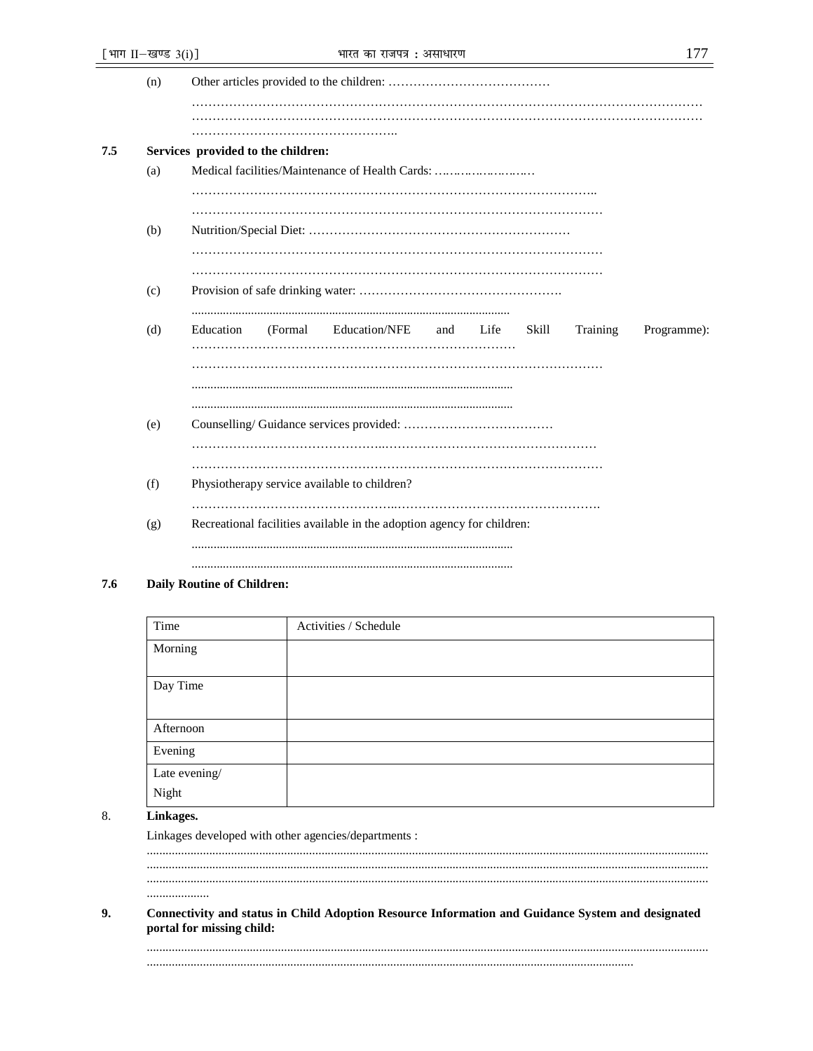|     | (n) |                                                                                           |
|-----|-----|-------------------------------------------------------------------------------------------|
|     |     |                                                                                           |
|     |     |                                                                                           |
| 7.5 |     | Services provided to the children:                                                        |
|     | (a) | Medical facilities/Maintenance of Health Cards:                                           |
|     |     |                                                                                           |
|     |     |                                                                                           |
|     | (b) |                                                                                           |
|     |     |                                                                                           |
|     | (c) |                                                                                           |
|     |     |                                                                                           |
|     | (d) | Education/NFE<br>Programme):<br>Education<br>(Formal)<br>Skill<br>Training<br>Life<br>and |
|     |     |                                                                                           |
|     |     |                                                                                           |
|     |     |                                                                                           |
|     |     |                                                                                           |
|     | (e) |                                                                                           |
|     |     |                                                                                           |
|     | (f) | Physiotherapy service available to children?                                              |
|     |     |                                                                                           |
|     | (g) | Recreational facilities available in the adoption agency for children:                    |
|     |     |                                                                                           |
|     |     |                                                                                           |

#### $7.6$ **Daily Routine of Children:**

| Time          | Activities / Schedule |
|---------------|-----------------------|
| Morning       |                       |
|               |                       |
| Day Time      |                       |
|               |                       |
| Afternoon     |                       |
| Evening       |                       |
| Late evening/ |                       |
| Night         |                       |

#### 8. Linkages.

. . . . . . . . . . . . . . . . . . . .

Linkages developed with other agencies/departments :

#### 9. Connectivity and status in Child Adoption Resource Information and Guidance System and designated portal for missing child: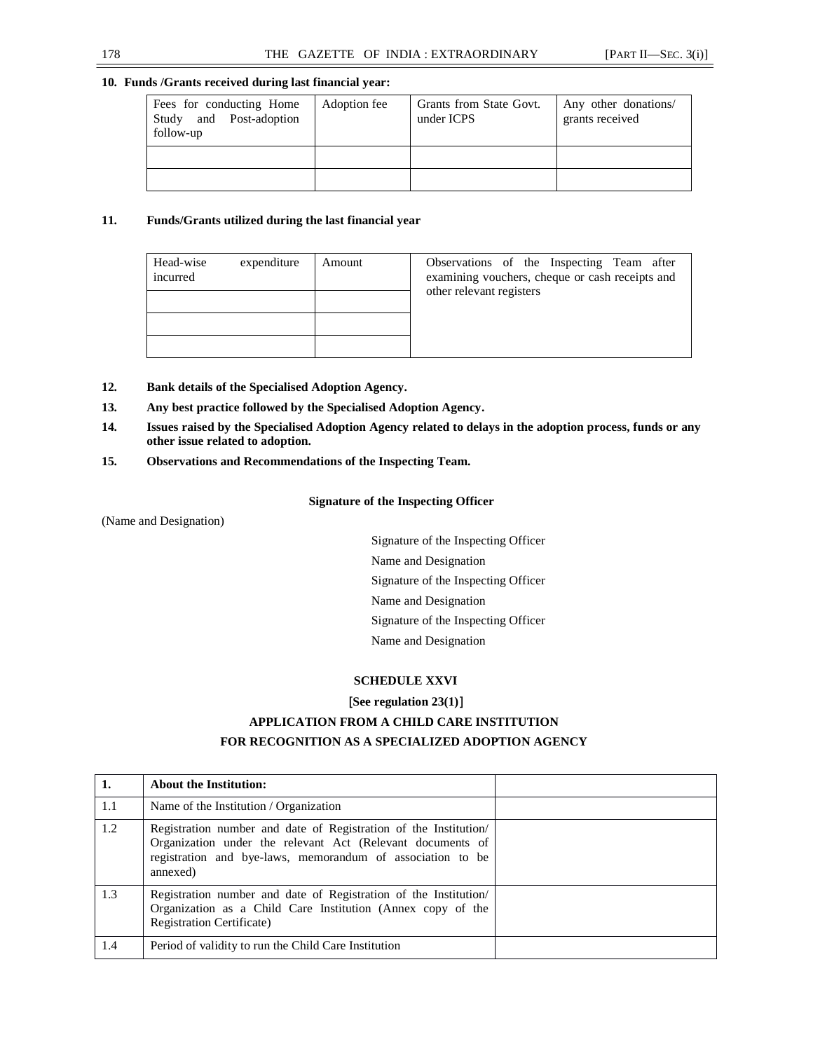#### **10. Funds /Grants received during last financial year:**

| Fees for conducting Home<br>and Post-adoption<br>Study<br>follow-up | Adoption fee | Grants from State Govt.<br>under ICPS | Any other donations/<br>grants received |
|---------------------------------------------------------------------|--------------|---------------------------------------|-----------------------------------------|
|                                                                     |              |                                       |                                         |
|                                                                     |              |                                       |                                         |

#### **11. Funds/Grants utilized during the last financial year**

| Head-wise<br>incurred | expenditure | Amount | Observations of the Inspecting Team after<br>examining vouchers, cheque or cash receipts and<br>other relevant registers |
|-----------------------|-------------|--------|--------------------------------------------------------------------------------------------------------------------------|
|                       |             |        |                                                                                                                          |

- **12. Bank details of the Specialised Adoption Agency.**
- **13. Any best practice followed by the Specialised Adoption Agency.**
- **14. Issues raised by the Specialised Adoption Agency related to delays in the adoption process, funds or any other issue related to adoption.**
- **15. Observations and Recommendations of the Inspecting Team.**

#### **Signature of the Inspecting Officer**

(Name and Designation)

Signature of the Inspecting Officer Name and Designation Signature of the Inspecting Officer Name and Designation Signature of the Inspecting Officer Name and Designation

#### **SCHEDULE XXVI**

[**See regulation 23(1)**]

## **APPLICATION FROM A CHILD CARE INSTITUTION FOR RECOGNITION AS A SPECIALIZED ADOPTION AGENCY**

| 1.  | <b>About the Institution:</b>                                                                                                                                                                            |  |
|-----|----------------------------------------------------------------------------------------------------------------------------------------------------------------------------------------------------------|--|
| 1.1 | Name of the Institution / Organization                                                                                                                                                                   |  |
| 1.2 | Registration number and date of Registration of the Institution/<br>Organization under the relevant Act (Relevant documents of<br>registration and bye-laws, memorandum of association to be<br>annexed) |  |
| 1.3 | Registration number and date of Registration of the Institution<br>Organization as a Child Care Institution (Annex copy of the<br><b>Registration Certificate</b> )                                      |  |
| 1.4 | Period of validity to run the Child Care Institution                                                                                                                                                     |  |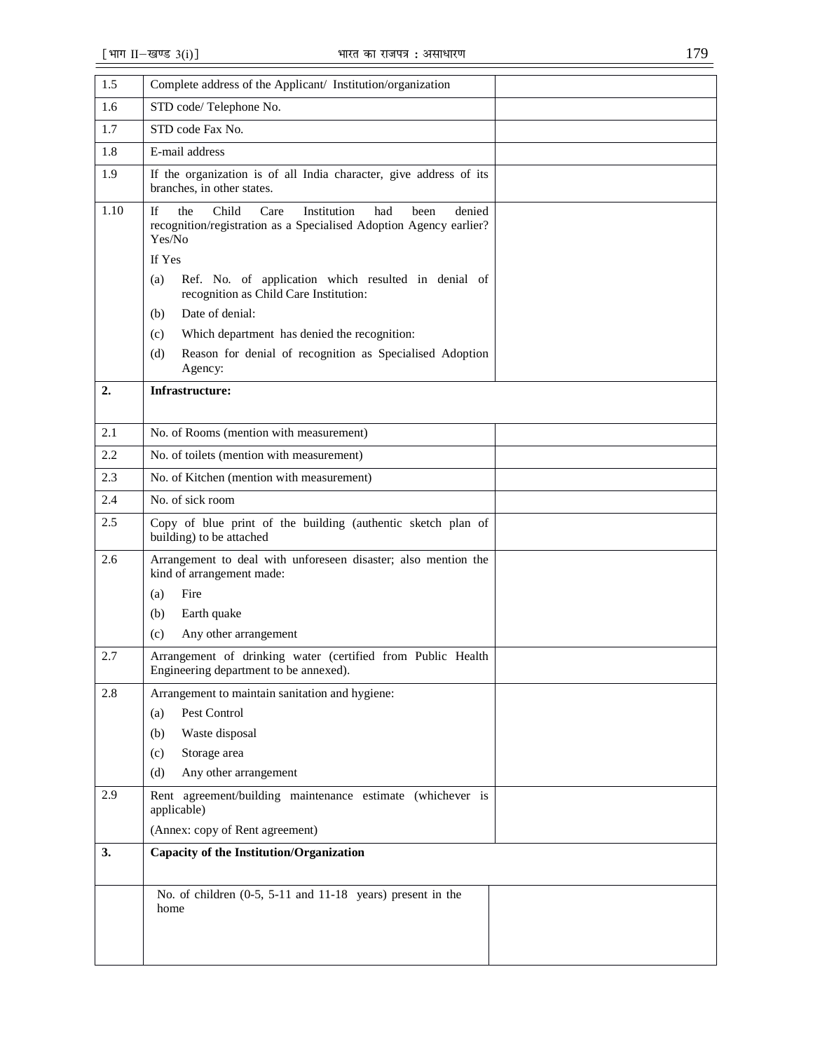| 1.5  | Complete address of the Applicant/ Institution/organization                                                                                                                                                                                                                                    |  |
|------|------------------------------------------------------------------------------------------------------------------------------------------------------------------------------------------------------------------------------------------------------------------------------------------------|--|
| 1.6  | STD code/Telephone No.                                                                                                                                                                                                                                                                         |  |
| 1.7  | STD code Fax No.                                                                                                                                                                                                                                                                               |  |
| 1.8  | E-mail address                                                                                                                                                                                                                                                                                 |  |
| 1.9  | If the organization is of all India character, give address of its<br>branches, in other states.                                                                                                                                                                                               |  |
| 1.10 | Ιf<br>the<br>Child<br>Institution<br>denied<br>Care<br>had<br>been<br>recognition/registration as a Specialised Adoption Agency earlier?<br>Yes/No<br>If Yes<br>Ref. No. of application which resulted in denial of<br>(a)<br>recognition as Child Care Institution:<br>Date of denial:<br>(b) |  |
|      | Which department has denied the recognition:<br>(c)                                                                                                                                                                                                                                            |  |
|      | Reason for denial of recognition as Specialised Adoption<br>(d)<br>Agency:                                                                                                                                                                                                                     |  |
| 2.   | <b>Infrastructure:</b>                                                                                                                                                                                                                                                                         |  |
| 2.1  | No. of Rooms (mention with measurement)                                                                                                                                                                                                                                                        |  |
| 2.2  | No. of toilets (mention with measurement)                                                                                                                                                                                                                                                      |  |
| 2.3  | No. of Kitchen (mention with measurement)                                                                                                                                                                                                                                                      |  |
| 2.4  | No. of sick room                                                                                                                                                                                                                                                                               |  |
| 2.5  | Copy of blue print of the building (authentic sketch plan of<br>building) to be attached                                                                                                                                                                                                       |  |
| 2.6  | Arrangement to deal with unforeseen disaster; also mention the<br>kind of arrangement made:                                                                                                                                                                                                    |  |
|      | Fire<br>(a)                                                                                                                                                                                                                                                                                    |  |
|      | Earth quake<br>(b)                                                                                                                                                                                                                                                                             |  |
|      | Any other arrangement<br>(c)                                                                                                                                                                                                                                                                   |  |
| 2.7  | Arrangement of drinking water (certified from Public Health<br>Engineering department to be annexed).                                                                                                                                                                                          |  |
| 2.8  | Arrangement to maintain sanitation and hygiene:                                                                                                                                                                                                                                                |  |
|      | Pest Control<br>(a)                                                                                                                                                                                                                                                                            |  |
|      | Waste disposal<br>(b)                                                                                                                                                                                                                                                                          |  |
|      | Storage area<br>(c)<br>Any other arrangement                                                                                                                                                                                                                                                   |  |
|      | (d)                                                                                                                                                                                                                                                                                            |  |
| 2.9  | Rent agreement/building maintenance estimate (whichever is<br>applicable)                                                                                                                                                                                                                      |  |
|      | (Annex: copy of Rent agreement)                                                                                                                                                                                                                                                                |  |
| 3.   | Capacity of the Institution/Organization                                                                                                                                                                                                                                                       |  |
|      | No. of children $(0-5, 5-11)$ and $11-18$ years) present in the<br>home                                                                                                                                                                                                                        |  |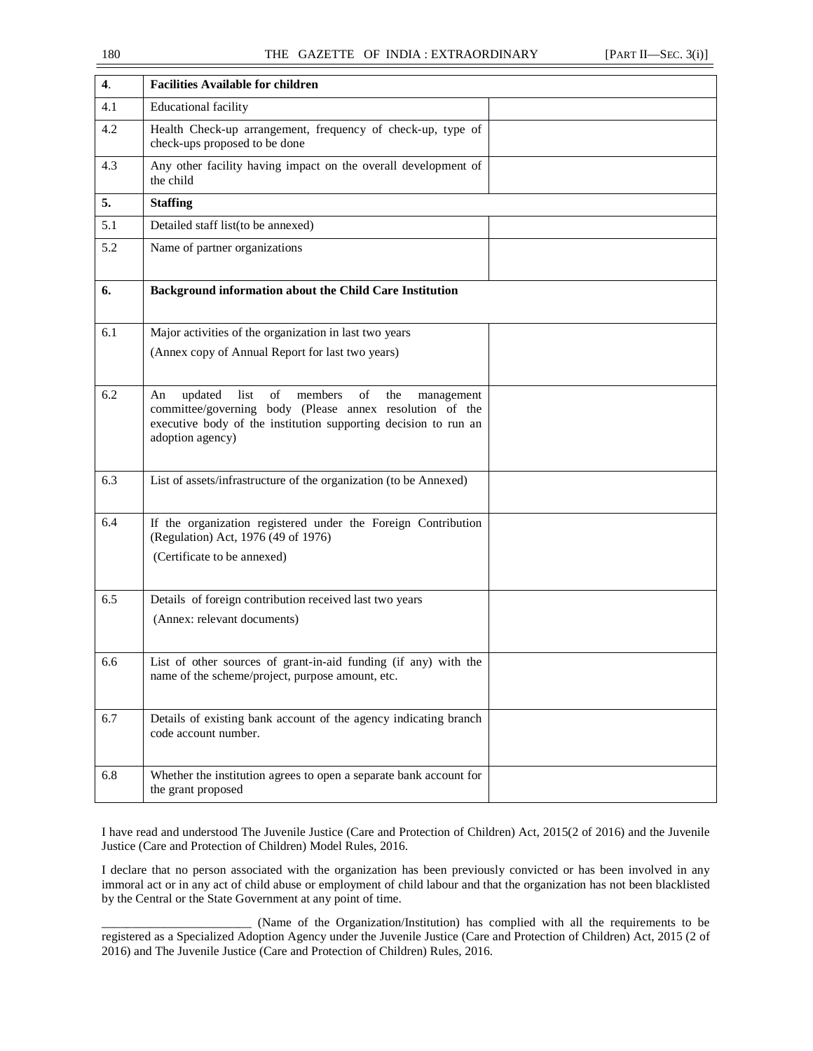| $\overline{4}$ . | <b>Facilities Available for children</b>                                                                                                                                                                             |
|------------------|----------------------------------------------------------------------------------------------------------------------------------------------------------------------------------------------------------------------|
| 4.1              | <b>Educational facility</b>                                                                                                                                                                                          |
| 4.2              | Health Check-up arrangement, frequency of check-up, type of<br>check-ups proposed to be done                                                                                                                         |
| 4.3              | Any other facility having impact on the overall development of<br>the child                                                                                                                                          |
| 5.               | <b>Staffing</b>                                                                                                                                                                                                      |
| 5.1              | Detailed staff list(to be annexed)                                                                                                                                                                                   |
| 5.2              | Name of partner organizations                                                                                                                                                                                        |
| 6.               | Background information about the Child Care Institution                                                                                                                                                              |
| 6.1              | Major activities of the organization in last two years                                                                                                                                                               |
|                  | (Annex copy of Annual Report for last two years)                                                                                                                                                                     |
| 6.2              | list<br>of<br>members<br>of<br>updated<br>the<br>An<br>management<br>committee/governing body (Please annex resolution of the<br>executive body of the institution supporting decision to run an<br>adoption agency) |
| 6.3              | List of assets/infrastructure of the organization (to be Annexed)                                                                                                                                                    |
| 6.4              | If the organization registered under the Foreign Contribution<br>(Regulation) Act, 1976 (49 of 1976)<br>(Certificate to be annexed)                                                                                  |
| 6.5              | Details of foreign contribution received last two years<br>(Annex: relevant documents)                                                                                                                               |
| 6.6              | List of other sources of grant-in-aid funding (if any) with the<br>name of the scheme/project, purpose amount, etc.                                                                                                  |
| 6.7              | Details of existing bank account of the agency indicating branch<br>code account number.                                                                                                                             |
| 6.8              | Whether the institution agrees to open a separate bank account for<br>the grant proposed                                                                                                                             |

I have read and understood The Juvenile Justice (Care and Protection of Children) Act, 2015(2 of 2016) and the Juvenile Justice (Care and Protection of Children) Model Rules, 2016.

I declare that no person associated with the organization has been previously convicted or has been involved in any immoral act or in any act of child abuse or employment of child labour and that the organization has not been blacklisted by the Central or the State Government at any point of time.

\_\_\_\_\_\_\_\_\_\_\_\_\_\_\_\_\_\_\_\_\_\_\_\_ (Name of the Organization/Institution) has complied with all the requirements to be registered as a Specialized Adoption Agency under the Juvenile Justice (Care and Protection of Children) Act, 2015 (2 of 2016) and The Juvenile Justice (Care and Protection of Children) Rules, 2016.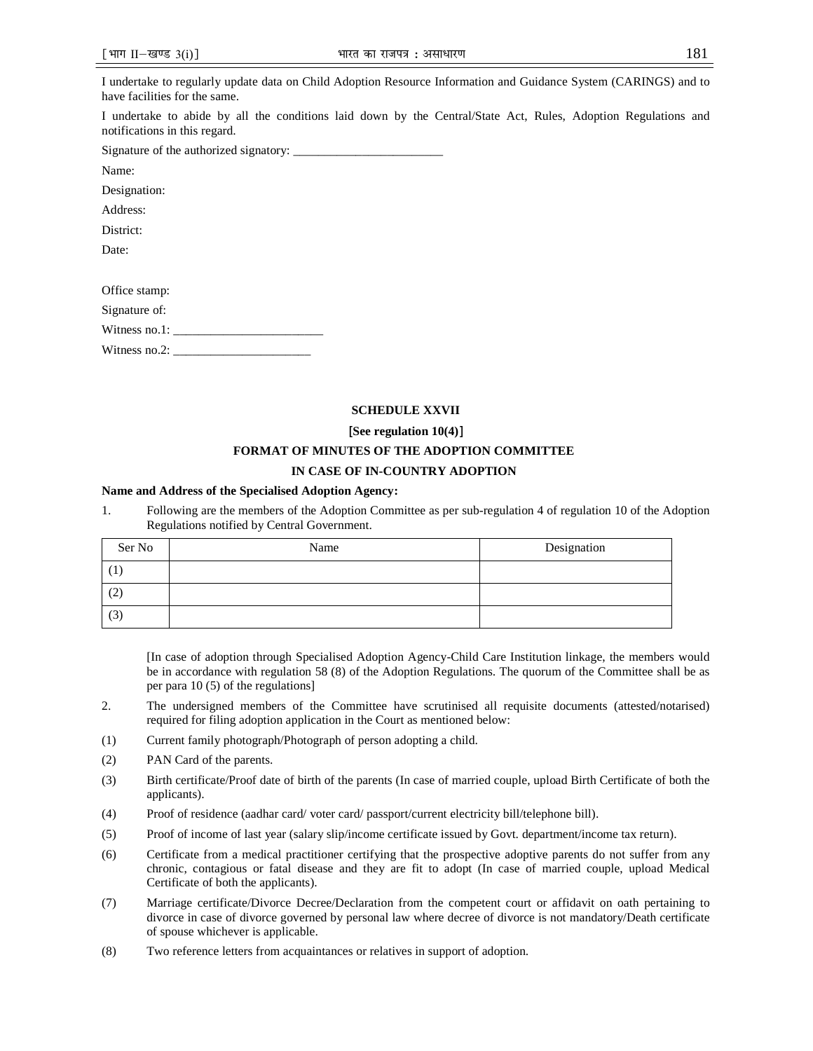I undertake to regularly update data on Child Adoption Resource Information and Guidance System (CARINGS) and to have facilities for the same.

I undertake to abide by all the conditions laid down by the Central/State Act, Rules, Adoption Regulations and notifications in this regard.

Signature of the authorized signatory:

Name:

Designation:

Address:

District:

Date:

Office stamp:

Signature of:

Witness no.1:  $\overline{\phantom{a}}$ 

Witness no.2:

#### **SCHEDULE XXVII**

#### [**See regulation 10(4)**]

#### **FORMAT OF MINUTES OF THE ADOPTION COMMITTEE**

#### **IN CASE OF IN-COUNTRY ADOPTION**

#### **Name and Address of the Specialised Adoption Agency:**

1. Following are the members of the Adoption Committee as per sub-regulation 4 of regulation 10 of the Adoption Regulations notified by Central Government.

| Ser No  | Name | Designation |
|---------|------|-------------|
|         |      |             |
| (2)     |      |             |
| $\circ$ |      |             |

[In case of adoption through Specialised Adoption Agency-Child Care Institution linkage, the members would be in accordance with regulation 58 (8) of the Adoption Regulations. The quorum of the Committee shall be as per para 10 (5) of the regulations]

- 2. The undersigned members of the Committee have scrutinised all requisite documents (attested/notarised) required for filing adoption application in the Court as mentioned below:
- (1) Current family photograph/Photograph of person adopting a child.
- (2) PAN Card of the parents.
- (3) Birth certificate/Proof date of birth of the parents (In case of married couple, upload Birth Certificate of both the applicants).
- (4) Proof of residence (aadhar card/ voter card/ passport/current electricity bill/telephone bill) .
- (5) Proof of income of last year (salary slip/income certificate issued by Govt. department/income tax return).
- (6) Certificate from a medical practitioner certifying that the prospective adoptive parents do not suffer from any chronic, contagious or fatal disease and they are fit to adopt (In case of married couple, upload Medical Certificate of both the applicants).
- (7) Marriage certificate/Divorce Decree/Declaration from the competent court or affidavit on oath pertaining to divorce in case of divorce governed by personal law where decree of divorce is not mandatory/Death certificate of spouse whichever is applicable.
- (8) Two reference letters from acquaintances or relatives in support of adoption.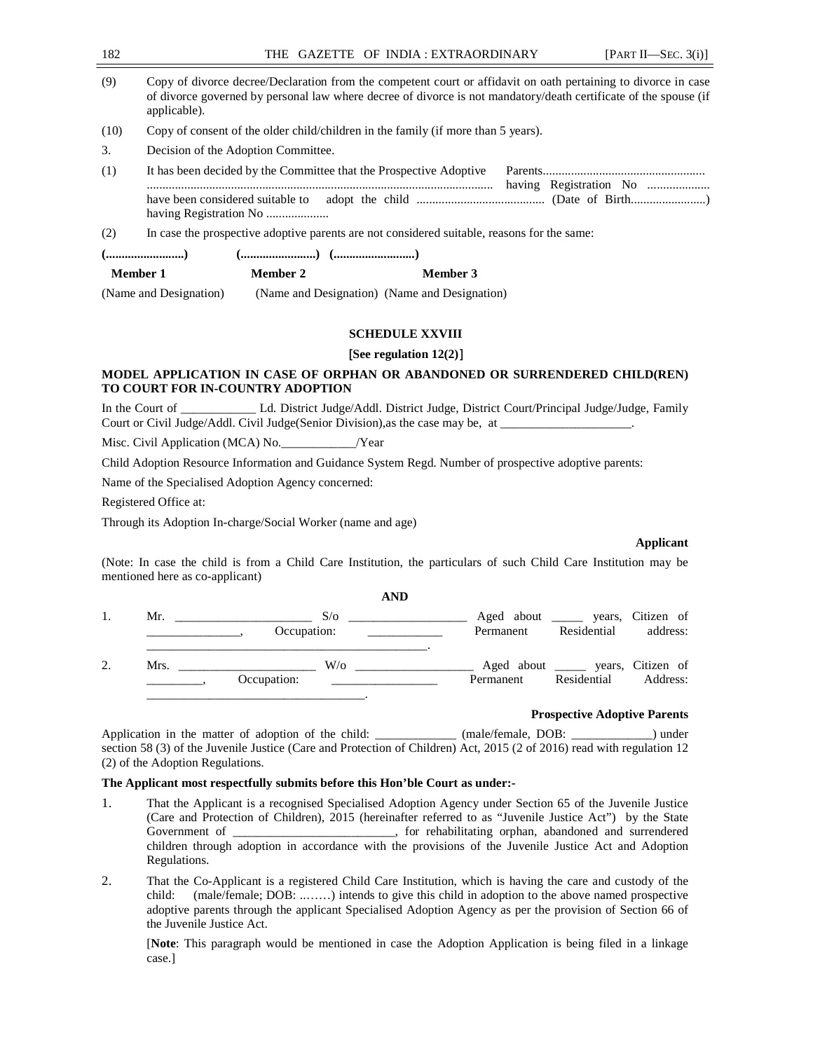| 182                                                                       |                        |                                     | THE GAZETTE OF INDIA: EXTRAORDINARY                                                         | [PART II—SEC. 3(i)]                                                                                                                                                                                                                |
|---------------------------------------------------------------------------|------------------------|-------------------------------------|---------------------------------------------------------------------------------------------|------------------------------------------------------------------------------------------------------------------------------------------------------------------------------------------------------------------------------------|
| (9)                                                                       | applicable).           |                                     |                                                                                             | Copy of divorce decree/Declaration from the competent court or affidavit on oath pertaining to divorce in case<br>of divorce governed by personal law where decree of divorce is not mandatory/death certificate of the spouse (if |
| (10)                                                                      |                        |                                     | Copy of consent of the older child/children in the family (if more than 5 years).           |                                                                                                                                                                                                                                    |
| 3.                                                                        |                        | Decision of the Adoption Committee. |                                                                                             |                                                                                                                                                                                                                                    |
| It has been decided by the Committee that the Prospective Adoptive<br>(1) |                        |                                     |                                                                                             |                                                                                                                                                                                                                                    |
|                                                                           |                        |                                     |                                                                                             |                                                                                                                                                                                                                                    |
| (2)                                                                       |                        |                                     | In case the prospective adoptive parents are not considered suitable, reasons for the same: |                                                                                                                                                                                                                                    |
|                                                                           |                        |                                     |                                                                                             |                                                                                                                                                                                                                                    |
|                                                                           | <b>Member 1</b>        | <b>Member 2</b>                     | <b>Member 3</b>                                                                             |                                                                                                                                                                                                                                    |
|                                                                           | (Name and Designation) |                                     | (Name and Designation) (Name and Designation)                                               |                                                                                                                                                                                                                                    |

#### **SCHEDULE XXVIII**

[**See regulation 12(2)**]

#### **MODEL APPLICATION IN CASE OF ORPHAN OR ABANDONED OR SURRENDERED CHILD(REN) TO COURT FOR IN-COUNTRY ADOPTION**

In the Court of \_\_\_\_\_\_\_\_\_\_\_\_ Ld. District Judge/Addl. District Judge, District Court/Principal Judge/Judge, Family Court or Civil Judge/Addl. Civil Judge(Senior Division), as the case may be, at \_\_\_\_\_\_\_\_\_\_\_\_\_\_\_\_\_\_\_\_\_\_\_\_\_\_.

Misc. Civil Application (MCA) No.\_\_\_\_\_\_\_\_\_\_\_\_/Year

Child Adoption Resource Information and Guidance System Regd. Number of prospective adoptive parents:

Name of the Specialised Adoption Agency concerned:

Registered Office at:

Through its Adoption In-charge/Social Worker (name and age)

#### **Applicant**

(Note: In case the child is from a Child Care Institution, the particulars of such Child Care Institution may be mentioned here as co-applicant)

#### **AND**

| Mr.  |             | $S/\sigma$ |           | Aged about ________ years, Citizen of |          |
|------|-------------|------------|-----------|---------------------------------------|----------|
|      | Occupation: |            | Permanent | Residential                           | address: |
|      |             |            |           |                                       |          |
| Mrs. |             | $W/\alpha$ |           | Aged about _______ years, Citizen of  |          |
|      | Occupation: |            | Permanent | Residential Address:                  |          |
|      |             |            |           |                                       |          |

#### **Prospective Adoptive Parents**

Application in the matter of adoption of the child: \_\_\_\_\_\_\_\_\_\_\_\_ (male/female, DOB: \_\_\_\_\_\_\_\_\_\_\_\_) under section 58 (3) of the Juvenile Justice (Care and Protection of Children) Act, 2015 (2 of 2016) read with regulation 12 (2) of the Adoption Regulations.

#### **The Applicant most respectfully submits before this Hon'ble Court as under:-**

- 1. That the Applicant is a recognised Specialised Adoption Agency under Section 65 of the Juvenile Justice (Care and Protection of Children), 2015 (hereinafter referred to as "Juvenile Justice Act") by the State Government of \_\_\_\_\_\_\_\_\_\_\_\_\_\_\_\_\_\_\_\_\_\_\_\_\_\_, for rehabilitating orphan, abandoned and surrendered children through adoption in accordance with the provisions of the Juvenile Justice Act and Adoption Regulations.
- 2. That the Co-Applicant is a registered Child Care Institution, which is having the care and custody of the child: (male/female; DOB: ..……) intends to give this child in adoption to the above named prospective adoptive parents through the applicant Specialised Adoption Agency as per the provision of Section 66 of the Juvenile Justice Act.

 [**Note**: This paragraph would be mentioned in case the Adoption Application is being filed in a linkage case.]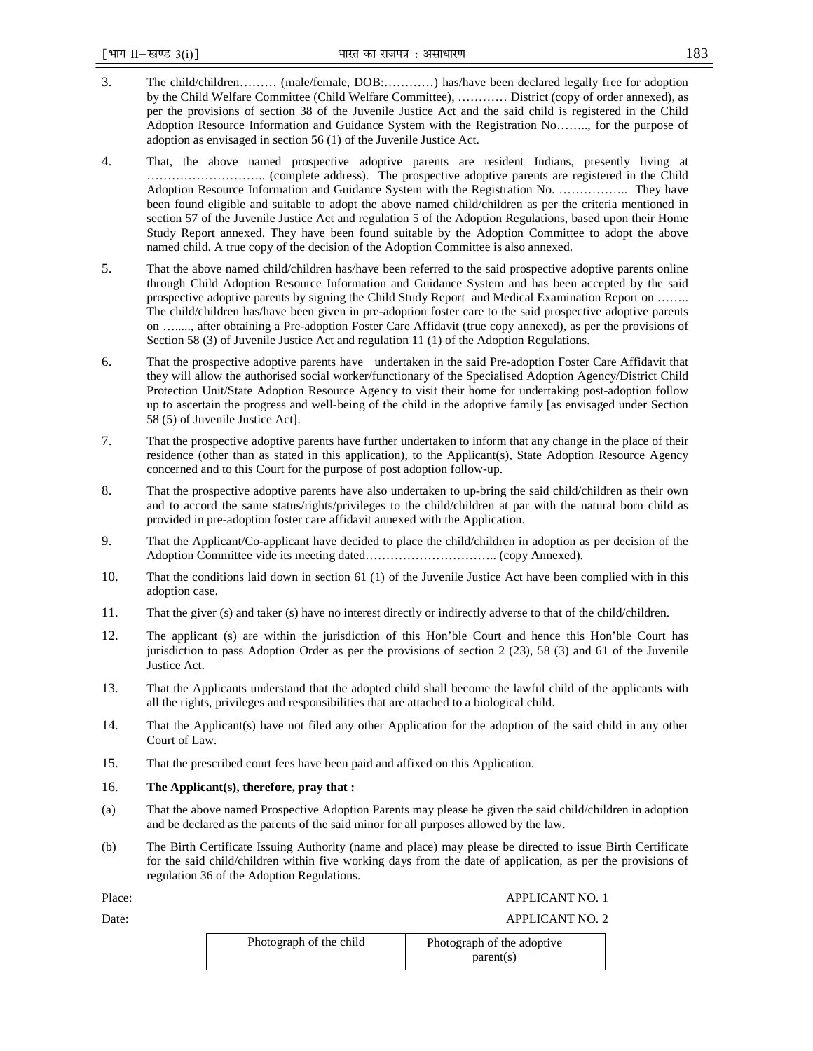- 3. The child/children……… (male/female, DOB:…………) has/have been declared legally free for adoption by the Child Welfare Committee (Child Welfare Committee), ………… District (copy of order annexed), as per the provisions of section 38 of the Juvenile Justice Act and the said child is registered in the Child Adoption Resource Information and Guidance System with the Registration No…….., for the purpose of adoption as envisaged in section 56 (1) of the Juvenile Justice Act.
- 4. That, the above named prospective adoptive parents are resident Indians, presently living at ……………………….. (complete address). The prospective adoptive parents are registered in the Child Adoption Resource Information and Guidance System with the Registration No. …………….. They have been found eligible and suitable to adopt the above named child/children as per the criteria mentioned in section 57 of the Juvenile Justice Act and regulation 5 of the Adoption Regulations, based upon their Home Study Report annexed. They have been found suitable by the Adoption Committee to adopt the above named child. A true copy of the decision of the Adoption Committee is also annexed.
- 5. That the above named child/children has/have been referred to the said prospective adoptive parents online through Child Adoption Resource Information and Guidance System and has been accepted by the said prospective adoptive parents by signing the Child Study Report and Medical Examination Report on …….. The child/children has/have been given in pre-adoption foster care to the said prospective adoptive parents on …....., after obtaining a Pre-adoption Foster Care Affidavit (true copy annexed), as per the provisions of Section 58 (3) of Juvenile Justice Act and regulation 11 (1) of the Adoption Regulations.
- 6. That the prospective adoptive parents have undertaken in the said Pre-adoption Foster Care Affidavit that they will allow the authorised social worker/functionary of the Specialised Adoption Agency/District Child Protection Unit/State Adoption Resource Agency to visit their home for undertaking post-adoption follow up to ascertain the progress and well-being of the child in the adoptive family [as envisaged under Section 58 (5) of Juvenile Justice Act].
- 7. That the prospective adoptive parents have further undertaken to inform that any change in the place of their residence (other than as stated in this application), to the Applicant(s), State Adoption Resource Agency concerned and to this Court for the purpose of post adoption follow-up.
- 8. That the prospective adoptive parents have also undertaken to up-bring the said child/children as their own and to accord the same status/rights/privileges to the child/children at par with the natural born child as provided in pre-adoption foster care affidavit annexed with the Application.
- 9. That the Applicant/Co-applicant have decided to place the child/children in adoption as per decision of the Adoption Committee vide its meeting dated………………………….. (copy Annexed).
- 10. That the conditions laid down in section 61 (1) of the Juvenile Justice Act have been complied with in this adoption case.
- 11. That the giver (s) and taker (s) have no interest directly or indirectly adverse to that of the child/children.
- 12. The applicant (s) are within the jurisdiction of this Hon'ble Court and hence this Hon'ble Court has jurisdiction to pass Adoption Order as per the provisions of section 2 (23), 58 (3) and 61 of the Juvenile Justice Act.
- 13. That the Applicants understand that the adopted child shall become the lawful child of the applicants with all the rights, privileges and responsibilities that are attached to a biological child.
- 14. That the Applicant(s) have not filed any other Application for the adoption of the said child in any other Court of Law.
- 15. That the prescribed court fees have been paid and affixed on this Application.

#### 16. **The Applicant(s), therefore, pray that :**

- (a) That the above named Prospective Adoption Parents may please be given the said child/children in adoption and be declared as the parents of the said minor for all purposes allowed by the law.
- (b) The Birth Certificate Issuing Authority (name and place) may please be directed to issue Birth Certificate for the said child/children within five working days from the date of application, as per the provisions of regulation 36 of the Adoption Regulations.

#### Place: APPLICANT NO. 1

Date: APPLICANT NO. 2

| Photograph of the child | Photograph of the adoptive |
|-------------------------|----------------------------|
|                         | parent(s)                  |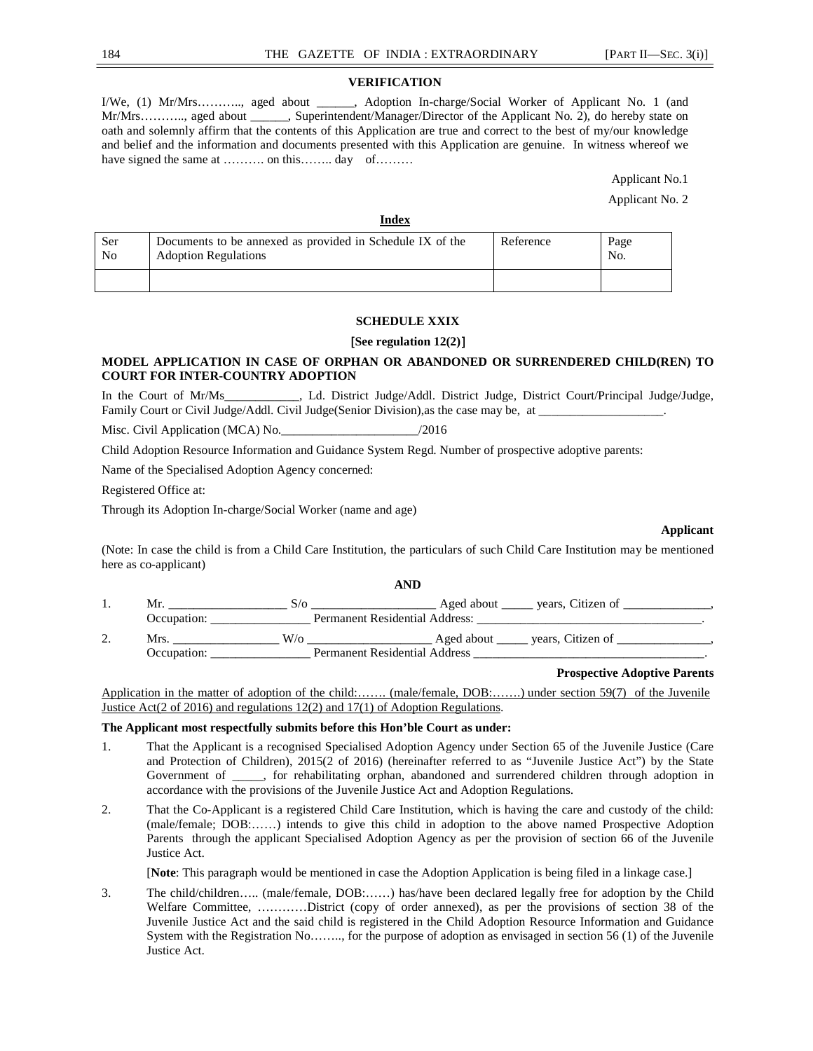#### **VERIFICATION**

I/We, (1) Mr/Mrs……….., aged about \_\_\_\_\_\_, Adoption In-charge/Social Worker of Applicant No. 1 (and Mr/Mrs……….., aged about \_\_\_\_\_\_, Superintendent/Manager/Director of the Applicant No. 2), do hereby state on oath and solemnly affirm that the contents of this Application are true and correct to the best of my/our knowledge and belief and the information and documents presented with this Application are genuine. In witness whereof we have signed the same at ……….. on this…….. day of………

Applicant No.1

Applicant No. 2

#### **Index**

| Ser            | Documents to be annexed as provided in Schedule IX of the | Reference | Page |
|----------------|-----------------------------------------------------------|-----------|------|
| N <sub>0</sub> | <b>Adoption Regulations</b>                               |           | No.  |
|                |                                                           |           |      |

#### **SCHEDULE XXIX**

#### [**See regulation 12(2)**]

#### **MODEL APPLICATION IN CASE OF ORPHAN OR ABANDONED OR SURRENDERED CHILD(REN) TO COURT FOR INTER-COUNTRY ADOPTION**

In the Court of Mr/Ms . Ld. District Judge/Addl. District Judge, District Court/Principal Judge/Judge, Family Court or Civil Judge/Addl. Civil Judge(Senior Division), as the case may be, at \_

Misc. Civil Application (MCA) No.\_\_\_\_\_\_\_\_\_\_\_\_\_\_\_\_\_\_\_\_\_\_/2016

Child Adoption Resource Information and Guidance System Regd. Number of prospective adoptive parents:

Name of the Specialised Adoption Agency concerned:

Registered Office at:

Through its Adoption In-charge/Social Worker (name and age)

#### **Applicant**

(Note: In case the child is from a Child Care Institution, the particulars of such Child Care Institution may be mentioned here as co-applicant) **AND** 

|             |     | AND                                   |                              |  |
|-------------|-----|---------------------------------------|------------------------------|--|
| Mr          | 570 |                                       | Aged about years, Citizen of |  |
| Occupation: |     | <b>Permanent Residential Address:</b> |                              |  |
| Mrs.        | W/o |                                       | Aged about vears, Citizen of |  |
| Occupation: |     | <b>Permanent Residential Address</b>  |                              |  |

#### **Prospective Adoptive Parents**

Application in the matter of adoption of the child:……. (male/female, DOB:…….) under section 59(7) of the Juvenile Justice Act(2 of 2016) and regulations 12(2) and 17(1) of Adoption Regulations.

#### **The Applicant most respectfully submits before this Hon'ble Court as under:**

- 1. That the Applicant is a recognised Specialised Adoption Agency under Section 65 of the Juvenile Justice (Care and Protection of Children), 2015(2 of 2016) (hereinafter referred to as "Juvenile Justice Act") by the State Government of \_\_\_\_, for rehabilitating orphan, abandoned and surrendered children through adoption in accordance with the provisions of the Juvenile Justice Act and Adoption Regulations.
- 2. That the Co-Applicant is a registered Child Care Institution, which is having the care and custody of the child: (male/female; DOB:……) intends to give this child in adoption to the above named Prospective Adoption Parents through the applicant Specialised Adoption Agency as per the provision of section 66 of the Juvenile Justice Act.

[**Note**: This paragraph would be mentioned in case the Adoption Application is being filed in a linkage case.]

3. The child/children….. (male/female, DOB:……) has/have been declared legally free for adoption by the Child Welfare Committee, …………District (copy of order annexed), as per the provisions of section 38 of the Juvenile Justice Act and the said child is registered in the Child Adoption Resource Information and Guidance System with the Registration No…….., for the purpose of adoption as envisaged in section 56 (1) of the Juvenile Justice Act.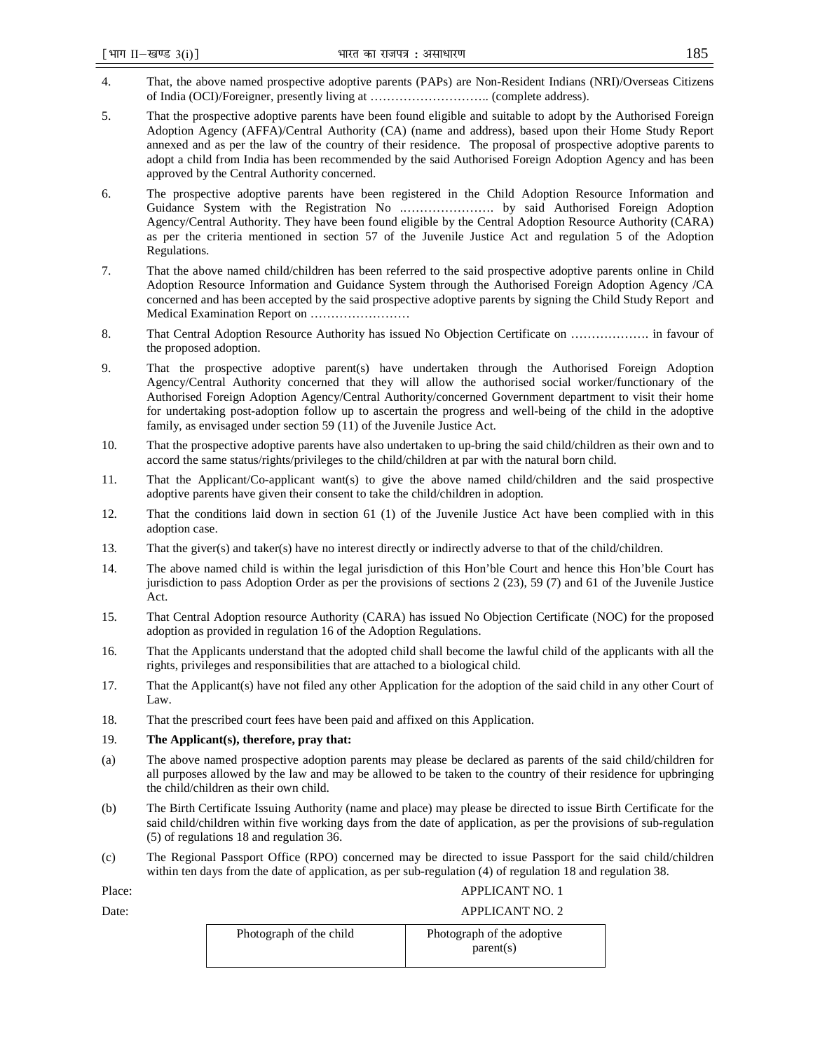- 4. That, the above named prospective adoptive parents (PAPs) are Non-Resident Indians (NRI)/Overseas Citizens of India (OCI)/Foreigner, presently living at ……………………….. (complete address).
- 5. That the prospective adoptive parents have been found eligible and suitable to adopt by the Authorised Foreign Adoption Agency (AFFA)/Central Authority (CA) (name and address), based upon their Home Study Report annexed and as per the law of the country of their residence. The proposal of prospective adoptive parents to adopt a child from India has been recommended by the said Authorised Foreign Adoption Agency and has been approved by the Central Authority concerned.
- 6. The prospective adoptive parents have been registered in the Child Adoption Resource Information and Guidance System with the Registration No .…………………. by said Authorised Foreign Adoption Agency/Central Authority. They have been found eligible by the Central Adoption Resource Authority (CARA) as per the criteria mentioned in section 57 of the Juvenile Justice Act and regulation 5 of the Adoption Regulations.
- 7. That the above named child/children has been referred to the said prospective adoptive parents online in Child Adoption Resource Information and Guidance System through the Authorised Foreign Adoption Agency /CA concerned and has been accepted by the said prospective adoptive parents by signing the Child Study Report and Medical Examination Report on ……………………
- 8. That Central Adoption Resource Authority has issued No Objection Certificate on ………………. in favour of the proposed adoption.
- 9. That the prospective adoptive parent(s) have undertaken through the Authorised Foreign Adoption Agency/Central Authority concerned that they will allow the authorised social worker/functionary of the Authorised Foreign Adoption Agency/Central Authority/concerned Government department to visit their home for undertaking post-adoption follow up to ascertain the progress and well-being of the child in the adoptive family, as envisaged under section 59 (11) of the Juvenile Justice Act.
- 10. That the prospective adoptive parents have also undertaken to up-bring the said child/children as their own and to accord the same status/rights/privileges to the child/children at par with the natural born child.
- 11. That the Applicant/Co-applicant want(s) to give the above named child/children and the said prospective adoptive parents have given their consent to take the child/children in adoption.
- 12. That the conditions laid down in section 61 (1) of the Juvenile Justice Act have been complied with in this adoption case.
- 13. That the giver(s) and taker(s) have no interest directly or indirectly adverse to that of the child/children.
- 14. The above named child is within the legal jurisdiction of this Hon'ble Court and hence this Hon'ble Court has jurisdiction to pass Adoption Order as per the provisions of sections 2 (23), 59 (7) and 61 of the Juvenile Justice Act.
- 15. That Central Adoption resource Authority (CARA) has issued No Objection Certificate (NOC) for the proposed adoption as provided in regulation 16 of the Adoption Regulations.
- 16. That the Applicants understand that the adopted child shall become the lawful child of the applicants with all the rights, privileges and responsibilities that are attached to a biological child.
- 17. That the Applicant(s) have not filed any other Application for the adoption of the said child in any other Court of Law.
- 18. That the prescribed court fees have been paid and affixed on this Application.
- 19. **The Applicant(s), therefore, pray that:**
- (a) The above named prospective adoption parents may please be declared as parents of the said child/children for all purposes allowed by the law and may be allowed to be taken to the country of their residence for upbringing the child/children as their own child.
- (b) The Birth Certificate Issuing Authority (name and place) may please be directed to issue Birth Certificate for the said child/children within five working days from the date of application, as per the provisions of sub-regulation (5) of regulations 18 and regulation 36.
- (c) The Regional Passport Office (RPO) concerned may be directed to issue Passport for the said child/children within ten days from the date of application, as per sub-regulation (4) of regulation 18 and regulation 38.

| Place: |                         | <b>APPLICANT NO. 1</b>                  |
|--------|-------------------------|-----------------------------------------|
| Date:  |                         | APPLICANT NO. 2                         |
|        | Photograph of the child | Photograph of the adoptive<br>parent(s) |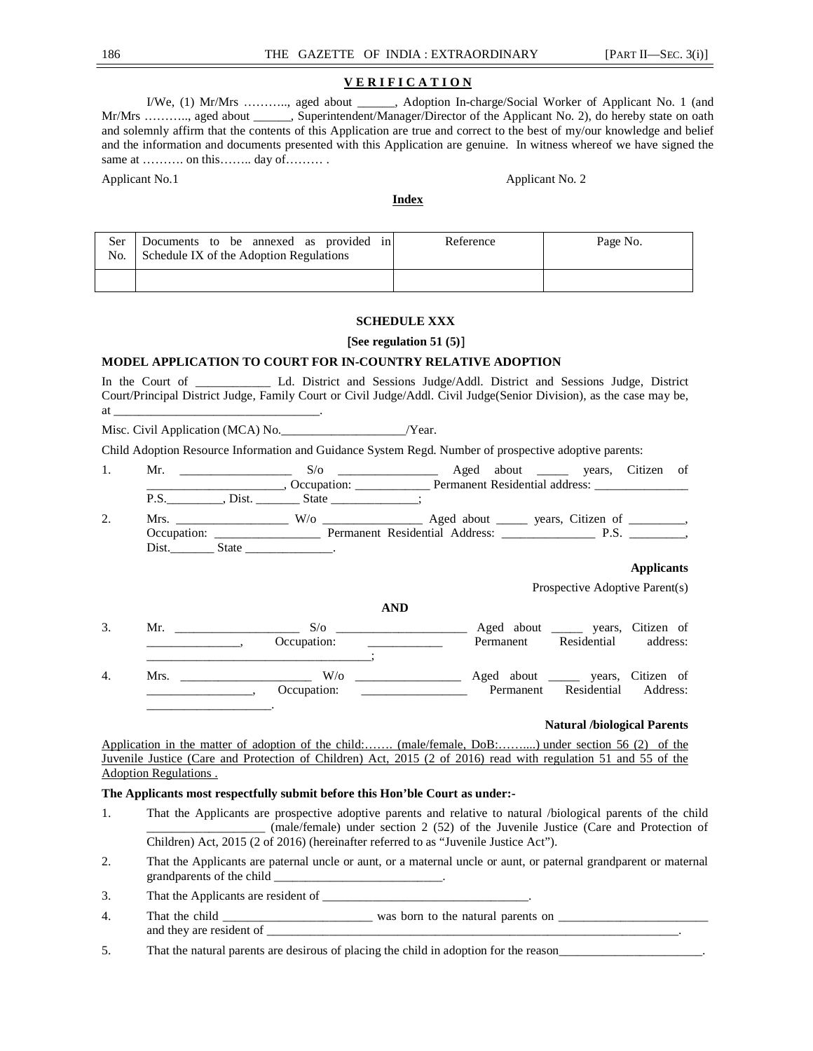#### **V E R I F I C A T I O N**

 I/We, (1) Mr/Mrs ……….., aged about \_\_\_\_\_\_, Adoption In-charge/Social Worker of Applicant No. 1 (and Mr/Mrs ……….., aged about \_\_\_\_\_\_, Superintendent/Manager/Director of the Applicant No. 2), do hereby state on oath and solemnly affirm that the contents of this Application are true and correct to the best of my/our knowledge and belief and the information and documents presented with this Application are genuine. In witness whereof we have signed the same at ……….. on this…….. day of……….

Applicant No. 1 Applicant No. 2

#### **Index**

| Ser<br>No. | Documents to be annexed as provided in<br>Schedule IX of the Adoption Regulations | Reference | Page No. |
|------------|-----------------------------------------------------------------------------------|-----------|----------|
|            |                                                                                   |           |          |

#### **SCHEDULE XXX**

[**See regulation 51 (5)**]

#### **MODEL APPLICATION TO COURT FOR IN-COUNTRY RELATIVE ADOPTION**

In the Court of The Ld. District and Sessions Judge/Addl. District and Sessions Judge, District Court/Principal District Judge, Family Court or Civil Judge/Addl. Civil Judge(Senior Division), as the case may be, at \_\_\_\_\_\_\_\_\_\_\_\_\_\_\_\_\_\_\_\_\_\_\_\_\_\_\_\_\_\_\_\_\_.

Misc. Civil Application (MCA) No.\_\_\_\_\_\_\_\_\_\_\_\_\_\_\_\_\_\_\_\_\_\_\_\_/Year.

Child Adoption Resource Information and Guidance System Regd. Number of prospective adoptive parents:

|          | Mr. |              | Aged about                     |                   | years, Citizen of |  |
|----------|-----|--------------|--------------------------------|-------------------|-------------------|--|
|          |     | Occupation:  | Permanent Residential address: |                   |                   |  |
|          |     | <b>State</b> |                                |                   |                   |  |
| <u>.</u> | Mrs | W/∩          | Aged about _                   | years, Citizen of |                   |  |

Occupation: \_\_\_\_\_\_\_\_\_\_\_\_\_\_\_\_\_ Permanent Residential Address: \_\_\_\_\_\_\_\_\_\_\_\_\_\_\_ P.S. \_\_\_\_\_\_\_\_\_, Dist.\_\_\_\_\_\_\_ State \_\_\_\_\_\_\_\_\_\_\_\_\_\_.

#### **Applicants**

Prospective Adoptive Parent(s)

#### **AND**

| 3. | Mr.  | S/O         |           | Aged about _______ years, Citizen of  |          |
|----|------|-------------|-----------|---------------------------------------|----------|
|    |      | Occupation: | Permanent | Residential                           | address: |
|    |      |             |           |                                       |          |
| 4. | Mrs. | $W$ /0      |           | Aged about ________ years, Citizen of |          |
|    |      | Occupation: | Permanent | Residential Address:                  |          |
|    |      |             |           |                                       |          |

#### **Natural /biological Parents**

Application in the matter of adoption of the child:……. (male/female, DoB:……....) under section 56 (2) of the Juvenile Justice (Care and Protection of Children) Act, 2015 (2 of 2016) read with regulation 51 and 55 of the Adoption Regulations .

#### **The Applicants most respectfully submit before this Hon'ble Court as under:-**

- 1. That the Applicants are prospective adoptive parents and relative to natural /biological parents of the child \_\_\_\_\_\_\_\_\_\_\_\_\_\_\_\_\_\_\_ (male/female) under section 2 (52) of the Juvenile Justice (Care and Protection of Children) Act, 2015 (2 of 2016) (hereinafter referred to as "Juvenile Justice Act").
- 2. That the Applicants are paternal uncle or aunt, or a maternal uncle or aunt, or paternal grandparent or maternal grandparents of the child \_\_\_\_\_\_\_\_\_\_\_\_\_\_\_\_\_\_\_\_\_\_\_\_\_\_\_.
- 3. That the Applicants are resident of \_\_\_\_\_\_\_\_\_\_\_\_\_\_\_\_\_\_\_\_\_\_\_\_\_\_\_\_\_\_\_\_\_.
- 4. That the child \_\_\_\_\_\_\_\_\_\_\_\_\_\_\_\_\_\_\_\_\_\_\_\_ was born to the natural parents on \_\_\_\_\_\_\_\_\_\_\_\_\_\_\_\_\_\_\_\_\_\_\_\_ and they are resident of \_\_\_\_\_\_\_\_\_\_\_\_\_\_\_\_\_\_\_\_\_\_\_\_\_\_\_\_\_\_\_\_\_\_\_\_\_\_\_\_\_\_\_\_\_\_\_\_\_\_\_\_\_\_\_\_\_\_\_\_\_\_\_\_\_\_.
- 5. That the natural parents are desirous of placing the child in adoption for the reason\_\_\_\_\_\_\_\_\_\_\_\_\_\_\_\_\_\_\_\_\_\_\_.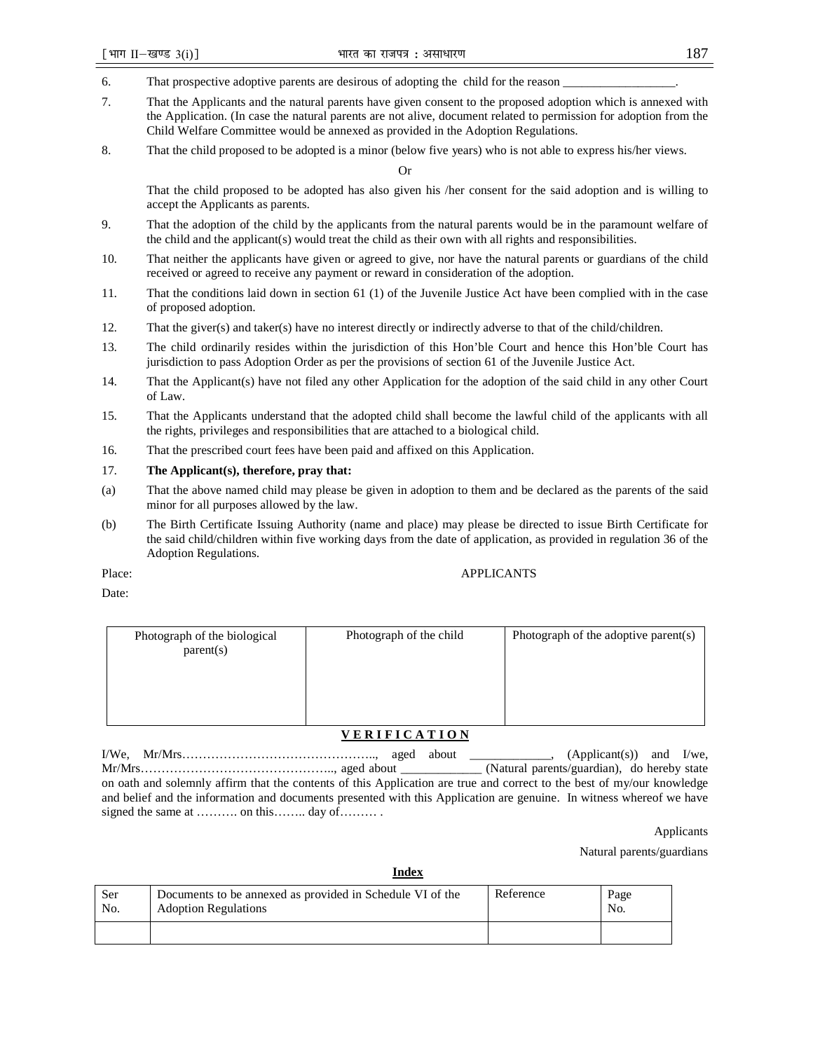- 6. That prospective adoptive parents are desirous of adopting the child for the reason
- 7. That the Applicants and the natural parents have given consent to the proposed adoption which is annexed with the Application. (In case the natural parents are not alive, document related to permission for adoption from the Child Welfare Committee would be annexed as provided in the Adoption Regulations.
- 8. That the child proposed to be adopted is a minor (below five years) who is not able to express his/her views.

Or

 That the child proposed to be adopted has also given his /her consent for the said adoption and is willing to accept the Applicants as parents.

- 9. That the adoption of the child by the applicants from the natural parents would be in the paramount welfare of the child and the applicant(s) would treat the child as their own with all rights and responsibilities.
- 10. That neither the applicants have given or agreed to give, nor have the natural parents or guardians of the child received or agreed to receive any payment or reward in consideration of the adoption.
- 11. That the conditions laid down in section 61 (1) of the Juvenile Justice Act have been complied with in the case of proposed adoption.
- 12. That the giver(s) and taker(s) have no interest directly or indirectly adverse to that of the child/children.
- 13. The child ordinarily resides within the jurisdiction of this Hon'ble Court and hence this Hon'ble Court has jurisdiction to pass Adoption Order as per the provisions of section 61 of the Juvenile Justice Act.
- 14. That the Applicant(s) have not filed any other Application for the adoption of the said child in any other Court of Law.
- 15. That the Applicants understand that the adopted child shall become the lawful child of the applicants with all the rights, privileges and responsibilities that are attached to a biological child.
- 16. That the prescribed court fees have been paid and affixed on this Application.

#### 17. **The Applicant(s), therefore, pray that:**

- (a) That the above named child may please be given in adoption to them and be declared as the parents of the said minor for all purposes allowed by the law.
- (b) The Birth Certificate Issuing Authority (name and place) may please be directed to issue Birth Certificate for the said child/children within five working days from the date of application, as provided in regulation 36 of the Adoption Regulations.

#### Place: APPLICANTS

Date:

| Photograph of the biological<br>parent(s) | Photograph of the child | Photograph of the adoptive parent $(s)$ |
|-------------------------------------------|-------------------------|-----------------------------------------|
|                                           |                         |                                         |

#### **V E R I F I C A T I O N**

I/We, Mr/Mrs……………………………………….., aged about \_\_\_\_\_\_\_\_\_\_\_\_\_, (Applicant(s)) and I/we, Mr/Mrs……………………………………….., aged about \_\_\_\_\_\_\_\_\_\_\_\_\_ (Natural parents/guardian), do hereby state on oath and solemnly affirm that the contents of this Application are true and correct to the best of my/our knowledge and belief and the information and documents presented with this Application are genuine. In witness whereof we have signed the same at ……….. on this…….. day of………..

Applicants

Natural parents/guardians

**Index**

| Ser | Documents to be annexed as provided in Schedule VI of the | Reference | Page |
|-----|-----------------------------------------------------------|-----------|------|
| No. | <b>Adoption Regulations</b>                               |           | No.  |
|     |                                                           |           |      |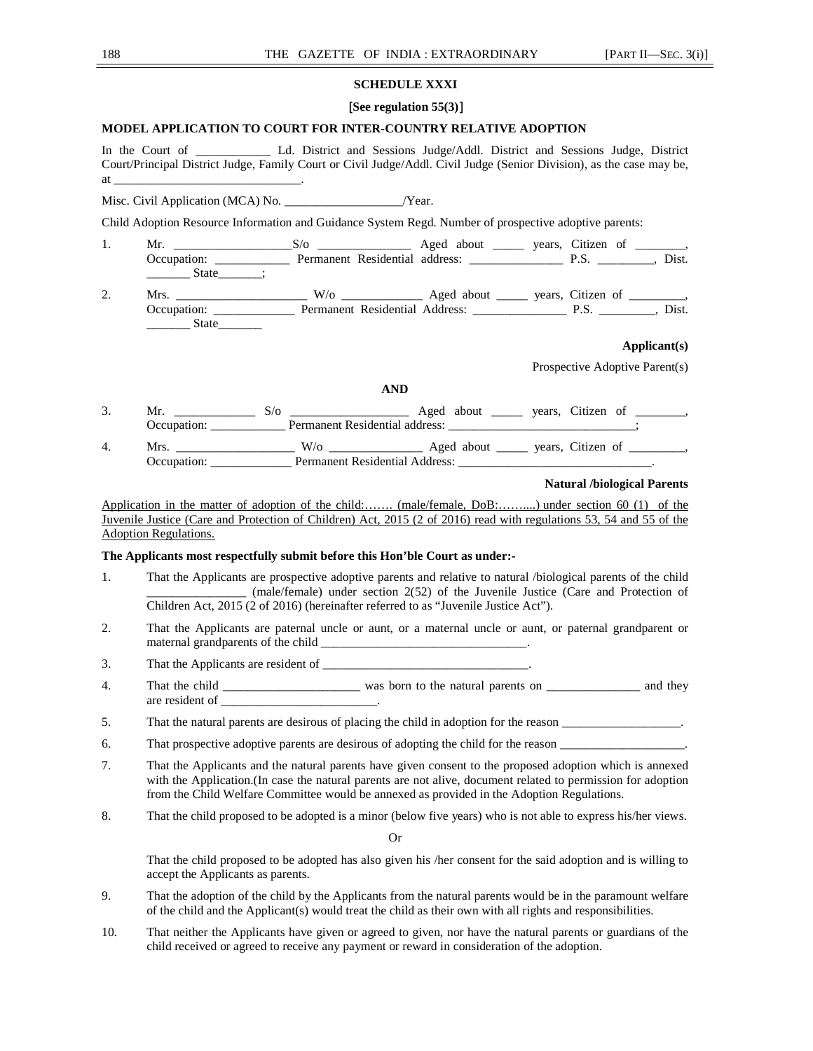## **SCHEDULE XXXI**

#### [**See regulation 55(3)**]

#### **MODEL APPLICATION TO COURT FOR INTER-COUNTRY RELATIVE ADOPTION**

In the Court of Ld. District and Sessions Judge/Addl. District and Sessions Judge, District Court/Principal District Judge, Family Court or Civil Judge/Addl. Civil Judge (Senior Division), as the case may be, at \_\_\_\_\_\_\_\_\_\_\_\_\_\_\_\_\_\_\_\_\_\_\_\_\_\_\_\_\_\_.

Misc. Civil Application (MCA) No. \_\_\_\_\_\_\_\_\_\_\_\_\_\_\_\_\_\_\_/Year.

Child Adoption Resource Information and Guidance System Regd. Number of prospective adoptive parents:

- 1. Mr. \_\_\_\_\_\_\_\_\_\_\_\_\_\_\_\_\_\_\_S/o \_\_\_\_\_\_\_\_\_\_\_\_\_\_\_ Aged about \_\_\_\_\_ years, Citizen of \_\_\_\_\_\_\_\_, Occupation: \_\_\_\_\_\_\_\_\_\_\_\_\_\_\_ Permanent Residential address: \_\_\_\_\_\_\_\_\_\_\_\_\_\_\_\_\_\_\_\_\_\_\_\_\_\_\_\_\_\_\_\_\_\_, Dist.  $\frac{S}\frac{1}{2}$  State  $\frac{1}{2}$  :
- 2. Mrs. \_\_\_\_\_\_\_\_\_\_\_\_\_\_\_\_\_\_\_\_\_ W/o \_\_\_\_\_\_\_\_\_\_\_\_\_ Aged about \_\_\_\_\_ years, Citizen of \_\_\_\_\_\_\_\_\_, Occupation: \_\_\_\_\_\_\_\_\_\_\_\_\_ Permanent Residential Address: \_\_\_\_\_\_\_\_\_\_\_\_\_\_\_ P.S. \_\_\_\_\_\_\_\_\_, Dist. \_\_\_\_\_\_\_ State\_\_\_\_\_\_\_

#### **Applicant(s)**

Prospective Adoptive Parent(s)

#### **AND**

3. Mr. \_\_\_\_\_\_\_\_\_\_\_\_\_ S/o \_\_\_\_\_\_\_\_\_\_\_\_\_\_\_\_\_\_\_ Aged about \_\_\_\_\_ years, Citizen of \_\_\_\_\_\_\_\_, Occupation: Permanent Residential address: \_\_\_\_\_\_\_\_\_\_\_\_\_\_\_\_\_\_\_\_\_\_\_\_\_; 4. Mrs. \_\_\_\_\_\_\_\_\_\_\_\_\_\_\_\_\_\_\_ W/o \_\_\_\_\_\_\_\_\_\_\_\_\_\_\_ Aged about \_\_\_\_\_ years, Citizen of \_\_\_\_\_\_\_\_\_, Occupation: \_\_\_\_\_\_\_\_\_\_\_\_\_ Permanent Residential Address: \_\_\_\_\_\_\_\_\_\_\_\_\_\_\_\_\_\_\_\_\_\_\_\_\_\_\_\_\_\_\_.

#### **Natural /biological Parents**

Application in the matter of adoption of the child:……. (male/female, DoB:………) under section 60 (1) of the Juvenile Justice (Care and Protection of Children) Act, 2015 (2 of 2016) read with regulations 53, 54 and 55 of the Adoption Regulations.

#### **The Applicants most respectfully submit before this Hon'ble Court as under:-**

- 1. That the Applicants are prospective adoptive parents and relative to natural /biological parents of the child  $(male/female)$  under section  $2(52)$  of the Juvenile Justice (Care and Protection of Children Act, 2015 (2 of 2016) (hereinafter referred to as "Juvenile Justice Act").
- 2. That the Applicants are paternal uncle or aunt, or a maternal uncle or aunt, or paternal grandparent or maternal grandparents of the child \_\_\_\_\_\_\_\_\_\_\_\_\_\_\_\_\_\_\_\_\_\_\_\_\_\_\_\_\_\_\_\_\_.
- 3. That the Applicants are resident of \_\_\_\_\_\_\_\_\_\_\_\_\_\_\_\_\_\_\_\_\_\_\_\_\_\_\_\_\_\_\_\_\_.
- 4. That the child \_\_\_\_\_\_\_\_\_\_\_\_\_\_\_\_\_\_\_\_\_\_\_ was born to the natural parents on \_\_\_\_\_\_\_\_\_\_\_\_\_\_\_\_\_ and they are resident of \_\_\_\_\_\_\_\_\_\_\_\_\_\_\_\_\_\_\_\_\_\_\_\_\_.
- 5. That the natural parents are desirous of placing the child in adoption for the reason \_\_\_\_\_\_\_\_\_\_\_\_\_\_\_\_\_\_.
- 6. That prospective adoptive parents are desirous of adopting the child for the reason  $\Box$
- 7. That the Applicants and the natural parents have given consent to the proposed adoption which is annexed with the Application.(In case the natural parents are not alive, document related to permission for adoption from the Child Welfare Committee would be annexed as provided in the Adoption Regulations.
- 8. That the child proposed to be adopted is a minor (below five years) who is not able to express his/her views.

Or

That the child proposed to be adopted has also given his /her consent for the said adoption and is willing to accept the Applicants as parents.

- 9. That the adoption of the child by the Applicants from the natural parents would be in the paramount welfare of the child and the Applicant(s) would treat the child as their own with all rights and responsibilities.
- 10. That neither the Applicants have given or agreed to given, nor have the natural parents or guardians of the child received or agreed to receive any payment or reward in consideration of the adoption.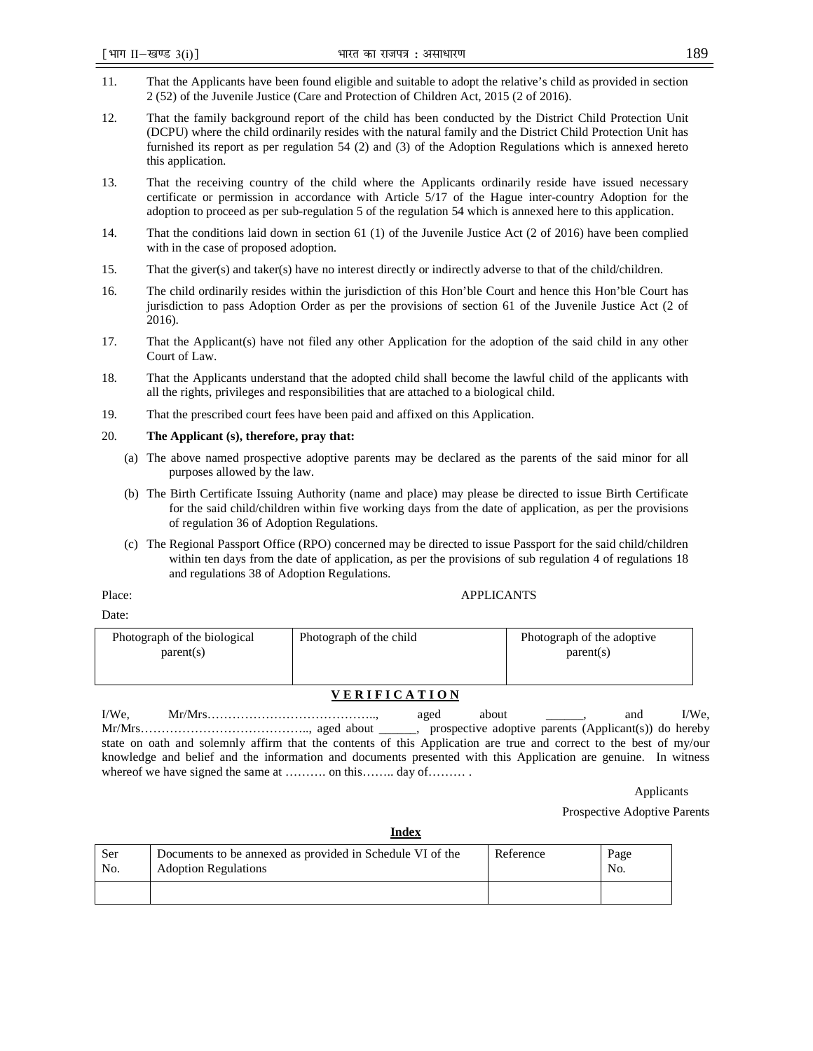- 11. That the Applicants have been found eligible and suitable to adopt the relative's child as provided in section 2 (52) of the Juvenile Justice (Care and Protection of Children Act, 2015 (2 of 2016).
- 12. That the family background report of the child has been conducted by the District Child Protection Unit (DCPU) where the child ordinarily resides with the natural family and the District Child Protection Unit has furnished its report as per regulation 54 (2) and (3) of the Adoption Regulations which is annexed hereto this application.
- 13. That the receiving country of the child where the Applicants ordinarily reside have issued necessary certificate or permission in accordance with Article 5/17 of the Hague inter-country Adoption for the adoption to proceed as per sub-regulation 5 of the regulation 54 which is annexed here to this application.
- 14. That the conditions laid down in section 61 (1) of the Juvenile Justice Act (2 of 2016) have been complied with in the case of proposed adoption.
- 15. That the giver(s) and taker(s) have no interest directly or indirectly adverse to that of the child/children.
- 16. The child ordinarily resides within the jurisdiction of this Hon'ble Court and hence this Hon'ble Court has jurisdiction to pass Adoption Order as per the provisions of section 61 of the Juvenile Justice Act (2 of 2016).
- 17. That the Applicant(s) have not filed any other Application for the adoption of the said child in any other Court of Law.
- 18. That the Applicants understand that the adopted child shall become the lawful child of the applicants with all the rights, privileges and responsibilities that are attached to a biological child.
- 19. That the prescribed court fees have been paid and affixed on this Application.

#### 20. **The Applicant (s), therefore, pray that:**

- (a) The above named prospective adoptive parents may be declared as the parents of the said minor for all purposes allowed by the law.
- (b) The Birth Certificate Issuing Authority (name and place) may please be directed to issue Birth Certificate for the said child/children within five working days from the date of application, as per the provisions of regulation 36 of Adoption Regulations.
- (c) The Regional Passport Office (RPO) concerned may be directed to issue Passport for the said child/children within ten days from the date of application, as per the provisions of sub regulation 4 of regulations 18 and regulations 38 of Adoption Regulations.

#### Place: APPLICANTS

Date:

| Photograph of the biological<br>parent(s) | Photograph of the child | Photograph of the adoptive<br>parent(s) |  |
|-------------------------------------------|-------------------------|-----------------------------------------|--|
|                                           |                         |                                         |  |

#### **V E R I F I C A T I O N**

| I/We. |                                                                                                                    | aged |  | and | I/We. |
|-------|--------------------------------------------------------------------------------------------------------------------|------|--|-----|-------|
|       |                                                                                                                    |      |  |     |       |
|       | state on oath and solemnly affirm that the contents of this Application are true and correct to the best of my/our |      |  |     |       |
|       | knowledge and belief and the information and documents presented with this Application are genuine. In witness     |      |  |     |       |
|       | whereof we have signed the same at  on this day of                                                                 |      |  |     |       |

Applicants

Prospective Adoptive Parents

| Ser | Documents to be annexed as provided in Schedule VI of the | Reference | Page |
|-----|-----------------------------------------------------------|-----------|------|
| No. | <b>Adoption Regulations</b>                               |           | No.  |
|     |                                                           |           |      |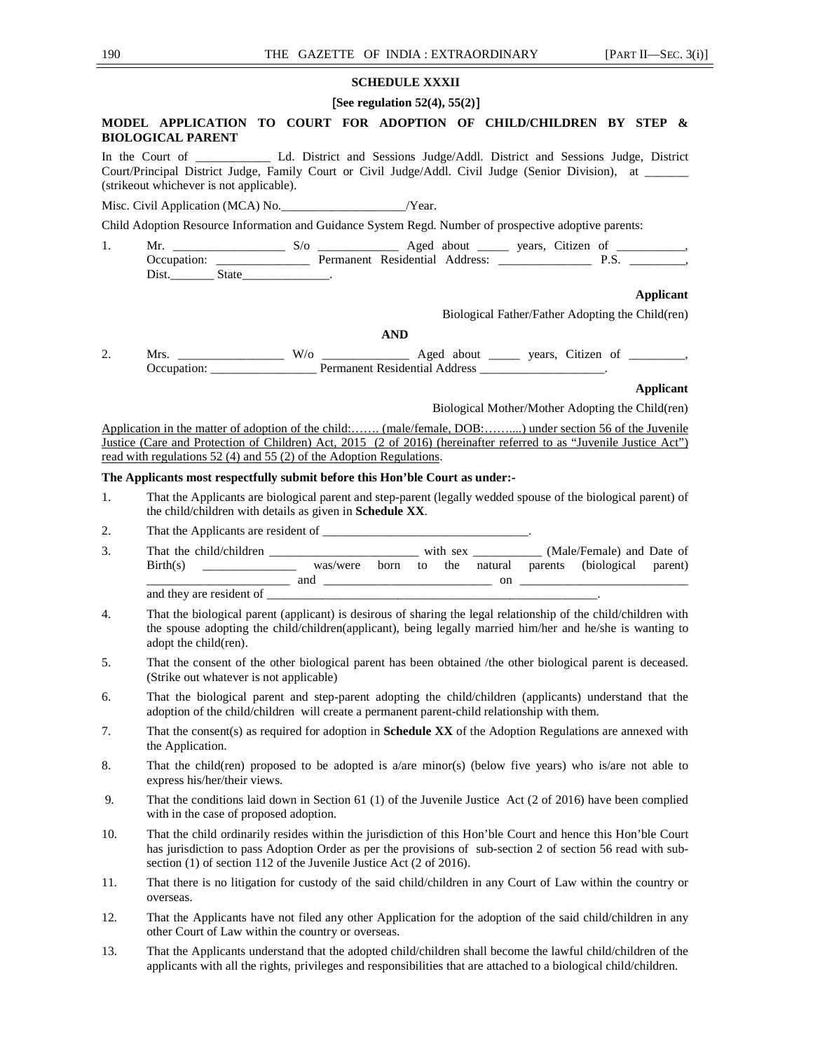#### **SCHEDULE XXXII**

#### [**See regulation 52(4), 55(2)**]

#### **MODEL APPLICATION TO COURT FOR ADOPTION OF CHILD/CHILDREN BY STEP & BIOLOGICAL PARENT**

In the Court of Ld. District and Sessions Judge/Addl. District and Sessions Judge, District Court/Principal District Judge, Family Court or Civil Judge/Addl. Civil Judge (Senior Division), at \_\_\_\_\_\_\_ (strikeout whichever is not applicable).

Misc. Civil Application (MCA) No.\_\_\_\_\_\_\_\_\_\_\_\_\_\_\_\_\_\_\_\_\_\_\_\_\_/Year.

Child Adoption Resource Information and Guidance System Regd. Number of prospective adoptive parents:

1. Mr. \_\_\_\_\_\_\_\_\_\_\_\_\_\_\_\_\_\_ S/o \_\_\_\_\_\_\_\_\_\_\_\_\_ Aged about \_\_\_\_\_ years, Citizen of \_\_\_\_\_\_\_\_\_\_\_, Occupation: \_\_\_\_\_\_\_\_\_\_\_\_\_\_\_ Permanent Residential Address: \_\_\_\_\_\_\_\_\_\_\_\_\_\_\_ P.S. \_\_\_\_\_\_\_\_\_, Dist.\_\_\_\_\_\_\_ State\_\_\_\_\_\_\_\_\_\_\_\_\_\_.

#### **Applicant**

Biological Father/Father Adopting the Child(ren)

#### **AND**

2. Mrs. \_\_\_\_\_\_\_\_\_\_\_\_\_\_\_\_\_ W/o \_\_\_\_\_\_\_\_\_\_\_\_\_\_ Aged about \_\_\_\_\_ years, Citizen of \_\_\_\_\_\_\_\_\_, Occupation: \_\_\_\_\_\_\_\_\_\_\_\_\_\_\_\_\_ Permanent Residential Address \_\_\_\_\_\_\_\_\_\_\_\_\_\_\_\_\_\_\_\_.

#### **Applicant**

Biological Mother/Mother Adopting the Child(ren)

Application in the matter of adoption of the child:……. (male/female, DOB:……....) under section 56 of the Juvenile Justice (Care and Protection of Children) Act, 2015 (2 of 2016) (hereinafter referred to as "Juvenile Justice Act") read with regulations 52 (4) and 55 (2) of the Adoption Regulations.

#### **The Applicants most respectfully submit before this Hon'ble Court as under:-**

- 1. That the Applicants are biological parent and step-parent (legally wedded spouse of the biological parent) of the child/children with details as given in **Schedule XX**.
- 2. That the Applicants are resident of \_\_\_\_\_\_\_\_\_\_\_\_\_\_\_\_\_\_\_\_\_\_\_\_\_\_\_\_\_\_\_\_\_.

| That the child/children  | with sex |  |  | (Male/Female) and Date of |  |                                                 |  |
|--------------------------|----------|--|--|---------------------------|--|-------------------------------------------------|--|
| Birth(s)                 | was/were |  |  |                           |  | born to the natural parents (biological parent) |  |
| and they are resident of | and      |  |  | on                        |  |                                                 |  |

- 4. That the biological parent (applicant) is desirous of sharing the legal relationship of the child/children with the spouse adopting the child/children(applicant), being legally married him/her and he/she is wanting to adopt the child(ren).
- 5. That the consent of the other biological parent has been obtained /the other biological parent is deceased. (Strike out whatever is not applicable)
- 6. That the biological parent and step-parent adopting the child/children (applicants) understand that the adoption of the child/children will create a permanent parent-child relationship with them.
- 7. That the consent(s) as required for adoption in **Schedule XX** of the Adoption Regulations are annexed with the Application.
- 8. That the child(ren) proposed to be adopted is a/are minor(s) (below five years) who is/are not able to express his/her/their views.
- 9. That the conditions laid down in Section 61 (1) of the Juvenile Justice Act (2 of 2016) have been complied with in the case of proposed adoption.
- 10. That the child ordinarily resides within the jurisdiction of this Hon'ble Court and hence this Hon'ble Court has jurisdiction to pass Adoption Order as per the provisions of sub-section 2 of section 56 read with subsection (1) of section 112 of the Juvenile Justice Act (2 of 2016).
- 11. That there is no litigation for custody of the said child/children in any Court of Law within the country or overseas.
- 12. That the Applicants have not filed any other Application for the adoption of the said child/children in any other Court of Law within the country or overseas.
- 13. That the Applicants understand that the adopted child/children shall become the lawful child/children of the applicants with all the rights, privileges and responsibilities that are attached to a biological child/children.